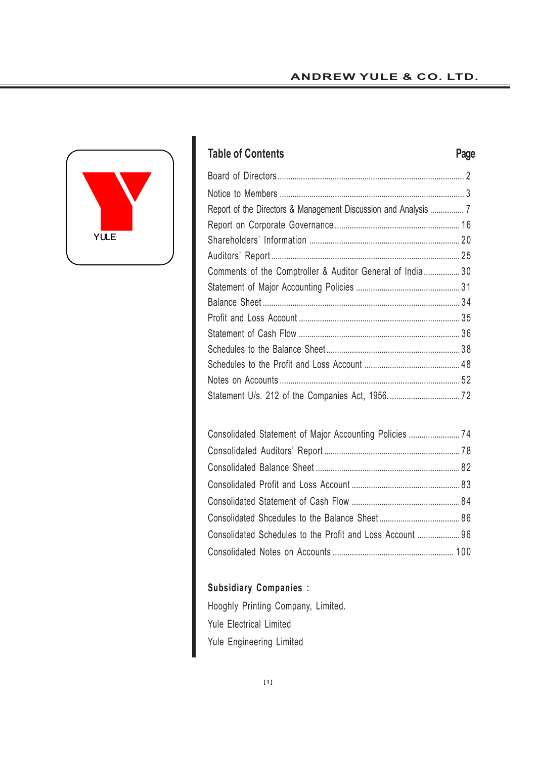# **ANDREW YULE & CO. LTD.**



# **Table of Contents Page**

| Comments of the Comptroller & Auditor General of India 30 |  |
|-----------------------------------------------------------|--|
|                                                           |  |
|                                                           |  |
|                                                           |  |
|                                                           |  |
|                                                           |  |
|                                                           |  |
|                                                           |  |
|                                                           |  |
|                                                           |  |

| Consolidated Statement of Major Accounting Policies  74   |  |
|-----------------------------------------------------------|--|
|                                                           |  |
|                                                           |  |
|                                                           |  |
|                                                           |  |
|                                                           |  |
| Consolidated Schedules to the Profit and Loss Account  96 |  |
|                                                           |  |

# **Subsidiary Companies :**

Hooghly Printing Company, Limited. Yule Electrical Limited Yule Engineering Limited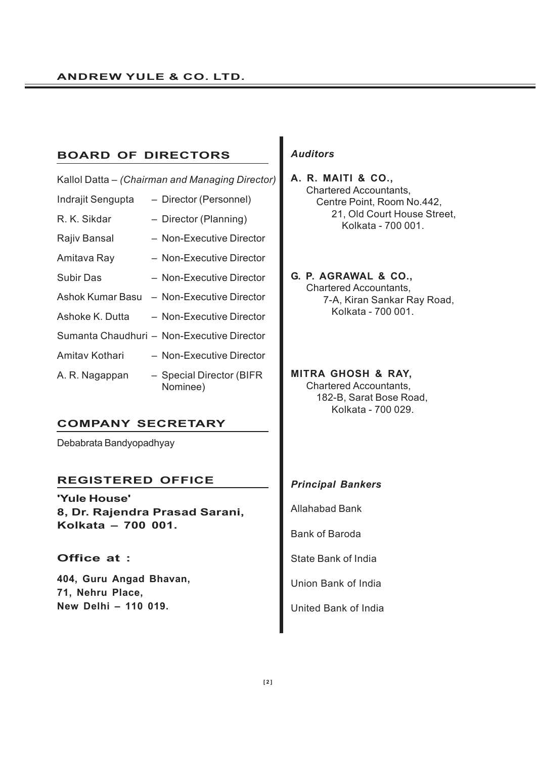# **BOARD OF DIRECTORS**

|                   | Kallol Datta – (Chairman and Managing Director) |
|-------------------|-------------------------------------------------|
| Indrajit Sengupta | - Director (Personnel)                          |
| R. K. Sikdar      | - Director (Planning)                           |
| Rajiv Bansal      | - Non-Executive Director                        |
| Amitava Ray       | - Non-Executive Director                        |
| Subir Das         | - Non-Executive Director                        |
| Ashok Kumar Basu  | - Non-Executive Director                        |
| Ashoke K. Dutta   | - Non-Executive Director                        |
|                   | Sumanta Chaudhuri - Non-Executive Director      |
| Amitay Kothari    | - Non-Executive Director                        |
| A. R. Nagappan    | - Special Director (BIFR<br>Nominee)            |

# **COMPANY SECRETARY**

Debabrata Bandyopadhyay

# **REGISTERED OFFICE**

**'Yule House' 8, Dr. Rajendra Prasad Sarani, Kolkata – 700 001.**

# **Office at :**

**404, Guru Angad Bhavan, 71, Nehru Place, New Delhi – 110 019.**

# *Auditors*

**A. R. MAITI & CO.,** Chartered Accountants, Centre Point, Room No.442, 21, Old Court House Street, Kolkata - 700 001.

**G. P. AGRAWAL & CO.,** Chartered Accountants, 7-A, Kiran Sankar Ray Road, Kolkata - 700 001.

**MITRA GHOSH & RAY,** Chartered Accountants, 182-B, Sarat Bose Road,

Kolkata - 700 029.

# *Principal Bankers*

Allahabad Bank

Bank of Baroda

State Bank of India

Union Bank of India

United Bank of India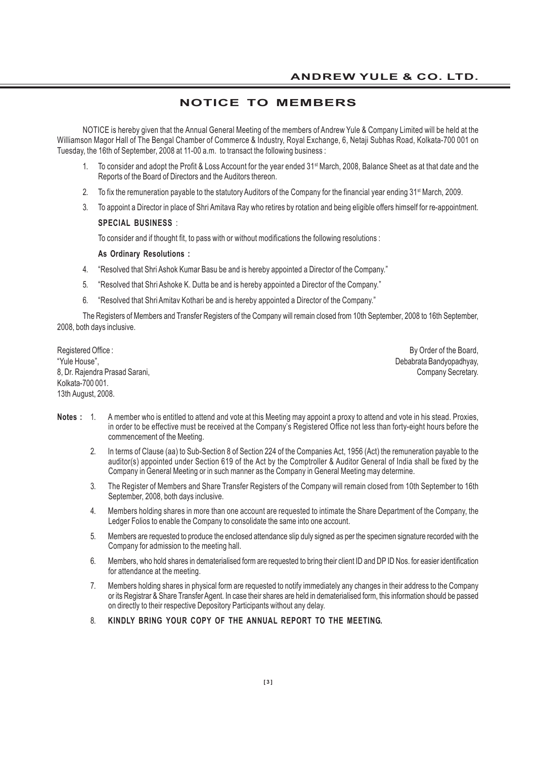# **NOTICE TO MEMBERS**

NOTICE is hereby given that the Annual General Meeting of the members of Andrew Yule & Company Limited will be held at the Williamson Magor Hall of The Bengal Chamber of Commerce & Industry, Royal Exchange, 6, Netaji Subhas Road, Kolkata-700 001 on Tuesday, the 16th of September, 2008 at 11-00 a.m. to transact the following business :

- 1. To consider and adopt the Profit & Loss Account for the year ended 31st March, 2008, Balance Sheet as at that date and the Reports of the Board of Directors and the Auditors thereon.
- 2. To fix the remuneration payable to the statutory Auditors of the Company for the financial year ending 31<sup>st</sup> March, 2009.
- 3. To appoint a Director in place of Shri Amitava Ray who retires by rotation and being eligible offers himself for re-appointment.

#### **SPECIAL BUSINESS** :

To consider and if thought fit, to pass with or without modifications the following resolutions :

#### **As Ordinary Resolutions :**

- 4. "Resolved that Shri Ashok Kumar Basu be and is hereby appointed a Director of the Company."
- 5. "Resolved that Shri Ashoke K. Dutta be and is hereby appointed a Director of the Company."
- 6. "Resolved that Shri Amitav Kothari be and is hereby appointed a Director of the Company."

The Registers of Members and Transfer Registers of the Company will remain closed from 10th September, 2008 to 16th September, 2008, both days inclusive.

Registered Office : **By Order of the Board, Internal Studies** Change in the Board, Internal Studies of the Board, "Yule House", Nashington and the second state of the second state of the second state of the Debabrata Bandyopadhyay, 8, Dr. Rajendra Prasad Sarani, **Company Secretary.** Company Secretary. Kolkata-700 001. 13th August, 2008.

- **Notes :** 1. A member who is entitled to attend and vote at this Meeting may appoint a proxy to attend and vote in his stead. Proxies, in order to be effective must be received at the Company's Registered Office not less than forty-eight hours before the commencement of the Meeting.
	- 2. In terms of Clause (aa) to Sub-Section 8 of Section 224 of the Companies Act, 1956 (Act) the remuneration payable to the auditor(s) appointed under Section 619 of the Act by the Comptroller & Auditor General of India shall be fixed by the Company in General Meeting or in such manner as the Company in General Meeting may determine.
	- 3. The Register of Members and Share Transfer Registers of the Company will remain closed from 10th September to 16th September, 2008, both days inclusive.
	- 4. Members holding shares in more than one account are requested to intimate the Share Department of the Company, the Ledger Folios to enable the Company to consolidate the same into one account.
	- 5. Members are requested to produce the enclosed attendance slip duly signed as per the specimen signature recorded with the Company for admission to the meeting hall.
	- 6. Members, who hold shares in dematerialised form are requested to bring their client ID and DP ID Nos. for easier identification for attendance at the meeting.
	- 7. Members holding shares in physical form are requested to notify immediately any changes in their address to the Company or its Registrar & Share Transfer Agent. In case their shares are held in dematerialised form, this information should be passed on directly to their respective Depository Participants without any delay.
	- 8. **KINDLY BRING YOUR COPY OF THE ANNUAL REPORT TO THE MEETING.**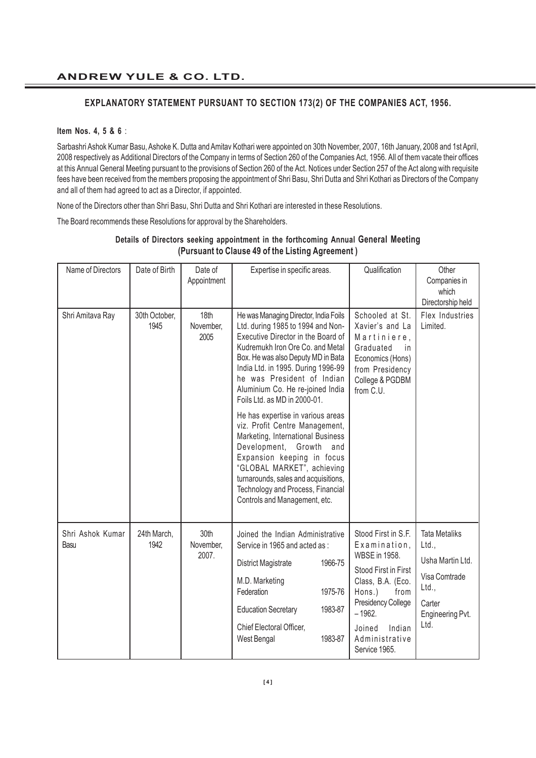### **EXPLANATORY STATEMENT PURSUANT TO SECTION 173(2) OF THE COMPANIES ACT, 1956.**

#### **Item Nos. 4, 5 & 6** :

Sarbashri Ashok Kumar Basu, Ashoke K. Dutta and Amitav Kothari were appointed on 30th November, 2007, 16th January, 2008 and 1st April, 2008 respectively as Additional Directors of the Company in terms of Section 260 of the Companies Act, 1956. All of them vacate their offices at this Annual General Meeting pursuant to the provisions of Section 260 of the Act. Notices under Section 257 of the Act along with requisite fees have been received from the members proposing the appointment of Shri Basu, Shri Dutta and Shri Kothari as Directors of the Company and all of them had agreed to act as a Director, if appointed.

None of the Directors other than Shri Basu, Shri Dutta and Shri Kothari are interested in these Resolutions.

The Board recommends these Resolutions for approval by the Shareholders.

| Name of Directors        | Date of Birth         | Date of<br>Appointment     | Expertise in specific areas.                                                                                                                                                                                                                                                                                                       | Qualification                                                                                                                                                                                                       | Other<br>Companies in<br>which<br>Directorship held                                                               |
|--------------------------|-----------------------|----------------------------|------------------------------------------------------------------------------------------------------------------------------------------------------------------------------------------------------------------------------------------------------------------------------------------------------------------------------------|---------------------------------------------------------------------------------------------------------------------------------------------------------------------------------------------------------------------|-------------------------------------------------------------------------------------------------------------------|
| Shri Amitava Ray         | 30th October,<br>1945 | 18th<br>November,<br>2005  | He was Managing Director, India Foils<br>Ltd. during 1985 to 1994 and Non-<br>Executive Director in the Board of<br>Kudremukh Iron Ore Co. and Metal<br>Box. He was also Deputy MD in Bata<br>India Ltd. in 1995. During 1996-99<br>he was President of Indian<br>Aluminium Co. He re-joined India<br>Foils Ltd. as MD in 2000-01. | Schooled at St.<br>Xavier's and La<br>Martiniere,<br>Graduated<br>in.<br>Economics (Hons)<br>from Presidency<br>College & PGDBM<br>from C.U.                                                                        | Flex Industries<br>Limited.                                                                                       |
|                          |                       |                            | He has expertise in various areas<br>viz. Profit Centre Management,<br>Marketing, International Business<br>Development, Growth<br>and<br>Expansion keeping in focus<br>"GLOBAL MARKET", achieving<br>turnarounds, sales and acquisitions,<br>Technology and Process, Financial<br>Controls and Management, etc.                   |                                                                                                                                                                                                                     |                                                                                                                   |
| Shri Ashok Kumar<br>Basu | 24th March,<br>1942   | 30th<br>November,<br>2007. | Joined the Indian Administrative<br>Service in 1965 and acted as :<br>1966-75<br><b>District Magistrate</b><br>M.D. Marketing<br>Federation<br>1975-76<br><b>Education Secretary</b><br>1983-87<br>Chief Electoral Officer,<br>West Bengal<br>1983-87                                                                              | Stood First in S.F.<br>Examination,<br><b>WBSE</b> in 1958.<br>Stood First in First<br>Class, B.A. (Eco.<br>Hons.)<br>from<br>Presidency College<br>$-1962.$<br>Indian<br>Joined<br>Administrative<br>Service 1965. | <b>Tata Metaliks</b><br>Ltd.,<br>Usha Martin Ltd.<br>Visa Comtrade<br>Ltd.,<br>Carter<br>Engineering Pvt.<br>Ltd. |

# **Details of Directors seeking appointment in the forthcoming Annual General Meeting (Pursuant to Clause 49 of the Listing Agreement )**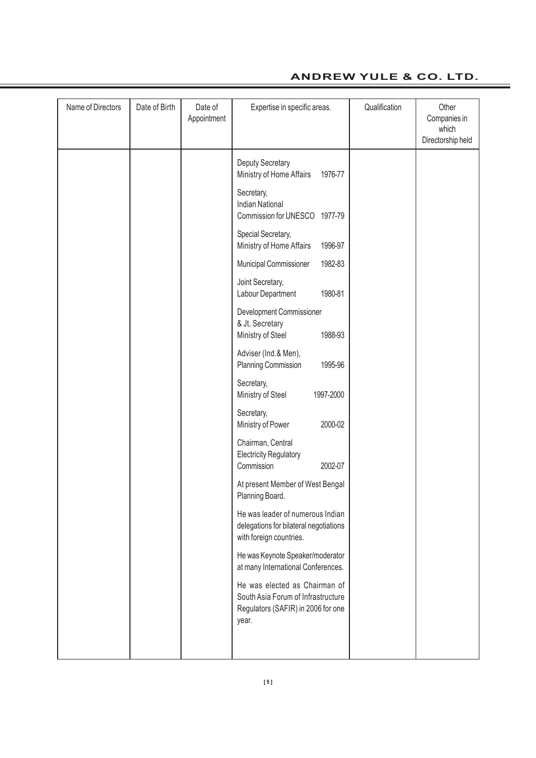# **ANDREW YULE & CO. LTD.**

| Name of Directors | Date of Birth | Date of<br>Appointment | Expertise in specific areas.                                                                                       | Qualification | Other<br>Companies in<br>which<br>Directorship held |
|-------------------|---------------|------------------------|--------------------------------------------------------------------------------------------------------------------|---------------|-----------------------------------------------------|
|                   |               |                        | Deputy Secretary<br>Ministry of Home Affairs<br>1976-77                                                            |               |                                                     |
|                   |               |                        | Secretary,<br><b>Indian National</b><br>Commission for UNESCO 1977-79                                              |               |                                                     |
|                   |               |                        | Special Secretary,<br>Ministry of Home Affairs<br>1996-97                                                          |               |                                                     |
|                   |               |                        | Municipal Commissioner<br>1982-83                                                                                  |               |                                                     |
|                   |               |                        | Joint Secretary,<br>Labour Department<br>1980-81                                                                   |               |                                                     |
|                   |               |                        | Development Commissioner<br>& Jt. Secretary<br>Ministry of Steel<br>1988-93                                        |               |                                                     |
|                   |               |                        | Adviser (Ind.& Men),<br>Planning Commission<br>1995-96                                                             |               |                                                     |
|                   |               |                        | Secretary,<br>Ministry of Steel<br>1997-2000                                                                       |               |                                                     |
|                   |               |                        | Secretary,<br>Ministry of Power<br>2000-02                                                                         |               |                                                     |
|                   |               |                        | Chairman, Central<br><b>Electricity Regulatory</b><br>Commission<br>2002-07                                        |               |                                                     |
|                   |               |                        | At present Member of West Bengal<br>Planning Board.                                                                |               |                                                     |
|                   |               |                        | He was leader of numerous Indian<br>delegations for bilateral negotiations<br>with foreign countries.              |               |                                                     |
|                   |               |                        | He was Keynote Speaker/moderator<br>at many International Conferences.                                             |               |                                                     |
|                   |               |                        | He was elected as Chairman of<br>South Asia Forum of Infrastructure<br>Regulators (SAFIR) in 2006 for one<br>year. |               |                                                     |
|                   |               |                        |                                                                                                                    |               |                                                     |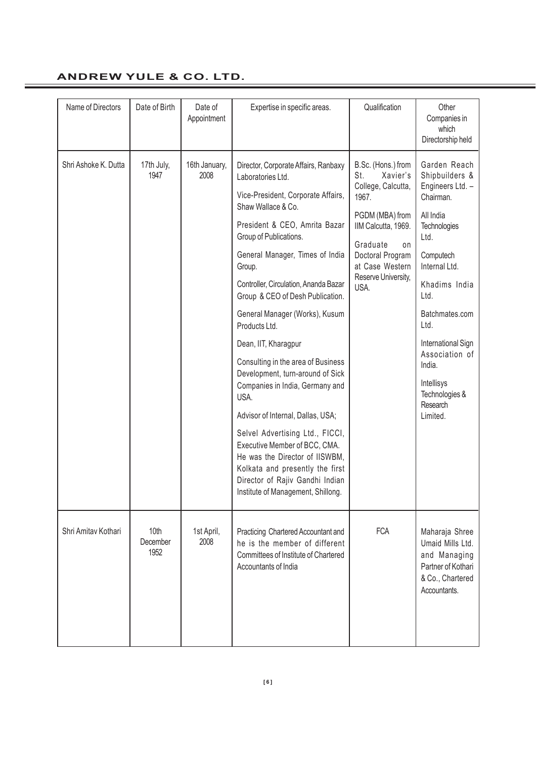# **ANDREW YULE & CO. LTD.**

| Name of Directors    | Date of Birth            | Date of<br>Appointment | Expertise in specific areas.                                                                                                                                                                                                                                                                                                                                                                                                                                                                                                                                                                                                                                                                                                                                      | Qualification                                                                                                                                                                                          | Other<br>Companies in<br>which<br>Directorship held                                                                                                                                                                                                                                                    |
|----------------------|--------------------------|------------------------|-------------------------------------------------------------------------------------------------------------------------------------------------------------------------------------------------------------------------------------------------------------------------------------------------------------------------------------------------------------------------------------------------------------------------------------------------------------------------------------------------------------------------------------------------------------------------------------------------------------------------------------------------------------------------------------------------------------------------------------------------------------------|--------------------------------------------------------------------------------------------------------------------------------------------------------------------------------------------------------|--------------------------------------------------------------------------------------------------------------------------------------------------------------------------------------------------------------------------------------------------------------------------------------------------------|
| Shri Ashoke K. Dutta | 17th July,<br>1947       | 16th January,<br>2008  | Director, Corporate Affairs, Ranbaxy<br>Laboratories Ltd.<br>Vice-President, Corporate Affairs,<br>Shaw Wallace & Co.<br>President & CEO, Amrita Bazar<br>Group of Publications.<br>General Manager, Times of India<br>Group.<br>Controller, Circulation, Ananda Bazar<br>Group & CEO of Desh Publication.<br>General Manager (Works), Kusum<br>Products Ltd.<br>Dean, IIT, Kharagpur<br>Consulting in the area of Business<br>Development, turn-around of Sick<br>Companies in India, Germany and<br>USA.<br>Advisor of Internal, Dallas, USA;<br>Selvel Advertising Ltd., FICCI,<br>Executive Member of BCC, CMA.<br>He was the Director of IISWBM,<br>Kolkata and presently the first<br>Director of Rajiv Gandhi Indian<br>Institute of Management, Shillong. | B.Sc. (Hons.) from<br>St.<br>Xavier's<br>College, Calcutta,<br>1967.<br>PGDM (MBA) from<br>IIM Calcutta, 1969.<br>Graduate<br>on<br>Doctoral Program<br>at Case Western<br>Reserve University,<br>USA. | Garden Reach<br>Shipbuilders &<br>Engineers Ltd. -<br>Chairman.<br>All India<br><b>Technologies</b><br>Ltd.<br>Computech<br>Internal Ltd.<br>Khadims India<br>Ltd.<br>Batchmates.com<br>Ltd.<br>International Sign<br>Association of<br>India.<br>Intellisys<br>Technologies &<br>Research<br>Limited. |
| Shri Amitav Kothari  | 10th<br>December<br>1952 | 1st April,<br>2008     | Practicing Chartered Accountant and<br>he is the member of different<br>Committees of Institute of Chartered<br>Accountants of India                                                                                                                                                                                                                                                                                                                                                                                                                                                                                                                                                                                                                              | <b>FCA</b>                                                                                                                                                                                             | Maharaja Shree<br>Umaid Mills Ltd.<br>and Managing<br>Partner of Kothari<br>& Co., Chartered<br>Accountants.                                                                                                                                                                                           |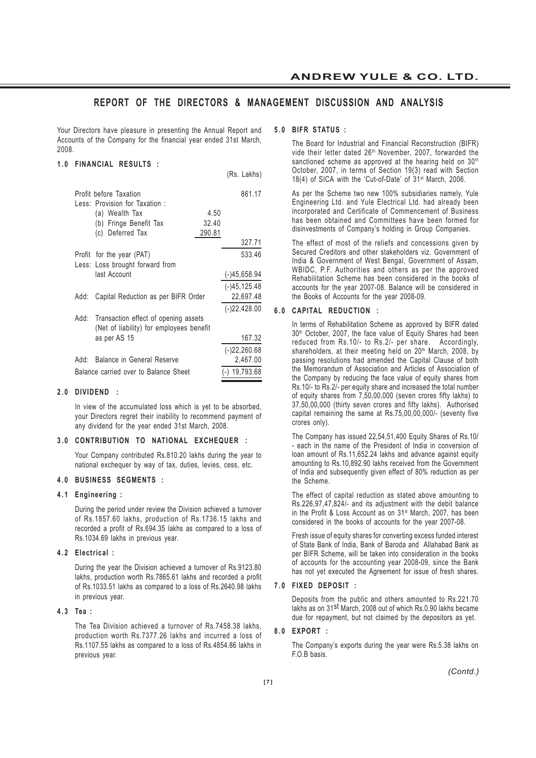# **REPORT OF THE DIRECTORS & MANAGEMENT DISCUSSION AND ANALYSIS**

(Rs. Lakhs)

Your Directors have pleasure in presenting the Annual Report and Accounts of the Company for the financial year ended 31st March, 2008.

#### **1 . 0 FINANCIAL RESULTS :**

|                                                          |                                          |        | $\cdots$ $\cdots$ |
|----------------------------------------------------------|------------------------------------------|--------|-------------------|
| Profit before Taxation<br>Less: Provision for Taxation : |                                          | 861.17 |                   |
|                                                          | (a) Wealth Tax                           | 4.50   |                   |
|                                                          | (b) Fringe Benefit Tax                   | 32.40  |                   |
|                                                          | (c) Deferred Tax                         | 290.81 |                   |
|                                                          |                                          |        | 327.71            |
|                                                          | Profit for the year (PAT)                |        | 533.46            |
|                                                          | Less: Loss brought forward from          |        |                   |
|                                                          | last Account                             |        | (-)45,658.94      |
|                                                          |                                          |        | $(-)45, 125.48$   |
| Add:                                                     | Capital Reduction as per BIFR Order      |        | 22,697.48         |
|                                                          |                                          |        | $(-)22,428.00$    |
| Add:                                                     | Transaction effect of opening assets     |        |                   |
|                                                          | (Net of liability) for employees benefit |        |                   |
|                                                          | as per AS 15                             |        | 167.32            |
|                                                          |                                          |        | $(-)22,260.68$    |
| Add:                                                     | Balance in General Reserve               |        | 2,467.00          |
|                                                          | Balance carried over to Balance Sheet    |        | $(-)$ 19,793.68   |

#### **2.0 DIVIDEND :**

In view of the accumulated loss which is yet to be absorbed, your Directors regret their inability to recommend payment of any dividend for the year ended 31st March, 2008.

#### **3 . 0 CONTRIBUTION TO NATIONAL EXCHEQUER :**

Your Company contributed Rs.810.20 lakhs during the year to national exchequer by way of tax, duties, levies, cess, etc.

#### **4.0 BUSINESS SEGMENTS :**

#### **4.1 Engineering :**

During the period under review the Division achieved a turnover of Rs.1857.60 lakhs, production of Rs.1736.15 lakhs and recorded a profit of Rs.694.35 lakhs as compared to a loss of Rs.1034.69 lakhs in previous year.

#### **4.2 Electrical :**

During the year the Division achieved a turnover of Rs.9123.80 lakhs, production worth Rs.7865.61 lakhs and recorded a profit of Rs.1033.51 lakhs as compared to a loss of Rs.2640.98 lakhs in previous year.

#### **4 . 3 Tea :**

The Tea Division achieved a turnover of Rs.7458.38 lakhs, production worth Rs.7377.26 lakhs and incurred a loss of Rs.1107.55 lakhs as compared to a loss of Rs.4854.86 lakhs in previous year.

#### **5 . 0 BIFR STATUS :**

The Board for Industrial and Financial Reconstruction (BIFR) vide their letter dated 26<sup>th</sup> November, 2007, forwarded the sanctioned scheme as approved at the hearing held on 30<sup>th</sup> October, 2007, in terms of Section 19(3) read with Section 18(4) of SICA with the 'Cut-of-Date' of 31st March, 2006.

As per the Scheme two new 100% subsidiaries namely, Yule Engineering Ltd. and Yule Electrical Ltd. had already been incorporated and Certificate of Commencement of Business has been obtained and Committees have been formed for disinvestments of Company's holding in Group Companies.

The effect of most of the reliefs and concessions given by Secured Creditors and other stakeholders viz. Government of India & Government of West Bengal, Government of Assam, WBIDC, P.F. Authorities and others as per the approved Rehabilitation Scheme has been considered in the books of accounts for the year 2007-08. Balance will be considered in the Books of Accounts for the year 2008-09.

#### **6 . 0 CAPITAL REDUCTION :**

In terms of Rehabilitation Scheme as approved by BIFR dated 30<sup>th</sup> October, 2007, the face value of Equity Shares had been reduced from Rs.10/- to Rs.2/- per share. Accordingly, shareholders, at their meeting held on 20<sup>th</sup> March, 2008, by passing resolutions had amended the Capital Clause of both the Memorandum of Association and Articles of Association of the Company by reducing the face value of equity shares from Rs.10/- to Rs.2/- per equity share and increased the total number of equity shares from 7,50,00,000 (seven crores fifty lakhs) to 37,50,00,000 (thirty seven crores and fifty lakhs). Authorised capital remaining the same at Rs.75,00,00,000/- (seventy five crores only).

The Company has issued 22,54,51,400 Equity Shares of Rs.10/ - each in the name of the President of India in conversion of loan amount of Rs.11,652.24 lakhs and advance against equity amounting to Rs.10,892.90 lakhs received from the Government of India and subsequently given effect of 80% reduction as per the Scheme.

The effect of capital reduction as stated above amounting to Rs.226,97,47,824/- and its adjustment with the debit balance in the Profit & Loss Account as on 31st March, 2007, has been considered in the books of accounts for the year 2007-08.

Fresh issue of equity shares for converting excess funded interest of State Bank of India, Bank of Baroda and Allahabad Bank as per BIFR Scheme, will be taken into consideration in the books of accounts for the accounting year 2008-09, since the Bank has not yet executed the Agreement for issue of fresh shares.

#### **7.0 FIXED DEPOSIT :**

Deposits from the public and others amounted to Rs.221.70 lakhs as on 31st March, 2008 out of which Rs.0.90 lakhs became due for repayment, but not claimed by the depositors as yet.

#### **8.0 EXPORT :**

The Company's exports during the year were Rs.5.38 lakhs on F.O.B basis.

*(Contd.)*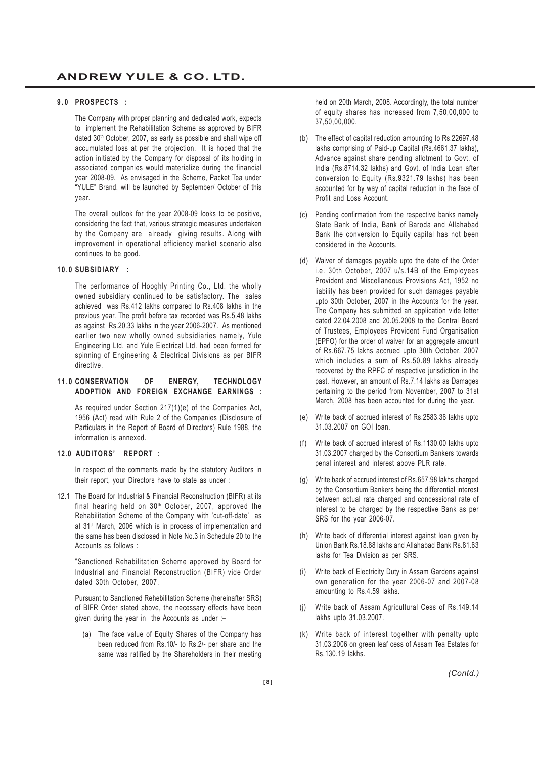#### **9.0 PROSPECTS :**

The Company with proper planning and dedicated work, expects to implement the Rehabilitation Scheme as approved by BIFR dated 30<sup>th</sup> October, 2007, as early as possible and shall wipe off accumulated loss at per the projection. It is hoped that the action initiated by the Company for disposal of its holding in associated companies would materialize during the financial year 2008-09. As envisaged in the Scheme, Packet Tea under "YULE" Brand, will be launched by September/ October of this year.

The overall outlook for the year 2008-09 looks to be positive, considering the fact that, various strategic measures undertaken by the Company are already giving results. Along with improvement in operational efficiency market scenario also continues to be good.

#### **10.0 SUBSIDIARY :**

The performance of Hooghly Printing Co., Ltd. the wholly owned subsidiary continued to be satisfactory. The sales achieved was Rs.412 lakhs compared to Rs.408 lakhs in the previous year. The profit before tax recorded was Rs.5.48 lakhs as against Rs.20.33 lakhs in the year 2006-2007. As mentioned earlier two new wholly owned subsidiaries namely, Yule Engineering Ltd. and Yule Electrical Ltd. had been formed for spinning of Engineering & Electrical Divisions as per BIFR directive.

#### **11.0 CONSERVATION OF ENERGY, TECHNOLOGY ADOPTION AND FOREIGN EXCHANGE EARNINGS :**

As required under Section 217(1)(e) of the Companies Act, 1956 (Act) read with Rule 2 of the Companies (Disclosure of Particulars in the Report of Board of Directors) Rule 1988, the information is annexed.

#### **12.0 AUDITORS' REPORT :**

In respect of the comments made by the statutory Auditors in their report, your Directors have to state as under :

12.1 The Board for Industrial & Financial Reconstruction (BIFR) at its final hearing held on 30<sup>th</sup> October, 2007, approved the Rehabilitation Scheme of the Company with 'cut-off-date' as at 31<sup>st</sup> March, 2006 which is in process of implementation and the same has been disclosed in Note No.3 in Schedule 20 to the Accounts as follows :

"Sanctioned Rehabilitation Scheme approved by Board for Industrial and Financial Reconstruction (BIFR) vide Order dated 30th October, 2007.

Pursuant to Sanctioned Rehebilitation Scheme (hereinafter SRS) of BIFR Order stated above, the necessary effects have been given during the year in the Accounts as under :–

(a) The face value of Equity Shares of the Company has been reduced from Rs.10/- to Rs.2/- per share and the same was ratified by the Shareholders in their meeting held on 20th March, 2008. Accordingly, the total number of equity shares has increased from 7,50,00,000 to 37,50,00,000.

- (b) The effect of capital reduction amounting to Rs.22697.48 lakhs comprising of Paid-up Capital (Rs.4661.37 lakhs), Advance against share pending allotment to Govt. of India (Rs.8714.32 lakhs) and Govt. of India Loan after conversion to Equity (Rs.9321.79 lakhs) has been accounted for by way of capital reduction in the face of Profit and Loss Account.
- (c) Pending confirmation from the respective banks namely State Bank of India, Bank of Baroda and Allahabad Bank the conversion to Equity capital has not been considered in the Accounts.
- (d) Waiver of damages payable upto the date of the Order i.e. 30th October, 2007 u/s.14B of the Employees Provident and Miscellaneous Provisions Act, 1952 no liability has been provided for such damages payable upto 30th October, 2007 in the Accounts for the year. The Company has submitted an application vide letter dated 22.04.2008 and 20.05.2008 to the Central Board of Trustees, Employees Provident Fund Organisation (EPFO) for the order of waiver for an aggregate amount of Rs.667.75 lakhs accrued upto 30th October, 2007 which includes a sum of Rs.50.89 lakhs already recovered by the RPFC of respective jurisdiction in the past. However, an amount of Rs.7.14 lakhs as Damages pertaining to the period from November, 2007 to 31st March, 2008 has been accounted for during the year.
- (e) Write back of accrued interest of Rs.2583.36 lakhs upto 31.03.2007 on GOI loan.
- (f) Write back of accrued interest of Rs.1130.00 lakhs upto 31.03.2007 charged by the Consortium Bankers towards penal interest and interest above PLR rate.
- (g) Write back of accrued interest of Rs.657.98 lakhs charged by the Consortium Bankers being the differential interest between actual rate charged and concessional rate of interest to be charged by the respective Bank as per SRS for the year 2006-07.
- (h) Write back of differential interest against loan given by Union Bank Rs.18.88 lakhs and Allahabad Bank Rs.81.63 lakhs for Tea Division as per SRS.
- (i) Write back of Electricity Duty in Assam Gardens against own generation for the year 2006-07 and 2007-08 amounting to Rs.4.59 lakhs.
- (j) Write back of Assam Agricultural Cess of Rs.149.14 lakhs upto 31.03.2007.
- (k) Write back of interest together with penalty upto 31.03.2006 on green leaf cess of Assam Tea Estates for Rs.130.19 lakhs.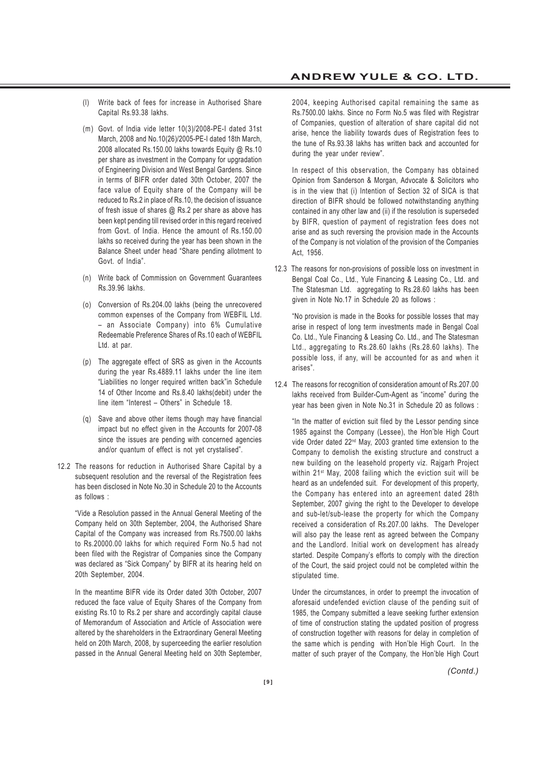- **ANDREW YULE & CO. LTD.**
- (l) Write back of fees for increase in Authorised Share Capital Rs.93.38 lakhs.
- (m) Govt. of India vide letter 10(3)/2008-PE-I dated 31st March, 2008 and No.10(26)/2005-PE-I dated 18th March, 2008 allocated Rs.150.00 lakhs towards Equity @ Rs.10 per share as investment in the Company for upgradation of Engineering Division and West Bengal Gardens. Since in terms of BIFR order dated 30th October, 2007 the face value of Equity share of the Company will be reduced to Rs.2 in place of Rs.10, the decision of issuance of fresh issue of shares @ Rs.2 per share as above has been kept pending till revised order in this regard received from Govt. of India. Hence the amount of Rs.150.00 lakhs so received during the year has been shown in the Balance Sheet under head "Share pending allotment to Govt. of India".
- (n) Write back of Commission on Government Guarantees Rs.39.96 lakhs.
- (o) Conversion of Rs.204.00 lakhs (being the unrecovered common expenses of the Company from WEBFIL Ltd. – an Associate Company) into 6% Cumulative Redeemable Preference Shares of Rs.10 each of WEBFIL Ltd. at par.
- (p) The aggregate effect of SRS as given in the Accounts during the year Rs.4889.11 lakhs under the line item "Liabilities no longer required written back"in Schedule 14 of Other Income and Rs.8.40 lakhs(debit) under the line item "Interest – Others" in Schedule 18.
- (q) Save and above other items though may have financial impact but no effect given in the Accounts for 2007-08 since the issues are pending with concerned agencies and/or quantum of effect is not yet crystalised".
- 12.2 The reasons for reduction in Authorised Share Capital by a subsequent resolution and the reversal of the Registration fees has been disclosed in Note No.30 in Schedule 20 to the Accounts as follows :

"Vide a Resolution passed in the Annual General Meeting of the Company held on 30th September, 2004, the Authorised Share Capital of the Company was increased from Rs.7500.00 lakhs to Rs.20000.00 lakhs for which required Form No.5 had not been filed with the Registrar of Companies since the Company was declared as "Sick Company" by BIFR at its hearing held on 20th September, 2004.

In the meantime BIFR vide its Order dated 30th October, 2007 reduced the face value of Equity Shares of the Company from existing Rs.10 to Rs.2 per share and accordingly capital clause of Memorandum of Association and Article of Association were altered by the shareholders in the Extraordinary General Meeting held on 20th March, 2008, by superceeding the earlier resolution passed in the Annual General Meeting held on 30th September, 2004, keeping Authorised capital remaining the same as Rs.7500.00 lakhs. Since no Form No.5 was filed with Registrar of Companies, question of alteration of share capital did not arise, hence the liability towards dues of Registration fees to the tune of Rs.93.38 lakhs has written back and accounted for during the year under review".

In respect of this observation, the Company has obtained Opinion from Sanderson & Morgan, Advocate & Solicitors who is in the view that (i) Intention of Section 32 of SICA is that direction of BIFR should be followed notwithstanding anything contained in any other law and (ii) if the resolution is superseded by BIFR, question of payment of registration fees does not arise and as such reversing the provision made in the Accounts of the Company is not violation of the provision of the Companies Act, 1956.

12.3 The reasons for non-provisions of possible loss on investment in Bengal Coal Co., Ltd., Yule Financing & Leasing Co., Ltd. and The Statesman Ltd. aggregating to Rs.28.60 lakhs has been given in Note No.17 in Schedule 20 as follows :

"No provision is made in the Books for possible losses that may arise in respect of long term investments made in Bengal Coal Co. Ltd., Yule Financing & Leasing Co. Ltd., and The Statesman Ltd., aggregating to Rs.28.60 lakhs (Rs.28.60 lakhs). The possible loss, if any, will be accounted for as and when it arises".

12.4 The reasons for recognition of consideration amount of Rs.207.00 lakhs received from Builder-Cum-Agent as "income" during the year has been given in Note No.31 in Schedule 20 as follows :

"In the matter of eviction suit filed by the Lessor pending since 1985 against the Company (Lessee), the Hon'ble High Court vide Order dated 22nd May, 2003 granted time extension to the Company to demolish the existing structure and construct a new building on the leasehold property viz. Rajgarh Project within 21st May, 2008 failing which the eviction suit will be heard as an undefended suit. For development of this property, the Company has entered into an agreement dated 28th September, 2007 giving the right to the Developer to develope and sub-let/sub-lease the property for which the Company received a consideration of Rs.207.00 lakhs. The Developer will also pay the lease rent as agreed between the Company and the Landlord. Initial work on development has already started. Despite Company's efforts to comply with the direction of the Court, the said project could not be completed within the stipulated time.

Under the circumstances, in order to preempt the invocation of aforesaid undefended eviction clause of the pending suit of 1985, the Company submitted a leave seeking further extension of time of construction stating the updated position of progress of construction together with reasons for delay in completion of the same which is pending with Hon'ble High Court. In the matter of such prayer of the Company, the Hon'ble High Court

*(Contd.)*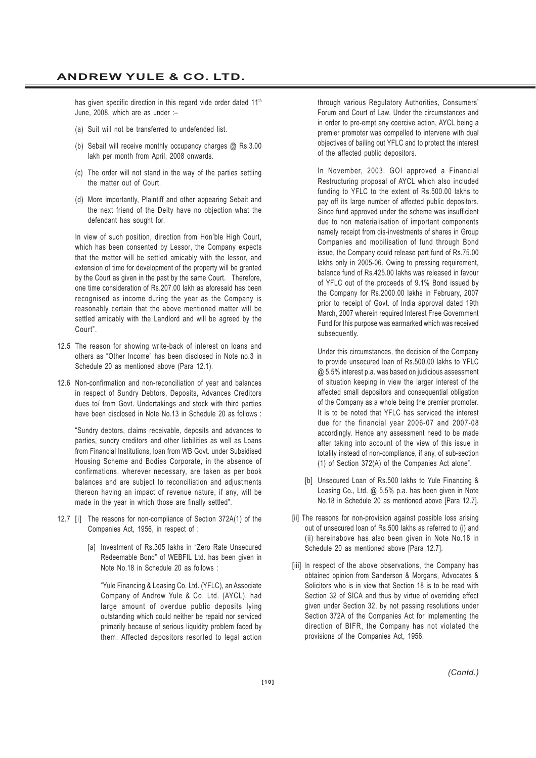has given specific direction in this regard vide order dated 11<sup>th</sup> June, 2008, which are as under :–

- (a) Suit will not be transferred to undefended list.
- (b) Sebait will receive monthly occupancy charges @ Rs.3.00 lakh per month from April, 2008 onwards.
- (c) The order will not stand in the way of the parties settling the matter out of Court.
- (d) More importantly, Plaintiff and other appearing Sebait and the next friend of the Deity have no objection what the defendant has sought for.

In view of such position, direction from Hon'ble High Court, which has been consented by Lessor, the Company expects that the matter will be settled amicably with the lessor, and extension of time for development of the property will be granted by the Court as given in the past by the same Court. Therefore, one time consideration of Rs.207.00 lakh as aforesaid has been recognised as income during the year as the Company is reasonably certain that the above mentioned matter will be settled amicably with the Landlord and will be agreed by the Court".

- 12.5 The reason for showing write-back of interest on loans and others as "Other Income" has been disclosed in Note no.3 in Schedule 20 as mentioned above (Para 12.1).
- 12.6 Non-confirmation and non-reconciliation of year and balances in respect of Sundry Debtors, Deposits, Advances Creditors dues to/ from Govt. Undertakings and stock with third parties have been disclosed in Note No.13 in Schedule 20 as follows :

"Sundry debtors, claims receivable, deposits and advances to parties, sundry creditors and other liabilities as well as Loans from Financial Institutions, loan from WB Govt. under Subsidised Housing Scheme and Bodies Corporate, in the absence of confirmations, wherever necessary, are taken as per book balances and are subject to reconciliation and adjustments thereon having an impact of revenue nature, if any, will be made in the year in which those are finally settled".

- 12.7 [i] The reasons for non-compliance of Section 372A(1) of the Companies Act, 1956, in respect of :
	- [a] Investment of Rs.305 lakhs in "Zero Rate Unsecured Redeemable Bond" of WEBFIL Ltd. has been given in Note No.18 in Schedule 20 as follows :

"Yule Financing & Leasing Co. Ltd. (YFLC), an Associate Company of Andrew Yule & Co. Ltd. (AYCL), had large amount of overdue public deposits lying outstanding which could neither be repaid nor serviced primarily because of serious liquidity problem faced by them. Affected depositors resorted to legal action through various Regulatory Authorities, Consumers' Forum and Court of Law. Under the circumstances and in order to pre-empt any coercive action, AYCL being a premier promoter was compelled to intervene with dual objectives of bailing out YFLC and to protect the interest of the affected public depositors.

In November, 2003, GOI approved a Financial Restructuring proposal of AYCL which also included funding to YFLC to the extent of Rs.500.00 lakhs to pay off its large number of affected public depositors. Since fund approved under the scheme was insufficient due to non materialisation of important components namely receipt from dis-investments of shares in Group Companies and mobilisation of fund through Bond issue, the Company could release part fund of Rs.75.00 lakhs only in 2005-06. Owing to pressing requirement, balance fund of Rs.425.00 lakhs was released in favour of YFLC out of the proceeds of 9.1% Bond issued by the Company for Rs.2000.00 lakhs in February, 2007 prior to receipt of Govt. of India approval dated 19th March, 2007 wherein required Interest Free Government Fund for this purpose was earmarked which was received subsequently.

Under this circumstances, the decision of the Company to provide unsecured loan of Rs.500.00 lakhs to YFLC @ 5.5% interest p.a. was based on judicious assessment of situation keeping in view the larger interest of the affected small depositors and consequential obligation of the Company as a whole being the premier promoter. It is to be noted that YFLC has serviced the interest due for the financial year 2006-07 and 2007-08 accordingly. Hence any assessment need to be made after taking into account of the view of this issue in totality instead of non-compliance, if any, of sub-section (1) of Section 372(A) of the Companies Act alone".

- [b] Unsecured Loan of Rs.500 lakhs to Yule Financing & Leasing Co., Ltd. @ 5.5% p.a. has been given in Note No.18 in Schedule 20 as mentioned above [Para 12.7].
- [ii] The reasons for non-provision against possible loss arising out of unsecured loan of Rs.500 lakhs as referred to (i) and (ii) hereinabove has also been given in Note No.18 in Schedule 20 as mentioned above [Para 12.7].
- [iii] In respect of the above observations, the Company has obtained opinion from Sanderson & Morgans, Advocates & Solicitors who is in view that Section 18 is to be read with Section 32 of SICA and thus by virtue of overriding effect given under Section 32, by not passing resolutions under Section 372A of the Companies Act for implementing the direction of BIFR, the Company has not violated the provisions of the Companies Act, 1956.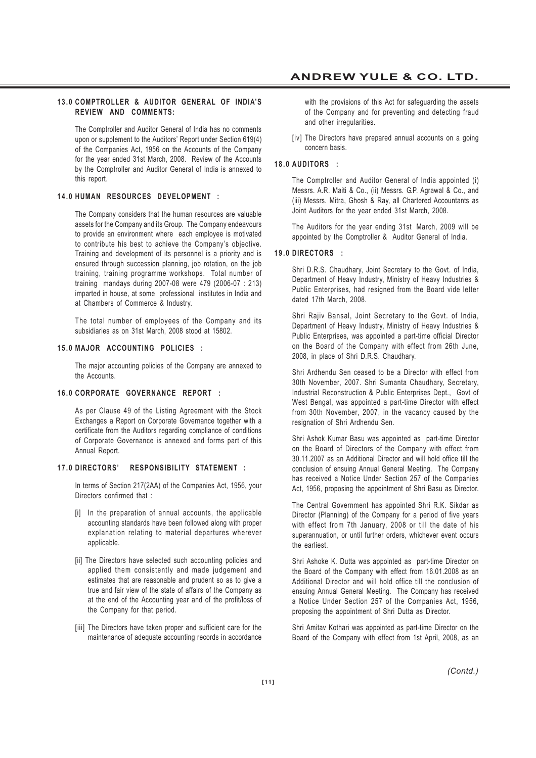#### **13.0 COMPTROLLER & AUDITOR GENERAL OF INDIA'S REVIEW AND COMMENTS:**

The Comptroller and Auditor General of India has no comments upon or supplement to the Auditors' Report under Section 619(4) of the Companies Act, 1956 on the Accounts of the Company for the year ended 31st March, 2008. Review of the Accounts by the Comptroller and Auditor General of India is annexed to this report.

#### **14.0 HUMAN RESOURCES DEVELOPMENT :**

The Company considers that the human resources are valuable assets for the Company and its Group. The Company endeavours to provide an environment where each employee is motivated to contribute his best to achieve the Company's objective. Training and development of its personnel is a priority and is ensured through succession planning, job rotation, on the job training, training programme workshops. Total number of training mandays during 2007-08 were 479 (2006-07 : 213) imparted in house, at some professional institutes in India and at Chambers of Commerce & Industry.

The total number of employees of the Company and its subsidiaries as on 31st March, 2008 stood at 15802.

#### **15.0 MAJOR ACCOUNTING POLICIES :**

The major accounting policies of the Company are annexed to the Accounts.

#### **16.0 CORPORATE GOVERNANCE REPORT :**

As per Clause 49 of the Listing Agreement with the Stock Exchanges a Report on Corporate Governance together with a certificate from the Auditors regarding compliance of conditions of Corporate Governance is annexed and forms part of this Annual Report.

#### **17.0 DIRECTORS' RESPONSIBILITY STATEMENT :**

In terms of Section 217(2AA) of the Companies Act, 1956, your Directors confirmed that :

- [i] In the preparation of annual accounts, the applicable accounting standards have been followed along with proper explanation relating to material departures wherever applicable.
- [ii] The Directors have selected such accounting policies and applied them consistently and made judgement and estimates that are reasonable and prudent so as to give a true and fair view of the state of affairs of the Company as at the end of the Accounting year and of the profit/loss of the Company for that period.
- [iii] The Directors have taken proper and sufficient care for the maintenance of adequate accounting records in accordance

with the provisions of this Act for safeguarding the assets of the Company and for preventing and detecting fraud and other irregularities.

[iv] The Directors have prepared annual accounts on a going concern basis.

#### **18.0 AUDITORS :**

The Comptroller and Auditor General of India appointed (i) Messrs. A.R. Maiti & Co., (ii) Messrs. G.P. Agrawal & Co., and (iii) Messrs. Mitra, Ghosh & Ray, all Chartered Accountants as Joint Auditors for the year ended 31st March, 2008.

The Auditors for the year ending 31st March, 2009 will be appointed by the Comptroller & Auditor General of India.

#### **19.0 DIRECTORS :**

Shri D.R.S. Chaudhary, Joint Secretary to the Govt. of India, Department of Heavy Industry, Ministry of Heavy Industries & Public Enterprises, had resigned from the Board vide letter dated 17th March, 2008.

Shri Rajiv Bansal, Joint Secretary to the Govt. of India, Department of Heavy Industry, Ministry of Heavy Industries & Public Enterprises, was appointed a part-time official Director on the Board of the Company with effect from 26th June, 2008, in place of Shri D.R.S. Chaudhary.

Shri Ardhendu Sen ceased to be a Director with effect from 30th November, 2007. Shri Sumanta Chaudhary, Secretary, Industrial Reconstruction & Public Enterprises Dept., Govt of West Bengal, was appointed a part-time Director with effect from 30th November, 2007, in the vacancy caused by the resignation of Shri Ardhendu Sen.

Shri Ashok Kumar Basu was appointed as part-time Director on the Board of Directors of the Company with effect from 30.11.2007 as an Additional Director and will hold office till the conclusion of ensuing Annual General Meeting. The Company has received a Notice Under Section 257 of the Companies Act, 1956, proposing the appointment of Shri Basu as Director.

The Central Government has appointed Shri R.K. Sikdar as Director (Planning) of the Company for a period of five years with effect from 7th January, 2008 or till the date of his superannuation, or until further orders, whichever event occurs the earliest.

Shri Ashoke K. Dutta was appointed as part-time Director on the Board of the Company with effect from 16.01.2008 as an Additional Director and will hold office till the conclusion of ensuing Annual General Meeting. The Company has received a Notice Under Section 257 of the Companies Act, 1956, proposing the appointment of Shri Dutta as Director.

Shri Amitav Kothari was appointed as part-time Director on the Board of the Company with effect from 1st April, 2008, as an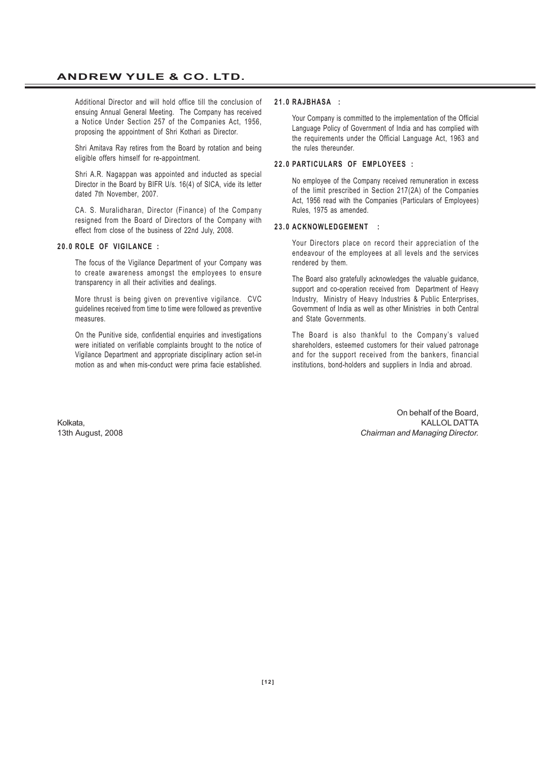Additional Director and will hold office till the conclusion of ensuing Annual General Meeting. The Company has received a Notice Under Section 257 of the Companies Act, 1956, proposing the appointment of Shri Kothari as Director.

Shri Amitava Ray retires from the Board by rotation and being eligible offers himself for re-appointment.

Shri A.R. Nagappan was appointed and inducted as special Director in the Board by BIFR U/s. 16(4) of SICA, vide its letter dated 7th November, 2007.

CA. S. Muralidharan, Director (Finance) of the Company resigned from the Board of Directors of the Company with effect from close of the business of 22nd July, 2008.

#### **20.0 ROLE OF VIGILANCE :**

The focus of the Vigilance Department of your Company was to create awareness amongst the employees to ensure transparency in all their activities and dealings.

More thrust is being given on preventive vigilance. CVC guidelines received from time to time were followed as preventive measures.

On the Punitive side, confidential enquiries and investigations were initiated on verifiable complaints brought to the notice of Vigilance Department and appropriate disciplinary action set-in motion as and when mis-conduct were prima facie established.

#### **21.0 RAJBHASA :**

Your Company is committed to the implementation of the Official Language Policy of Government of India and has complied with the requirements under the Official Language Act, 1963 and the rules thereunder.

#### **22.0 PARTICULARS OF EMPLOYEES :**

No employee of the Company received remuneration in excess of the limit prescribed in Section 217(2A) of the Companies Act, 1956 read with the Companies (Particulars of Employees) Rules, 1975 as amended.

#### **23.0 ACKNOWLEDGEMENT :**

Your Directors place on record their appreciation of the endeavour of the employees at all levels and the services rendered by them.

The Board also gratefully acknowledges the valuable guidance, support and co-operation received from Department of Heavy Industry, Ministry of Heavy Industries & Public Enterprises, Government of India as well as other Ministries in both Central and State Governments.

The Board is also thankful to the Company's valued shareholders, esteemed customers for their valued patronage and for the support received from the bankers, financial institutions, bond-holders and suppliers in India and abroad.

On behalf of the Board, Kolkata, KALLOL DATTA 13th August, 2008 *Chairman and Managing Director.*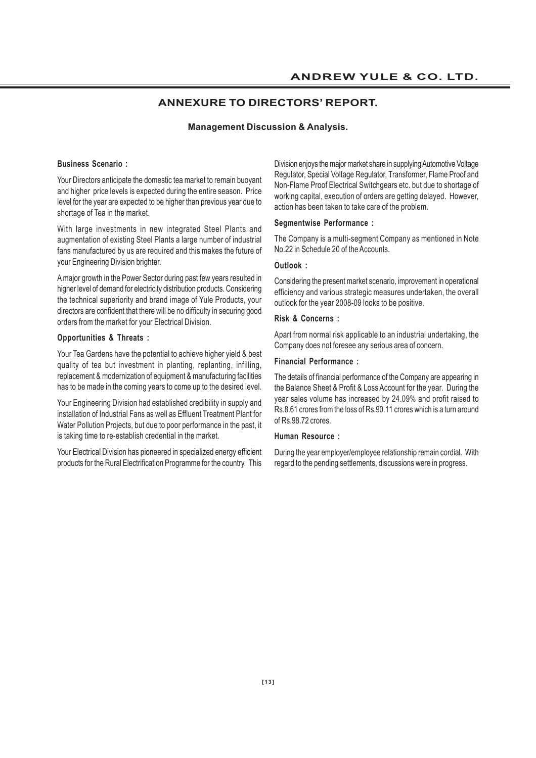# **ANNEXURE TO DIRECTORS' REPORT.**

#### **Management Discussion & Analysis.**

#### **Business Scenario :**

Your Directors anticipate the domestic tea market to remain buoyant and higher price levels is expected during the entire season. Price level for the year are expected to be higher than previous year due to shortage of Tea in the market.

With large investments in new integrated Steel Plants and augmentation of existing Steel Plants a large number of industrial fans manufactured by us are required and this makes the future of your Engineering Division brighter.

A major growth in the Power Sector during past few years resulted in higher level of demand for electricity distribution products. Considering the technical superiority and brand image of Yule Products, your directors are confident that there will be no difficulty in securing good orders from the market for your Electrical Division.

#### **Opportunities & Threats :**

Your Tea Gardens have the potential to achieve higher yield & best quality of tea but investment in planting, replanting, infilling, replacement & modernization of equipment & manufacturing facilities has to be made in the coming years to come up to the desired level.

Your Engineering Division had established credibility in supply and installation of Industrial Fans as well as Effluent Treatment Plant for Water Pollution Projects, but due to poor performance in the past, it is taking time to re-establish credential in the market.

Your Electrical Division has pioneered in specialized energy efficient products for the Rural Electrification Programme for the country. This

Division enjoys the major market share in supplying Automotive Voltage Regulator, Special Voltage Regulator, Transformer, Flame Proof and Non-Flame Proof Electrical Switchgears etc. but due to shortage of working capital, execution of orders are getting delayed. However, action has been taken to take care of the problem.

#### **Segmentwise Performance :**

The Company is a multi-segment Company as mentioned in Note No.22 in Schedule 20 of the Accounts.

#### **Outlook :**

Considering the present market scenario, improvement in operational efficiency and various strategic measures undertaken, the overall outlook for the year 2008-09 looks to be positive.

#### **Risk & Concerns :**

Apart from normal risk applicable to an industrial undertaking, the Company does not foresee any serious area of concern.

#### **Financial Performance :**

The details of financial performance of the Company are appearing in the Balance Sheet & Profit & Loss Account for the year. During the year sales volume has increased by 24.09% and profit raised to Rs.8.61 crores from the loss of Rs.90.11 crores which is a turn around of Rs.98.72 crores.

#### **Human Resource :**

During the year employer/employee relationship remain cordial. With regard to the pending settlements, discussions were in progress.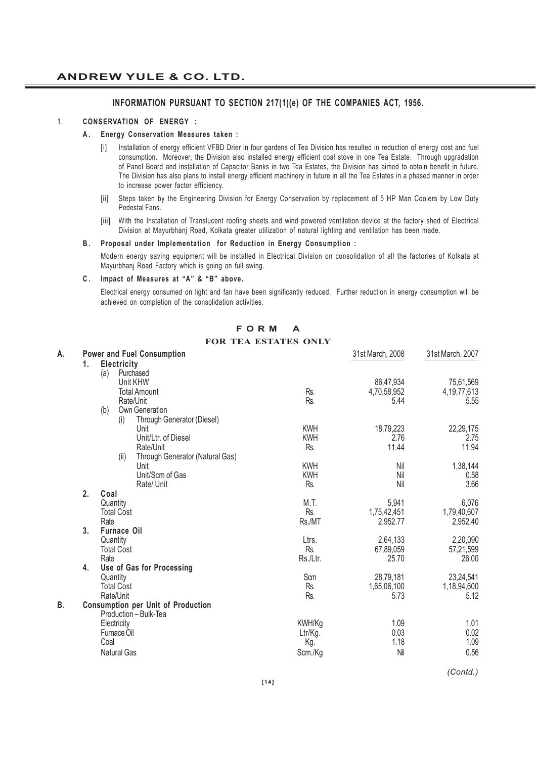### **INFORMATION PURSUANT TO SECTION 217(1)(e) OF THE COMPANIES ACT, 1956.**

#### 1. **CONSERVATION OF ENERGY :**

### **A. Energy Conservation Measures taken :**

- [i] Installation of energy efficient VFBD Drier in four gardens of Tea Division has resulted in reduction of energy cost and fuel consumption. Moreover, the Division also installed energy efficient coal stove in one Tea Estate. Through upgradation of Panel Board and installation of Capacitor Banks in two Tea Estates, the Division has aimed to obtain benefit in future. The Division has also plans to install energy efficient machinery in future in all the Tea Estates in a phased manner in order to increase power factor efficiency.
- [ii] Steps taken by the Engineering Division for Energy Conservation by replacement of 5 HP Man Coolers by Low Duty Pedestal Fans.
- [iii] With the Installation of Translucent roofing sheets and wind powered ventilation device at the factory shed of Electrical Division at Mayurbhanj Road, Kolkata greater utilization of natural lighting and ventilation has been made.

#### **B. Proposal under Implementation for Reduction in Energy Consumption :**

Modern energy saving equipment will be installed in Electrical Division on consolidation of all the factories of Kolkata at Mayurbhanj Road Factory which is going on full swing.

#### **C . Impact of Measures at "A" & "B" above.**

Electrical energy consumed on light and fan have been significantly reduced. Further reduction in energy consumption will be achieved on completion of the consolidation activities.

|  | FORM A |                             |
|--|--------|-----------------------------|
|  |        | <b>FOR TEA ESTATES ONLY</b> |

| А. |    | <b>Power and Fuel Consumption</b>         |            | 31st March, 2008 | 31st March, 2007 |
|----|----|-------------------------------------------|------------|------------------|------------------|
|    | 1. | Electricity                               |            |                  |                  |
|    |    | Purchased<br>(a)                          |            |                  |                  |
|    |    | Unit KHW                                  |            | 86,47,934        | 75,61,569        |
|    |    | <b>Total Amount</b>                       | Rs.        | 4,70,58,952      | 4, 19, 77, 613   |
|    |    | Rate/Unit                                 | Rs.        | 5.44             | 5.55             |
|    |    | Own Generation<br>(b)                     |            |                  |                  |
|    |    | Through Generator (Diesel)<br>(i)         |            |                  |                  |
|    |    | Unit                                      | <b>KWH</b> | 18,79,223        | 22,29,175        |
|    |    | Unit/Ltr. of Diesel                       | <b>KWH</b> | 2.76             | 2.75             |
|    |    | Rate/Unit                                 | Rs.        | 11.44            | 11.94            |
|    |    | Through Generator (Natural Gas)<br>(ii)   |            |                  |                  |
|    |    | Unit                                      | <b>KWH</b> | Nil              | 1,38,144         |
|    |    | Unit/Scm of Gas                           | <b>KWH</b> | Nil              | 0.58             |
|    |    | Rate/Unit                                 | Rs.        | Nil              | 3.66             |
|    | 2. | Coal                                      |            |                  |                  |
|    |    | Quantity                                  | M.T.       | 5,941            | 6,076            |
|    |    | <b>Total Cost</b>                         | Rs.        | 1,75,42,451      | 1,79,40,607      |
|    |    | Rate                                      | Rs./MT     | 2,952.77         | 2,952.40         |
|    | 3. | <b>Furnace Oil</b>                        |            |                  |                  |
|    |    | Quantity                                  | Ltrs.      | 2,64,133         | 2,20,090         |
|    |    | <b>Total Cost</b>                         | Rs.        | 67,89,059        | 57,21,599        |
|    |    | Rate                                      | Rs./Ltr.   | 25.70            | 26.00            |
|    | 4. | Use of Gas for Processing                 |            |                  |                  |
|    |    | Quantity                                  | Scm        | 28,79,181        | 23,24,541        |
|    |    | <b>Total Cost</b>                         | Rs.        | 1,65,06,100      | 1,18,94,600      |
|    |    | Rate/Unit                                 | Rs.        | 5.73             | 5.12             |
| В. |    | <b>Consumption per Unit of Production</b> |            |                  |                  |
|    |    | Production - Bulk-Tea                     |            |                  |                  |
|    |    | Electricity                               | KWH/Kg     | 1.09             | 1.01             |
|    |    | Furnace Oil                               | Ltr/Kg.    | 0.03             | 0.02             |
|    |    | Coal                                      | Kg.        | 1.18             | 1.09             |
|    |    | <b>Natural Gas</b>                        | Scm./Kg    | Nil              | 0.56             |
|    |    |                                           |            |                  |                  |

*(Contd.)*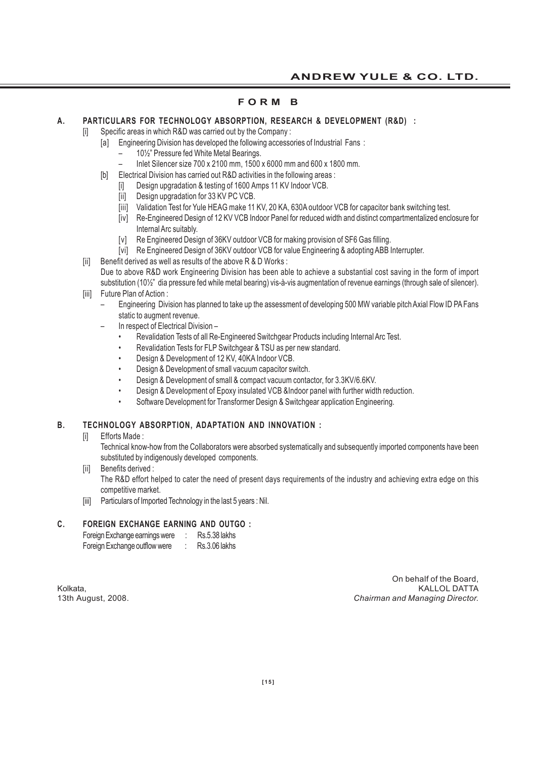# **F O R M B**

### **A. PARTICULARS FOR TECHNOLOGY ABSORPTION, RESEARCH & DEVELOPMENT (R&D) :**

# [i] Specific areas in which R&D was carried out by the Company :

- [a] Engineering Division has developed the following accessories of Industrial Fans :
	- 10½" Pressure fed White Metal Bearings.
	- Inlet Silencer size 700 x 2100 mm, 1500 x 6000 mm and 600 x 1800 mm.
- [b] Electrical Division has carried out R&D activities in the following areas :
	- [i] Design upgradation & testing of 1600 Amps 11 KV Indoor VCB.
	- [ii] Design upgradation for 33 KV PC VCB.
	- [iii] Validation Test for Yule HEAG make 11 KV, 20 KA, 630A outdoor VCB for capacitor bank switching test.
	- [iv] Re-Engineered Design of 12 KV VCB Indoor Panel for reduced width and distinct compartmentalized enclosure for Internal Arc suitably.
	- [v] Re Engineered Design of 36KV outdoor VCB for making provision of SF6 Gas filling.
- [vi] Re Engineered Design of 36KV outdoor VCB for value Engineering & adopting ABB Interrupter.
- [ii] Benefit derived as well as results of the above R & D Works : Due to above R&D work Engineering Division has been able to achieve a substantial cost saving in the form of import substitution (10½" dia pressure fed while metal bearing) vis-à-vis augmentation of revenue earnings (through sale of silencer).
- [iii] Future Plan of Action :
	- Engineering Division has planned to take up the assessment of developing 500 MW variable pitch Axial Flow ID PA Fans static to augment revenue.
	- In respect of Electrical Division
		- Revalidation Tests of all Re-Engineered Switchgear Products including Internal Arc Test.
		- Revalidation Tests for FLP Switchgear & TSU as per new standard.
		- Design & Development of 12 KV, 40KA Indoor VCB.
		- Design & Development of small vacuum capacitor switch.
		- Design & Development of small & compact vacuum contactor, for 3.3KV/6.6KV.
		- Design & Development of Epoxy insulated VCB &Indoor panel with further width reduction.
		- Software Development for Transformer Design & Switchgear application Engineering.

# **B. TECHNOLOGY ABSORPTION, ADAPTATION AND INNOVATION :**

[i] Efforts Made:

Technical know-how from the Collaborators were absorbed systematically and subsequently imported components have been substituted by indigenously developed components.

- [ii] Benefits derived : The R&D effort helped to cater the need of present days requirements of the industry and achieving extra edge on this competitive market.
- [iii] Particulars of Imported Technology in the last 5 years : Nil.

### **C. FOREIGN EXCHANGE EARNING AND OUTGO :**

| Foreign Exchange earnings were | <b>Rs.5.38 lakhs</b> |
|--------------------------------|----------------------|
| Foreign Exchange outflow were  | Rs.3.06 lakhs        |

On behalf of the Board, Kolkata, KALLOL DATTA 13th August, 2008. *Chairman and Managing Director.*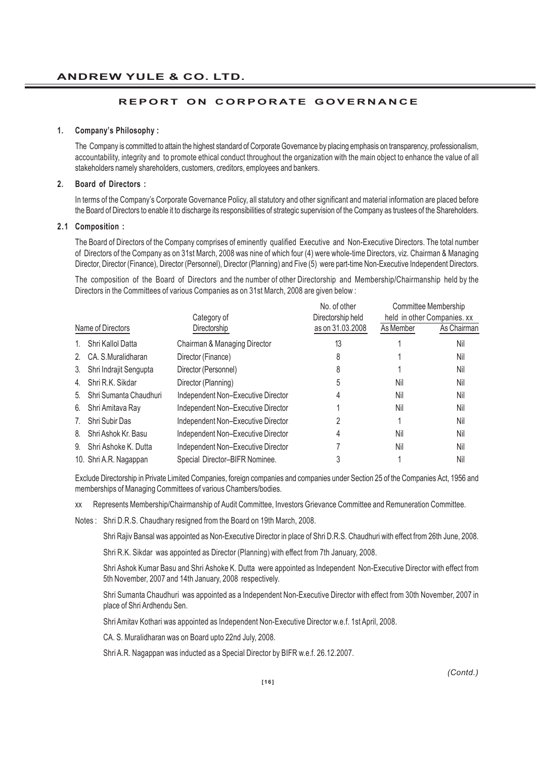### **REPORT ON CORPORATE GOVERNANCE**

#### **1. Company's Philosophy :**

The Company is committed to attain the highest standard of Corporate Governance by placing emphasis on transparency, professionalism, accountability, integrity and to promote ethical conduct throughout the organization with the main object to enhance the value of all stakeholders namely shareholders, customers, creditors, employees and bankers.

#### **2. Board of Directors :**

In terms of the Company's Corporate Governance Policy, all statutory and other significant and material information are placed before the Board of Directors to enable it to discharge its responsibilities of strategic supervision of the Company as trustees of the Shareholders.

#### **2.1 Composition :**

The Board of Directors of the Company comprises of eminently qualified Executive and Non-Executive Directors. The total number of Directors of the Company as on 31st March, 2008 was nine of which four (4) were whole-time Directors, viz. Chairman & Managing Director, Director (Finance), Director (Personnel), Director (Planning) and Five (5) were part-time Non-Executive Independent Directors.

The composition of the Board of Directors and the number of other Directorship and Membership/Chairmanship held by the Directors in the Committees of various Companies as on 31st March, 2008 are given below :

|                   |                        |                                    | No. of other      |           | Committee Membership        |
|-------------------|------------------------|------------------------------------|-------------------|-----------|-----------------------------|
|                   |                        | Category of                        | Directorship held |           | held in other Companies. xx |
| Name of Directors |                        | Directorship                       | as on 31,03,2008  | As Member | As Chairman                 |
| 1.                | Shri Kallol Datta      | Chairman & Managing Director       | 13                |           | Nil                         |
| 2.                | CA. S. Muralidharan    | Director (Finance)                 | 8                 |           | Nil                         |
| 3.                | Shri Indrajit Sengupta | Director (Personnel)               | 8                 |           | Nil                         |
| 4.                | Shri R.K. Sikdar       | Director (Planning)                | 5                 | Nil       | Nil                         |
| 5.                | Shri Sumanta Chaudhuri | Independent Non-Executive Director | 4                 | Nil       | Nil                         |
| 6.                | Shri Amitava Ray       | Independent Non-Executive Director |                   | Nil       | Nil                         |
|                   | Shri Subir Das         | Independent Non-Executive Director |                   |           | Nil                         |
| 8.                | Shri Ashok Kr. Basu    | Independent Non-Executive Director | 4                 | Nil       | Nil                         |
| 9.                | Shri Ashoke K. Dutta   | Independent Non-Executive Director |                   | Nil       | Nil                         |
|                   | 10. Shri A.R. Nagappan | Special Director-BIFR Nominee.     |                   |           | Nil                         |

Exclude Directorship in Private Limited Companies, foreign companies and companies under Section 25 of the Companies Act, 1956 and memberships of Managing Committees of various Chambers/bodies.

xx Represents Membership/Chairmanship of Audit Committee, Investors Grievance Committee and Remuneration Committee.

Notes : Shri D.R.S. Chaudhary resigned from the Board on 19th March, 2008.

Shri Rajiv Bansal was appointed as Non-Executive Director in place of Shri D.R.S. Chaudhuri with effect from 26th June, 2008.

Shri R.K. Sikdar was appointed as Director (Planning) with effect from 7th January, 2008.

Shri Ashok Kumar Basu and Shri Ashoke K. Dutta were appointed as Independent Non-Executive Director with effect from 5th November, 2007 and 14th January, 2008 respectively.

Shri Sumanta Chaudhuri was appointed as a Independent Non-Executive Director with effect from 30th November, 2007 in place of Shri Ardhendu Sen.

Shri Amitav Kothari was appointed as Independent Non-Executive Director w.e.f. 1st April, 2008.

CA. S. Muralidharan was on Board upto 22nd July, 2008.

Shri A.R. Nagappan was inducted as a Special Director by BIFR w.e.f. 26.12.2007.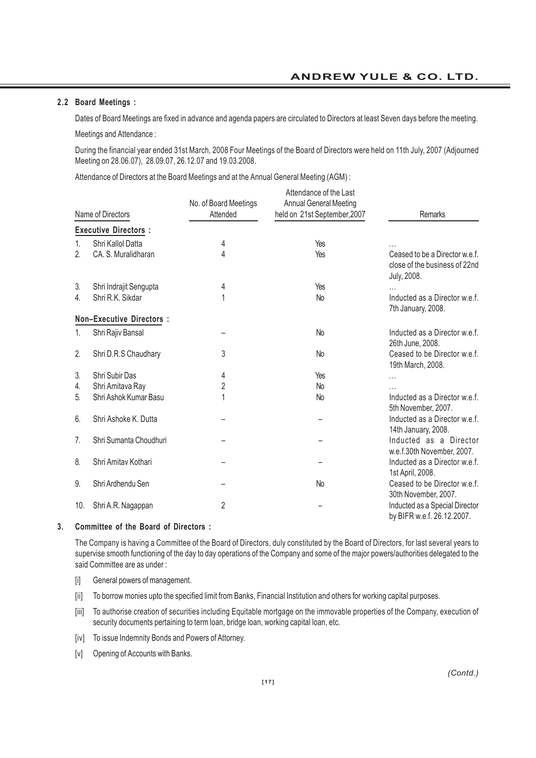### **2.2 Board Meetings :**

Dates of Board Meetings are fixed in advance and agenda papers are circulated to Directors at least Seven days before the meeting. Meetings and Attendance :

During the financial year ended 31st March, 2008 Four Meetings of the Board of Directors were held on 11th July, 2007 (Adjourned Meeting on 28.06.07), 28.09.07, 26.12.07 and 19.03.2008.

Attendance of Directors at the Board Meetings and at the Annual General Meeting (AGM) :

|                | Name of Directors               | No. of Board Meetings<br>Attended | Attendance of the Last<br><b>Annual General Meeting</b><br>held on 21st September, 2007 | Remarks                                                                        |
|----------------|---------------------------------|-----------------------------------|-----------------------------------------------------------------------------------------|--------------------------------------------------------------------------------|
|                | <b>Executive Directors:</b>     |                                   |                                                                                         |                                                                                |
| 1.             | Shri Kallol Datta               | 4                                 | Yes                                                                                     |                                                                                |
| $\overline{2}$ | CA. S. Muralidharan             | 4                                 | Yes                                                                                     | Ceased to be a Director w.e.f.<br>close of the business of 22nd<br>July, 2008. |
| 3.             | Shri Indrajit Sengupta          | 4                                 | Yes                                                                                     |                                                                                |
| 4.             | Shri R.K. Sikdar                |                                   | <b>No</b>                                                                               | Inducted as a Director w.e.f.<br>7th January, 2008.                            |
|                | <b>Non-Executive Directors:</b> |                                   |                                                                                         |                                                                                |
| 1.             | Shri Rajiv Bansal               |                                   | <b>No</b>                                                                               | Inducted as a Director w.e.f.<br>26th June, 2008.                              |
| 2.             | Shri D.R.S Chaudhary            | 3                                 | No                                                                                      | Ceased to be Director w.e.f.<br>19th March, 2008.                              |
| 3.             | Shri Subir Das                  | 4                                 | Yes                                                                                     | $\cdots$                                                                       |
| 4.             | Shri Amitava Ray                | $\overline{2}$                    | No                                                                                      |                                                                                |
| 5.             | Shri Ashok Kumar Basu           |                                   | N <sub>o</sub>                                                                          | Inducted as a Director w.e.f.<br>5th November, 2007.                           |
| 6.             | Shri Ashoke K. Dutta            |                                   |                                                                                         | Inducted as a Director w.e.f.<br>14th January, 2008.                           |
| 7.             | Shri Sumanta Choudhuri          |                                   |                                                                                         | Inducted as a Director<br>w.e.f.30th November, 2007.                           |
| 8.             | Shri Amitav Kothari             |                                   |                                                                                         | Inducted as a Director w.e.f.<br>1st April, 2008.                              |
| 9.             | Shri Ardhendu Sen               |                                   | <b>No</b>                                                                               | Ceased to be Director w.e.f.<br>30th November, 2007.                           |
| 10.            | Shri A.R. Nagappan              | 2                                 |                                                                                         | Inducted as a Special Director<br>by BIFR w.e.f. 26.12.2007.                   |

# **3. Committee of the Board of Directors :**

The Company is having a Committee of the Board of Directors, duly constituted by the Board of Directors, for last several years to supervise smooth functioning of the day to day operations of the Company and some of the major powers/authorities delegated to the said Committee are as under :

- [i] General powers of management.
- [ii] To borrow monies upto the specified limit from Banks, Financial Institution and others for working capital purposes.
- [iii] To authorise creation of securities including Equitable mortgage on the immovable properties of the Company, execution of security documents pertaining to term loan, bridge loan, working capital loan, etc.
- [iv] To issue Indemnity Bonds and Powers of Attorney.
- [v] Opening of Accounts with Banks.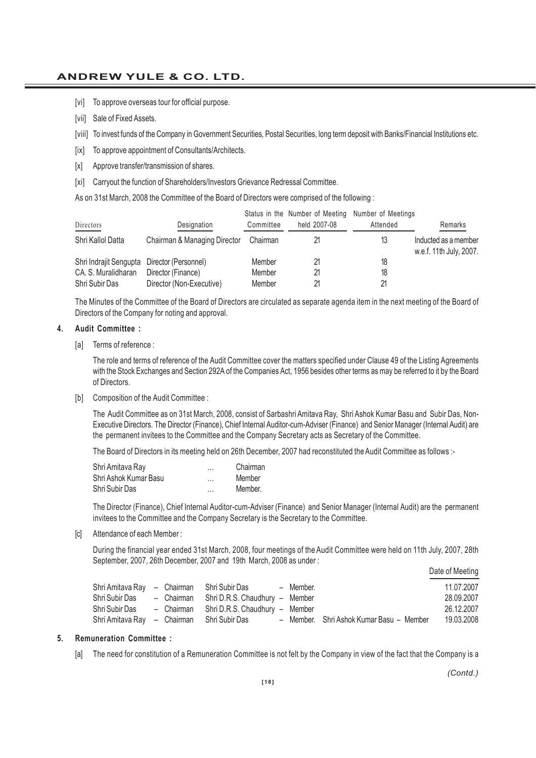# **ANDREW YULE & CO. LTD.**

- [vi] To approve overseas tour for official purpose.
- [vii] Sale of Fixed Assets.
- [viii] To invest funds of the Company in Government Securities, Postal Securities, long term deposit with Banks/Financial Institutions etc.
- [ix] To approve appointment of Consultants/Architects.
- [x] Approve transfer/transmission of shares.
- [xi] Carryout the function of Shareholders/Investors Grievance Redressal Committee.

As on 31st March, 2008 the Committee of the Board of Directors were comprised of the following :

| Directors                                   | Designation                                    | Committee        | Status in the Number of Meeting Number of Meetings<br>held 2007-08 | Attended | Remarks                                         |
|---------------------------------------------|------------------------------------------------|------------------|--------------------------------------------------------------------|----------|-------------------------------------------------|
| Shri Kallol Datta                           | Chairman & Managing Director                   | Chairman         |                                                                    | 13       | Inducted as a member<br>w.e.f. 11th July, 2007. |
| Shri Indrajit Sengupta Director (Personnel) |                                                | Member           |                                                                    | 18       |                                                 |
| CA. S. Muralidharan<br>Shri Subir Das       | Director (Finance)<br>Director (Non-Executive) | Member<br>Member |                                                                    | 18       |                                                 |

The Minutes of the Committee of the Board of Directors are circulated as separate agenda item in the next meeting of the Board of Directors of the Company for noting and approval.

#### **4. Audit Committee :**

[a] Terms of reference :

The role and terms of reference of the Audit Committee cover the matters specified under Clause 49 of the Listing Agreements with the Stock Exchanges and Section 292A of the Companies Act, 1956 besides other terms as may be referred to it by the Board of Directors.

[b] Composition of the Audit Committee :

The Audit Committee as on 31st March, 2008, consist of Sarbashri Amitava Ray, Shri Ashok Kumar Basu and Subir Das, Non-Executive Directors. The Director (Finance), Chief Internal Auditor-cum-Adviser (Finance) and Senior Manager (Internal Audit) are the permanent invitees to the Committee and the Company Secretary acts as Secretary of the Committee.

The Board of Directors in its meeting held on 26th December, 2007 had reconstituted the Audit Committee as follows :-

| Shri Amitava Ray      | <br>Chairman |
|-----------------------|--------------|
| Shri Ashok Kumar Basu | <br>Member   |
| Shri Subir Das        | <br>Member.  |

The Director (Finance), Chief Internal Auditor-cum-Adviser (Finance) and Senior Manager (Internal Audit) are the permanent invitees to the Committee and the Company Secretary is the Secretary to the Committee.

[c] Attendance of each Member :

During the financial year ended 31st March, 2008, four meetings of the Audit Committee were held on 11th July, 2007, 28th September, 2007, 26th December, 2007 and 19th March, 2008 as under :  $\mathbf{r}$  .  $\mathbf{r}$ 

|                                            |  |                                           |           |                                          | Date of Meeting |
|--------------------------------------------|--|-------------------------------------------|-----------|------------------------------------------|-----------------|
| Shri Amitava Ray - Chairman Shri Subir Das |  |                                           | - Member. |                                          | 11.07.2007      |
| Shri Subir Das                             |  | - Chairman Shri D.R.S. Chaudhury - Member |           |                                          | 28.09.2007      |
| Shri Subir Das                             |  | - Chairman Shri D.R.S. Chaudhury - Member |           |                                          | 26.12.2007      |
| Shri Amitava Ray - Chairman Shri Subir Das |  |                                           |           | - Member. Shri Ashok Kumar Basu - Member | 19.03.2008      |

#### **5. Remuneration Committee :**

[a] The need for constitution of a Remuneration Committee is not felt by the Company in view of the fact that the Company is a

*(Contd.)*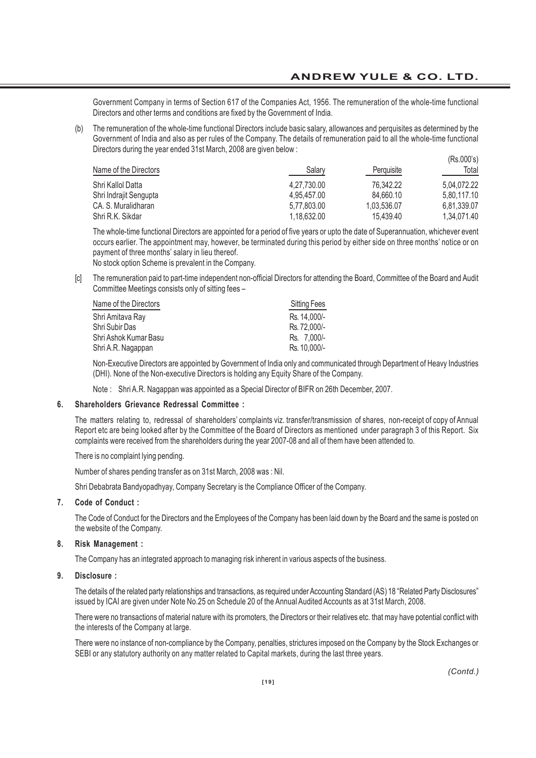$(D_2, D_0, D_2)$ 

Government Company in terms of Section 617 of the Companies Act, 1956. The remuneration of the whole-time functional Directors and other terms and conditions are fixed by the Government of India.

(b) The remuneration of the whole-time functional Directors include basic salary, allowances and perquisites as determined by the Government of India and also as per rules of the Company. The details of remuneration paid to all the whole-time functional Directors during the year ended 31st March, 2008 are given below :

| Name of the Directors  | Salary      | Perguisite  | (113.0003)<br>Total |
|------------------------|-------------|-------------|---------------------|
| Shri Kallol Datta      | 4.27.730.00 | 76.342.22   | 5.04.072.22         |
| Shri Indrajit Sengupta | 4.95.457.00 | 84.660.10   | 5,80,117.10         |
| CA. S. Muralidharan    | 5.77.803.00 | 1.03.536.07 | 6.81.339.07         |
| Shri R.K. Sikdar       | 1.18.632.00 | 15.439.40   | 1.34.071.40         |

The whole-time functional Directors are appointed for a period of five years or upto the date of Superannuation, whichever event occurs earlier. The appointment may, however, be terminated during this period by either side on three months' notice or on payment of three months' salary in lieu thereof.

No stock option Scheme is prevalent in the Company.

[c] The remuneration paid to part-time independent non-official Directors for attending the Board, Committee of the Board and Audit Committee Meetings consists only of sitting fees –

| Name of the Directors | Sitting Fees |
|-----------------------|--------------|
| Shri Amitava Ray      | Rs. 14.000/- |
| Shri Subir Das        | Rs. 72.000/- |
| Shri Ashok Kumar Basu | Rs. 7.000/-  |
| Shri A.R. Nagappan    | Rs. 10.000/- |

Non-Executive Directors are appointed by Government of India only and communicated through Department of Heavy Industries (DHI). None of the Non-executive Directors is holding any Equity Share of the Company.

Note : Shri A.R. Nagappan was appointed as a Special Director of BIFR on 26th December, 2007.

#### **6. Shareholders Grievance Redressal Committee :**

The matters relating to, redressal of shareholders' complaints viz. transfer/transmission of shares, non-receipt of copy of Annual Report etc are being looked after by the Committee of the Board of Directors as mentioned under paragraph 3 of this Report. Six complaints were received from the shareholders during the year 2007-08 and all of them have been attended to.

There is no complaint lying pending.

Number of shares pending transfer as on 31st March, 2008 was : Nil.

Shri Debabrata Bandyopadhyay, Company Secretary is the Compliance Officer of the Company.

#### **7. Code of Conduct :**

The Code of Conduct for the Directors and the Employees of the Company has been laid down by the Board and the same is posted on the website of the Company.

#### **8. Risk Management :**

The Company has an integrated approach to managing risk inherent in various aspects of the business.

#### **9. Disclosure :**

The details of the related party relationships and transactions, as required under Accounting Standard (AS) 18 "Related Party Disclosures" issued by ICAI are given under Note No.25 on Schedule 20 of the Annual Audited Accounts as at 31st March, 2008.

There were no transactions of material nature with its promoters, the Directors or their relatives etc. that may have potential conflict with the interests of the Company at large.

There were no instance of non-compliance by the Company, penalties, strictures imposed on the Company by the Stock Exchanges or SEBI or any statutory authority on any matter related to Capital markets, during the last three years.

*(Contd.)*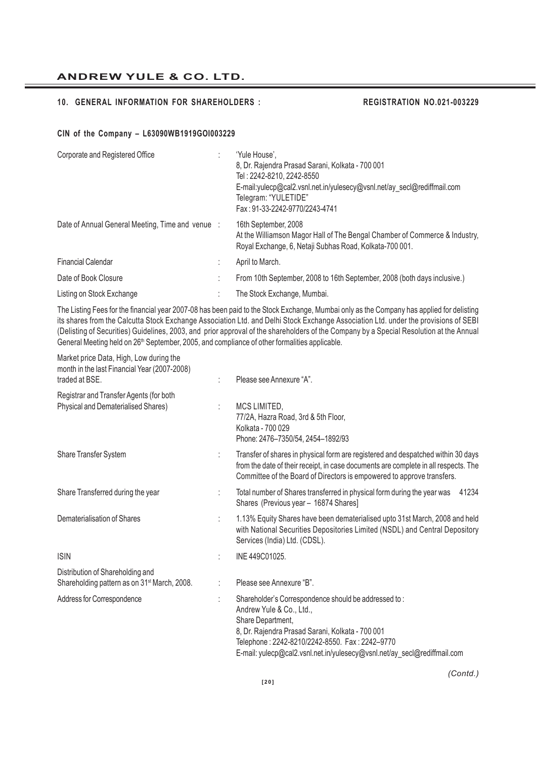# **ANDREW YULE & CO. LTD.**

### **10. GENERAL INFORMATION FOR SHAREHOLDERS : REGISTRATION NO.021-003229**

#### **CIN of the Company – L63090WB1919GOI003229**

Market price Data, High, Low during the

| Corporate and Registered Office                  | 'Yule House'.<br>8, Dr. Rajendra Prasad Sarani, Kolkata - 700 001<br>Tel: 2242-8210, 2242-8550<br>E-mail:yulecp@cal2.vsnl.net.in/yulesecy@vsnl.net/ay_secl@rediffmail.com<br>Telegram: "YULETIDE"<br>Fax: 91-33-2242-9770/2243-4741 |
|--------------------------------------------------|-------------------------------------------------------------------------------------------------------------------------------------------------------------------------------------------------------------------------------------|
| Date of Annual General Meeting, Time and venue : | 16th September, 2008<br>At the Williamson Magor Hall of The Bengal Chamber of Commerce & Industry,<br>Royal Exchange, 6, Netaji Subhas Road, Kolkata-700 001.                                                                       |
| <b>Financial Calendar</b>                        | April to March.                                                                                                                                                                                                                     |
| Date of Book Closure                             | From 10th September, 2008 to 16th September, 2008 (both days inclusive.)                                                                                                                                                            |
| Listing on Stock Exchange                        | The Stock Exchange, Mumbai.                                                                                                                                                                                                         |

The Listing Fees for the financial year 2007-08 has been paid to the Stock Exchange, Mumbai only as the Company has applied for delisting its shares from the Calcutta Stock Exchange Association Ltd. and Delhi Stock Exchange Association Ltd. under the provisions of SEBI (Delisting of Securities) Guidelines, 2003, and prior approval of the shareholders of the Company by a Special Resolution at the Annual General Meeting held on 26<sup>th</sup> September, 2005, and compliance of other formalities applicable.

| month in the last Financial Year (2007-2008)<br>traded at BSE.                               | Please see Annexure "A".                                                                                                                                                                                                                                                                |
|----------------------------------------------------------------------------------------------|-----------------------------------------------------------------------------------------------------------------------------------------------------------------------------------------------------------------------------------------------------------------------------------------|
| Registrar and Transfer Agents (for both<br>Physical and Dematerialised Shares)               | MCS LIMITED,<br>77/2A, Hazra Road, 3rd & 5th Floor,<br>Kolkata - 700 029<br>Phone: 2476-7350/54, 2454-1892/93                                                                                                                                                                           |
| Share Transfer System                                                                        | Transfer of shares in physical form are registered and despatched within 30 days<br>from the date of their receipt, in case documents are complete in all respects. The<br>Committee of the Board of Directors is empowered to approve transfers.                                       |
| Share Transferred during the year                                                            | Total number of Shares transferred in physical form during the year was<br>41234<br>Shares (Previous year - 16874 Shares)                                                                                                                                                               |
| Dematerialisation of Shares                                                                  | 1.13% Equity Shares have been dematerialised upto 31st March, 2008 and held<br>with National Securities Depositories Limited (NSDL) and Central Depository<br>Services (India) Ltd. (CDSL).                                                                                             |
| <b>ISIN</b>                                                                                  | INE 449C01025.                                                                                                                                                                                                                                                                          |
| Distribution of Shareholding and<br>Shareholding pattern as on 31 <sup>st</sup> March, 2008. | Please see Annexure "B".                                                                                                                                                                                                                                                                |
| Address for Correspondence                                                                   | Shareholder's Correspondence should be addressed to:<br>Andrew Yule & Co., Ltd.,<br>Share Department,<br>8, Dr. Rajendra Prasad Sarani, Kolkata - 700 001<br>Telephone: 2242-8210/2242-8550. Fax: 2242-9770<br>E-mail: yulecp@cal2.vsnl.net.in/yulesecy@vsnl.net/ay_secl@rediffmail.com |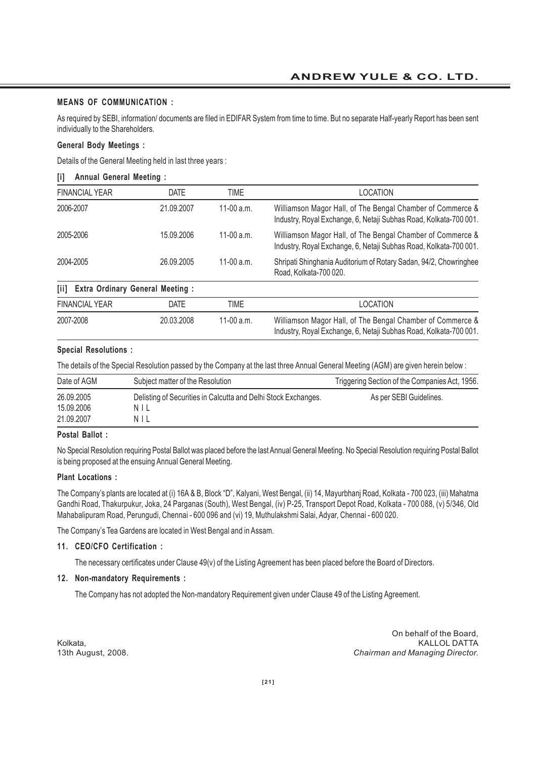#### **MEANS OF COMMUNICATION :**

As required by SEBI, information/ documents are filed in EDIFAR System from time to time. But no separate Half-yearly Report has been sent individually to the Shareholders.

### **General Body Meetings :**

Details of the General Meeting held in last three years :

#### **[i] Annual General Meeting :**

| <b>FINANCIAL YEAR</b>                                                  | <b>DATE</b> | TIME         | LOCATION                                                                                                                        |
|------------------------------------------------------------------------|-------------|--------------|---------------------------------------------------------------------------------------------------------------------------------|
| 2006-2007                                                              | 21.09.2007  | 11-00 $a.m.$ | Williamson Magor Hall, of The Bengal Chamber of Commerce &<br>Industry, Royal Exchange, 6, Netaji Subhas Road, Kolkata-700 001. |
| 2005-2006                                                              | 15.09.2006  | 11-00 $a.m.$ | Williamson Magor Hall, of The Bengal Chamber of Commerce &<br>Industry, Royal Exchange, 6, Netaji Subhas Road, Kolkata-700 001. |
| 2004-2005                                                              | 26.09.2005  | 11-00 $a.m.$ | Shripati Shinghania Auditorium of Rotary Sadan, 94/2, Chowringhee<br>Road, Kolkata-700 020.                                     |
| <b>Extra Ordinary General Meeting:</b><br>$\overline{\phantom{a}}$ iii |             |              |                                                                                                                                 |
| <b>FINANCIAL YEAR</b>                                                  | <b>DATE</b> | TIME         | <b>LOCATION</b>                                                                                                                 |
| 2007-2008                                                              | 20.03.2008  | 11-00 $a.m.$ | Williamson Magor Hall, of The Bengal Chamber of Commerce &<br>Industry, Royal Exchange, 6, Netaji Subhas Road, Kolkata-700 001. |

#### **Special Resolutions :**

The details of the Special Resolution passed by the Company at the last three Annual General Meeting (AGM) are given herein below :

| Date of AGM                            | Subject matter of the Resolution                                             | Triggering Section of the Companies Act, 1956. |
|----------------------------------------|------------------------------------------------------------------------------|------------------------------------------------|
| 26.09.2005<br>15.09.2006<br>21.09.2007 | Delisting of Securities in Calcutta and Delhi Stock Exchanges.<br>NIL<br>NIL | As per SEBI Guidelines.                        |

#### **Postal Ballot :**

No Special Resolution requiring Postal Ballot was placed before the last Annual General Meeting. No Special Resolution requiring Postal Ballot is being proposed at the ensuing Annual General Meeting.

#### **Plant Locations :**

The Company's plants are located at (i) 16A & B, Block "D", Kalyani, West Bengal, (ii) 14, Mayurbhanj Road, Kolkata - 700 023, (iii) Mahatma Gandhi Road, Thakurpukur, Joka, 24 Parganas (South), West Bengal, (iv) P-25, Transport Depot Road, Kolkata - 700 088, (v) 5/346, Old Mahabalipuram Road, Perungudi, Chennai - 600 096 and (vi) 19, Muthulakshmi Salai, Adyar, Chennai - 600 020.

The Company's Tea Gardens are located in West Bengal and in Assam.

### **11. CEO/CFO Certification :**

The necessary certificates under Clause 49(v) of the Listing Agreement has been placed before the Board of Directors.

#### **12. Non-mandatory Requirements :**

The Company has not adopted the Non-mandatory Requirement given under Clause 49 of the Listing Agreement.

On behalf of the Board, Kolkata, Kalendari ini membebatkan kemudian kemudian kemudian kemudian kemudian kemudian kemudian kemudian kem 13th August, 2008. *Chairman and Managing Director.*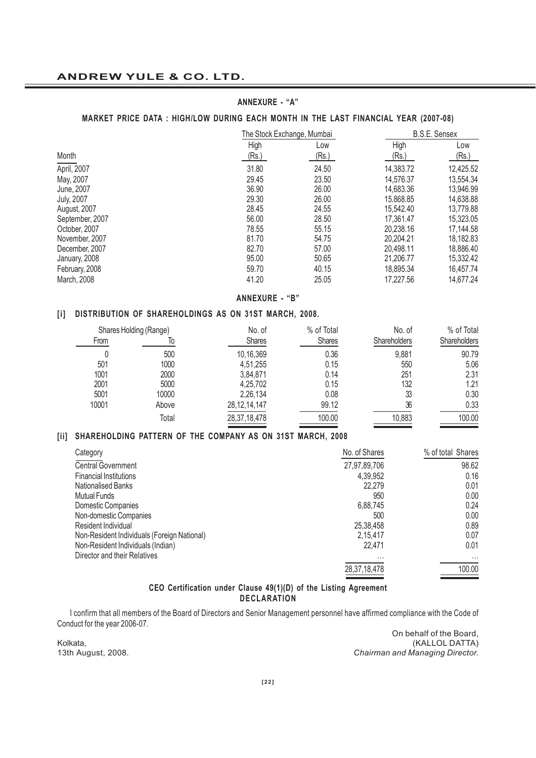### **ANNEXURE - "A"**

### **MARKET PRICE DATA : HIGH/LOW DURING EACH MONTH IN THE LAST FINANCIAL YEAR (2007-08)**

|                   | The Stock Exchange, Mumbai |       | <b>B.S.E. Sensex</b> |           |
|-------------------|----------------------------|-------|----------------------|-----------|
|                   | High                       | Low   | High                 | Low       |
| Month             | (Rs.)                      | (Rs.) | (Rs.)                | (Rs.)     |
| April, 2007       | 31.80                      | 24.50 | 14,383.72            | 12,425.52 |
| May, 2007         | 29.45                      | 23.50 | 14,576.37            | 13,554.34 |
| June, 2007        | 36.90                      | 26.00 | 14,683.36            | 13,946.99 |
| <b>July, 2007</b> | 29.30                      | 26.00 | 15,868,85            | 14,638.88 |
| August, 2007      | 28.45                      | 24.55 | 15,542.40            | 13,779.88 |
| September, 2007   | 56.00                      | 28.50 | 17.361.47            | 15,323.05 |
| October, 2007     | 78.55                      | 55.15 | 20.238.16            | 17,144.58 |
| November, 2007    | 81.70                      | 54.75 | 20.204.21            | 18,182.83 |
| December, 2007    | 82.70                      | 57.00 | 20.498.11            | 18,886.40 |
| January, 2008     | 95.00                      | 50.65 | 21,206.77            | 15,332.42 |
| February, 2008    | 59.70                      | 40.15 | 18,895.34            | 16,457.74 |
| March, 2008       | 41.20                      | 25.05 | 17,227.56            | 14,677.24 |

#### **ANNEXURE - "B"**

#### **[i] DISTRIBUTION OF SHAREHOLDINGS AS ON 31ST MARCH, 2008.**

| Shares Holding (Range) |       | No. of          | % of Total    | No. of       | % of Total   |
|------------------------|-------|-----------------|---------------|--------------|--------------|
| From                   | lО    | <b>Shares</b>   | <b>Shares</b> | Shareholders | Shareholders |
|                        | 500   | 10,16,369       | 0.36          | 9,881        | 90.79        |
| 501                    | 1000  | 4,51,255        | 0.15          | 550          | 5.06         |
| 1001                   | 2000  | 3,84,871        | 0.14          | 251          | 2.31         |
| 2001                   | 5000  | 4.25.702        | 0.15          | 132          | 1.21         |
| 5001                   | 10000 | 2,26,134        | 0.08          | 33           | 0.30         |
| 10001                  | Above | 28, 12, 14, 147 | 99.12         | 36           | 0.33         |
|                        | Total | 28,37,18,478    | 100.00        | 10,883       | 100.00       |

### **[ii] SHAREHOLDING PATTERN OF THE COMPANY AS ON 31ST MARCH, 2008**

| Category                                    | No. of Shares | % of total Shares |
|---------------------------------------------|---------------|-------------------|
| <b>Central Government</b>                   | 27,97,89,706  | 98.62             |
| <b>Financial Institutions</b>               | 4,39,952      | 0.16              |
| <b>Nationalised Banks</b>                   | 22.279        | 0.01              |
| <b>Mutual Funds</b>                         | 950           | 0.00              |
| Domestic Companies                          | 6,88,745      | 0.24              |
| Non-domestic Companies                      | 500           | 0.00              |
| Resident Individual                         | 25,38,458     | 0.89              |
| Non-Resident Individuals (Foreign National) | 2.15.417      | 0.07              |
| Non-Resident Individuals (Indian)           | 22,471        | 0.01              |
| Director and their Relatives                | $\cdots$      | $\cdots$          |
|                                             | 28,37,18,478  | 100.00            |
|                                             |               |                   |

### **CEO Certification under Clause 49(1)(D) of the Listing Agreement DECLARATION**

I confirm that all members of the Board of Directors and Senior Management personnel have affirmed compliance with the Code of Conduct for the year 2006-07.

On behalf of the Board, Kolkata, (KALLOL DATTA) 13th August, 2008. *Chairman and Managing Director.*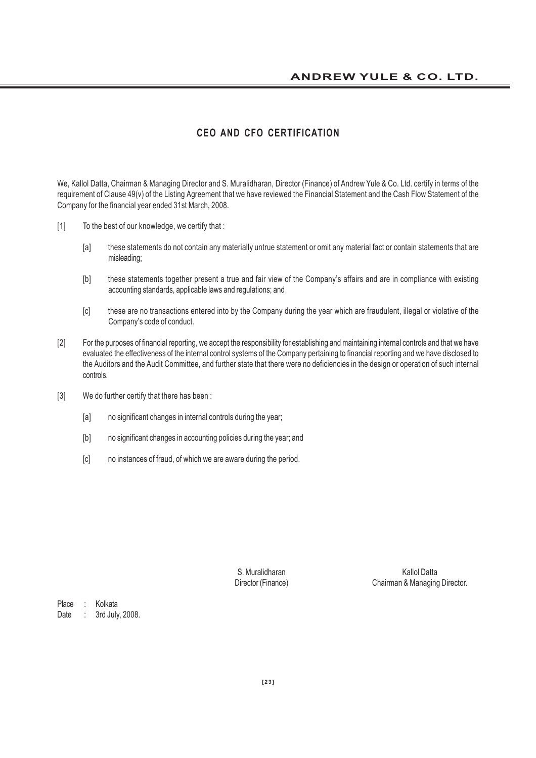# **CEO AND CFO CERTIFICATION**

We, Kallol Datta, Chairman & Managing Director and S. Muralidharan, Director (Finance) of Andrew Yule & Co. Ltd. certify in terms of the requirement of Clause 49(v) of the Listing Agreement that we have reviewed the Financial Statement and the Cash Flow Statement of the Company for the financial year ended 31st March, 2008.

- [1] To the best of our knowledge, we certify that :
	- [a] these statements do not contain any materially untrue statement or omit any material fact or contain statements that are misleading;
	- [b] these statements together present a true and fair view of the Company's affairs and are in compliance with existing accounting standards, applicable laws and regulations; and
	- [c] these are no transactions entered into by the Company during the year which are fraudulent, illegal or violative of the Company's code of conduct.
- [2] For the purposes of financial reporting, we accept the responsibility for establishing and maintaining internal controls and that we have evaluated the effectiveness of the internal control systems of the Company pertaining to financial reporting and we have disclosed to the Auditors and the Audit Committee, and further state that there were no deficiencies in the design or operation of such internal controls.
- [3] We do further certify that there has been :
	- [a] no significant changes in internal controls during the year;
	- [b] no significant changes in accounting policies during the year; and
	- [c] no instances of fraud, of which we are aware during the period.

S. Muralidharan Kallol Datta Director (Finance) Chairman & Managing Director.

Place : Kolkata Date : 3rd July, 2008.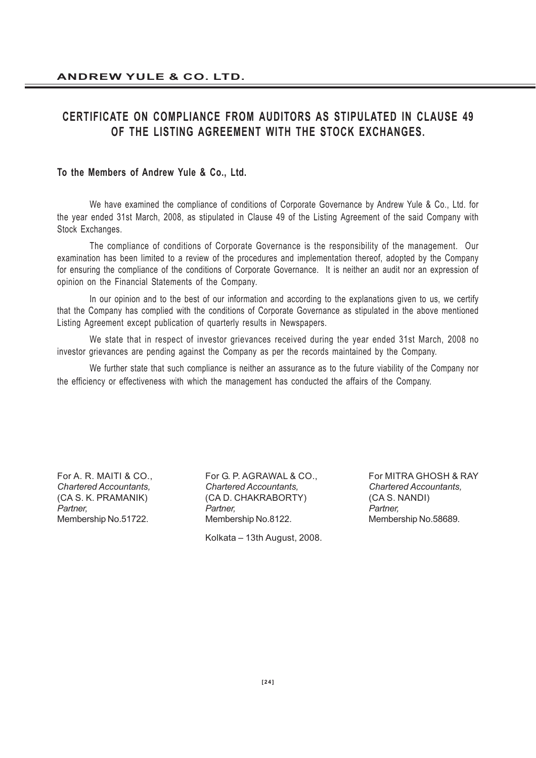# **CERTIFICATE ON COMPLIANCE FROM AUDITORS AS STIPULATED IN CLAUSE 49 OF THE LISTING AGREEMENT WITH THE STOCK EXCHANGES.**

# **To the Members of Andrew Yule & Co., Ltd.**

We have examined the compliance of conditions of Corporate Governance by Andrew Yule & Co., Ltd. for the year ended 31st March, 2008, as stipulated in Clause 49 of the Listing Agreement of the said Company with Stock Exchanges.

The compliance of conditions of Corporate Governance is the responsibility of the management. Our examination has been limited to a review of the procedures and implementation thereof, adopted by the Company for ensuring the compliance of the conditions of Corporate Governance. It is neither an audit nor an expression of opinion on the Financial Statements of the Company.

In our opinion and to the best of our information and according to the explanations given to us, we certify that the Company has complied with the conditions of Corporate Governance as stipulated in the above mentioned Listing Agreement except publication of quarterly results in Newspapers.

We state that in respect of investor grievances received during the year ended 31st March, 2008 no investor grievances are pending against the Company as per the records maintained by the Company.

We further state that such compliance is neither an assurance as to the future viability of the Company nor the efficiency or effectiveness with which the management has conducted the affairs of the Company.

For A. R. MAITI & CO., For G. P. AGRAWAL & CO., For MITRA GHOSH & RAY *Chartered Accountants, Chartered Accountants, Chartered Accountants,* (CA S. K. PRAMANIK) (CA D. CHAKRABORTY) (CA S. NANDI) *Partner, Partner, Partner,* Membership No.51722. Membership No.8122. Membership No.58689.

Kolkata – 13th August, 2008.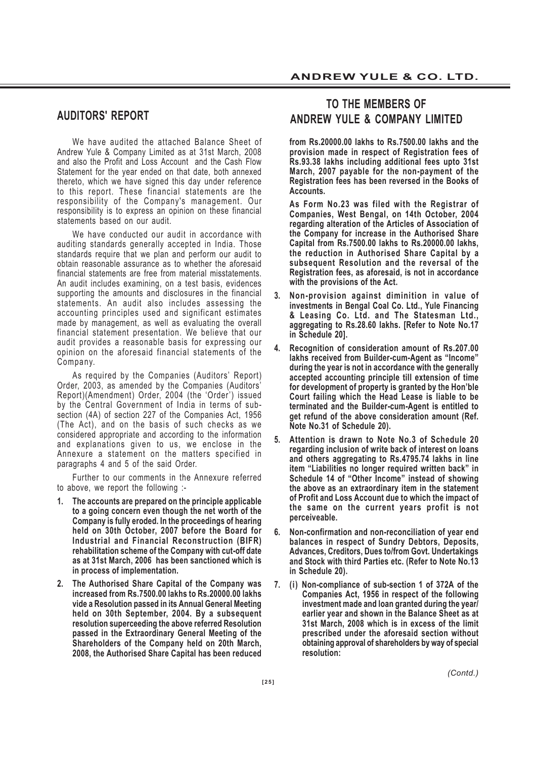# **AUDITORS' REPORT**

We have audited the attached Balance Sheet of Andrew Yule & Company Limited as at 31st March, 2008 and also the Profit and Loss Account and the Cash Flow Statement for the year ended on that date, both annexed thereto, which we have signed this day under reference to this report. These financial statements are the responsibility of the Company's management. Our responsibility is to express an opinion on these financial statements based on our audit.

We have conducted our audit in accordance with auditing standards generally accepted in India. Those standards require that we plan and perform our audit to obtain reasonable assurance as to whether the aforesaid financial statements are free from material misstatements. An audit includes examining, on a test basis, evidences supporting the amounts and disclosures in the financial statements. An audit also includes assessing the accounting principles used and significant estimates made by management, as well as evaluating the overall financial statement presentation. We believe that our audit provides a reasonable basis for expressing our opinion on the aforesaid financial statements of the Company.

As required by the Companies (Auditors' Report) Order, 2003, as amended by the Companies (Auditors' Report)(Amendment) Order, 2004 (the 'Order') issued by the Central Government of India in terms of subsection (4A) of section 227 of the Companies Act, 1956 (The Act), and on the basis of such checks as we considered appropriate and according to the information and explanations given to us, we enclose in the Annexure a statement on the matters specified in paragraphs 4 and 5 of the said Order.

Further to our comments in the Annexure referred to above, we report the following :-

- **1. The accounts are prepared on the principle applicable to a going concern even though the net worth of the Company is fully eroded. In the proceedings of hearing held on 30th October, 2007 before the Board for Industrial and Financial Reconstruction (BIFR) rehabilitation scheme of the Company with cut-off date as at 31st March, 2006 has been sanctioned which is in process of implementation.**
- **2. The Authorised Share Capital of the Company was increased from Rs.7500.00 lakhs to Rs.20000.00 lakhs vide a Resolution passed in its Annual General Meeting held on 30th September, 2004. By a subsequent resolution superceeding the above referred Resolution passed in the Extraordinary General Meeting of the Shareholders of the Company held on 20th March, 2008, the Authorised Share Capital has been reduced**

# **TO THE MEMBERS OF ANDREW YULE & COMPANY LIMITED**

**from Rs.20000.00 lakhs to Rs.7500.00 lakhs and the provision made in respect of Registration fees of Rs.93.38 lakhs including additional fees upto 31st March, 2007 payable for the non-payment of the Registration fees has been reversed in the Books of Accounts.**

**As Form No.23 was filed with the Registrar of Companies, West Bengal, on 14th October, 2004 regarding alteration of the Articles of Association of the Company for increase in the Authorised Share Capital from Rs.7500.00 lakhs to Rs.20000.00 lakhs, the reduction in Authorised Share Capital by a subsequent Resolution and the reversal of the Registration fees, as aforesaid, is not in accordance with the provisions of the Act.**

- **3. Non-provision against diminition in value of investments in Bengal Coal Co. Ltd., Yule Financing & Leasing Co. Ltd. and The Statesman Ltd., aggregating to Rs.28.60 lakhs. [Refer to Note No.17 in Schedule 20].**
- **4. Recognition of consideration amount of Rs.207.00 lakhs received from Builder-cum-Agent as "Income" during the year is not in accordance with the generally accepted accounting principle till extension of time for development of property is granted by the Hon'ble Court failing which the Head Lease is liable to be terminated and the Builder-cum-Agent is entitled to get refund of the above consideration amount (Ref. Note No.31 of Schedule 20).**
- **5. Attention is drawn to Note No.3 of Schedule 20 regarding inclusion of write back of interest on loans and others aggregating to Rs.4795.74 lakhs in line item "Liabilities no longer required written back" in Schedule 14 of "Other Income" instead of showing the above as an extraordinary item in the statement of Profit and Loss Account due to which the impact of the same on the current years profit is not perceiveable.**
- **6. Non-confirmation and non-reconciliation of year end balances in respect of Sundry Debtors, Deposits, Advances, Creditors, Dues to/from Govt. Undertakings and Stock with third Parties etc. (Refer to Note No.13 in Schedule 20).**
- **7. (i) Non-compliance of sub-section 1 of 372A of the Companies Act, 1956 in respect of the following investment made and loan granted during the year/ earlier year and shown in the Balance Sheet as at 31st March, 2008 which is in excess of the limit prescribed under the aforesaid section without obtaining approval of shareholders by way of special resolution:**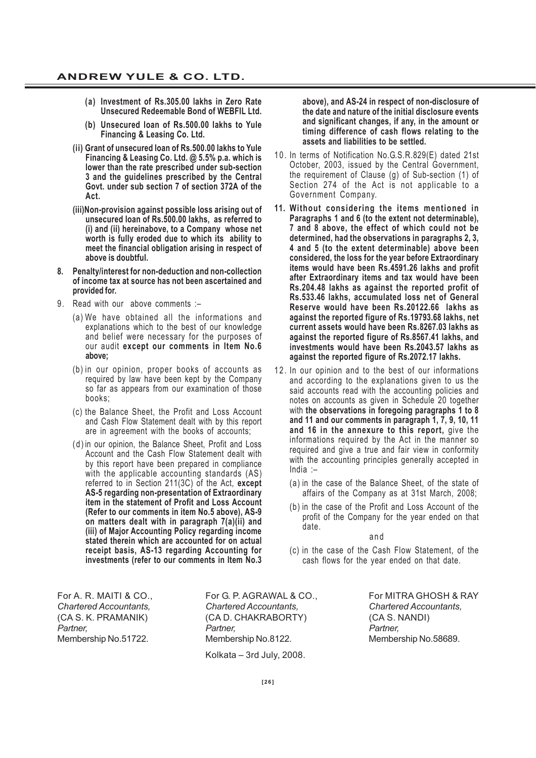- **(a) Investment of Rs.305.00 lakhs in Zero Rate Unsecured Redeemable Bond of WEBFIL Ltd.**
- **(b) Unsecured loan of Rs.500.00 lakhs to Yule Financing & Leasing Co. Ltd.**
- **(ii) Grant of unsecured loan of Rs.500.00 lakhs to Yule Financing & Leasing Co. Ltd. @ 5.5% p.a. which is lower than the rate prescribed under sub-section 3 and the guidelines prescribed by the Central Govt. under sub section 7 of section 372A of the Act.**
- **(iii)Non-provision against possible loss arising out of unsecured loan of Rs.500.00 lakhs, as referred to (i) and (ii) hereinabove, to a Company whose net worth is fully eroded due to which its ability to meet the financial obligation arising in respect of above is doubtful.**
- **8. Penalty/interest for non-deduction and non-collection of income tax at source has not been ascertained and provided for.**
- 9. Read with our above comments :-
	- (a) We have obtained all the informations and explanations which to the best of our knowledge and belief were necessary for the purposes of our audit **except our comments in Item No.6 above;**
	- (b) in our opinion, proper books of accounts as required by law have been kept by the Company so far as appears from our examination of those books;
	- (c) the Balance Sheet, the Profit and Loss Account and Cash Flow Statement dealt with by this report are in agreement with the books of accounts;
	- (d) in our opinion, the Balance Sheet, Profit and Loss Account and the Cash Flow Statement dealt with by this report have been prepared in compliance with the applicable accounting standards (AS) referred to in Section 211(3C) of the Act, **except AS-5 regarding non-presentation of Extraordinary item in the statement of Profit and Loss Account (Refer to our comments in item No.5 above), AS-9 on matters dealt with in paragraph 7(a)(ii) and (iii) of Major Accounting Policy regarding income stated therein which are accounted for on actual receipt basis, AS-13 regarding Accounting for investments (refer to our comments in Item No.3**

**above), and AS-24 in respect of non-disclosure of the date and nature of the initial disclosure events and significant changes, if any, in the amount or timing difference of cash flows relating to the assets and liabilities to be settled.**

- 10. In terms of Notification No.G.S.R.829(E) dated 21st October, 2003, issued by the Central Government, the requirement of Clause (g) of Sub-section (1) of Section 274 of the Act is not applicable to a Government Company.
- **11. Without considering the items mentioned in Paragraphs 1 and 6 (to the extent not determinable), 7 and 8 above, the effect of which could not be determined, had the observations in paragraphs 2, 3, 4 and 5 (to the extent determinable) above been considered, the loss for the year before Extraordinary items would have been Rs.4591.26 lakhs and profit after Extraordinary items and tax would have been Rs.204.48 lakhs as against the reported profit of Rs.533.46 lakhs, accumulated loss net of General Reserve would have been Rs.20122.66 lakhs as against the reported figure of Rs.19793.68 lakhs, net current assets would have been Rs.8267.03 lakhs as against the reported figure of Rs.8567.41 lakhs, and investments would have been Rs.2043.57 lakhs as against the reported figure of Rs.2072.17 lakhs.**
- 12. In our opinion and to the best of our informations and according to the explanations given to us the said accounts read with the accounting policies and notes on accounts as given in Schedule 20 together with **the observations in foregoing paragraphs 1 to 8 and 11 and our comments in paragraph 1, 7, 9, 10, 11 and 16 in the annexure to this report,** give the informations required by the Act in the manner so required and give a true and fair view in conformity with the accounting principles generally accepted in India :–
	- (a) in the case of the Balance Sheet, of the state of affairs of the Company as at 31st March, 2008;
	- (b) in the case of the Profit and Loss Account of the profit of the Company for the year ended on that date.

and

(c) in the case of the Cash Flow Statement, of the cash flows for the year ended on that date.

*Chartered Accountants, Chartered Accountants, Chartered Accountants,* (CA S. K. PRAMANIK) (CA D. CHAKRABORTY) (CA S. NANDI) *Partner, Partner, Partner,* Membership No.51722. Membership No.8122. Membership No.58689. Kolkata – 3rd July, 2008.

For A. R. MAITI & CO., For G. P. AGRAWAL & CO., For MITRA GHOSH & RAY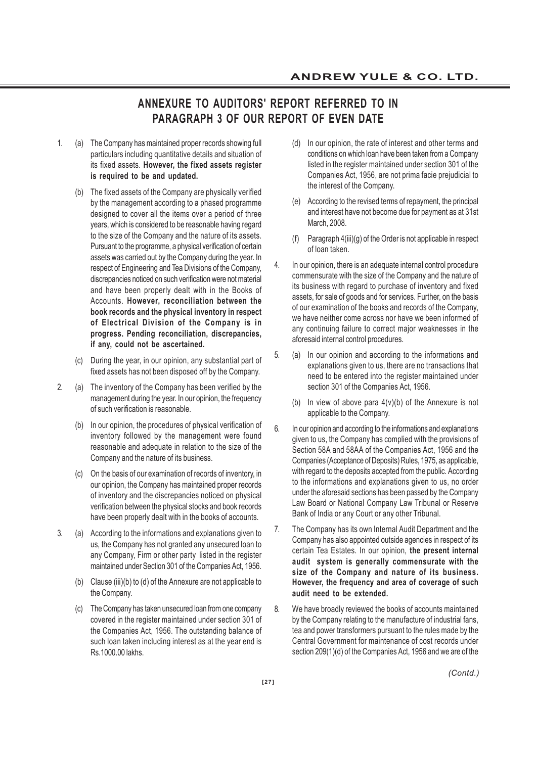# **ANNEXURE TO AUDITORS' REPORT REFERRED TO IN PARAGRAPH 3 OF OUR REPORT OF EVEN DATE**

- 1. (a) The Company has maintained proper records showing full particulars including quantitative details and situation of its fixed assets. **However, the fixed assets register is required to be and updated.**
	- (b) The fixed assets of the Company are physically verified by the management according to a phased programme designed to cover all the items over a period of three years, which is considered to be reasonable having regard to the size of the Company and the nature of its assets. Pursuant to the programme, a physical verification of certain assets was carried out by the Company during the year. In respect of Engineering and Tea Divisions of the Company, discrepancies noticed on such verification were not material and have been properly dealt with in the Books of Accounts. **However, reconciliation between the book records and the physical inventory in respect of Electrical Division of the Company is in progress. Pending reconciliation, discrepancies, if any, could not be ascertained.**
	- (c) During the year, in our opinion, any substantial part of fixed assets has not been disposed off by the Company.
- 2. (a) The inventory of the Company has been verified by the management during the year. In our opinion, the frequency of such verification is reasonable.
	- (b) In our opinion, the procedures of physical verification of inventory followed by the management were found reasonable and adequate in relation to the size of the Company and the nature of its business.
	- (c) On the basis of our examination of records of inventory, in our opinion, the Company has maintained proper records of inventory and the discrepancies noticed on physical verification between the physical stocks and book records have been properly dealt with in the books of accounts.
- 3. (a) According to the informations and explanations given to us, the Company has not granted any unsecured loan to any Company, Firm or other party listed in the register maintained under Section 301 of the Companies Act, 1956.
	- (b) Clause (iii)(b) to (d) of the Annexure are not applicable to the Company.
	- (c) The Company has taken unsecured loan from one company covered in the register maintained under section 301 of the Companies Act, 1956. The outstanding balance of such loan taken including interest as at the year end is Rs.1000.00 lakhs.
- (d) In our opinion, the rate of interest and other terms and conditions on which loan have been taken from a Company listed in the register maintained under section 301 of the Companies Act, 1956, are not prima facie prejudicial to the interest of the Company.
- (e) According to the revised terms of repayment, the principal and interest have not become due for payment as at 31st March, 2008.
- (f) Paragraph 4(iii)(g) of the Order is not applicable in respect of loan taken.
- 4. In our opinion, there is an adequate internal control procedure commensurate with the size of the Company and the nature of its business with regard to purchase of inventory and fixed assets, for sale of goods and for services. Further, on the basis of our examination of the books and records of the Company, we have neither come across nor have we been informed of any continuing failure to correct major weaknesses in the aforesaid internal control procedures.
- 5. (a) In our opinion and according to the informations and explanations given to us, there are no transactions that need to be entered into the register maintained under section 301 of the Companies Act, 1956.
	- (b) In view of above para  $4(v)(b)$  of the Annexure is not applicable to the Company.
- 6. In our opinion and according to the informations and explanations given to us, the Company has complied with the provisions of Section 58A and 58AA of the Companies Act, 1956 and the Companies (Acceptance of Deposits) Rules, 1975, as applicable, with regard to the deposits accepted from the public. According to the informations and explanations given to us, no order under the aforesaid sections has been passed by the Company Law Board or National Company Law Tribunal or Reserve Bank of India or any Court or any other Tribunal.
- 7. The Company has its own Internal Audit Department and the Company has also appointed outside agencies in respect of its certain Tea Estates. In our opinion, **the present internal audit system is generally commensurate with the size of the Company and nature of its business. However, the frequency and area of coverage of such audit need to be extended.**
- 8. We have broadly reviewed the books of accounts maintained by the Company relating to the manufacture of industrial fans, tea and power transformers pursuant to the rules made by the Central Government for maintenance of cost records under section 209(1)(d) of the Companies Act, 1956 and we are of the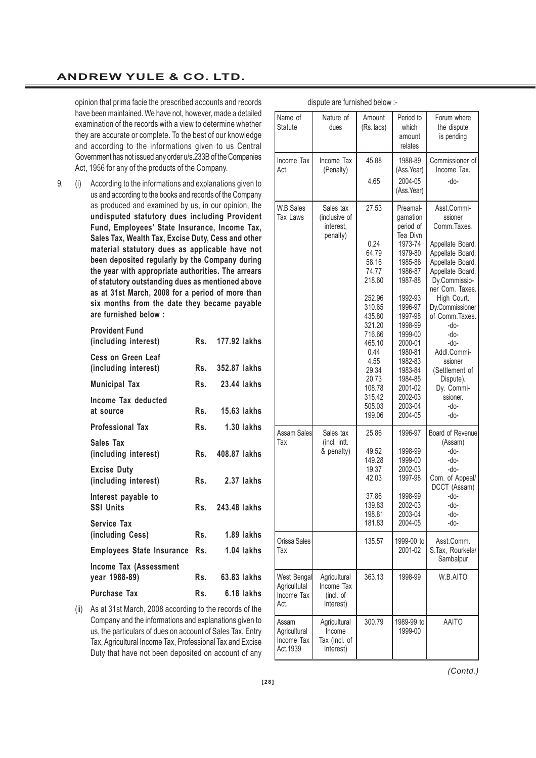opinion that prima facie the prescribed accounts and records have been maintained. We have not, however, made a detailed examination of the records with a view to determine whether they are accurate or complete. To the best of our knowledge and according to the informations given to us Central Government has not issued any order u/s.233B of the Companies Act, 1956 for any of the products of the Company.

9. (i) According to the informations and explanations given to us and according to the books and records of the Company as produced and examined by us, in our opinion, the **undisputed statutory dues including Provident Fund, Employees' State Insurance, Income Tax, Sales Tax, Wealth Tax, Excise Duty, Cess and other material statutory dues as applicable have not been deposited regularly by the Company during the year with appropriate authorities. The arrears of statutory outstanding dues as mentioned above as at 31st March, 2008 for a period of more than six months from the date they became payable are furnished below :**

| <b>Provident Fund</b><br>(including interest)  |     | Rs. 177.92 lakhs |
|------------------------------------------------|-----|------------------|
| Cess on Green Leaf<br>(including interest)     | Rs. | 352.87 lakhs     |
| <b>Municipal Tax</b>                           | Rs. | 23.44 lakhs      |
| Income Tax deducted<br>at source               | Rs. | 15.63 lakhs      |
| <b>Professional Tax</b>                        | Rs. | $1.30$ lakhs     |
| Sales Tax<br>(including interest)              |     | Rs. 408.87 lakhs |
| <b>Excise Duty</b><br>(including interest)     | Rs. | 2.37 lakhs       |
| Interest payable to<br><b>SSI Units</b>        |     | Rs. 243.48 lakhs |
| Service Tax<br>(including Cess)                | Rs. | 1.89 lakhs       |
| <b>Employees State Insurance</b>               | Rs. | 1.04 lakhs       |
| <b>Income Tax (Assessment</b><br>year 1988-89) | Rs. | 63.83 lakhs      |
| Purchase Tax                                   | Rs. | 6.18 lakhs       |

(ii) As at 31st March, 2008 according to the records of the Company and the informations and explanations given to us, the particulars of dues on account of Sales Tax, Entry Tax, Agricultural Income Tax, Professional Tax and Excise Duty that have not been deposited on account of any

|                                                   | alopato are familioned below.                        |                                                                                            |                                                                                                            |                                                                                                                                    |
|---------------------------------------------------|------------------------------------------------------|--------------------------------------------------------------------------------------------|------------------------------------------------------------------------------------------------------------|------------------------------------------------------------------------------------------------------------------------------------|
| Name of<br><b>Statute</b>                         | Nature of<br>dues                                    | Amount<br>(Rs. lacs)                                                                       | Period to<br>which<br>amount<br>relates                                                                    | Forum where<br>the dispute<br>is pending                                                                                           |
| Income Tax<br>Act.                                | Income Tax<br>(Penalty)                              | 45.88                                                                                      | 1988-89<br>(Ass.Year)                                                                                      | Commissioner of<br>Income Tax.                                                                                                     |
|                                                   |                                                      | 4.65                                                                                       | 2004-05<br>(Ass.Year)                                                                                      | -do-                                                                                                                               |
| W.B.Sales<br>Tax Laws                             | Sales tax<br>(inclusive of<br>interest,<br>penalty)  | 27.53<br>0.24<br>64.79                                                                     | Preamal-<br>gamation<br>period of<br>Tea Divn<br>1973-74<br>1979-80                                        | Asst.Commi-<br>ssioner<br>Comm. Taxes.<br>Appellate Board.<br>Appellate Board.                                                     |
|                                                   |                                                      | 58.16<br>74.77<br>218.60                                                                   | 1985-86<br>1986-87<br>1987-88                                                                              | Appellate Board.<br>Appellate Board.<br>Dy.Commissio-<br>ner Com. Taxes.                                                           |
|                                                   |                                                      | 252.96<br>310.65<br>435.80<br>321.20<br>716.66<br>465.10<br>0.44<br>4.55<br>29.34<br>20.73 | 1992-93<br>1996-97<br>1997-98<br>1998-99<br>1999-00<br>2000-01<br>1980-81<br>1982-83<br>1983-84<br>1984-85 | High Court.<br>Dy.Commissioner<br>of Comm. Taxes.<br>-do-<br>-do-<br>-do-<br>Addl.Commi-<br>ssioner<br>(Settlement of<br>Dispute). |
|                                                   |                                                      | 108.78<br>315.42<br>505.03<br>199.06                                                       | 2001-02<br>2002-03<br>2003-04<br>2004-05                                                                   | Dy. Commi-<br>ssioner.<br>-do-<br>-do-                                                                                             |
| Assam Sales<br>Тах                                | Sales tax<br>(incl. intt.                            | 25.86                                                                                      | 1996-97                                                                                                    | Board of Revenue<br>(Assam)                                                                                                        |
|                                                   | & penalty)                                           | 49.52<br>149.28<br>19.37<br>42.03                                                          | 1998-99<br>1999-00<br>2002-03<br>1997-98                                                                   | -do-<br>-do-<br>-do-<br>Com. of Appeal/<br>DCCT (Assam)                                                                            |
|                                                   |                                                      | 37.86<br>139.83<br>198.81<br>181.83                                                        | 1998-99<br>2002-03<br>2003-04<br>2004-05                                                                   | -do-<br>-do-<br>-do-<br>-do-                                                                                                       |
| Orissa Sales<br>Тах                               |                                                      | 135.57                                                                                     | 1999-00 to<br>2001-02                                                                                      | Asst.Comm.<br>S.Tax, Rourkela/<br>Sambalpur                                                                                        |
| West Bengal<br>Agricultutal<br>Income Tax<br>Act. | Agricultural<br>Income Tax<br>(incl. of<br>Interest) | 363.13                                                                                     | 1998-99                                                                                                    | W.B.AITO                                                                                                                           |
| Assam<br>Agricultural<br>Income Tax<br>Act.1939   | Agricultural<br>Income<br>Tax (Incl. of<br>Interest) | 300.79                                                                                     | 1989-99 to<br>1999-00                                                                                      | <b>AAITO</b>                                                                                                                       |

dispute are furnished below :-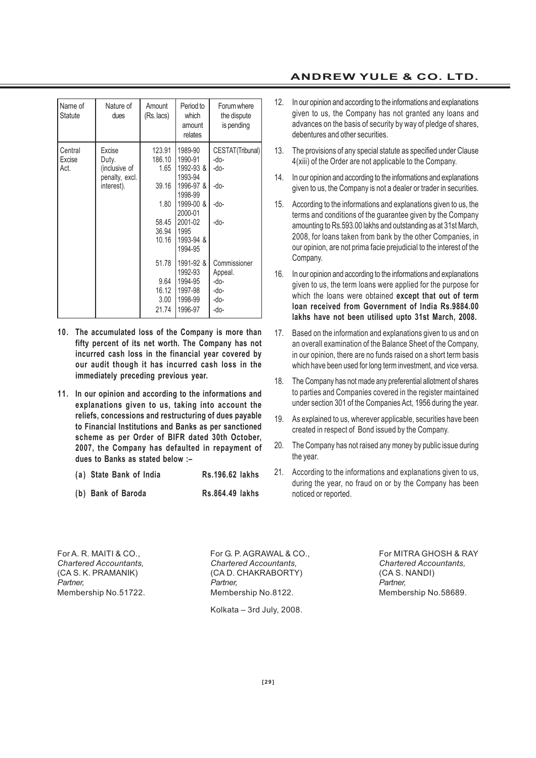| Name of<br>Statute        | Nature of<br>dues                                                | Amount<br>$(Rs.$ lacs)                                               | Period to<br>which<br>amount<br>relates                                                                                               | Forum where<br>the dispute<br>is pending                 |
|---------------------------|------------------------------------------------------------------|----------------------------------------------------------------------|---------------------------------------------------------------------------------------------------------------------------------------|----------------------------------------------------------|
| Central<br>Excise<br>Act. | Excise<br>Duty.<br>(inclusive of<br>penalty, excl.<br>interest). | 123.91<br>186.10<br>1.65<br>39.16<br>1.80<br>58.45<br>36.94<br>10.16 | 1989-90<br>1990-91<br>1992-93 &<br>1993-94<br>1996-97 &<br>1998-99<br>1999-00 &<br>2000-01<br>2001-02<br>1995<br>1993-94 &<br>1994-95 | CESTAT(Tribunal)<br>-do-<br>-do-<br>-do-<br>-do-<br>-do- |
|                           |                                                                  | 51.78<br>9.64<br>16.12<br>3.00<br>21.74                              | 1991-92 &<br>1992-93<br>1994-95<br>1997-98<br>1998-99<br>1996-97                                                                      | Commissioner<br>Appeal.<br>-do-<br>-do-<br>-do-<br>-do-  |

- **10. The accumulated loss of the Company is more than fifty percent of its net worth. The Company has not incurred cash loss in the financial year covered by our audit though it has incurred cash loss in the immediately preceding previous year.**
- **11. In our opinion and according to the informations and explanations given to us, taking into account the reliefs, concessions and restructuring of dues payable to Financial Institutions and Banks as per sanctioned scheme as per Order of BIFR dated 30th October, 2007, the Company has defaulted in repayment of dues to Banks as stated below :–**

| (a) State Bank of India | Rs.196.62 lakhs |  |
|-------------------------|-----------------|--|
| (b) Bank of Baroda      | Rs.864.49 lakhs |  |

# **ANDREW YULE & CO. LTD.**

- 12. In our opinion and according to the informations and explanations given to us, the Company has not granted any loans and advances on the basis of security by way of pledge of shares, debentures and other securities.
- 13. The provisions of any special statute as specified under Clause 4(xiii) of the Order are not applicable to the Company.
- 14. In our opinion and according to the informations and explanations given to us, the Company is not a dealer or trader in securities.
- 15. According to the informations and explanations given to us, the terms and conditions of the guarantee given by the Company amounting to Rs.593.00 lakhs and outstanding as at 31st March, 2008, for loans taken from bank by the other Companies, in our opinion, are not prima facie prejudicial to the interest of the Company.
- 16. In our opinion and according to the informations and explanations given to us, the term loans were applied for the purpose for which the loans were obtained **except that out of term loan received from Government of India Rs.9884.00 lakhs have not been utilised upto 31st March, 2008.**
- 17. Based on the information and explanations given to us and on an overall examination of the Balance Sheet of the Company, in our opinion, there are no funds raised on a short term basis which have been used for long term investment, and vice versa.
- 18. The Company has not made any preferential allotment of shares to parties and Companies covered in the register maintained under section 301 of the Companies Act, 1956 during the year.
- 19. As explained to us, wherever applicable, securities have been created in respect of Bond issued by the Company.
- 20. The Company has not raised any money by public issue during the year.
- 21. According to the informations and explanations given to us, during the year, no fraud on or by the Company has been noticed or reported.

For A. R. MAITI & CO., For G. P. AGRAWAL & CO., For MITRA GHOSH & RAY *Chartered Accountants, Chartered Accountants, Chartered Accountants,* (CA S. K. PRAMANIK) (CA D. CHAKRABORTY) (CA S. NANDI) *Partner, Partner, Partner,* Membership No.51722. Membership No.8122. Membership No.58689.

Kolkata – 3rd July, 2008.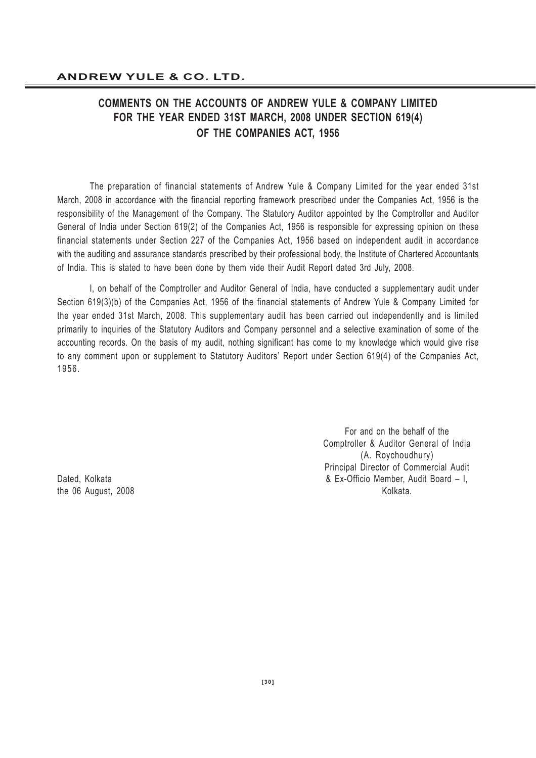# **COMMENTS ON THE ACCOUNTS OF ANDREW YULE & COMPANY LIMITED FOR THE YEAR ENDED 31ST MARCH, 2008 UNDER SECTION 619(4) OF THE COMPANIES ACT, 1956**

The preparation of financial statements of Andrew Yule & Company Limited for the year ended 31st March, 2008 in accordance with the financial reporting framework prescribed under the Companies Act, 1956 is the responsibility of the Management of the Company. The Statutory Auditor appointed by the Comptroller and Auditor General of India under Section 619(2) of the Companies Act, 1956 is responsible for expressing opinion on these financial statements under Section 227 of the Companies Act, 1956 based on independent audit in accordance with the auditing and assurance standards prescribed by their professional body, the Institute of Chartered Accountants of India. This is stated to have been done by them vide their Audit Report dated 3rd July, 2008.

I, on behalf of the Comptroller and Auditor General of India, have conducted a supplementary audit under Section 619(3)(b) of the Companies Act, 1956 of the financial statements of Andrew Yule & Company Limited for the year ended 31st March, 2008. This supplementary audit has been carried out independently and is limited primarily to inquiries of the Statutory Auditors and Company personnel and a selective examination of some of the accounting records. On the basis of my audit, nothing significant has come to my knowledge which would give rise to any comment upon or supplement to Statutory Auditors' Report under Section 619(4) of the Companies Act, 1956.

For and on the behalf of the Comptroller & Auditor General of India (A. Roychoudhury) Principal Director of Commercial Audit Dated, Kolkata & Ex-Officio Member, Audit Board – I, the 06 August, 2008 Kolkata.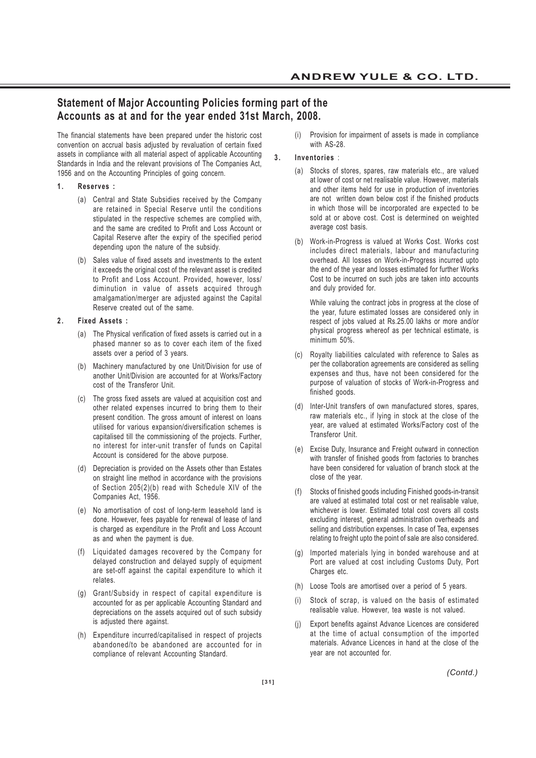# **Statement of Major Accounting Policies forming part of the Accounts as at and for the year ended 31st March, 2008.**

The financial statements have been prepared under the historic cost convention on accrual basis adjusted by revaluation of certain fixed assets in compliance with all material aspect of applicable Accounting Standards in India and the relevant provisions of The Companies Act, 1956 and on the Accounting Principles of going concern.

- **1. Reserves :**
	- (a) Central and State Subsidies received by the Company are retained in Special Reserve until the conditions stipulated in the respective schemes are complied with, and the same are credited to Profit and Loss Account or Capital Reserve after the expiry of the specified period depending upon the nature of the subsidy.
	- (b) Sales value of fixed assets and investments to the extent it exceeds the original cost of the relevant asset is credited to Profit and Loss Account. Provided, however, loss/ diminution in value of assets acquired through amalgamation/merger are adjusted against the Capital Reserve created out of the same.

#### **2. Fixed Assets :**

- (a) The Physical verification of fixed assets is carried out in a phased manner so as to cover each item of the fixed assets over a period of 3 years.
- (b) Machinery manufactured by one Unit/Division for use of another Unit/Division are accounted for at Works/Factory cost of the Transferor Unit.
- (c) The gross fixed assets are valued at acquisition cost and other related expenses incurred to bring them to their present condition. The gross amount of interest on loans utilised for various expansion/diversification schemes is capitalised till the commissioning of the projects. Further, no interest for inter-unit transfer of funds on Capital Account is considered for the above purpose.
- (d) Depreciation is provided on the Assets other than Estates on straight line method in accordance with the provisions of Section 205(2)(b) read with Schedule XIV of the Companies Act, 1956.
- (e) No amortisation of cost of long-term leasehold land is done. However, fees payable for renewal of lease of land is charged as expenditure in the Profit and Loss Account as and when the payment is due.
- (f) Liquidated damages recovered by the Company for delayed construction and delayed supply of equipment are set-off against the capital expenditure to which it relates.
- (g) Grant/Subsidy in respect of capital expenditure is accounted for as per applicable Accounting Standard and depreciations on the assets acquired out of such subsidy is adjusted there against.
- (h) Expenditure incurred/capitalised in respect of projects abandoned/to be abandoned are accounted for in compliance of relevant Accounting Standard.

(i) Provision for impairment of assets is made in compliance with AS-28.

### **3. Inventories** :

- (a) Stocks of stores, spares, raw materials etc., are valued at lower of cost or net realisable value. However, materials and other items held for use in production of inventories are not written down below cost if the finished products in which those will be incorporated are expected to be sold at or above cost. Cost is determined on weighted average cost basis.
- (b) Work-in-Progress is valued at Works Cost. Works cost includes direct materials, labour and manufacturing overhead. All losses on Work-in-Progress incurred upto the end of the year and losses estimated for further Works Cost to be incurred on such jobs are taken into accounts and duly provided for.

While valuing the contract jobs in progress at the close of the year, future estimated losses are considered only in respect of jobs valued at Rs.25.00 lakhs or more and/or physical progress whereof as per technical estimate, is minimum 50%.

- (c) Royalty liabilities calculated with reference to Sales as per the collaboration agreements are considered as selling expenses and thus, have not been considered for the purpose of valuation of stocks of Work-in-Progress and finished goods.
- (d) Inter-Unit transfers of own manufactured stores, spares, raw materials etc., if lying in stock at the close of the year, are valued at estimated Works/Factory cost of the Transferor Unit.
- (e) Excise Duty, Insurance and Freight outward in connection with transfer of finished goods from factories to branches have been considered for valuation of branch stock at the close of the year.
- (f) Stocks of finished goods including Finished goods-in-transit are valued at estimated total cost or net realisable value, whichever is lower. Estimated total cost covers all costs excluding interest, general administration overheads and selling and distribution expenses. In case of Tea, expenses relating to freight upto the point of sale are also considered.
- (g) Imported materials lying in bonded warehouse and at Port are valued at cost including Customs Duty, Port Charges etc.
- (h) Loose Tools are amortised over a period of 5 years.
- (i) Stock of scrap, is valued on the basis of estimated realisable value. However, tea waste is not valued.
- (j) Export benefits against Advance Licences are considered at the time of actual consumption of the imported materials. Advance Licences in hand at the close of the year are not accounted for.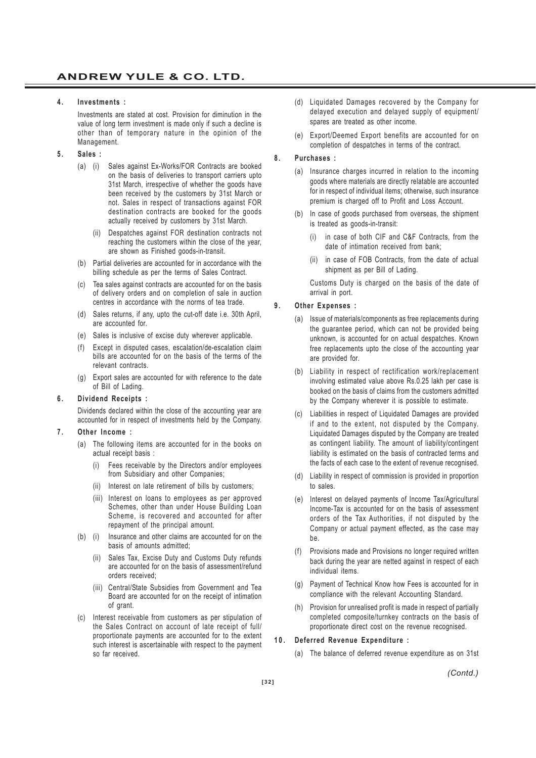#### **4. Investments :**

Investments are stated at cost. Provision for diminution in the value of long term investment is made only if such a decline is other than of temporary nature in the opinion of the Management.

- **5. Sales :**
	- (a) (i) Sales against Ex-Works/FOR Contracts are booked on the basis of deliveries to transport carriers upto 31st March, irrespective of whether the goods have been received by the customers by 31st March or not. Sales in respect of transactions against FOR destination contracts are booked for the goods actually received by customers by 31st March.
		- (ii) Despatches against FOR destination contracts not reaching the customers within the close of the year, are shown as Finished goods-in-transit.
	- (b) Partial deliveries are accounted for in accordance with the billing schedule as per the terms of Sales Contract.
	- (c) Tea sales against contracts are accounted for on the basis of delivery orders and on completion of sale in auction centres in accordance with the norms of tea trade.
	- (d) Sales returns, if any, upto the cut-off date i.e. 30th April, are accounted for.
	- (e) Sales is inclusive of excise duty wherever applicable.
	- (f) Except in disputed cases, escalation/de-escalation claim bills are accounted for on the basis of the terms of the relevant contracts.
	- (g) Export sales are accounted for with reference to the date of Bill of Lading.

#### **6. Dividend Receipts :**

Dividends declared within the close of the accounting year are accounted for in respect of investments held by the Company.

#### **7. Other Income :**

- (a) The following items are accounted for in the books on actual receipt basis :
	- (i) Fees receivable by the Directors and/or employees from Subsidiary and other Companies;
	- (ii) Interest on late retirement of bills by customers;
	- (iii) Interest on loans to employees as per approved Schemes, other than under House Building Loan Scheme, is recovered and accounted for after repayment of the principal amount.
- (b) (i) Insurance and other claims are accounted for on the basis of amounts admitted;
	- (ii) Sales Tax, Excise Duty and Customs Duty refunds are accounted for on the basis of assessment/refund orders received;
	- (iii) Central/State Subsidies from Government and Tea Board are accounted for on the receipt of intimation of grant.
- (c) Interest receivable from customers as per stipulation of the Sales Contract on account of late receipt of full/ proportionate payments are accounted for to the extent such interest is ascertainable with respect to the payment so far received.
- (d) Liquidated Damages recovered by the Company for delayed execution and delayed supply of equipment/ spares are treated as other income.
- (e) Export/Deemed Export benefits are accounted for on completion of despatches in terms of the contract.

#### **8. Purchases :**

- (a) Insurance charges incurred in relation to the incoming goods where materials are directly relatable are accounted for in respect of individual items; otherwise, such insurance premium is charged off to Profit and Loss Account.
- (b) In case of goods purchased from overseas, the shipment is treated as goods-in-transit:
	- in case of both CIF and C&F Contracts, from the date of intimation received from bank;
	- in case of FOB Contracts, from the date of actual shipment as per Bill of Lading.

Customs Duty is charged on the basis of the date of arrival in port.

#### **9. Other Expenses :**

- (a) Issue of materials/components as free replacements during the guarantee period, which can not be provided being unknown, is accounted for on actual despatches. Known free replacements upto the close of the accounting year are provided for.
- (b) Liability in respect of rectification work/replacement involving estimated value above Rs.0.25 lakh per case is booked on the basis of claims from the customers admitted by the Company wherever it is possible to estimate.
- (c) Liabilities in respect of Liquidated Damages are provided if and to the extent, not disputed by the Company. Liquidated Damages disputed by the Company are treated as contingent liability. The amount of liability/contingent liability is estimated on the basis of contracted terms and the facts of each case to the extent of revenue recognised.
- (d) Liability in respect of commission is provided in proportion to sales.
- (e) Interest on delayed payments of Income Tax/Agricultural Income-Tax is accounted for on the basis of assessment orders of the Tax Authorities, if not disputed by the Company or actual payment effected, as the case may be.
- (f) Provisions made and Provisions no longer required written back during the year are netted against in respect of each individual items.
- (g) Payment of Technical Know how Fees is accounted for in compliance with the relevant Accounting Standard.
- (h) Provision for unrealised profit is made in respect of partially completed composite/turnkey contracts on the basis of proportionate direct cost on the revenue recognised.

#### **10. Deferred Revenue Expenditure :**

(a) The balance of deferred revenue expenditure as on 31st

*(Contd.)*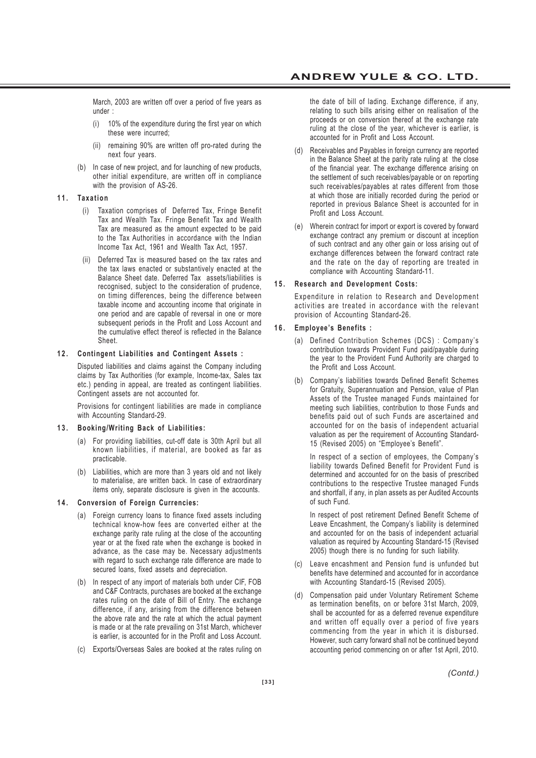March, 2003 are written off over a period of five years as under :

- (i) 10% of the expenditure during the first year on which these were incurred;
- (ii) remaining 90% are written off pro-rated during the next four years.
- (b) In case of new project, and for launching of new products, other initial expenditure, are written off in compliance with the provision of AS-26.

#### **11. Taxation**

- (i) Taxation comprises of Deferred Tax, Fringe Benefit Tax and Wealth Tax. Fringe Benefit Tax and Wealth Tax are measured as the amount expected to be paid to the Tax Authorities in accordance with the Indian Income Tax Act, 1961 and Wealth Tax Act, 1957.
- Deferred Tax is measured based on the tax rates and the tax laws enacted or substantively enacted at the Balance Sheet date. Deferred Tax assets/liabilities is recognised, subject to the consideration of prudence, on timing differences, being the difference between taxable income and accounting income that originate in one period and are capable of reversal in one or more subsequent periods in the Profit and Loss Account and the cumulative effect thereof is reflected in the Balance Sheet.

#### **12. Contingent Liabilities and Contingent Assets :**

Disputed liabilities and claims against the Company including claims by Tax Authorities (for example, Income-tax, Sales tax etc.) pending in appeal, are treated as contingent liabilities. Contingent assets are not accounted for.

Provisions for contingent liabilities are made in compliance with Accounting Standard-29.

#### **13. Booking/Writing Back of Liabilities:**

- (a) For providing liabilities, cut-off date is 30th April but all known liabilities, if material, are booked as far as practicable.
- (b) Liabilities, which are more than 3 years old and not likely to materialise, are written back. In case of extraordinary items only, separate disclosure is given in the accounts.

#### **14. Conversion of Foreign Currencies:**

- (a) Foreign currency loans to finance fixed assets including technical know-how fees are converted either at the exchange parity rate ruling at the close of the accounting year or at the fixed rate when the exchange is booked in advance, as the case may be. Necessary adjustments with regard to such exchange rate difference are made to secured loans, fixed assets and depreciation.
- (b) In respect of any import of materials both under CIF, FOB and C&F Contracts, purchases are booked at the exchange rates ruling on the date of Bill of Entry. The exchange difference, if any, arising from the difference between the above rate and the rate at which the actual payment is made or at the rate prevailing on 31st March, whichever is earlier, is accounted for in the Profit and Loss Account.
- (c) Exports/Overseas Sales are booked at the rates ruling on

the date of bill of lading. Exchange difference, if any, relating to such bills arising either on realisation of the proceeds or on conversion thereof at the exchange rate ruling at the close of the year, whichever is earlier, is accounted for in Profit and Loss Account.

- (d) Receivables and Payables in foreign currency are reported in the Balance Sheet at the parity rate ruling at the close of the financial year. The exchange difference arising on the settlement of such receivables/payable or on reporting such receivables/payables at rates different from those at which those are initially recorded during the period or reported in previous Balance Sheet is accounted for in Profit and Loss Account.
- (e) Wherein contract for import or export is covered by forward exchange contract any premium or discount at inception of such contract and any other gain or loss arising out of exchange differences between the forward contract rate and the rate on the day of reporting are treated in compliance with Accounting Standard-11.

#### **15. Research and Development Costs:**

Expenditure in relation to Research and Development activities are treated in accordance with the relevant provision of Accounting Standard-26.

#### **16. Employee's Benefits :**

- (a) Defined Contribution Schemes (DCS) : Company's contribution towards Provident Fund paid/payable during the year to the Provident Fund Authority are charged to the Profit and Loss Account.
- (b) Company's liabilities towards Defined Benefit Schemes for Gratuity, Superannuation and Pension, value of Plan Assets of the Trustee managed Funds maintained for meeting such liabilities, contribution to those Funds and benefits paid out of such Funds are ascertained and accounted for on the basis of independent actuarial valuation as per the requirement of Accounting Standard-15 (Revised 2005) on "Employee's Benefit".

In respect of a section of employees, the Company's liability towards Defined Benefit for Provident Fund is determined and accounted for on the basis of prescribed contributions to the respective Trustee managed Funds and shortfall, if any, in plan assets as per Audited Accounts of such Fund.

In respect of post retirement Defined Benefit Scheme of Leave Encashment, the Company's liability is determined and accounted for on the basis of independent actuarial valuation as required by Accounting Standard-15 (Revised 2005) though there is no funding for such liability.

- (c) Leave encashment and Pension fund is unfunded but benefits have determined and accounted for in accordance with Accounting Standard-15 (Revised 2005).
- (d) Compensation paid under Voluntary Retirement Scheme as termination benefits, on or before 31st March, 2009, shall be accounted for as a deferred revenue expenditure and written off equally over a period of five years commencing from the year in which it is disbursed. However, such carry forward shall not be continued beyond accounting period commencing on or after 1st April, 2010.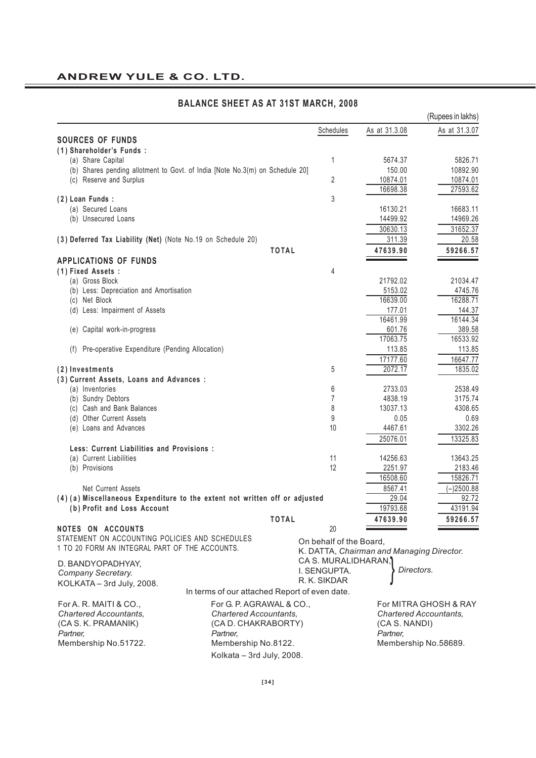# **ANDREW YULE & CO. LTD.**

|                                                                              |                                               |                         |                                           | (Rupees in lakhs)     |
|------------------------------------------------------------------------------|-----------------------------------------------|-------------------------|-------------------------------------------|-----------------------|
|                                                                              |                                               | Schedules               | As at 31.3.08                             | As at 31.3.07         |
| <b>SOURCES OF FUNDS</b>                                                      |                                               |                         |                                           |                       |
| (1) Shareholder's Funds:                                                     |                                               |                         |                                           |                       |
| (a) Share Capital                                                            |                                               | 1                       | 5674.37                                   | 5826.71               |
| (b) Shares pending allotment to Govt. of India [Note No.3(m) on Schedule 20] |                                               |                         | 150.00                                    | 10892.90              |
| (c) Reserve and Surplus                                                      |                                               | 2                       | 10874.01                                  | 10874.01              |
|                                                                              |                                               |                         | 16698.38                                  | 27593.62              |
| (2) Loan Funds :                                                             |                                               | 3                       |                                           |                       |
| (a) Secured Loans                                                            |                                               |                         | 16130.21                                  | 16683.11              |
| (b) Unsecured Loans                                                          |                                               |                         | 14499.92                                  | 14969.26              |
|                                                                              |                                               |                         | 30630.13                                  | 31652.37              |
| (3) Deferred Tax Liability (Net) (Note No.19 on Schedule 20)                 |                                               |                         | 311.39                                    | 20.58                 |
|                                                                              | <b>TOTAL</b>                                  |                         | 47639.90                                  | 59266.57              |
| <b>APPLICATIONS OF FUNDS</b>                                                 |                                               |                         |                                           |                       |
| (1) Fixed Assets:                                                            |                                               | 4                       |                                           |                       |
| (a) Gross Block                                                              |                                               |                         | 21792.02                                  | 21034.47              |
| (b) Less: Depreciation and Amortisation                                      |                                               |                         | 5153.02<br>16639.00                       | 4745.76<br>16288.71   |
| (c) Net Block                                                                |                                               |                         | 177.01                                    | 144.37                |
| (d) Less: Impairment of Assets                                               |                                               |                         | 16461.99                                  | 16144.34              |
| (e) Capital work-in-progress                                                 |                                               |                         | 601.76                                    | 389.58                |
|                                                                              |                                               |                         | 17063.75                                  | 16533.92              |
| Pre-operative Expenditure (Pending Allocation)<br>(f)                        |                                               |                         | 113.85                                    | 113.85                |
|                                                                              |                                               |                         | 17177.60                                  | 16647.77              |
| (2) Investments                                                              |                                               | 5                       | 2072.17                                   | 1835.02               |
| (3) Current Assets, Loans and Advances :                                     |                                               |                         |                                           |                       |
| (a) Inventories                                                              |                                               | 6                       | 2733.03                                   | 2538.49               |
| (b) Sundry Debtors                                                           |                                               | 7                       | 4838.19                                   | 3175.74               |
| (c) Cash and Bank Balances                                                   |                                               | 8                       | 13037.13                                  | 4308.65               |
| (d) Other Current Assets                                                     |                                               | 9                       | 0.05                                      | 0.69                  |
| (e) Loans and Advances                                                       |                                               | 10                      | 4467.61                                   | 3302.26               |
|                                                                              |                                               |                         | 25076.01                                  | 13325.83              |
| Less: Current Liabilities and Provisions :                                   |                                               |                         |                                           |                       |
| (a) Current Liabilities                                                      |                                               | 11                      | 14256.63                                  | 13643.25              |
| (b) Provisions                                                               |                                               | 12                      | 2251.97                                   | 2183.46               |
|                                                                              |                                               |                         | 16508.60                                  | 15826.71              |
| <b>Net Current Assets</b>                                                    |                                               |                         | 8567.41                                   | $(-)2500.88$          |
| (4) (a) Miscellaneous Expenditure to the extent not written off or adjusted  |                                               |                         | 29.04                                     | 92.72                 |
| (b) Profit and Loss Account                                                  |                                               |                         | 19793.68                                  | 43191.94              |
|                                                                              | <b>TOTAL</b>                                  |                         | 47639.90                                  | 59266.57              |
| NOTES ON ACCOUNTS                                                            |                                               | 20                      |                                           |                       |
| STATEMENT ON ACCOUNTING POLICIES AND SCHEDULES                               |                                               | On behalf of the Board, |                                           |                       |
| 1 TO 20 FORM AN INTEGRAL PART OF THE ACCOUNTS.                               |                                               |                         | K. DATTA, Chairman and Managing Director. |                       |
| D. BANDYOPADHYAY,                                                            |                                               | CA S. MURALIDHARAN.     |                                           |                       |
| Company Secretary.                                                           |                                               | I. SENGUPTA.            | Directors.                                |                       |
| KOLKATA - 3rd July, 2008.                                                    |                                               | R. K. SIKDAR            |                                           |                       |
|                                                                              | In terms of our attached Report of even date. |                         |                                           |                       |
| For A. R. MAITI & CO.,                                                       | For G. P. AGRAWAL & CO.,                      |                         |                                           | For MITRA GHOSH & RAY |
| <b>Chartered Accountants,</b>                                                | <b>Chartered Accountants.</b>                 |                         | <b>Chartered Accountants,</b>             |                       |
| (CA S. K. PRAMANIK)                                                          | (CA D. CHAKRABORTY)                           |                         | (CA S. NANDI)                             |                       |
| Partner,                                                                     | Partner,                                      |                         | Partner,                                  |                       |
| Membership No.51722.                                                         | Membership No.8122.                           |                         | Membership No.58689.                      |                       |
|                                                                              | Kolkata - 3rd July, 2008.                     |                         |                                           |                       |

# **BALANCE SHEET AS AT 31ST MARCH, 2008**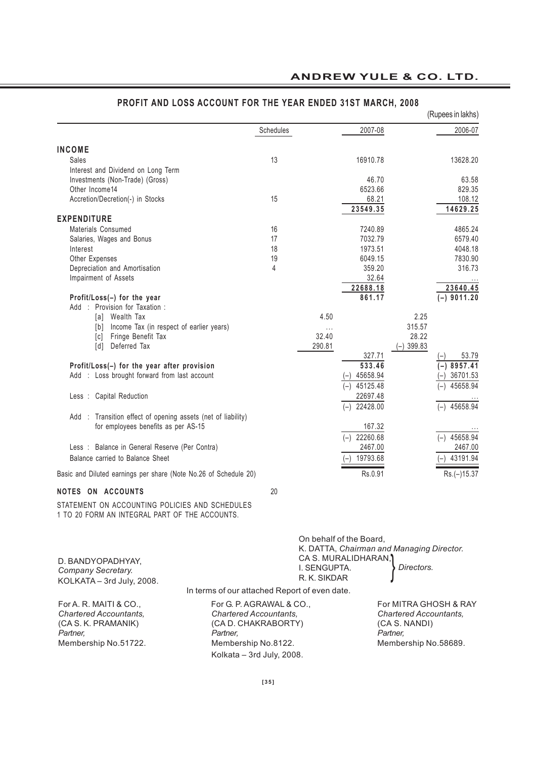|                                                                  |           |          |                   |              | (Rupees in lakhs)  |
|------------------------------------------------------------------|-----------|----------|-------------------|--------------|--------------------|
|                                                                  | Schedules |          | 2007-08           |              | 2006-07            |
| <b>INCOME</b>                                                    |           |          |                   |              |                    |
| Sales                                                            | 13        |          | 16910.78          |              | 13628.20           |
| Interest and Dividend on Long Term                               |           |          |                   |              |                    |
| Investments (Non-Trade) (Gross)                                  |           |          | 46.70             |              | 63.58              |
| Other Income14                                                   |           |          | 6523.66           |              | 829.35             |
| Accretion/Decretion(-) in Stocks                                 | 15        |          | 68.21<br>23549.35 |              | 108.12<br>14629.25 |
| <b>EXPENDITURE</b>                                               |           |          |                   |              |                    |
| Materials Consumed                                               | 16        |          | 7240.89           |              | 4865.24            |
| Salaries, Wages and Bonus                                        | 17        |          | 7032.79           |              | 6579.40            |
| Interest                                                         | 18        |          | 1973.51           |              | 4048.18            |
| Other Expenses                                                   | 19        |          | 6049.15           |              | 7830.90            |
| Depreciation and Amortisation                                    | 4         |          | 359.20            |              | 316.73             |
| Impairment of Assets                                             |           |          | 32.64             |              |                    |
|                                                                  |           |          | 22688.18          |              | 23640.45           |
| Profit/Loss(-) for the year                                      |           |          | 861.17            |              | $(-)$ 9011.20      |
| Provision for Taxation:<br>: Add                                 |           |          |                   |              |                    |
| Wealth Tax<br>[a]                                                |           | 4.50     |                   | 2.25         |                    |
| Income Tax (in respect of earlier years)<br>[b]                  |           | $\cdots$ |                   | 315.57       |                    |
| [c] Fringe Benefit Tax                                           |           | 32.40    |                   | 28.22        |                    |
| Deferred Tax<br>$\lceil d \rceil$                                |           | 290.81   |                   | $(-)$ 399.83 |                    |
|                                                                  |           |          | 327.71            |              | 53.79              |
| Profit/Loss(-) for the year after provision                      |           |          | 533.46            |              | $(-)$ 8957.41      |
| Add : Loss brought forward from last account                     |           |          | 45658.94          |              | 36701.53           |
|                                                                  |           |          | 45125.48<br>$(-)$ |              | 45658.94           |
| Less : Capital Reduction                                         |           |          | 22697.48          |              |                    |
|                                                                  |           |          | 22428.00<br>$(-)$ |              | $(-)$ 45658.94     |
| : Transition effect of opening assets (net of liability)<br>Add  |           |          |                   |              |                    |
| for employees benefits as per AS-15                              |           |          | 167.32            |              |                    |
|                                                                  |           |          | 22260.68<br>$(-)$ |              | $(-)$ 45658.94     |
| Less : Balance in General Reserve (Per Contra)                   |           |          | 2467.00           |              | 2467.00            |
| Balance carried to Balance Sheet                                 |           |          | 19793.68          |              | 43191.94           |
| Basic and Diluted earnings per share (Note No.26 of Schedule 20) |           |          | Rs.0.91           |              | Rs.(-)15.37        |

# **PROFIT AND LOSS ACCOUNT FOR THE YEAR ENDED 31ST MARCH, 2008**

**NOTES ON ACCOUNTS** 20

STATEMENT ON ACCOUNTING POLICIES AND SCHEDULES 1 TO 20 FORM AN INTEGRAL PART OF THE ACCOUNTS.

| D. BANDYOPADHYAY,<br>Company Secretary.<br>KOLKATA - 3rd July, 2008.                                               | On behalf of the Board,<br>CA S. MURALIDHARAN,<br>I. SENGUPTA.<br>R. K. SIKDAR<br>In terms of our attached Report of even date.                  | K. DATTA, Chairman and Managing Director.<br>Directors.                                                     |
|--------------------------------------------------------------------------------------------------------------------|--------------------------------------------------------------------------------------------------------------------------------------------------|-------------------------------------------------------------------------------------------------------------|
| For A. R. MAITI & CO.,<br><b>Chartered Accountants.</b><br>(CA S. K. PRAMANIK)<br>Partner,<br>Membership No.51722. | For G. P. AGRAWAL & CO.,<br><b>Chartered Accountants.</b><br>(CA D. CHAKRABORTY)<br>Partner.<br>Membership No.8122.<br>Kolkata - 3rd July, 2008. | For MITRA GHOSH & RAY<br><b>Chartered Accountants.</b><br>(CA S. NANDI)<br>Partner.<br>Membership No.58689. |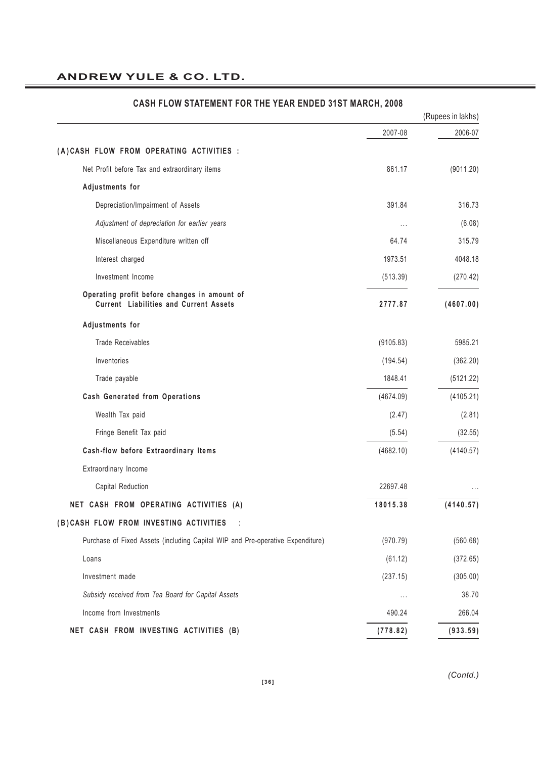|                                                                                               |           | (Rupees in lakhs) |
|-----------------------------------------------------------------------------------------------|-----------|-------------------|
|                                                                                               | 2007-08   | 2006-07           |
| (A)CASH FLOW FROM OPERATING ACTIVITIES :                                                      |           |                   |
| Net Profit before Tax and extraordinary items                                                 | 861.17    | (9011.20)         |
| Adjustments for                                                                               |           |                   |
| Depreciation/Impairment of Assets                                                             | 391.84    | 316.73            |
| Adjustment of depreciation for earlier years                                                  | $\cdots$  | (6.08)            |
| Miscellaneous Expenditure written off                                                         | 64.74     | 315.79            |
| Interest charged                                                                              | 1973.51   | 4048.18           |
| Investment Income                                                                             | (513.39)  | (270.42)          |
| Operating profit before changes in amount of<br><b>Current Liabilities and Current Assets</b> | 2777.87   | (4607.00)         |
| Adjustments for                                                                               |           |                   |
| <b>Trade Receivables</b>                                                                      | (9105.83) | 5985.21           |
| Inventories                                                                                   | (194.54)  | (362.20)          |
| Trade payable                                                                                 | 1848.41   | (5121.22)         |
| <b>Cash Generated from Operations</b>                                                         | (4674.09) | (4105.21)         |
| Wealth Tax paid                                                                               | (2.47)    | (2.81)            |
| Fringe Benefit Tax paid                                                                       | (5.54)    | (32.55)           |
| Cash-flow before Extraordinary Items                                                          | (4682.10) | (4140.57)         |
| Extraordinary Income                                                                          |           |                   |
| Capital Reduction                                                                             | 22697.48  |                   |
| NET CASH FROM OPERATING ACTIVITIES (A)                                                        | 18015.38  | (4140.57)         |
| (B) CASH FLOW FROM INVESTING ACTIVITIES                                                       |           |                   |
| Purchase of Fixed Assets (including Capital WIP and Pre-operative Expenditure)                | (970.79)  | (560.68)          |
| Loans                                                                                         | (61.12)   | (372.65)          |
| Investment made                                                                               | (237.15)  | (305.00)          |
| Subsidy received from Tea Board for Capital Assets                                            | $\cdots$  | 38.70             |
| Income from Investments                                                                       | 490.24    | 266.04            |
| NET CASH FROM INVESTING ACTIVITIES (B)                                                        | (778.82)  | (933.59)          |

# **CASH FLOW STATEMENT FOR THE YEAR ENDED 31ST MARCH, 2008**

*(Contd.)*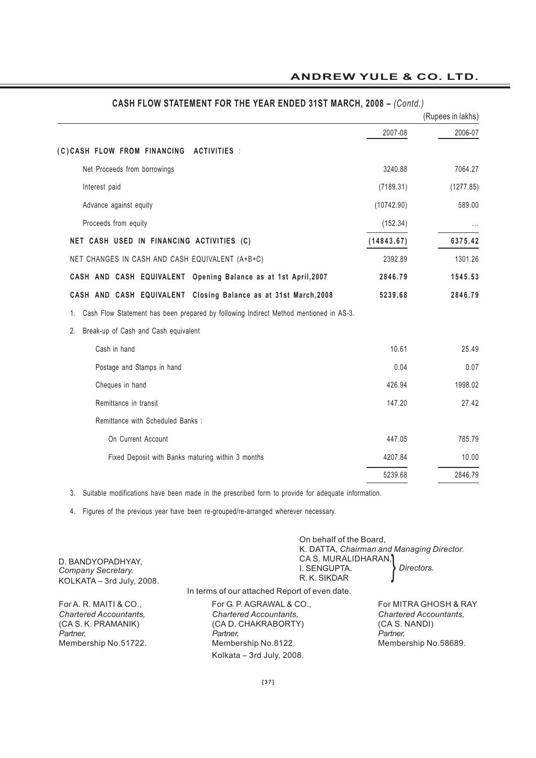|                                                                                       | (Rupees in lakhs) |
|---------------------------------------------------------------------------------------|-------------------|
| 2007-08                                                                               | 2006-07           |
| (C)CASH FLOW FROM FINANCING ACTIVITIES :                                              |                   |
| 3240.88<br>Net Proceeds from borrowings                                               | 7064.27           |
| Interest paid<br>(7189.31)                                                            | (1277.85)         |
| Advance against equity<br>(10742.90)                                                  | 589.00            |
| Proceeds from equity<br>(152.34)                                                      |                   |
| NET CASH USED IN FINANCING ACTIVITIES (C)<br>(14843.67)                               | 6375.42           |
| NET CHANGES IN CASH AND CASH EQUIVALENT (A+B+C)<br>2392.89                            | 1301.26           |
| CASH AND CASH EQUIVALENT Opening Balance as at 1st April, 2007<br>2846.79             | 1545.53           |
| CASH AND CASH EQUIVALENT Closing Balance as at 31st March, 2008<br>5239.68            | 2846.79           |
| Cash Flow Statement has been prepared by following Indirect Method mentioned in AS-3. |                   |
| Break-up of Cash and Cash equivalent                                                  |                   |
| 10.61<br>Cash in hand                                                                 | 25.49             |
| 0.04<br>Postage and Stamps in hand                                                    | 0.07              |
| Cheques in hand<br>426.94                                                             | 1998.02           |
| Remittance in transit<br>147.20                                                       | 27.42             |
| Remittance with Scheduled Banks:                                                      |                   |
| On Current Account<br>447.05                                                          | 785.79            |
| Fixed Deposit with Banks maturing within 3 months<br>4207.84                          | 10.00             |
| 5239.68                                                                               | 2846.79           |

# **CASH FLOW STATEMENT FOR THE YEAR ENDED 31ST MARCH, 2008 –** *(Contd.)*

4. Figures of the previous year have been re-grouped/re-arranged wherever necessary.

| D. BANDYOPADHYAY,                                                                                                  | On behalf of the Board,                                                                                             | K. DATTA, Chairman and Managing Director.<br>CA S. MURALIDHARAN.                                            |
|--------------------------------------------------------------------------------------------------------------------|---------------------------------------------------------------------------------------------------------------------|-------------------------------------------------------------------------------------------------------------|
| Company Secretary.<br>KOLKATA - 3rd July, 2008.                                                                    | I. SENGUPTA.<br>R. K. SIKDAR                                                                                        | Directors.                                                                                                  |
|                                                                                                                    | In terms of our attached Report of even date.                                                                       |                                                                                                             |
| For A. R. MAITI & CO.,<br><b>Chartered Accountants.</b><br>(CA S. K. PRAMANIK)<br>Partner.<br>Membership No.51722. | For G. P. AGRAWAL & CO.,<br><b>Chartered Accountants.</b><br>(CA D. CHAKRABORTY)<br>Partner.<br>Membership No.8122. | For MITRA GHOSH & RAY<br><b>Chartered Accountants.</b><br>(CA S. NANDI)<br>Partner.<br>Membership No.58689. |
|                                                                                                                    | Kolkata - 3rd July, 2008.                                                                                           |                                                                                                             |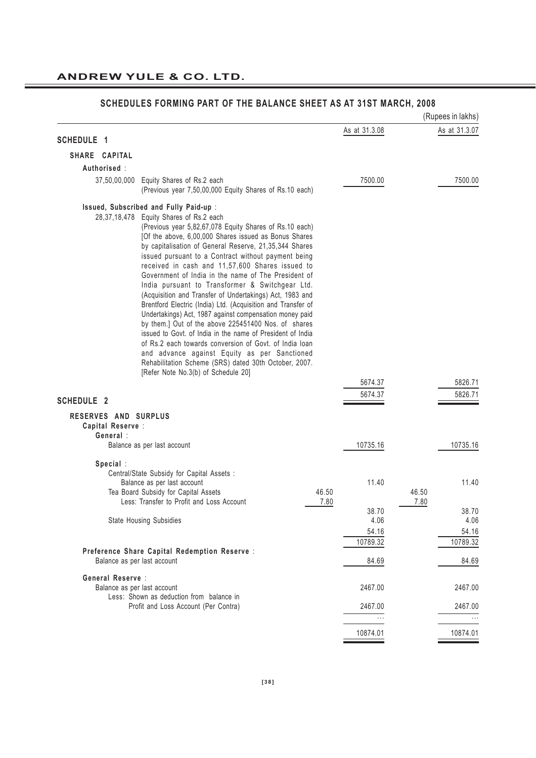|                      |                                                                                                                                                                                                                                                                                                                                                                                                                                                                                                                                                                                                                                                                                                                                                                                                                                                                                                                                                                    |                   | (Rupees in lakhs) |
|----------------------|--------------------------------------------------------------------------------------------------------------------------------------------------------------------------------------------------------------------------------------------------------------------------------------------------------------------------------------------------------------------------------------------------------------------------------------------------------------------------------------------------------------------------------------------------------------------------------------------------------------------------------------------------------------------------------------------------------------------------------------------------------------------------------------------------------------------------------------------------------------------------------------------------------------------------------------------------------------------|-------------------|-------------------|
| SCHEDULE 1           |                                                                                                                                                                                                                                                                                                                                                                                                                                                                                                                                                                                                                                                                                                                                                                                                                                                                                                                                                                    | As at 31.3.08     | As at 31.3.07     |
| SHARE CAPITAL        |                                                                                                                                                                                                                                                                                                                                                                                                                                                                                                                                                                                                                                                                                                                                                                                                                                                                                                                                                                    |                   |                   |
| Authorised :         |                                                                                                                                                                                                                                                                                                                                                                                                                                                                                                                                                                                                                                                                                                                                                                                                                                                                                                                                                                    |                   |                   |
|                      | 37,50,00,000 Equity Shares of Rs.2 each                                                                                                                                                                                                                                                                                                                                                                                                                                                                                                                                                                                                                                                                                                                                                                                                                                                                                                                            | 7500.00           | 7500.00           |
|                      | (Previous year 7,50,00,000 Equity Shares of Rs.10 each)                                                                                                                                                                                                                                                                                                                                                                                                                                                                                                                                                                                                                                                                                                                                                                                                                                                                                                            |                   |                   |
|                      | Issued, Subscribed and Fully Paid-up :<br>28,37,18,478 Equity Shares of Rs.2 each<br>(Previous year 5,82,67,078 Equity Shares of Rs.10 each)<br>[Of the above, 6,00,000 Shares issued as Bonus Shares<br>by capitalisation of General Reserve, 21,35,344 Shares<br>issued pursuant to a Contract without payment being<br>received in cash and 11,57,600 Shares issued to<br>Government of India in the name of The President of<br>India pursuant to Transformer & Switchgear Ltd.<br>(Acquisition and Transfer of Undertakings) Act, 1983 and<br>Brentford Electric (India) Ltd. (Acquisition and Transfer of<br>Undertakings) Act, 1987 against compensation money paid<br>by them.] Out of the above 225451400 Nos. of shares<br>issued to Govt, of India in the name of President of India<br>of Rs.2 each towards conversion of Govt, of India Joan<br>and advance against Equity as per Sanctioned<br>Rehabilitation Scheme (SRS) dated 30th October, 2007. |                   |                   |
|                      | [Refer Note No.3(b) of Schedule 20]                                                                                                                                                                                                                                                                                                                                                                                                                                                                                                                                                                                                                                                                                                                                                                                                                                                                                                                                | 5674.37           | 5826.71           |
| <b>SCHEDULE 2</b>    |                                                                                                                                                                                                                                                                                                                                                                                                                                                                                                                                                                                                                                                                                                                                                                                                                                                                                                                                                                    | 5674.37           | 5826.71           |
| RESERVES AND SURPLUS |                                                                                                                                                                                                                                                                                                                                                                                                                                                                                                                                                                                                                                                                                                                                                                                                                                                                                                                                                                    |                   |                   |
| Capital Reserve :    |                                                                                                                                                                                                                                                                                                                                                                                                                                                                                                                                                                                                                                                                                                                                                                                                                                                                                                                                                                    |                   |                   |
| General:             |                                                                                                                                                                                                                                                                                                                                                                                                                                                                                                                                                                                                                                                                                                                                                                                                                                                                                                                                                                    |                   |                   |
|                      | Balance as per last account                                                                                                                                                                                                                                                                                                                                                                                                                                                                                                                                                                                                                                                                                                                                                                                                                                                                                                                                        | 10735.16          | 10735.16          |
| Special:             |                                                                                                                                                                                                                                                                                                                                                                                                                                                                                                                                                                                                                                                                                                                                                                                                                                                                                                                                                                    |                   |                   |
|                      | Central/State Subsidy for Capital Assets :                                                                                                                                                                                                                                                                                                                                                                                                                                                                                                                                                                                                                                                                                                                                                                                                                                                                                                                         |                   |                   |
|                      | Balance as per last account<br>Tea Board Subsidy for Capital Assets<br>46.50                                                                                                                                                                                                                                                                                                                                                                                                                                                                                                                                                                                                                                                                                                                                                                                                                                                                                       | 11.40             | 11.40<br>46.50    |
|                      | Less: Transfer to Profit and Loss Account<br>7.80                                                                                                                                                                                                                                                                                                                                                                                                                                                                                                                                                                                                                                                                                                                                                                                                                                                                                                                  |                   | 7.80              |
|                      |                                                                                                                                                                                                                                                                                                                                                                                                                                                                                                                                                                                                                                                                                                                                                                                                                                                                                                                                                                    | 38.70             | 38.70             |
|                      | <b>State Housing Subsidies</b>                                                                                                                                                                                                                                                                                                                                                                                                                                                                                                                                                                                                                                                                                                                                                                                                                                                                                                                                     | 4.06              | 4.06              |
|                      |                                                                                                                                                                                                                                                                                                                                                                                                                                                                                                                                                                                                                                                                                                                                                                                                                                                                                                                                                                    | 54.16<br>10789.32 | 54.16<br>10789.32 |
|                      | Preference Share Capital Redemption Reserve :                                                                                                                                                                                                                                                                                                                                                                                                                                                                                                                                                                                                                                                                                                                                                                                                                                                                                                                      |                   |                   |
|                      | Balance as per last account                                                                                                                                                                                                                                                                                                                                                                                                                                                                                                                                                                                                                                                                                                                                                                                                                                                                                                                                        | 84.69             | 84.69             |
| General Reserve :    |                                                                                                                                                                                                                                                                                                                                                                                                                                                                                                                                                                                                                                                                                                                                                                                                                                                                                                                                                                    |                   |                   |
|                      | Balance as per last account<br>Less: Shown as deduction from balance in                                                                                                                                                                                                                                                                                                                                                                                                                                                                                                                                                                                                                                                                                                                                                                                                                                                                                            | 2467.00           | 2467.00           |
|                      | Profit and Loss Account (Per Contra)                                                                                                                                                                                                                                                                                                                                                                                                                                                                                                                                                                                                                                                                                                                                                                                                                                                                                                                               | 2467.00           | 2467.00           |
|                      |                                                                                                                                                                                                                                                                                                                                                                                                                                                                                                                                                                                                                                                                                                                                                                                                                                                                                                                                                                    |                   |                   |
|                      |                                                                                                                                                                                                                                                                                                                                                                                                                                                                                                                                                                                                                                                                                                                                                                                                                                                                                                                                                                    | 10874.01          | 10874.01          |
|                      |                                                                                                                                                                                                                                                                                                                                                                                                                                                                                                                                                                                                                                                                                                                                                                                                                                                                                                                                                                    |                   |                   |

# **SCHEDULES FORMING PART OF THE BALANCE SHEET AS AT 31ST MARCH, 2008**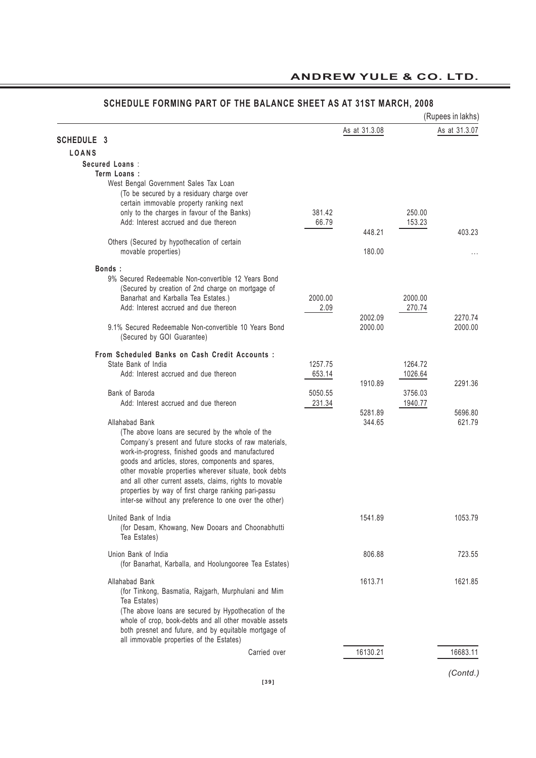# **ANDREW YULE & CO. LTD.**

|                                                                                                                  |                   |               |                    | (Rupees in lakhs) |
|------------------------------------------------------------------------------------------------------------------|-------------------|---------------|--------------------|-------------------|
|                                                                                                                  |                   | As at 31.3.08 |                    | As at 31.3.07     |
| <b>SCHEDULE 3</b>                                                                                                |                   |               |                    |                   |
| <b>LOANS</b>                                                                                                     |                   |               |                    |                   |
| Secured Loans:                                                                                                   |                   |               |                    |                   |
| Term Loans:                                                                                                      |                   |               |                    |                   |
| West Bengal Government Sales Tax Loan<br>(To be secured by a residuary charge over                               |                   |               |                    |                   |
| certain immovable property ranking next                                                                          |                   |               |                    |                   |
| only to the charges in favour of the Banks)                                                                      | 381.42            |               | 250.00             |                   |
| Add: Interest accrued and due thereon                                                                            | 66.79             |               | 153.23             |                   |
|                                                                                                                  |                   | 448.21        |                    | 403.23            |
| Others (Secured by hypothecation of certain                                                                      |                   |               |                    |                   |
| movable properties)                                                                                              |                   | 180.00        |                    |                   |
| Bonds:                                                                                                           |                   |               |                    |                   |
| 9% Secured Redeemable Non-convertible 12 Years Bond                                                              |                   |               |                    |                   |
| (Secured by creation of 2nd charge on mortgage of                                                                |                   |               |                    |                   |
| Banarhat and Karballa Tea Estates.)                                                                              | 2000.00           |               | 2000.00            |                   |
| Add: Interest accrued and due thereon                                                                            | 2.09              |               | 270.74             |                   |
|                                                                                                                  |                   | 2002.09       |                    | 2270.74           |
| 9.1% Secured Redeemable Non-convertible 10 Years Bond<br>(Secured by GOI Guarantee)                              |                   | 2000.00       |                    | 2000.00           |
|                                                                                                                  |                   |               |                    |                   |
| From Scheduled Banks on Cash Credit Accounts :                                                                   |                   |               |                    |                   |
| State Bank of India                                                                                              | 1257.75           |               | 1264.72            |                   |
| Add: Interest accrued and due thereon                                                                            | 653.14            |               | 1026.64            |                   |
| Bank of Baroda                                                                                                   |                   | 1910.89       |                    | 2291.36           |
| Add: Interest accrued and due thereon                                                                            | 5050.55<br>231.34 |               | 3756.03<br>1940.77 |                   |
|                                                                                                                  |                   | 5281.89       |                    | 5696.80           |
| Allahabad Bank                                                                                                   |                   | 344.65        |                    | 621.79            |
| (The above loans are secured by the whole of the                                                                 |                   |               |                    |                   |
| Company's present and future stocks of raw materials,                                                            |                   |               |                    |                   |
| work-in-progress, finished goods and manufactured                                                                |                   |               |                    |                   |
| goods and articles, stores, components and spares,                                                               |                   |               |                    |                   |
| other movable properties wherever situate, book debts<br>and all other current assets, claims, rights to movable |                   |               |                    |                   |
| properties by way of first charge ranking pari-passu                                                             |                   |               |                    |                   |
| inter-se without any preference to one over the other)                                                           |                   |               |                    |                   |
|                                                                                                                  |                   |               |                    |                   |
| United Bank of India                                                                                             |                   | 1541.89       |                    | 1053.79           |
| (for Desam, Khowang, New Dooars and Choonabhutti                                                                 |                   |               |                    |                   |
| Tea Estates)                                                                                                     |                   |               |                    |                   |
| Union Bank of India                                                                                              |                   | 806.88        |                    | 723.55            |
| (for Banarhat, Karballa, and Hoolungooree Tea Estates)                                                           |                   |               |                    |                   |
|                                                                                                                  |                   |               |                    |                   |
| Allahabad Bank<br>(for Tinkong, Basmatia, Rajgarh, Murphulani and Mim                                            |                   | 1613.71       |                    | 1621.85           |
| Tea Estates)                                                                                                     |                   |               |                    |                   |
| (The above loans are secured by Hypothecation of the                                                             |                   |               |                    |                   |
| whole of crop, book-debts and all other movable assets                                                           |                   |               |                    |                   |
| both presnet and future, and by equitable mortgage of                                                            |                   |               |                    |                   |
| all immovable properties of the Estates)                                                                         |                   |               |                    |                   |
| Carried over                                                                                                     |                   | 16130.21      |                    | 16683.11          |
|                                                                                                                  |                   |               |                    |                   |

# **SCHEDULE FORMING PART OF THE BALANCE SHEET AS AT 31ST MARCH, 2008**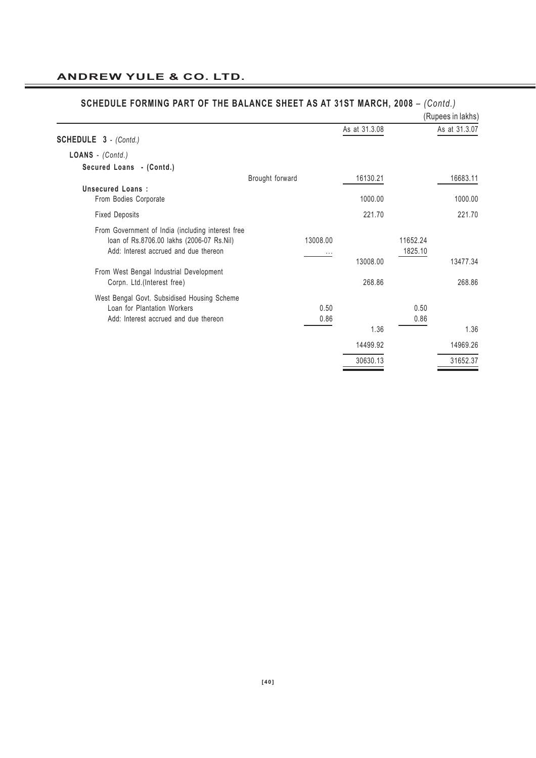|                                                                                                                                         |                 |              |               |                     | (Rupees in lakhs) |
|-----------------------------------------------------------------------------------------------------------------------------------------|-----------------|--------------|---------------|---------------------|-------------------|
| <b>SCHEDULE 3</b> - (Contd.)                                                                                                            |                 |              | As at 31.3.08 |                     | As at 31.3.07     |
| LOANS - (Contd.)                                                                                                                        |                 |              |               |                     |                   |
| Secured Loans - (Contd.)                                                                                                                |                 |              |               |                     |                   |
|                                                                                                                                         | Brought forward |              | 16130.21      |                     | 16683.11          |
| Unsecured Loans:<br>From Bodies Corporate                                                                                               |                 |              | 1000.00       |                     | 1000.00           |
| <b>Fixed Deposits</b>                                                                                                                   |                 |              | 221.70        |                     | 221.70            |
| From Government of India (including interest free<br>loan of Rs.8706.00 lakhs (2006-07 Rs.Nil)<br>Add: Interest accrued and due thereon |                 | 13008.00     | 13008.00      | 11652.24<br>1825.10 | 13477.34          |
| From West Bengal Industrial Development<br>Corpn. Ltd.(Interest free)                                                                   |                 |              | 268.86        |                     | 268.86            |
| West Bengal Govt. Subsidised Housing Scheme<br>Loan for Plantation Workers<br>Add: Interest accrued and due thereon                     |                 | 0.50<br>0.86 |               | 0.50<br>0.86        |                   |
|                                                                                                                                         |                 |              | 1.36          |                     | 1.36              |
|                                                                                                                                         |                 |              | 14499.92      |                     | 14969.26          |
|                                                                                                                                         |                 |              | 30630.13      |                     | 31652.37          |

#### **SCHEDULE FORMING PART OF THE BALANCE SHEET AS AT 31ST MARCH, 2008** – *(Contd.)*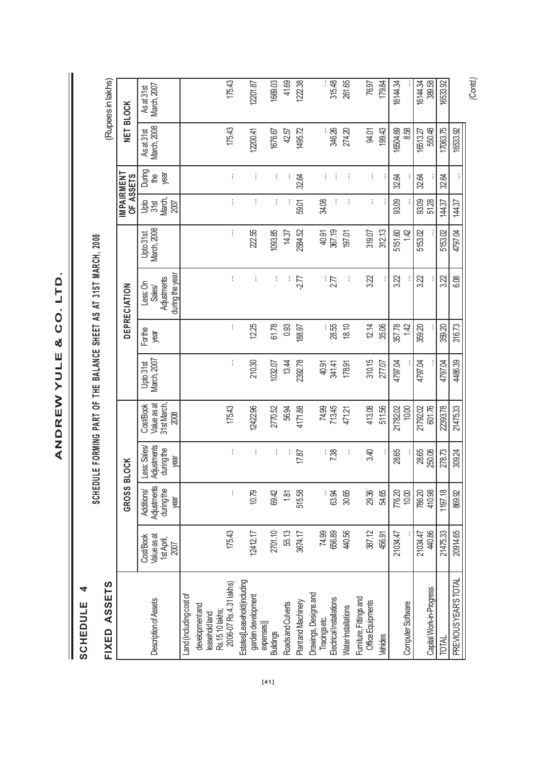ANDREW YULE & CO. LTD. **ANDREW YULE & CO. LTD.**

**ANDREW YULE & CO. LTD.**

SCHEDULE 4 **SCHEDULE 4**

I

SCHEDULE FORMING PART OF THE BALANCE SHEET AS AT 31ST MARCH, 2008 **SCHEDULE FORMING PART OF THE BALANCE SHEET AS AT 31ST MARCH, 2008**

| ASSETS<br>FIXED                              |                                               |                                                        |                                                  |                                                |                          |                |                                                      |                          |                               |                       |                           | (Rupees in lakhs)         |
|----------------------------------------------|-----------------------------------------------|--------------------------------------------------------|--------------------------------------------------|------------------------------------------------|--------------------------|----------------|------------------------------------------------------|--------------------------|-------------------------------|-----------------------|---------------------------|---------------------------|
|                                              |                                               | GROSS BL                                               | <b>OCK</b>                                       |                                                |                          |                | DEPRECIATION                                         |                          | IMPAIRMENT<br>OF ASSETS       |                       | NET BLOCK                 |                           |
| Description of Assets                        | Value as at<br>CostBook<br>1st April,<br>2007 | Adjustments<br><b>Additions/</b><br>during the<br>year | Adjustments<br>Less: Sales<br>during the<br>year | Value as at<br>Cost/Book<br>31st March<br>2008 | March, 2007<br>Upto 31st | Forthe<br>year | during the year<br>Adjustments<br>Less: On<br>Sales/ | Upto 31st<br>March, 2008 | <b>Jage</b><br>March,<br>2007 | During<br>the<br>year | As at 31st<br>March, 2008 | As at 31st<br>March, 2007 |
| Land (including cost of                      |                                               |                                                        |                                                  |                                                |                          |                |                                                      |                          |                               |                       |                           |                           |
| development and<br>leasehold land            |                                               |                                                        |                                                  |                                                |                          |                |                                                      |                          |                               |                       |                           |                           |
| 2006-07 Rs.4.31 lakhs)<br>Rs. 15. 10 lakhs;  | 175.43                                        | ŧ                                                      | ŧ                                                | 175.43                                         | ÷                        | ŧ              | ÷                                                    | ŧ                        | ÷                             | ÷                     | 175.43                    | 175.43                    |
| Estates[Leasehold(including                  |                                               |                                                        |                                                  |                                                |                          |                |                                                      |                          |                               |                       |                           |                           |
| garden development                           | 12412.17                                      | 10.79                                                  | ŧ                                                | 12422.96                                       | 210.30                   | 12.25          | ÷                                                    | 222.55                   | ÷                             | ÷                     | 12200.41                  | 12201.87                  |
| expenses)<br><b>Buildings</b>                | 2701.10                                       | 69.42                                                  | ÷                                                | 2770.52                                        | 1032.07                  | 61.78          | ÷                                                    | 1093.85                  | ŧ                             | ÷                     | 1676.67                   | 1669.03                   |
| Roads and Culverts                           | 55.13                                         | 1.81                                                   |                                                  | 56.94                                          | 13.44                    | 0.93           | ÷                                                    | 14.37                    |                               | ÷                     | 42.57                     | 41.69                     |
| Plant and Machinery                          | 3674.17                                       | 515.58                                                 | 17.87                                            | 4171.88                                        | 2392.78                  | 188.97         | -2.77                                                | 2584.52                  | 59.01                         | 32.64                 | 1495.72                   | 1222.38                   |
| Drawings, Designs and                        | 74.99                                         |                                                        |                                                  | 74.99                                          | 40.91                    |                |                                                      | 40.91                    | 34.08                         | ŧ.                    |                           |                           |
| Tracings etc.<br>Electrical Installations    | 656.89                                        | ್ದು<br>ಜ                                               | : <u>အ</u>                                       | 713.45                                         | 341.41                   | :: 28.55       | $\frac{1}{27}$                                       | 367.19                   | ÷                             | ÷                     | 346.26                    | 315.48                    |
| <b>Water Installations</b>                   | 440.56                                        | 30.65                                                  | Ì                                                | 471.21                                         | 178.91                   | 18.10          | ÷                                                    | 197.01                   | ŧ                             | ÷                     | 274.20                    | 261.65                    |
| Furniture, Fittings and<br>Office Equipments | 387.12                                        | 29.36                                                  | 3.40                                             | 413.08                                         | 310.15                   | 12.14          | 322                                                  | 319.07                   | ŧ                             | ŧ.                    | <b>94.01</b>              | 76.97                     |
| Vehides                                      | 456.91                                        | 54.65                                                  |                                                  | 511.56                                         | 277.07                   | 35.06          |                                                      | 312.13                   |                               |                       | 199.43                    | 179.84                    |
|                                              | 21034.47                                      | 776.20                                                 | 28.65                                            | 21782.02                                       | 4797.04                  | 357.78         | 322                                                  | 5151.60                  | 93.09                         | 32.64                 | 16504.69                  | 16144.34                  |
| Computer Software                            |                                               | 10.00                                                  |                                                  | 10.00                                          |                          | 142            |                                                      | 1.42                     |                               |                       | 8.58                      |                           |
|                                              | 21034.47                                      | 786.20                                                 | 28.65                                            | 21792.02                                       | 4797.04                  | 359.20         | 3.22                                                 | 5153.02                  | 93.09                         | 32.64                 | 16513.27                  | 16144.34                  |
| Capital Work-in-Progress                     | 440.86                                        | 410.98                                                 | 250.08                                           | 601.76                                         |                          |                |                                                      |                          | 51.28                         |                       | 550.48                    | 389.58                    |
| TOTAL                                        | 21475.33                                      | 1197.18                                                | 278.73                                           | 22393.78                                       | 4797.04                  | 359.20         | 322                                                  | 5153.02                  | 144.37                        | 32.64                 | 17063.75                  | 16533.92                  |
| PREVIOUS YEAR'S TOTAL                        | 20914.65                                      | 869.92                                                 | 309.24                                           | 21475.33                                       | 4486.39                  | 316.73         | 6.08                                                 | 4797.04                  | 144.37                        |                       | 16533.92                  |                           |
|                                              |                                               |                                                        |                                                  |                                                |                          |                |                                                      |                          |                               |                       |                           | (Contd.)                  |

**[41]**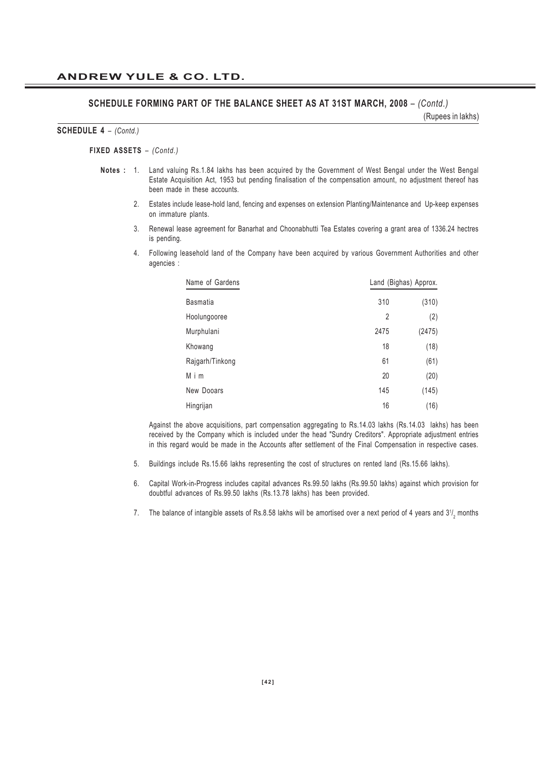#### **SCHEDULE FORMING PART OF THE BALANCE SHEET AS AT 31ST MARCH, 2008** – *(Contd.)*

(Rupees in lakhs)

#### **SCHEDULE 4** *– (Contd.)*

#### **FIXED ASSETS** *– (Contd.)*

- **Notes :** 1. Land valuing Rs.1.84 lakhs has been acquired by the Government of West Bengal under the West Bengal Estate Acquisition Act, 1953 but pending finalisation of the compensation amount, no adjustment thereof has been made in these accounts.
	- 2. Estates include lease-hold land, fencing and expenses on extension Planting/Maintenance and Up-keep expenses on immature plants.
	- 3. Renewal lease agreement for Banarhat and Choonabhutti Tea Estates covering a grant area of 1336.24 hectres is pending.
	- 4. Following leasehold land of the Company have been acquired by various Government Authorities and other agencies :

| Name of Gardens |      | Land (Bighas) Approx. |
|-----------------|------|-----------------------|
| <b>Basmatia</b> | 310  | (310)                 |
| Hoolungooree    | 2    | (2)                   |
| Murphulani      | 2475 | (2475)                |
| Khowang         | 18   | (18)                  |
| Rajgarh/Tinkong | 61   | (61)                  |
| Mim             | 20   | (20)                  |
| New Dooars      | 145  | (145)                 |
| Hingrijan       | 16   | (16)                  |

Against the above acquisitions, part compensation aggregating to Rs.14.03 lakhs (Rs.14.03 lakhs) has been received by the Company which is included under the head "Sundry Creditors". Appropriate adjustment entries in this regard would be made in the Accounts after settlement of the Final Compensation in respective cases.

- 5. Buildings include Rs.15.66 lakhs representing the cost of structures on rented land (Rs.15.66 lakhs).
- 6. Capital Work-in-Progress includes capital advances Rs.99.50 lakhs (Rs.99.50 lakhs) against which provision for doubtful advances of Rs.99.50 lakhs (Rs.13.78 lakhs) has been provided.
- 7.  $\;$  The balance of intangible assets of Rs.8.58 lakhs will be amortised over a next period of 4 years and 31/ $_2$  months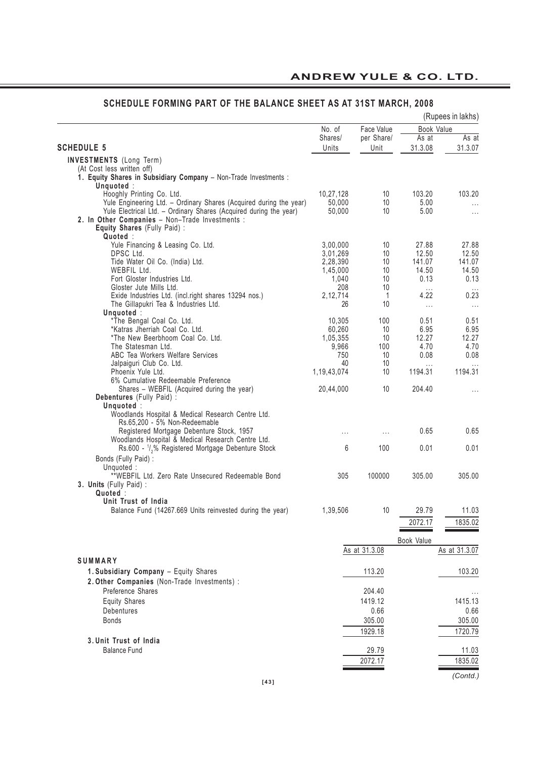|                                                                                                                                         |                  |               |                | (Rupees in lakhs)   |
|-----------------------------------------------------------------------------------------------------------------------------------------|------------------|---------------|----------------|---------------------|
|                                                                                                                                         | No. of           | Face Value    |                | Book Value          |
|                                                                                                                                         | Shares/          | per Share/    | As at          | As at               |
| <b>SCHEDULE 5</b>                                                                                                                       | Units            | Unit          | 31.3.08        | 31.3.07             |
| <b>INVESTMENTS</b> (Long Term)                                                                                                          |                  |               |                |                     |
| (At Cost less written off)                                                                                                              |                  |               |                |                     |
| 1. Equity Shares in Subsidiary Company - Non-Trade Investments :                                                                        |                  |               |                |                     |
| Unquoted:                                                                                                                               |                  |               |                |                     |
| Hooghly Printing Co. Ltd.                                                                                                               | 10,27,128        | 10<br>10      | 103.20<br>5.00 | 103.20              |
| Yule Engineering Ltd. - Ordinary Shares (Acquired during the year)<br>Yule Electrical Ltd. - Ordinary Shares (Acquired during the year) | 50,000<br>50,000 | 10            | 5.00           | $\cdots$            |
| 2. In Other Companies - Non-Trade Investments :                                                                                         |                  |               |                | $\cdots$            |
| Equity Shares (Fully Paid) :                                                                                                            |                  |               |                |                     |
| Quoted :                                                                                                                                |                  |               |                |                     |
| Yule Financing & Leasing Co. Ltd.                                                                                                       | 3,00,000         | 10            | 27.88          | 27.88               |
| DPSC Ltd.                                                                                                                               | 3,01,269         | 10            | 12.50          | 12.50               |
| Tide Water Oil Co. (India) Ltd.                                                                                                         | 2,28,390         | 10            | 141.07         | 141.07              |
| WEBFIL Ltd.                                                                                                                             | 1,45,000         | 10            | 14.50          | 14.50               |
| Fort Gloster Industries Ltd.                                                                                                            | 1,040            | 10            | 0.13           | 0.13                |
| Gloster Jute Mills Ltd.                                                                                                                 | 208              | 10            | $\cdots$       |                     |
| Exide Industries Ltd. (incl.right shares 13294 nos.)                                                                                    | 2, 12, 714       | 1             | 4.22           | 0.23                |
| The Gillapukri Tea & Industries Ltd.                                                                                                    | 26               | 10            | $\ldots$       | $\ldots$            |
| Unquoted :                                                                                                                              |                  |               |                |                     |
| *The Bengal Coal Co. Ltd.                                                                                                               | 10,305           | 100           | 0.51           | 0.51                |
| *Katras Jherriah Coal Co. Ltd.                                                                                                          | 60,260           | 10            | 6.95           | 6.95                |
| *The New Beerbhoom Coal Co. Ltd.                                                                                                        | 1,05,355         | 10            | 12.27          | 12.27               |
| The Statesman Ltd.                                                                                                                      | 9,966            | 100           | 4.70           | 4.70                |
| ABC Tea Workers Welfare Services                                                                                                        | 750              | 10            | 0.08           | 0.08                |
| Jalpaiguri Club Co. Ltd.                                                                                                                | 40               | 10            | $\cdots$       |                     |
| Phoenix Yule Ltd.                                                                                                                       | 1, 19, 43, 074   | 10            | 1194.31        | 1194.31             |
| 6% Cumulative Redeemable Preference                                                                                                     |                  |               |                |                     |
| Shares - WEBFIL (Acquired during the year)                                                                                              | 20,44,000        | 10            | 204.40         | .                   |
| <b>Debentures</b> (Fully Paid) :                                                                                                        |                  |               |                |                     |
| Unquoted:                                                                                                                               |                  |               |                |                     |
| Woodlands Hospital & Medical Research Centre Ltd.                                                                                       |                  |               |                |                     |
| Rs.65,200 - 5% Non-Redeemable                                                                                                           |                  |               |                |                     |
| Registered Mortgage Debenture Stock, 1957                                                                                               | $\cdots$         | $\cdots$      | 0.65           | 0.65                |
| Woodlands Hospital & Medical Research Centre Ltd.                                                                                       | 6                | 100           | 0.01           | 0.01                |
| Rs.600 - <sup>1</sup> / <sub>2</sub> % Registered Mortgage Debenture Stock                                                              |                  |               |                |                     |
| Bonds (Fully Paid):                                                                                                                     |                  |               |                |                     |
| Unquoted:                                                                                                                               |                  |               |                |                     |
| **WEBFIL Ltd. Zero Rate Unsecured Redeemable Bond                                                                                       | 305              | 100000        | 305.00         | 305.00              |
| 3. Units (Fully Paid) :                                                                                                                 |                  |               |                |                     |
| Quoted:<br>Unit Trust of India                                                                                                          |                  |               |                |                     |
|                                                                                                                                         | 1,39,506         | 10            | 29.79          |                     |
| Balance Fund (14267.669 Units reinvested during the year)                                                                               |                  |               |                | 11.03               |
|                                                                                                                                         |                  |               | 2072.17        | 1835.02             |
|                                                                                                                                         |                  |               |                |                     |
|                                                                                                                                         |                  |               | Book Value     |                     |
|                                                                                                                                         |                  | As at 31.3.08 |                | As at 31.3.07       |
| SUMMARY                                                                                                                                 |                  |               |                |                     |
| 1. Subsidiary Company - Equity Shares                                                                                                   |                  | 113.20        |                | 103.20              |
| 2. Other Companies (Non-Trade Investments) :                                                                                            |                  |               |                |                     |
| Preference Shares                                                                                                                       |                  | 204.40        |                |                     |
| <b>Equity Shares</b>                                                                                                                    |                  | 1419.12       |                | $\cdots$<br>1415.13 |
|                                                                                                                                         |                  |               |                |                     |
| Debentures                                                                                                                              |                  | 0.66          |                | 0.66                |
| <b>Bonds</b>                                                                                                                            |                  | 305.00        |                | 305.00              |
|                                                                                                                                         |                  | 1929.18       |                | 1720.79             |
| 3. Unit Trust of India                                                                                                                  |                  |               |                |                     |
| <b>Balance Fund</b>                                                                                                                     |                  | 29.79         |                | 11.03               |
|                                                                                                                                         |                  | 2072.17       |                | 1835.02             |
|                                                                                                                                         |                  |               |                |                     |
|                                                                                                                                         |                  |               |                | (Contd.)            |

# **SCHEDULE FORMING PART OF THE BALANCE SHEET AS AT 31ST MARCH, 2008**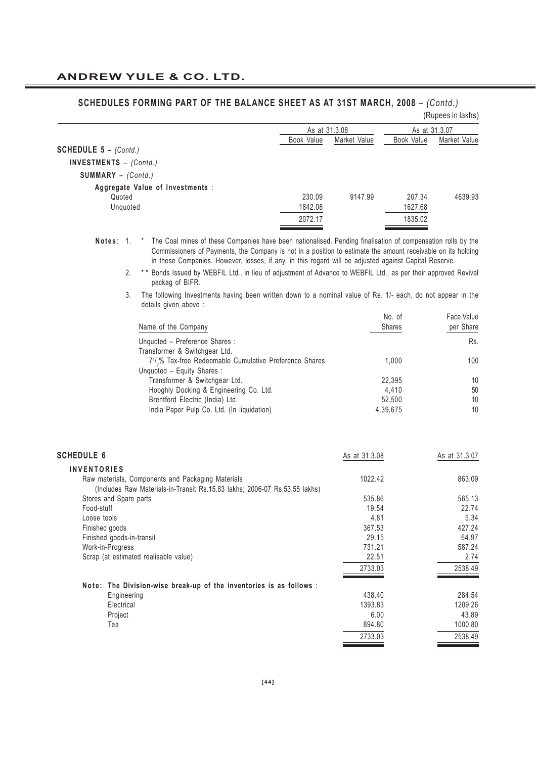|                                           |               |              |               | (Rupees in lakhs) |
|-------------------------------------------|---------------|--------------|---------------|-------------------|
|                                           | As at 31.3.08 |              | As at 31.3.07 |                   |
|                                           | Book Value    | Market Value | Book Value    | Market Value      |
| <b>SCHEDULE 5 - <math>(Contd.)</math></b> |               |              |               |                   |
| INVESTMENTS $-$ (Contd.)                  |               |              |               |                   |
| $SUMMARY - (Contd.)$                      |               |              |               |                   |
| Aggregate Value of Investments :          |               |              |               |                   |
| Quoted                                    | 230.09        | 9147.99      | 207.34        | 4639.93           |
| Unquoted                                  | 1842.08       |              | 1627.68       |                   |
|                                           | 2072.17       |              | 1835.02       |                   |

### **SCHEDULES FORMING PART OF THE BALANCE SHEET AS AT 31ST MARCH, 2008** – *(Contd.)*

**Notes** : 1. \* The Coal mines of these Companies have been nationalised. Pending finalisation of compensation rolls by the Commissioners of Payments, the Company is not in a position to estimate the amount receivable on its holding in these Companies. However, losses, if any, in this regard will be adjusted against Capital Reserve.

2. \*\* Bonds Issued by WEBFIL Ltd., in lieu of adiustment of Advance to WEBFIL Ltd., as per their approved Revival packag of BIFR.

<sup>3.</sup> The following Investments having been written down to a nominal value of Re. 1/- each, do not appear in the details given above :

| Name of the Company                                                              | No. of<br><b>Shares</b> | Face Value<br>per Share |
|----------------------------------------------------------------------------------|-------------------------|-------------------------|
| Unquoted - Preference Shares :                                                   |                         | Rs.                     |
| Transformer & Switchgear Ltd.                                                    |                         |                         |
| 7 <sup>1</sup> / <sub>2</sub> % Tax-free Redeemable Cumulative Preference Shares | 1.000                   | 100                     |
| Unquoted - Equity Shares :                                                       |                         |                         |
| Transformer & Switchgear Ltd.                                                    | 22.395                  | 10                      |
| Hooghly Docking & Engineering Co. Ltd.                                           | 4.410                   | 50                      |
| Brentford Electric (India) Ltd.                                                  | 52.500                  | 10                      |
| India Paper Pulp Co. Ltd. (In liquidation)                                       | 4,39,675                | 10                      |

| <b>SCHEDULE 6</b>                                                                                                               | As at 31.3.08 | As at 31.3.07 |
|---------------------------------------------------------------------------------------------------------------------------------|---------------|---------------|
| <b>INVENTORIES</b>                                                                                                              |               |               |
| Raw materials, Components and Packaging Materials<br>(Includes Raw Materials-in-Transit Rs.15.83 lakhs; 2006-07 Rs.53.55 lakhs) | 1022.42       | 863.09        |
| Stores and Spare parts                                                                                                          | 535.86        | 565.13        |
| Food-stuff                                                                                                                      | 19.54         | 22.74         |
| Loose tools                                                                                                                     | 4.81          | 5.34          |
| Finished goods                                                                                                                  | 367.53        | 427.24        |
| Finished goods-in-transit                                                                                                       | 29.15         | 64.97         |
| Work-in-Progress                                                                                                                | 731.21        | 587.24        |
| Scrap (at estimated realisable value)                                                                                           | 22.51         | 2.74          |
|                                                                                                                                 | 2733.03       | 2538.49       |
| Note: The Division-wise break-up of the inventories is as follows :                                                             |               |               |
| Engineering                                                                                                                     | 438.40        | 284.54        |
| Electrical                                                                                                                      | 1393.83       | 1209.26       |
| Project                                                                                                                         | 6.00          | 43.89         |
| Tea                                                                                                                             | 894.80        | 1000.80       |
|                                                                                                                                 | 2733.03       | 2538.49       |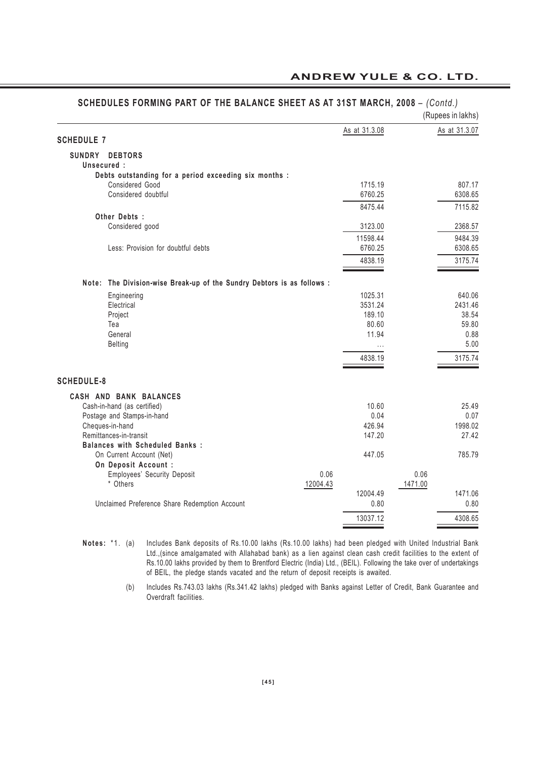| SCHEDULES FORMING PART OF THE BALANCE SHEET AS AT 31ST MARCH, 2008 - (Contd.) |          |                  |         | (Rupees in lakhs) |
|-------------------------------------------------------------------------------|----------|------------------|---------|-------------------|
| <b>SCHEDULE 7</b>                                                             |          | As at 31.3.08    |         | As at 31.3.07     |
| SUNDRY<br><b>DEBTORS</b>                                                      |          |                  |         |                   |
| Unsecured :                                                                   |          |                  |         |                   |
| Debts outstanding for a period exceeding six months :                         |          |                  |         |                   |
| Considered Good                                                               |          | 1715.19          |         | 807.17            |
| Considered doubtful                                                           |          | 6760.25          |         | 6308.65           |
| Other Debts:                                                                  |          | 8475.44          |         | 7115.82           |
| Considered good                                                               |          | 3123.00          |         | 2368.57           |
|                                                                               |          | 11598.44         |         | 9484.39           |
| Less: Provision for doubtful debts                                            |          | 6760.25          |         | 6308.65           |
|                                                                               |          | 4838.19          |         | 3175.74           |
|                                                                               |          |                  |         |                   |
| Note: The Division-wise Break-up of the Sundry Debtors is as follows :        |          |                  |         |                   |
| Engineering                                                                   |          | 1025.31          |         | 640.06            |
| Electrical                                                                    |          | 3531.24          |         | 2431.46           |
| Project                                                                       |          | 189.10           |         | 38.54             |
| Tea<br>General                                                                |          | 80.60<br>11.94   |         | 59.80<br>0.88     |
| <b>Belting</b>                                                                |          | $\cdots$         |         | 5.00              |
|                                                                               |          | 4838.19          |         | 3175.74           |
|                                                                               |          |                  |         |                   |
| <b>SCHEDULE-8</b>                                                             |          |                  |         |                   |
| CASH AND BANK BALANCES                                                        |          |                  |         |                   |
| Cash-in-hand (as certified)                                                   |          | 10.60            |         | 25.49             |
| Postage and Stamps-in-hand                                                    |          | 0.04             |         | 0.07              |
| Cheques-in-hand                                                               |          | 426.94           |         | 1998.02           |
| Remittances-in-transit<br><b>Balances with Scheduled Banks:</b>               |          | 147.20           |         | 27.42             |
| On Current Account (Net)                                                      |          | 447.05           |         | 785.79            |
| On Deposit Account :                                                          |          |                  |         |                   |
| Employees' Security Deposit                                                   | 0.06     |                  | 0.06    |                   |
| * Others                                                                      | 12004.43 |                  | 1471.00 |                   |
| Unclaimed Preference Share Redemption Account                                 |          | 12004.49<br>0.80 |         | 1471.06<br>0.80   |
|                                                                               |          |                  |         |                   |
|                                                                               |          | 13037.12         |         | 4308.65           |

#### **ANDREW YULE & CO. LTD.**

**Notes:** \*1. (a) Includes Bank deposits of Rs.10.00 lakhs (Rs.10.00 lakhs) had been pledged with United Industrial Bank Ltd.,(since amalgamated with Allahabad bank) as a lien against clean cash credit facilities to the extent of Rs.10.00 lakhs provided by them to Brentford Electric (India) Ltd., (BEIL). Following the take over of undertakings of BEIL, the pledge stands vacated and the return of deposit receipts is awaited.

> (b) Includes Rs.743.03 lakhs (Rs.341.42 lakhs) pledged with Banks against Letter of Credit, Bank Guarantee and Overdraft facilities.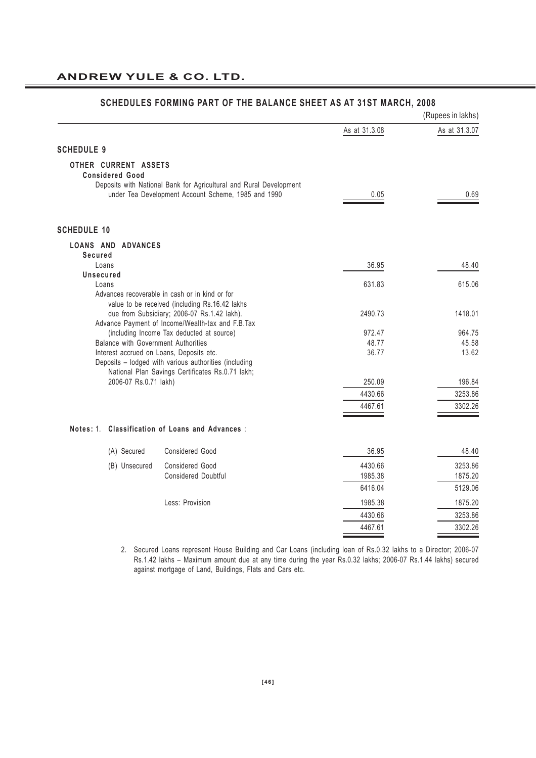|                                                 |                                                                                                                           |                 | (Rupees in lakhs) |
|-------------------------------------------------|---------------------------------------------------------------------------------------------------------------------------|-----------------|-------------------|
|                                                 |                                                                                                                           | As at 31.3.08   | As at 31.3.07     |
| <b>SCHEDULE 9</b>                               |                                                                                                                           |                 |                   |
| OTHER CURRENT ASSETS<br><b>Considered Good</b>  |                                                                                                                           |                 |                   |
|                                                 | Deposits with National Bank for Agricultural and Rural Development<br>under Tea Development Account Scheme, 1985 and 1990 | 0.05            | 0.69              |
| <b>SCHEDULE 10</b>                              |                                                                                                                           |                 |                   |
| LOANS AND ADVANCES<br>Secured                   |                                                                                                                           |                 |                   |
| Loans                                           |                                                                                                                           | 36.95           | 48.40             |
| Unsecured                                       |                                                                                                                           |                 |                   |
| Loans                                           | Advances recoverable in cash or in kind or for                                                                            | 631.83          | 615.06            |
|                                                 | value to be received (including Rs.16.42 lakhs                                                                            |                 |                   |
|                                                 | due from Subsidiary; 2006-07 Rs.1.42 lakh).                                                                               | 2490.73         | 1418.01           |
|                                                 | Advance Payment of Income/Wealth-tax and F.B.Tax                                                                          |                 |                   |
| <b>Balance with Government Authorities</b>      | (including Income Tax deducted at source)                                                                                 | 972.47<br>48.77 | 964.75<br>45.58   |
| Interest accrued on Loans, Deposits etc.        |                                                                                                                           | 36.77           | 13.62             |
|                                                 | Deposits - lodged with various authorities (including                                                                     |                 |                   |
|                                                 | National Plan Savings Certificates Rs.0.71 lakh;                                                                          |                 |                   |
| 2006-07 Rs.0.71 lakh)                           |                                                                                                                           | 250.09          | 196.84            |
|                                                 |                                                                                                                           | 4430.66         | 3253.86           |
|                                                 |                                                                                                                           | 4467.61         | 3302.26           |
| Notes: 1. Classification of Loans and Advances: |                                                                                                                           |                 |                   |
| (A) Secured                                     | Considered Good                                                                                                           | 36.95           | 48.40             |
| (B) Unsecured                                   | <b>Considered Good</b>                                                                                                    | 4430.66         | 3253.86           |
|                                                 | <b>Considered Doubtful</b>                                                                                                | 1985.38         | 1875.20           |
|                                                 |                                                                                                                           | 6416.04         | 5129.06           |
|                                                 | Less: Provision                                                                                                           | 1985.38         | 1875.20           |
|                                                 |                                                                                                                           | 4430.66         | 3253.86           |
|                                                 |                                                                                                                           | 4467.61         | 3302.26           |
|                                                 |                                                                                                                           |                 |                   |

#### **SCHEDULES FORMING PART OF THE BALANCE SHEET AS AT 31ST MARCH, 2008**

2. Secured Loans represent House Building and Car Loans (including loan of Rs.0.32 lakhs to a Director; 2006-07 Rs.1.42 lakhs – Maximum amount due at any time during the year Rs.0.32 lakhs; 2006-07 Rs.1.44 lakhs) secured against mortgage of Land, Buildings, Flats and Cars etc.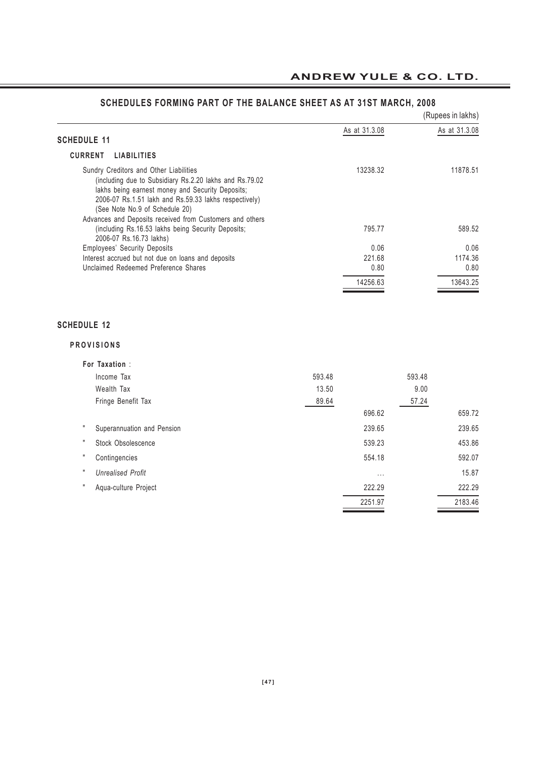# **ANDREW YULE & CO. LTD.**

|                                                                                                                                                                                                                                                                                                              |               | (Rupees in lakhs) |
|--------------------------------------------------------------------------------------------------------------------------------------------------------------------------------------------------------------------------------------------------------------------------------------------------------------|---------------|-------------------|
|                                                                                                                                                                                                                                                                                                              | As at 31.3.08 | As at 31.3.08     |
| <b>SCHEDULE 11</b>                                                                                                                                                                                                                                                                                           |               |                   |
| <b>CURRENT</b><br><b>LIABILITIES</b>                                                                                                                                                                                                                                                                         |               |                   |
| Sundry Creditors and Other Liabilities<br>(including due to Subsidiary Rs.2.20 lakhs and Rs.79.02<br>lakhs being earnest money and Security Deposits;<br>2006-07 Rs.1.51 lakh and Rs.59.33 lakhs respectively)<br>(See Note No.9 of Schedule 20)<br>Advances and Deposits received from Customers and others | 13238.32      | 11878.51          |
| (including Rs.16.53 lakhs being Security Deposits;<br>2006-07 Rs.16.73 lakhs)                                                                                                                                                                                                                                | 795.77        | 589.52            |
| <b>Employees' Security Deposits</b>                                                                                                                                                                                                                                                                          | 0.06          | 0.06              |
| Interest accrued but not due on loans and deposits                                                                                                                                                                                                                                                           | 221.68        | 1174.36           |
| Unclaimed Redeemed Preference Shares                                                                                                                                                                                                                                                                         | 0.80          | 0.80              |
|                                                                                                                                                                                                                                                                                                              | 14256.63      | 13643.25          |

# **SCHEDULES FORMING PART OF THE BALANCE SHEET AS AT 31ST MARCH, 2008**

#### **SCHEDULE 12**

#### **PROVISIONS**

| For Taxation:              |        |          |         |
|----------------------------|--------|----------|---------|
| Income Tax                 | 593.48 | 593.48   |         |
| Wealth Tax                 | 13.50  | 9.00     |         |
| Fringe Benefit Tax         | 89.64  | 57.24    |         |
|                            |        | 696.62   | 659.72  |
| Superannuation and Pension |        | 239.65   | 239.65  |
| Stock Obsolescence         |        | 539.23   | 453.86  |
| Contingencies              |        | 554.18   | 592.07  |
| <b>Unrealised Profit</b>   |        | $\cdots$ | 15.87   |
| Aqua-culture Project       |        | 222.29   | 222.29  |
|                            |        | 2251.97  | 2183.46 |
|                            |        |          |         |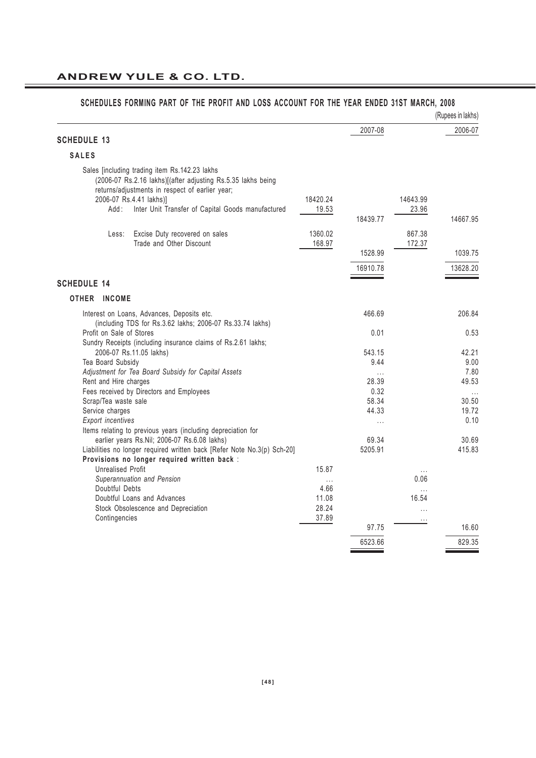|                          |                                                                                                                                                                  |           |          |                  | (Rupees in lakhs)       |
|--------------------------|------------------------------------------------------------------------------------------------------------------------------------------------------------------|-----------|----------|------------------|-------------------------|
|                          |                                                                                                                                                                  |           | 2007-08  |                  | 2006-07                 |
| <b>SCHEDULE 13</b>       |                                                                                                                                                                  |           |          |                  |                         |
| <b>SALES</b>             |                                                                                                                                                                  |           |          |                  |                         |
|                          | Sales [including trading item Rs.142.23 lakhs<br>(2006-07 Rs.2.16 lakhs)[(after adjusting Rs.5.35 lakhs being<br>returns/adjustments in respect of earlier year; |           |          |                  |                         |
|                          | 2006-07 Rs.4.41 lakhs)]                                                                                                                                          | 18420.24  |          | 14643.99         |                         |
| Add :                    | Inter Unit Transfer of Capital Goods manufactured                                                                                                                | 19.53     | 18439.77 | 23.96            | 14667.95                |
| Less:                    | Excise Duty recovered on sales                                                                                                                                   | 1360.02   |          | 867.38           |                         |
|                          | Trade and Other Discount                                                                                                                                         | 168.97    |          | 172.37           |                         |
|                          |                                                                                                                                                                  |           | 1528.99  |                  | 1039.75                 |
|                          |                                                                                                                                                                  |           | 16910.78 |                  | 13628.20                |
| <b>SCHEDULE 14</b>       |                                                                                                                                                                  |           |          |                  |                         |
|                          |                                                                                                                                                                  |           |          |                  |                         |
| OTHER INCOME             |                                                                                                                                                                  |           |          |                  |                         |
|                          | Interest on Loans, Advances, Deposits etc.<br>(including TDS for Rs.3.62 lakhs; 2006-07 Rs.33.74 lakhs)                                                          |           | 466.69   |                  | 206.84                  |
| Profit on Sale of Stores | Sundry Receipts (including insurance claims of Rs.2.61 lakhs;                                                                                                    |           | 0.01     |                  | 0.53                    |
|                          | 2006-07 Rs.11.05 lakhs)                                                                                                                                          |           | 543.15   |                  | 42.21                   |
| Tea Board Subsidy        |                                                                                                                                                                  |           | 9.44     |                  | 9.00                    |
|                          | Adjustment for Tea Board Subsidy for Capital Assets                                                                                                              |           | .        |                  | 7.80                    |
| Rent and Hire charges    |                                                                                                                                                                  |           | 28.39    |                  | 49.53                   |
|                          | Fees received by Directors and Employees                                                                                                                         |           | 0.32     |                  | $\cdot$ $\cdot$ $\cdot$ |
| Scrap/Tea waste sale     |                                                                                                                                                                  |           | 58.34    |                  | 30.50                   |
| Service charges          |                                                                                                                                                                  |           | 44.33    |                  | 19.72                   |
| <b>Export incentives</b> |                                                                                                                                                                  |           | $\cdots$ |                  | 0.10                    |
|                          | Items relating to previous years (including depreciation for                                                                                                     |           |          |                  |                         |
|                          | earlier years Rs.Nil; 2006-07 Rs.6.08 lakhs)                                                                                                                     |           | 69.34    |                  | 30.69                   |
|                          | Liabilities no longer required written back [Refer Note No.3(p) Sch-20]<br>Provisions no longer required written back :                                          |           | 5205.91  |                  | 415.83                  |
| <b>Unrealised Profit</b> |                                                                                                                                                                  | 15.87     |          |                  |                         |
|                          | Superannuation and Pension                                                                                                                                       |           |          | $\cdots$<br>0.06 |                         |
| Doubtful Debts           |                                                                                                                                                                  | .<br>4.66 |          | .                |                         |
|                          | Doubtful Loans and Advances                                                                                                                                      | 11.08     |          | 16.54            |                         |
|                          | Stock Obsolescence and Depreciation                                                                                                                              | 28.24     |          | .                |                         |
| Contingencies            |                                                                                                                                                                  | 37.89     |          | $\cdots$         |                         |
|                          |                                                                                                                                                                  |           | 97.75    |                  | 16.60                   |
|                          |                                                                                                                                                                  |           | 6523.66  |                  | 829.35                  |
|                          |                                                                                                                                                                  |           |          |                  |                         |

# **SCHEDULES FORMING PART OF THE PROFIT AND LOSS ACCOUNT FOR THE YEAR ENDED 31ST MARCH, 2008**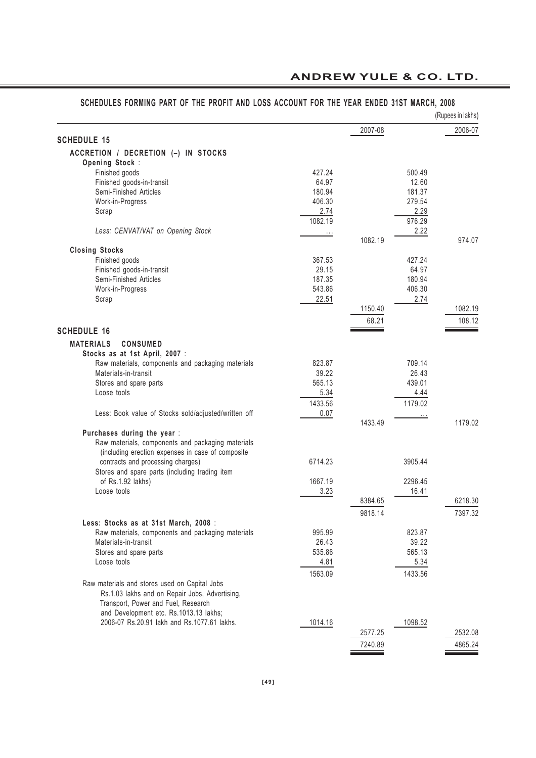# **ANDREW YULE & CO. LTD.**

|                                                                                        |                 |         |                 | (Rupees in lakhs) |
|----------------------------------------------------------------------------------------|-----------------|---------|-----------------|-------------------|
|                                                                                        |                 | 2007-08 |                 | 2006-07           |
| <b>SCHEDULE 15</b>                                                                     |                 |         |                 |                   |
| ACCRETION / DECRETION (-) IN STOCKS                                                    |                 |         |                 |                   |
| Opening Stock:                                                                         |                 |         |                 |                   |
| Finished goods                                                                         | 427.24          |         | 500.49          |                   |
| Finished goods-in-transit<br>Semi-Finished Articles                                    | 64.97<br>180.94 |         | 12.60<br>181.37 |                   |
| Work-in-Progress                                                                       | 406.30          |         | 279.54          |                   |
| Scrap                                                                                  | 2.74            |         | 2.29            |                   |
|                                                                                        | 1082.19         |         | 976.29          |                   |
| Less: CENVAT/VAT on Opening Stock                                                      | $\cdots$        |         | 2.22            |                   |
|                                                                                        |                 | 1082.19 |                 | 974.07            |
| <b>Closing Stocks</b>                                                                  |                 |         |                 |                   |
| Finished goods                                                                         | 367.53          |         | 427.24          |                   |
| Finished goods-in-transit                                                              | 29.15           |         | 64.97           |                   |
| Semi-Finished Articles                                                                 | 187.35          |         | 180.94          |                   |
| Work-in-Progress                                                                       | 543.86          |         | 406.30          |                   |
| Scrap                                                                                  | 22.51           |         | 2.74            |                   |
|                                                                                        |                 | 1150.40 |                 | 1082.19           |
|                                                                                        |                 | 68.21   |                 | 108.12            |
| <b>SCHEDULE 16</b>                                                                     |                 |         |                 |                   |
| <b>MATERIALS</b><br><b>CONSUMED</b>                                                    |                 |         |                 |                   |
| Stocks as at 1st April, 2007 :                                                         |                 |         |                 |                   |
| Raw materials, components and packaging materials                                      | 823.87          |         | 709.14          |                   |
| Materials-in-transit                                                                   | 39.22           |         | 26.43           |                   |
| Stores and spare parts                                                                 | 565.13          |         | 439.01          |                   |
| Loose tools                                                                            | 5.34            |         | 4.44            |                   |
|                                                                                        | 1433.56         |         | 1179.02         |                   |
| Less: Book value of Stocks sold/adjusted/written off                                   | 0.07            |         |                 |                   |
|                                                                                        |                 | 1433.49 |                 | 1179.02           |
| Purchases during the year :                                                            |                 |         |                 |                   |
| Raw materials, components and packaging materials                                      |                 |         |                 |                   |
| (including erection expenses in case of composite<br>contracts and processing charges) | 6714.23         |         | 3905.44         |                   |
| Stores and spare parts (including trading item                                         |                 |         |                 |                   |
| of Rs.1.92 lakhs)                                                                      | 1667.19         |         | 2296.45         |                   |
| Loose tools                                                                            | 3.23            |         | 16.41           |                   |
|                                                                                        |                 | 8384.65 |                 | 6218.30           |
|                                                                                        |                 | 9818.14 |                 | 7397.32           |
| Less: Stocks as at 31st March, 2008 :                                                  |                 |         |                 |                   |
| Raw materials, components and packaging materials                                      | 995.99          |         | 823.87          |                   |
| Materials-in-transit                                                                   | 26.43           |         | 39.22           |                   |
| Stores and spare parts                                                                 | 535.86          |         | 565.13          |                   |
| Loose tools                                                                            | 4.81            |         | 5.34            |                   |
|                                                                                        | 1563.09         |         | 1433.56         |                   |
| Raw materials and stores used on Capital Jobs                                          |                 |         |                 |                   |
| Rs.1.03 lakhs and on Repair Jobs, Advertising,                                         |                 |         |                 |                   |
| Transport, Power and Fuel, Research                                                    |                 |         |                 |                   |
| and Development etc. Rs.1013.13 lakhs;                                                 |                 |         |                 |                   |
| 2006-07 Rs.20.91 lakh and Rs.1077.61 lakhs.                                            | 1014.16         |         | 1098.52         |                   |
|                                                                                        |                 | 2577.25 |                 | 2532.08           |
|                                                                                        |                 | 7240.89 |                 | 4865.24           |

# **SCHEDULES FORMING PART OF THE PROFIT AND LOSS ACCOUNT FOR THE YEAR ENDED 31ST MARCH, 2008**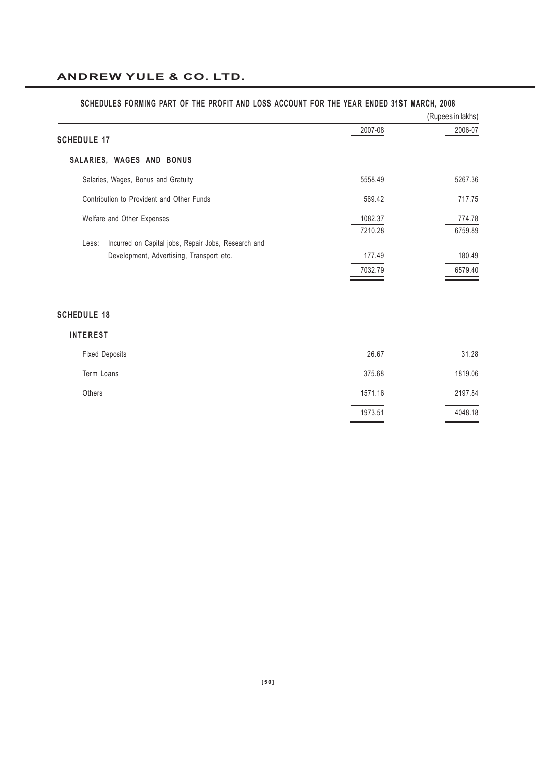|                                                              |                    | (Rupees in lakhs) |
|--------------------------------------------------------------|--------------------|-------------------|
| <b>SCHEDULE 17</b>                                           | 2007-08            | 2006-07           |
| SALARIES, WAGES AND BONUS                                    |                    |                   |
| Salaries, Wages, Bonus and Gratuity                          | 5558.49            | 5267.36           |
| Contribution to Provident and Other Funds                    | 569.42             | 717.75            |
| Welfare and Other Expenses                                   | 1082.37<br>7210.28 | 774.78<br>6759.89 |
| Incurred on Capital jobs, Repair Jobs, Research and<br>Less: |                    |                   |
| Development, Advertising, Transport etc.                     | 177.49             | 180.49            |
|                                                              | 7032.79            | 6579.40           |
|                                                              |                    |                   |
| <b>SCHEDULE 18</b>                                           |                    |                   |
| <b>INTEREST</b>                                              |                    |                   |
| <b>Fixed Deposits</b>                                        | 26.67              | 31.28             |
| Term Loans                                                   | 375.68             | 1819.06           |
| Others                                                       | 1571.16            | 2197.84           |
|                                                              | 1973.51            | 4048.18           |
|                                                              |                    |                   |

#### **SCHEDULES FORMING PART OF THE PROFIT AND LOSS ACCOUNT FOR THE YEAR ENDED 31ST MARCH, 2008**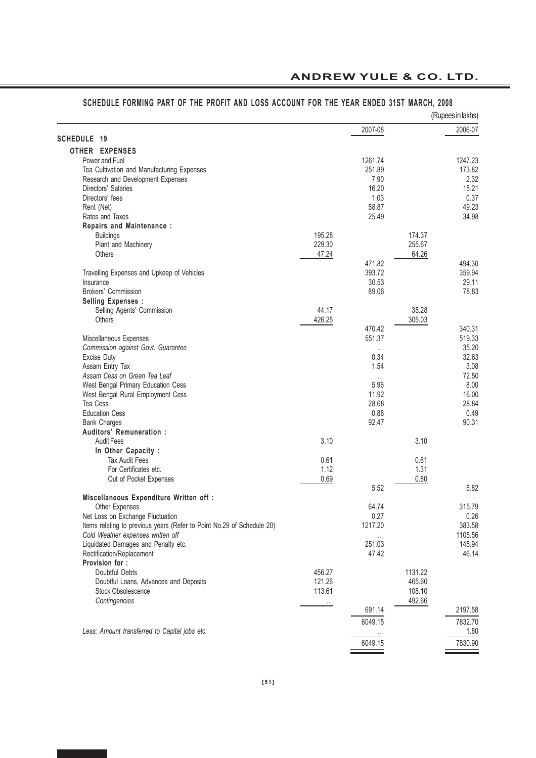# **ANDREW YULE & CO. LTD.**

|                                                                        |          |          |         | (Rupees in lakhs) |
|------------------------------------------------------------------------|----------|----------|---------|-------------------|
|                                                                        |          | 2007-08  |         | 2006-07           |
| <b>SCHEDULE 19</b>                                                     |          |          |         |                   |
| OTHER EXPENSES                                                         |          |          |         |                   |
| Power and Fuel                                                         |          | 1261.74  |         | 1247.23           |
| Tea Cultivation and Manufacturing Expenses                             |          | 251.89   |         | 173.82            |
| Research and Development Expenses                                      |          | 7.90     |         | 2.32              |
| Directors' Salaries                                                    |          | 16.20    |         | 15.21             |
| Directors' fees                                                        |          | 1.03     |         | 0.37              |
| Rent (Net)                                                             |          | 58.87    |         | 49.23             |
| Rates and Taxes                                                        |          | 25.49    |         | 34.98             |
| Repairs and Maintenance:                                               |          |          |         |                   |
| <b>Buildings</b>                                                       | 195.28   |          | 174.37  |                   |
| Plant and Machinery                                                    | 229.30   |          | 255.67  |                   |
| <b>Others</b>                                                          | 47.24    |          | 64.26   |                   |
|                                                                        |          | 471.82   |         | 494.30            |
| Travelling Expenses and Upkeep of Vehicles                             |          | 393.72   |         | 359.94            |
| Insurance                                                              |          | 30.53    |         | 29.11             |
| Brokers' Commission                                                    |          | 89.06    |         | 78.83             |
| <b>Selling Expenses:</b>                                               |          |          |         |                   |
| Selling Agents' Commission                                             | 44.17    |          | 35.28   |                   |
| Others                                                                 | 426.25   |          | 305.03  |                   |
|                                                                        |          | 470.42   |         | 340.31            |
| Miscellaneous Expenses                                                 |          | 551.37   |         | 519.33            |
| Commission against Govt. Guarantee                                     |          | $\cdots$ |         | 35.20             |
| Excise Duty                                                            |          | 0.34     |         | 32.63             |
| Assam Entry Tax                                                        |          | 1.54     |         | 3.08              |
| Assam Cess on Green Tea Leaf                                           |          | $\ldots$ |         | 72.50             |
| West Bengal Primary Education Cess                                     |          | 5.96     |         | 8.00              |
| West Bengal Rural Employment Cess                                      |          | 11.92    |         | 16.00             |
| Tea Cess                                                               |          | 28.68    |         | 28.84             |
| <b>Education Cess</b>                                                  |          | 0.88     |         | 0.49              |
| <b>Bank Charges</b>                                                    |          | 92.47    |         | 90.31             |
| Auditors' Remuneration:                                                |          |          |         |                   |
| <b>Audit Fees</b>                                                      | 3.10     |          | 3.10    |                   |
| In Other Capacity :                                                    |          |          |         |                   |
| <b>Tax Audit Fees</b>                                                  | 0.61     |          | 0.61    |                   |
| For Certificates etc.                                                  | 1.12     |          | 1.31    |                   |
| Out of Pocket Expenses                                                 | 0.69     |          | 0.80    |                   |
|                                                                        |          | 5.52     |         | 5.82              |
| Miscellaneous Expenditure Written off :                                |          |          |         |                   |
| Other Expenses                                                         |          | 64.74    |         | 315.79            |
| Net Loss on Exchange Fluctuation                                       |          | 0.27     |         | 0.26              |
| Items relating to previous years (Refer to Point No.29 of Schedule 20) |          | 1217.20  |         | 383.58            |
| Cold Weather expenses written off                                      |          | $\cdots$ |         | 1105.56           |
| Liquidated Damages and Penalty etc.                                    |          | 251.03   |         | 145.94            |
| Rectification/Replacement                                              |          | 47.42    |         | 46.14             |
| Provision for :                                                        |          |          |         |                   |
| Doubtful Debts                                                         | 456.27   |          | 1131.22 |                   |
| Doubtful Loans, Advances and Deposits                                  | 121.26   |          | 465.60  |                   |
| Stock Obsolescence                                                     | 113.61   |          | 108.10  |                   |
| Contingencies                                                          | $\cdots$ |          | 492.66  |                   |
|                                                                        |          | 691.14   |         | 2197.58           |
|                                                                        |          | 6049.15  |         | 7832.70           |
| Less: Amount transferred to Capital jobs etc.                          |          | $\cdots$ |         | 1.80              |
|                                                                        |          | 6049.15  |         | 7830.90           |
|                                                                        |          |          |         |                   |

# **SCHEDULE FORMING PART OF THE PROFIT AND LOSS ACCOUNT FOR THE YEAR ENDED 31ST MARCH, 2008**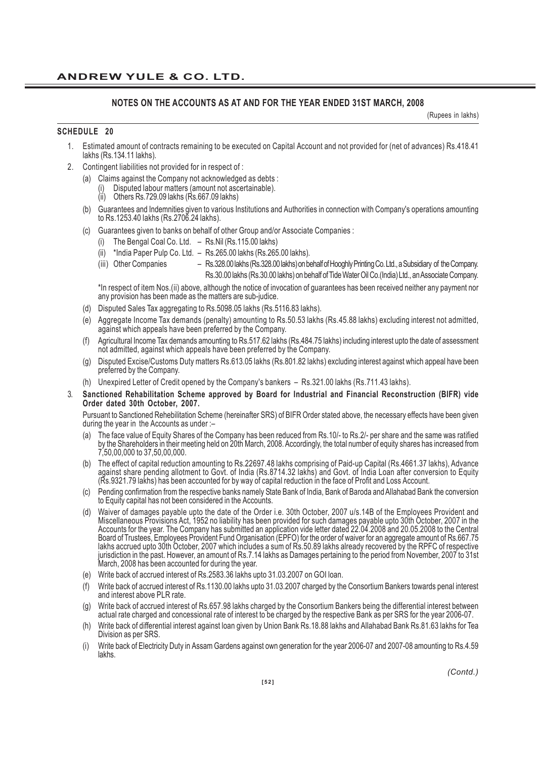#### **NOTES ON THE ACCOUNTS AS AT AND FOR THE YEAR ENDED 31ST MARCH, 2008**

(Rupees in lakhs)

#### **SCHEDULE 20**

- 1. Estimated amount of contracts remaining to be executed on Capital Account and not provided for (net of advances) Rs.418.41 lakhs (Rs.134.11 lakhs).
- 2. Contingent liabilities not provided for in respect of :
	- (a) Claims against the Company not acknowledged as debts :
		- Disputed labour matters (amount not ascertainable).
		- Others Rs.729.09 lakhs (Rs.667.09 lakhs)
	- (b) Guarantees and Indemnities given to various Institutions and Authorities in connection with Company's operations amounting to Rs.1253.40 lakhs (Rs.2706.24 lakhs).
	- (c) Guarantees given to banks on behalf of other Group and/or Associate Companies :
		- (i) The Bengal Coal Co. Ltd. Rs.Nil (Rs.115.00 lakhs)
		- (ii) \*India Paper Pulp Co. Ltd. Rs.265.00 lakhs (Rs.265.00 lakhs).
		- (iii) Other Companies Rs.328.00 lakhs (Rs.328.00 lakhs) on behalf of Hooghly Printing Co. Ltd., a Subsidiary of the Company. Rs.30.00 lakhs (Rs.30.00 lakhs) on behalf of Tide Water Oil Co.(India) Ltd., an Associate Company.

\*In respect of item Nos.(ii) above, although the notice of invocation of guarantees has been received neither any payment nor any provision has been made as the matters are sub-judice.

- (d) Disputed Sales Tax aggregating to Rs.5098.05 lakhs (Rs.5116.83 lakhs).
- (e) Aggregate Income Tax demands (penalty) amounting to Rs.50.53 lakhs (Rs.45.88 lakhs) excluding interest not admitted, against which appeals have been preferred by the Company.
- (f) Agricultural Income Tax demands amounting to Rs.517.62 lakhs (Rs.484.75 lakhs) including interest upto the date of assessment not admitted, against which appeals have been preferred by the Company.
- (g) Disputed Excise/Customs Duty matters Rs.613.05 lakhs (Rs.801.82 lakhs) excluding interest against which appeal have been preferred by the Company.
- (h) Unexpired Letter of Credit opened by the Company's bankers Rs.321.00 lakhs (Rs.711.43 lakhs).
- 3. **Sanctioned Rehabilitation Scheme approved by Board for Industrial and Financial Reconstruction (BIFR) vide Order dated 30th October, 2007.**

Pursuant to Sanctioned Rehebilitation Scheme (hereinafter SRS) of BIFR Order stated above, the necessary effects have been given during the year in the Accounts as under :–

- (a) The face value of Equity Shares of the Company has been reduced from Rs.10/- to Rs.2/- per share and the same was ratified by the Shareholders in their meeting held on 20th March, 2008. Accordingly, the total number of equity shares has increased from 7,50,00,000 to 37,50,00,000.
- (b) The effect of capital reduction amounting to Rs.22697.48 lakhs comprising of Paid-up Capital (Rs.4661.37 lakhs), Advance against share pending allotment to Govt. of India (Rs.8714.32 lakhs) and Govt. of India Loan after conversion to Equity (Rs.9321.79 lakhs) has been accounted for by way of capital reduction in the face of Profit and Loss Account.
- (c) Pending confirmation from the respective banks namely State Bank of India, Bank of Baroda and Allahabad Bank the conversion to Equity capital has not been considered in the Accounts.
- (d) Waiver of damages payable upto the date of the Order i.e. 30th October, 2007 u/s.14B of the Employees Provident and Miscellaneous Provisions Act, 1952 no liability has been provided for such damages payable upto 30th October, 2007 in the Accounts for the year. The Company has submitted an application vide letter dated 22.04.2008 and 20.05.2008 to the Central Board of Trustees, Employees Provident Fund Organisation (EPFO) for the order of waiver for an aggregate amount of Rs.667.75 lakhs accrued upto 30th October, 2007 which includes a sum of Rs.50.89 lakhs already recovered by the RPFC of respective jurisdiction in the past. However, an amount of Rs.7.14 lakhs as Damages pertaining to the period from November, 2007 to 31st March, 2008 has been accounted for during the year.
- (e) Write back of accrued interest of Rs.2583.36 lakhs upto 31.03.2007 on GOI loan.
- (f) Write back of accrued interest of Rs.1130.00 lakhs upto 31.03.2007 charged by the Consortium Bankers towards penal interest and interest above PLR rate.
- (g) Write back of accrued interest of Rs.657.98 lakhs charged by the Consortium Bankers being the differential interest between actual rate charged and concessional rate of interest to be charged by the respective Bank as per SRS for the year 2006-07.
- (h) Write back of differential interest against loan given by Union Bank Rs.18.88 lakhs and Allahabad Bank Rs.81.63 lakhs for Tea Division as per SRS.
- (i) Write back of Electricity Duty in Assam Gardens against own generation for the year 2006-07 and 2007-08 amounting to Rs.4.59 lakhs.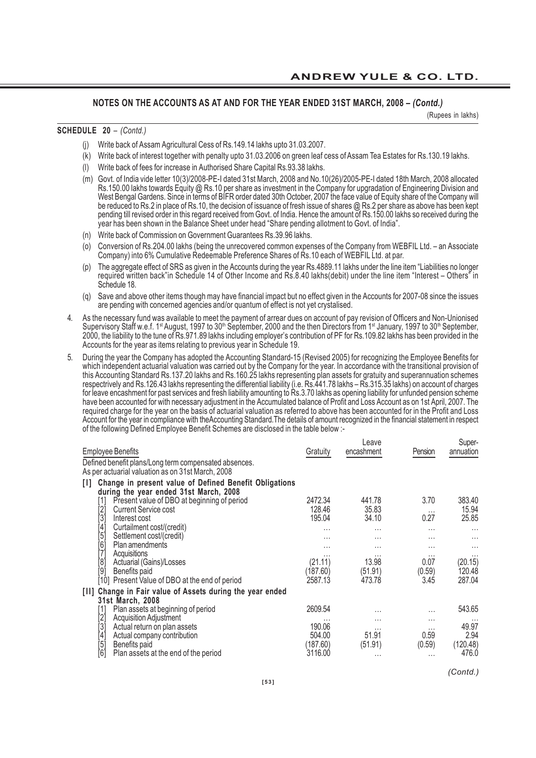(Rupees in lakhs)

#### **SCHEDULE 20** *– (Contd.)*

- (j) Write back of Assam Agricultural Cess of Rs.149.14 lakhs upto 31.03.2007.
- (k) Write back of interest together with penalty upto 31.03.2006 on green leaf cess of Assam Tea Estates for Rs.130.19 lakhs.
- (l) Write back of fees for increase in Authorised Share Capital Rs.93.38 lakhs.
- (m) Govt. of India vide letter 10(3)/2008-PE-I dated 31st March, 2008 and No.10(26)/2005-PE-I dated 18th March, 2008 allocated Rs.150.00 lakhs towards Equity @ Rs.10 per share as investment in the Company for upgradation of Engineering Division and West Bengal Gardens. Since in terms of BIFR order dated 30th October, 2007 the face value of Equity share of the Company will be reduced to Rs.2 in place of Rs.10, the decision of issuance of fresh issue of shares @ Rs.2 per share as above has been kept pending till revised order in this regard received from Govt. of India. Hence the amount of Rs.150.00 lakhs so received during the year has been shown in the Balance Sheet under head "Share pending allotment to Govt. of India".
- (n) Write back of Commission on Government Guarantees Rs.39.96 lakhs.
- (o) Conversion of Rs.204.00 lakhs (being the unrecovered common expenses of the Company from WEBFIL Ltd. an Associate Company) into 6% Cumulative Redeemable Preference Shares of Rs.10 each of WEBFIL Ltd. at par.
- (p) The aggregate effect of SRS as given in the Accounts during the year Rs.4889.11 lakhs under the line item "Liabilities no longer required written back"in Schedule 14 of Other Income and Rs.8.40 lakhs(debit) under the line item "Interest – Others" in Schedule 18.
- (q) Save and above other items though may have financial impact but no effect given in the Accounts for 2007-08 since the issues are pending with concerned agencies and/or quantum of effect is not yet crystalised.
- 4. As the necessary fund was available to meet the payment of arrear dues on account of pay revision of Officers and Non-Unionised Supervisory Staff w.e.f. 1<sup>st</sup> August, 1997 to 30<sup>th</sup> September, 2000 and the then Directors from 1<sup>st</sup> January, 1997 to 30<sup>th</sup> September, 2000, the liability to the tune of Rs.971.89 lakhs including employer's contribution of PF for Rs.109.82 lakhs has been provided in the Accounts for the year as items relating to previous year in Schedule 19.
- 5. During the year the Company has adopted the Accounting Standard-15 (Revised 2005) for recognizing the Employee Benefits for which independent actuarial valuation was carried out by the Company for the year. In accordance with the transitional provision of this Accounting Standard Rs.137.20 lakhs and Rs.160.25 lakhs representing plan assets for gratuity and superannuation schemes respectrively and Rs.126.43 lakhs representing the differential liability (i.e. Rs.441.78 lakhs – Rs.315.35 lakhs) on account of charges for leave encashment for past services and fresh liability amounting to Rs.3.70 lakhs as opening liability for unfunded pension scheme have been accounted for with necessary adjustment in the Accumulated balance of Profit and Loss Account as on 1st April, 2007. The required charge for the year on the basis of actuarial valuation as referred to above has been accounted for in the Profit and Loss Account for the year in compliance with theAccounting Standard.The details of amount recognized in the financial statement in respect of the following Defined Employee Benefit Schemes are disclosed in the table below :-

| Gratuity                                               | Leave<br>encashment | Pension  | Super-<br>annuation |
|--------------------------------------------------------|---------------------|----------|---------------------|
|                                                        |                     |          |                     |
| Change in present value of Defined Benefit Obligations |                     |          |                     |
| 2472.34                                                | 441.78              | 3.70     | 383.40              |
| 128.46                                                 | 35.83               | $\cdots$ | 15.94               |
| 195.04                                                 | 34.10               | 0.27     | 25.85               |
| .                                                      | $\cdots$            | .        | $\cdots$            |
| .                                                      | .                   | .        | $\cdots$            |
| .                                                      | $\cdots$            | .        | $\cdots$            |
| $\cdots$                                               |                     | $\cdots$ | $\cdots$            |
|                                                        |                     |          | (20.15)             |
| (187.60)                                               | (51.91)             |          | 120.48              |
| 2587.13                                                | 473.78              | 3.45     | 287.04              |
|                                                        |                     |          |                     |
| 2609.54                                                | $\cdots$            | .        | 543.65              |
|                                                        | .                   |          |                     |
| 190.06                                                 | $\cdots$            | $\cdots$ | 49.97               |
| 504.00                                                 | 51.91               | 0.59     | 2.94                |
| (187.60)                                               | (51.91)             | (0.59)   | (120.48)            |
| 3116.00                                                | $\cdots$            | $\cdots$ | 476.0               |
|                                                        | (21.11)             | 13.98    | 0.07<br>(0.59)      |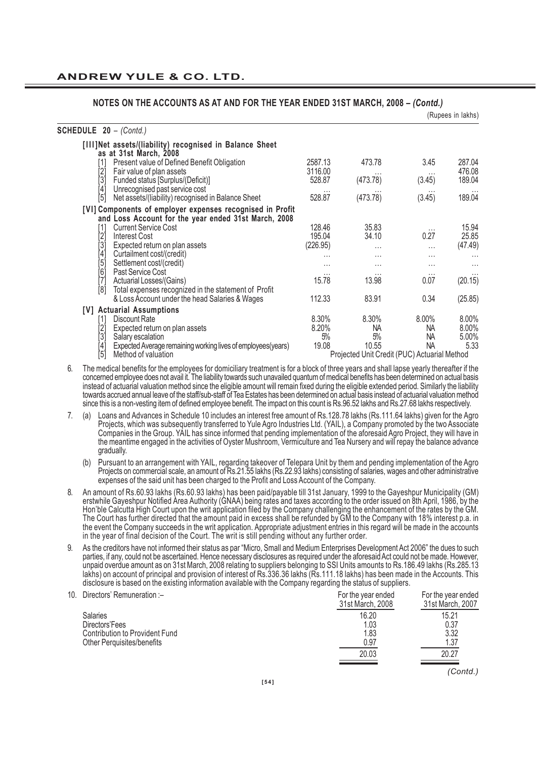| NUTES ON THE AUGUUNTS AS AT AND FOR THE TEAR ENDED 31ST MARGH, 2006 - (CONIO.)                                                                                                                                          |                   |                                              |                    | (Rupees in lakhs)   |
|-------------------------------------------------------------------------------------------------------------------------------------------------------------------------------------------------------------------------|-------------------|----------------------------------------------|--------------------|---------------------|
| <b>SCHEDULE 20 - (Contd.)</b>                                                                                                                                                                                           |                   |                                              |                    |                     |
| [III]Net assets/(liability) recognised in Balance Sheet<br>as at 31st March, 2008                                                                                                                                       |                   |                                              |                    |                     |
| Present value of Defined Benefit Obligation<br>$[1]$                                                                                                                                                                    | 2587.13           | 473.78                                       | 3.45               | 287.04              |
| [2]<br>[3]<br>Fair value of plan assets<br>Funded status [Surplus/(Deficit)]                                                                                                                                            | 3116.00<br>528.87 | $\cdots$<br>(473.78)                         | $\cdots$<br>(3.45) | 476.08<br>189.04    |
| $[4] % \includegraphics[width=1\textwidth]{images/TrDiM-Architecture.png} \caption{The figure shows the results of the estimators in the left hand side.} \label{TrDiM-Architecture}$<br>Unrecognised past service cost |                   |                                              |                    |                     |
| [5]<br>Net assets/(liability) recognised in Balance Sheet                                                                                                                                                               | 528.87            | (473.78)                                     | (3.45)             | 189.04              |
| [VI] Components of employer expenses recognised in Profit<br>and Loss Account for the year ended 31st March, 2008                                                                                                       |                   |                                              |                    |                     |
| <b>Current Service Cost</b><br>$[1]$                                                                                                                                                                                    | 128.46            | 35.83                                        | $\cdots$           | 15.94               |
| [2]<br><b>Interest Cost</b>                                                                                                                                                                                             | 195.04            | 34.10                                        | 0.27               | 25.85               |
| [3]<br>[4]<br>Expected return on plan assets                                                                                                                                                                            | (226.95)          | $\cdots$                                     | $\cdots$           | (47.49)             |
| Curtailment cost/(credit)                                                                                                                                                                                               | $\cdots$          | $\cdots$                                     | $\cdots$           |                     |
| Settlement cost/(credit)<br>Past Service Cost                                                                                                                                                                           | $\cdots$          | $\cdots$                                     | .                  | $\cdots$            |
| [5]<br>[6]<br>[7]<br>Actuarial Losses/(Gains)                                                                                                                                                                           | $\cdots$<br>15.78 | $\cdots$<br>13.98                            | $\cdots$<br>0.07   | $\cdots$<br>(20.15) |
| [8]<br>Total expenses recognized in the statement of Profit                                                                                                                                                             |                   |                                              |                    |                     |
| & Loss Account under the head Salaries & Wages                                                                                                                                                                          | 112.33            | 83.91                                        | 0.34               | (25.85)             |
| [V] Actuarial Assumptions                                                                                                                                                                                               |                   |                                              |                    |                     |
| Discount Rate<br>[1]                                                                                                                                                                                                    | 8.30%             | 8.30%                                        | $8.00\%$           | 8.00%               |
| [2]<br>Expected return on plan assets                                                                                                                                                                                   | 8.20%             | NA.                                          | NA                 | 8.00%               |
| [3]<br>Salary escalation                                                                                                                                                                                                | 5%                | 5%                                           | NA                 | 5.00%               |
| Expected Average remaining working lives of employees (years)<br>$^{[4]}$                                                                                                                                               | 19.08             | 10.55                                        | <b>NA</b>          | 5.33                |
| İ5İ<br>Method of valuation                                                                                                                                                                                              |                   | Projected Unit Credit (PUC) Actuarial Method |                    |                     |

- 6. The medical benefits for the employees for domiciliary treatment is for a block of three years and shall lapse yearly thereafter if the concerned employee does not avail it. The liability towards such unavailed quantum of medical benefits has been determined on actual basis instead of actuarial valuation method since the eligible amount will remain fixed during the eligible extended period. Similarly the liability towards accrued annual leave of the staff/sub-staff of Tea Estates has been determined on actual basis instead of actuarial valuation method since this is a non-vesting item of defined employee benefit. The impact on this count is Rs.96.52 lakhs and Rs.27.68 lakhs respectively.
- 7. (a) Loans and Advances in Schedule 10 includes an interest free amount of Rs.128.78 lakhs (Rs.111.64 lakhs) given for the Agro Projects, which was subsequently transferred to Yule Agro Industries Ltd. (YAIL), a Company promoted by the two Associate Companies in the Group. YAIL has since informed that pending implementation of the aforesaid Agro Project, they will have in the meantime engaged in the activities of Oyster Mushroom, Vermiculture and Tea Nursery and will repay the balance advance gradually.
	- (b) Pursuant to an arrangement with YAIL, regarding takeover of Telepara Unit by them and pending implementation of the Agro Projects on commercial scale, an amount of Rs.21.55 lakhs (Rs.22.93 lakhs) consisting of salaries, wages and other administrative expenses of the said unit has been charged to the Profit and Loss Account of the Company.
- 8. An amount of Rs.60.93 lakhs (Rs.60.93 lakhs) has been paid/payable till 31st January, 1999 to the Gayeshpur Municipality (GM) erstwhile Gayeshpur Notified Area Authority (GNAA) being rates and taxes according to the order issued on 8th April, 1986, by the Hon'ble Calcutta High Court upon the writ application filed by the Company challenging the enhancement of the rates by the GM. The Court has further directed that the amount paid in excess shall be refunded by GM to the Company with 18% interest p.a. in the event the Company succeeds in the writ application. Appropriate adjustment entries in this regard will be made in the accounts in the year of final decision of the Court. The writ is still pending without any further order.
- 9. As the creditors have not informed their status as par "Micro, Small and Medium Enterprises Development Act 2006" the dues to such parties, if any, could not be ascertained. Hence necessary disclosures as required under the aforesaid Act could not be made. However, unpaid overdue amount as on 31st March, 2008 relating to suppliers belonging to SSI Units amounts to Rs.186.49 lakhs (Rs.285.13 lakhs) on account of principal and provision of interest of Rs.336.36 lakhs (Rs.111.18 lakhs) has been made in the Accounts. This disclosure is based on the existing information available with the Company regarding the status of suppliers.

| 10. Directors' Remuneration :-    | For the year ended<br>31st March, 2008 | For the year ended<br>31st March, 2007 |
|-----------------------------------|----------------------------------------|----------------------------------------|
| <b>Salaries</b>                   | 16.20                                  | 15.21                                  |
| Directors'Fees                    | 1.03                                   | 0.37                                   |
| Contribution to Provident Fund    | 1.83                                   | 3.32                                   |
| <b>Other Perquisites/benefits</b> | 0.97                                   | 1.37                                   |
|                                   | 20.03                                  | 20.27                                  |
|                                   |                                        |                                        |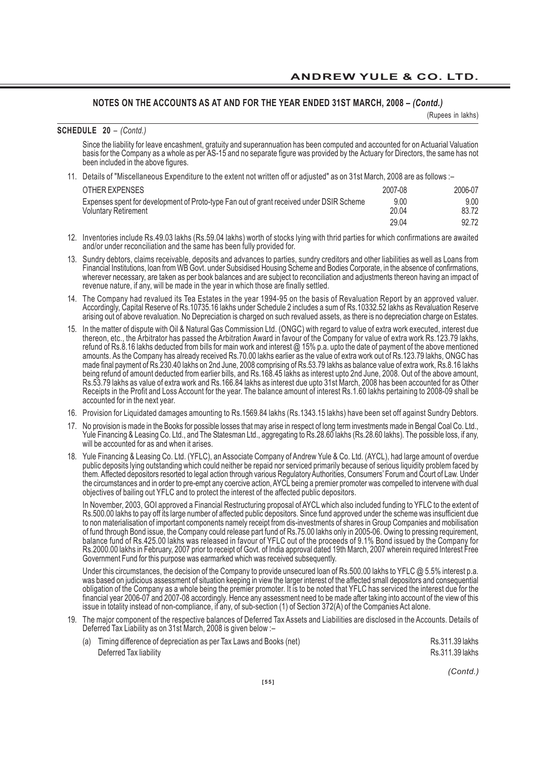(Rupees in lakhs)

#### **SCHEDULE 20** *– (Contd.)*

Since the liability for leave encashment, gratuity and superannuation has been computed and accounted for on Actuarial Valuation basis for the Company as a whole as per AS-15 and no separate figure was provided by the Actuary for Directors, the same has not been included in the above figures.

11. Details of "Miscellaneous Expenditure to the extent not written off or adjusted" as on 31st March, 2008 are as follows :–

| OTHER EXPENSES                                                                           | 2007-08 | 2006-07 |
|------------------------------------------------------------------------------------------|---------|---------|
| Expenses spent for development of Proto-type Fan out of grant received under DSIR Scheme | 9.00    | 9.00    |
| <b>Voluntary Retirement</b>                                                              | 20.04   | 83.72   |
|                                                                                          | 29.04   | 92.72   |

- 12. Inventories include Rs.49.03 lakhs (Rs.59.04 lakhs) worth of stocks lying with thrid parties for which confirmations are awaited and/or under reconciliation and the same has been fully provided for.
- 13. Sundry debtors, claims receivable, deposits and advances to parties, sundry creditors and other liabilities as well as Loans from Financial Institutions, loan from WB Govt. under Subsidised Housing Scheme and Bodies Corporate, in the absence of confirmations, wherever necessary, are taken as per book balances and are subject to reconciliation and adjustments thereon having an impact of revenue nature, if any, will be made in the year in which those are finally settled.
- 14. The Company had revalued its Tea Estates in the year 1994-95 on the basis of Revaluation Report by an approved valuer. Accordingly, Capital Reserve of Rs.10735.16 lakhs under Schedule 2 includes a sum of Rs.10332.52 lakhs as Revaluation Reserve arising out of above revaluation. No Depreciation is charged on such revalued assets, as there is no depreciation charge on Estates.
- 15. In the matter of dispute with Oil & Natural Gas Commission Ltd. (ONGC) with regard to value of extra work executed, interest due thereon, etc., the Arbitrator has passed the Arbitration Award in favour of the Company for value of extra work Rs.123.79 lakhs, refund of Rs.8.16 lakhs deducted from bills for main work and interest @ 15% p.a. upto the date of payment of the above mentioned amounts. As the Company has already received Rs.70.00 lakhs earlier as the value of extra work out of Rs.123.79 lakhs, ONGC has made final payment of Rs.230.40 lakhs on 2nd June, 2008 comprising of Rs.53.79 lakhs as balance value of extra work, Rs.8.16 lakhs being refund of amount deducted from earlier bills, and Rs.168.45 lakhs as interest upto 2nd June, 2008. Out of the above amount, Rs.53.79 lakhs as value of extra work and Rs.166.84 lakhs as interest due upto 31st March, 2008 has been accounted for as Other Receipts in the Profit and Loss Account for the year. The balance amount of interest Rs.1.60 lakhs pertaining to 2008-09 shall be accounted for in the next year.
- 16. Provision for Liquidated damages amounting to Rs.1569.84 lakhs (Rs.1343.15 lakhs) have been set off against Sundry Debtors.
- 17. No provision is made in the Books for possible losses that may arise in respect of long term investments made in Bengal Coal Co. Ltd., Yule Financing & Leasing Co. Ltd., and The Statesman Ltd., aggregating to Rs.28.60 lakhs (Rs.28.60 lakhs). The possible loss, if any, will be accounted for as and when it arises.
- 18. Yule Financing & Leasing Co. Ltd. (YFLC), an Associate Company of Andrew Yule & Co. Ltd. (AYCL), had large amount of overdue public deposits lying outstanding which could neither be repaid nor serviced primarily because of serious liquidity problem faced by them. Affected depositors resorted to legal action through various Regulatory Authorities, Consumers' Forum and Court of Law. Under the circumstances and in order to pre-empt any coercive action, AYCL being a premier promoter was compelled to intervene with dual objectives of bailing out YFLC and to protect the interest of the affected public depositors.

In November, 2003, GOI approved a Financial Restructuring proposal of AYCL which also included funding to YFLC to the extent of Rs.500.00 lakhs to pay off its large number of affected public depositors. Since fund approved under the scheme was insufficient due to non materialisation of important components namely receipt from dis-investments of shares in Group Companies and mobilisation of fund through Bond issue, the Company could release part fund of Rs.75.00 lakhs only in 2005-06. Owing to pressing requirement, balance fund of Rs.425.00 lakhs was released in favour of YFLC out of the proceeds of 9.1% Bond issued by the Company for Rs.2000.00 lakhs in February, 2007 prior to receipt of Govt. of India approval dated 19th March, 2007 wherein required Interest Free Government Fund for this purpose was earmarked which was received subsequently.

Under this circumstances, the decision of the Company to provide unsecured loan of Rs.500.00 lakhs to YFLC @ 5.5% interest p.a. was based on judicious assessment of situation keeping in view the larger interest of the affected small depositors and consequential obligation of the Company as a whole being the premier promoter. It is to be noted that YFLC has serviced the interest due for the financial year 2006-07 and 2007-08 accordingly. Hence any assessment need to be made after taking into account of the view of this issue in totality instead of non-compliance, if any, of sub-section (1) of Section 372(A) of the Companies Act alone.

19. The major component of the respective balances of Deferred Tax Assets and Liabilities are disclosed in the Accounts. Details of Deferred Tax Liability as on 31st March, 2008 is given below :–

| (a) Timing difference of depreciation as per Tax Laws and Books (net) | Rs.311.39 lakhs |
|-----------------------------------------------------------------------|-----------------|
| Deferred Tax liability                                                | Rs.311.39 lakhs |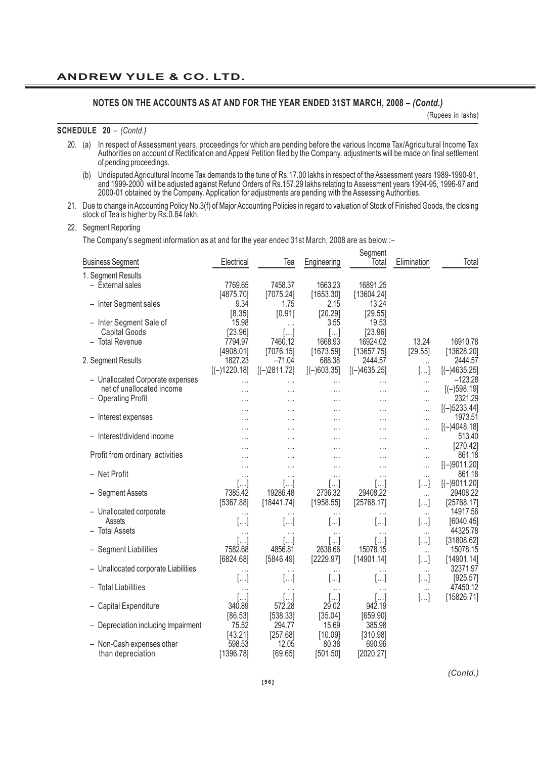(Rupees in lakhs)

#### **SCHEDULE 20** *– (Contd.)*

- 20. (a) In respect of Assessment years, proceedings for which are pending before the various Income Tax/Agricultural Income Tax Authorities on account of Rectification and Appeal Petition filed by the Company, adjustments will be made on final settlement of pending proceedings.
	- (b) Undisputed Agricultural Income Tax demands to the tune of Rs.17.00 lakhs in respect of the Assessment years 1989-1990-91, and 1999-2000 will be adjusted against Refund Orders of Rs.157.29 lakhs relating to Assessment years 1994-95, 1996-97 and 2000-01 obtained by the Company. Application for adjustments are pending with the Assessing Authorities.

Segment

21. Due to change in Accounting Policy No.3(f) of Major Accounting Policies in regard to valuation of Stock of Finished Goods, the closing stock of Tea is higher by Rs.0.84 lakh.

#### 22. Segment Reporting

The Company's segment information as at and for the year ended 31st March, 2008 are as below :–

| <b>Business Segment</b>             | Electrical     | Tea                  | Engineering           | oegment<br>Total | Elimination          | Total                     |
|-------------------------------------|----------------|----------------------|-----------------------|------------------|----------------------|---------------------------|
| 1. Segment Results                  |                |                      |                       |                  |                      |                           |
| - External sales                    | 7769.65        | 7458.37              | 1663.23               | 16891.25         |                      |                           |
|                                     | [4875.70]      | [7075.24]            | [1653.30]             | [13604.24]       |                      |                           |
| - Inter Segment sales               | 9.34           | 1.75                 | 2.15                  | 13.24            |                      |                           |
|                                     | [8.35]         | [0.91]               | [20.29]               | [29.55]          |                      |                           |
| - Inter Segment Sale of             | 15.98          | .                    | 3.55                  | 19.53            |                      |                           |
| <b>Capital Goods</b>                | [23.96]        | []                   | []                    | [23.96]          |                      |                           |
| - Total Revenue                     | 7794.97        | 7460.12              | 1668.93               | 16924.02         | 13.24                | 16910.78                  |
|                                     | [4908.01]      | [7076.15]            | [1673.59]             | [13657.75]       | [29.55]              | [13628.20]                |
| 2. Segment Results                  | 1827.23        | $-71.04$             | 688.38                | 2444.57          | $\cdots$             | 2444.57                   |
|                                     | $[(-)1220.18]$ | $[(-)2811.72]$       | $[(-)603.35]$         | $[(-)4635.25]$   | []                   | $[(-)4635.25]$            |
| - Unallocated Corporate expenses    | .              | .                    | $\cdots$              | .                | $\cdots$             | $-123.28$                 |
| net of unallocated income           | $\cdots$       | $\cdots$             | $\cdots$              | $\cdots$         | $\cdots$             | $[(-)598.19]$             |
| - Operating Profit                  | $\cdots$       | $\cdots$             | $\cdots$              | $\cdots$         | $\cdots$             | 2321.29                   |
|                                     |                | .                    | .                     |                  | $\cdots$             | $[(-)5233.44]$            |
| - Interest expenses                 |                | .                    | .                     |                  | .                    | 1973.51<br>$[(-)4048.18]$ |
| - Interest/dividend income          | $\ddotsc$      | .                    | .                     | $\cdots$         | .                    | 513.40                    |
|                                     | .              | $\cdots$             | $\cdots$              | $\cdots$         | $\cdots$             | [270.42]                  |
| Profit from ordinary activities     |                | $\cdots$<br>$\cdots$ | $\cdots$<br>$\cdots$  |                  | $\cdots$<br>$\cdots$ | 861.18                    |
|                                     |                | .                    | $\cdots$              | .                | $\cdots$             | $[(-)9011.20]$            |
| - Net Profit                        | $\cdots$       | .                    | $\cdots$              | $\cdots$         | $\cdots$             | 861.18                    |
|                                     | ا…ا            | $[\dots]$            | $\left[\ldots\right]$ | […]              | []                   | $[(-)9011.20]$            |
| - Segment Assets                    | 7385.42        | 19286.48             | 2736.32               | 29408.22         | $\cdots$             | 29408.22                  |
|                                     | [5367.88]      | [18441.74]           | [1958.55]             | [25768.17]       | []                   | [25768.17]                |
| - Unallocated corporate             | .              | .                    | $\cdots$              | $\cdots$         | $\cdots$             | 14917.56                  |
| Assets                              | []             | []                   | []                    | []               | []                   | [6040.45]                 |
| - Total Assets                      | $\cdots$       | .                    | $\cdots$              |                  | $\cdots$             | 44325.78                  |
|                                     | […]            | […]                  | []                    | $[\dots]$        | []                   | [31808.62]                |
| - Segment Liabilities               | 7582.68        | 4856.81              | 2638.66               | 15078.15         | $\cdots$             | 15078.15                  |
|                                     | [6824.68]      | [5846.49]            | [2229.97]             | [14901.14]       | []                   | [14901.14]                |
| - Unallocated corporate Liabilities | $\cdots$       | .                    | $\cdots$              | .                | $\cdots$             | 32371.97                  |
|                                     | []             | []                   | $[]$                  | []               | []                   | [925.57]                  |
| - Total Liabilities                 | $\cdots$       | .                    | $\cdots$              | $\cdots$         | $\cdots$             | 47450.12                  |
|                                     | []             | []                   | []                    | []               | []                   | [15826.71]                |
| - Capital Expenditure               | 340.89         | 572.28               | 29.02                 | 942.19           |                      |                           |
|                                     | [86.53]        | [538.33]             | [35.04]               | [659.90]         |                      |                           |
| - Depreciation including Impairment | 75.52          | 294.77               | 15.69                 | 385.98           |                      |                           |
|                                     | [43.21]        | [257.68]             | [10.09]               | [310.98]         |                      |                           |
| - Non-Cash expenses other           | 598.53         | 12.05                | 80.38                 | 690.96           |                      |                           |
| than depreciation                   | [1396.78]      | [69.65]              | [501.50]              | [2020.27]        |                      |                           |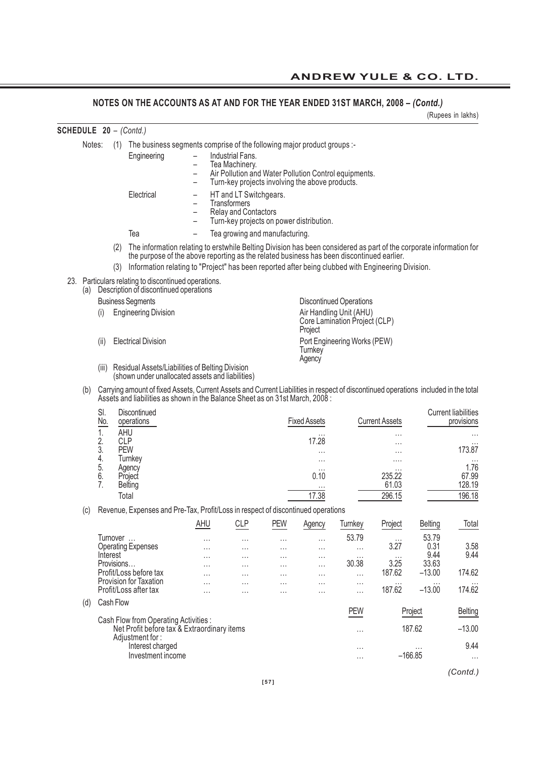(Rupees in lakhs)

| <b>SCHEDULE 20 - (Contd.)</b> |        |                |                   |                                                                                                                                                                                                                                                                                                                        |                                                                                       |                                                                                                                   |               |                                |                                                 |                                                           |                       |                      |                                          |  |  |  |  |  |  |
|-------------------------------|--------|----------------|-------------------|------------------------------------------------------------------------------------------------------------------------------------------------------------------------------------------------------------------------------------------------------------------------------------------------------------------------|---------------------------------------------------------------------------------------|-------------------------------------------------------------------------------------------------------------------|---------------|--------------------------------|-------------------------------------------------|-----------------------------------------------------------|-----------------------|----------------------|------------------------------------------|--|--|--|--|--|--|
|                               | Notes: |                | (1)               | The business segments comprise of the following major product groups :-                                                                                                                                                                                                                                                |                                                                                       |                                                                                                                   |               |                                |                                                 |                                                           |                       |                      |                                          |  |  |  |  |  |  |
|                               |        |                |                   | Engineering                                                                                                                                                                                                                                                                                                            | -<br>$\overline{\phantom{0}}$<br>$\overline{\phantom{0}}$<br>$\overline{\phantom{0}}$ | Industrial Fans.<br>Tea Machinery.                                                                                |               |                                | Turn-key projects involving the above products. | Air Pollution and Water Pollution Control equipments.     |                       |                      |                                          |  |  |  |  |  |  |
|                               |        |                |                   | Electrical                                                                                                                                                                                                                                                                                                             | -<br>$\overline{\phantom{0}}$                                                         | HT and LT Switchgears.<br>Transformers<br><b>Relay and Contactors</b><br>Turn-key projects on power distribution. |               |                                |                                                 |                                                           |                       |                      |                                          |  |  |  |  |  |  |
|                               |        |                |                   | Tea                                                                                                                                                                                                                                                                                                                    | $\qquad \qquad -$                                                                     |                                                                                                                   |               | Tea growing and manufacturing. |                                                 |                                                           |                       |                      |                                          |  |  |  |  |  |  |
|                               |        |                | (2)<br>(3)        | The information relating to erstwhile Belting Division has been considered as part of the corporate information for<br>the purpose of the above reporting as the related business has been discontinued earlier.<br>Information relating to "Project" has been reported after being clubbed with Engineering Division. |                                                                                       |                                                                                                                   |               |                                |                                                 |                                                           |                       |                      |                                          |  |  |  |  |  |  |
|                               | (a)    |                |                   | 23. Particulars relating to discontinued operations.<br>Description of discontinued operations                                                                                                                                                                                                                         |                                                                                       |                                                                                                                   |               |                                |                                                 |                                                           |                       |                      |                                          |  |  |  |  |  |  |
|                               |        |                |                   | <b>Business Segments</b>                                                                                                                                                                                                                                                                                               |                                                                                       |                                                                                                                   |               |                                |                                                 | <b>Discontinued Operations</b><br>Air Handling Unit (AHU) |                       |                      |                                          |  |  |  |  |  |  |
|                               |        | (i)            |                   | <b>Engineering Division</b>                                                                                                                                                                                                                                                                                            |                                                                                       | Core Lamination Project (CLP)                                                                                     |               |                                |                                                 |                                                           |                       |                      |                                          |  |  |  |  |  |  |
|                               |        | (ii)           |                   | <b>Electrical Division</b>                                                                                                                                                                                                                                                                                             | Port Engineering Works (PEW)                                                          |                                                                                                                   |               |                                |                                                 |                                                           |                       |                      |                                          |  |  |  |  |  |  |
|                               |        | (III)          |                   | Residual Assets/Liabilities of Belting Division<br>(shown under unallocated assets and liabilities)                                                                                                                                                                                                                    |                                                                                       |                                                                                                                   |               |                                | Agency                                          |                                                           |                       |                      |                                          |  |  |  |  |  |  |
|                               | (b)    |                |                   | Carrying amount of fixed Assets, Current Assets and Current Liabilities in respect of discontinued operations included in the total<br>Assets and liabilities as shown in the Balance Sheet as on 31st March, 2008:                                                                                                    |                                                                                       |                                                                                                                   |               |                                |                                                 |                                                           |                       |                      |                                          |  |  |  |  |  |  |
|                               |        | SI.<br>No.     |                   | Discontinued<br>operations                                                                                                                                                                                                                                                                                             |                                                                                       |                                                                                                                   |               |                                | <b>Fixed Assets</b>                             |                                                           | <b>Current Assets</b> |                      | <b>Current liabilities</b><br>provisions |  |  |  |  |  |  |
|                               |        | 1.<br>2.       | AHU<br><b>CLP</b> |                                                                                                                                                                                                                                                                                                                        |                                                                                       |                                                                                                                   |               |                                | .<br>17.28                                      |                                                           |                       |                      |                                          |  |  |  |  |  |  |
|                               |        | 3.<br>4.       | <b>PEW</b>        | Turnkey                                                                                                                                                                                                                                                                                                                |                                                                                       |                                                                                                                   |               |                                |                                                 |                                                           |                       |                      | 173.87                                   |  |  |  |  |  |  |
|                               |        | 5.<br>6.<br>7. |                   | Agency<br>Project                                                                                                                                                                                                                                                                                                      |                                                                                       |                                                                                                                   |               |                                | $\cdots$<br>0.10                                |                                                           | $\cdots$<br>235.22    |                      | 1.76<br>67.99<br>128.19                  |  |  |  |  |  |  |
|                               |        |                | Total             | <b>Belting</b>                                                                                                                                                                                                                                                                                                         |                                                                                       |                                                                                                                   |               |                                | 17.38                                           |                                                           | 61.03<br>296.15       |                      | 196.18                                   |  |  |  |  |  |  |
|                               | (C)    |                |                   | Revenue, Expenses and Pre-Tax, Profit/Loss in respect of discontinued operations                                                                                                                                                                                                                                       |                                                                                       |                                                                                                                   |               |                                |                                                 |                                                           |                       |                      |                                          |  |  |  |  |  |  |
|                               |        |                |                   |                                                                                                                                                                                                                                                                                                                        | AHU                                                                                   |                                                                                                                   | <b>CLP</b>    | <b>PEW</b>                     | Agency                                          | Turnkey                                                   | Project               | <b>Belting</b>       | Total                                    |  |  |  |  |  |  |
|                               |        |                | Turnover          |                                                                                                                                                                                                                                                                                                                        | .                                                                                     |                                                                                                                   |               |                                |                                                 | 53.79                                                     | $\cdots$              | 53.79                |                                          |  |  |  |  |  |  |
|                               |        | Interest       |                   | <b>Operating Expenses</b>                                                                                                                                                                                                                                                                                              | .<br>.                                                                                |                                                                                                                   | $\cdots$<br>. | $\cdots$<br>.                  | $\cdots$<br>.                                   | <br>$\cdots$                                              | 3.27<br>$\cdots$      | 0.31<br>9.44         | 3.58<br>9.44                             |  |  |  |  |  |  |
|                               |        |                | Provisions        |                                                                                                                                                                                                                                                                                                                        | $\ddotsc$                                                                             |                                                                                                                   | $\cdots$      | $\cdots$                       | .                                               | 30.38                                                     | 3.25                  | 33.63                |                                          |  |  |  |  |  |  |
|                               |        |                |                   | Profit/Loss before tax<br>Provision for Taxation                                                                                                                                                                                                                                                                       | .                                                                                     |                                                                                                                   | .             | .<br>$\cdots$                  | .<br>$\cdots$                                   | $\cdots$<br>$\cdots$                                      | 187.62<br>$\cdots$    | $-13.00$<br>$\cdots$ | 174.62                                   |  |  |  |  |  |  |
|                               |        |                |                   | Profit/Loss after tax                                                                                                                                                                                                                                                                                                  | .                                                                                     |                                                                                                                   | .             | $\cdots$                       | $\cdots$                                        | $\cdots$                                                  | 187.62                | $-13.00$             | 174.62                                   |  |  |  |  |  |  |
|                               | (d)    |                | Cash Flow         |                                                                                                                                                                                                                                                                                                                        |                                                                                       |                                                                                                                   |               |                                |                                                 | <b>PEW</b>                                                |                       | Project              | <b>Belting</b>                           |  |  |  |  |  |  |
|                               |        |                |                   | Cash Flow from Operating Activities :<br>Net Profit before tax & Extraordinary items<br>Adjustment for:                                                                                                                                                                                                                |                                                                                       |                                                                                                                   |               |                                |                                                 | .                                                         |                       | 187.62               | $-13.00$                                 |  |  |  |  |  |  |
|                               |        |                |                   | Interest charged<br>Investment income                                                                                                                                                                                                                                                                                  |                                                                                       |                                                                                                                   |               |                                |                                                 | $\cdots$<br>$\cdots$                                      | $-166.85$             |                      | 9.44<br>                                 |  |  |  |  |  |  |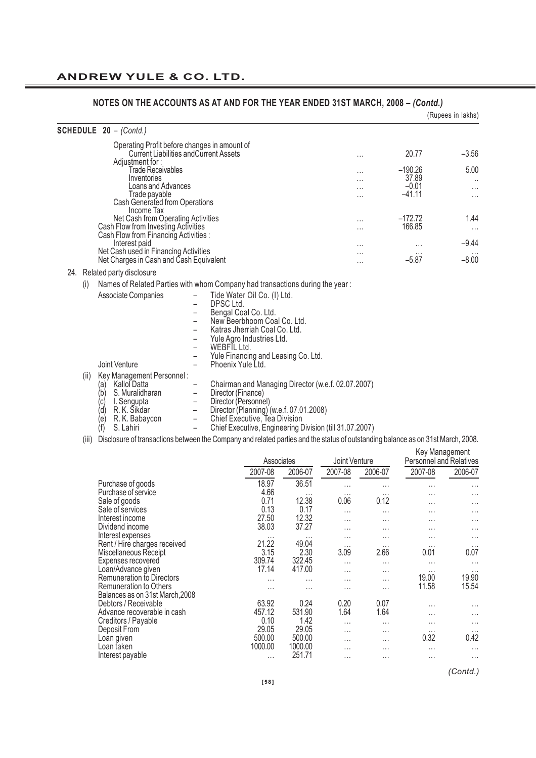|     |                                                                                                                                                                              | <u>INVILO UN THE AUUUNTO AO AT AND FUN THE TEAN ENDED JIOT MANUH, 2000 - (UOIIIU.)</u>                                                                                                                                                                                                                                                                                                                                                                                                   |                      |                                           | (Rupees in lakhs)                 |
|-----|------------------------------------------------------------------------------------------------------------------------------------------------------------------------------|------------------------------------------------------------------------------------------------------------------------------------------------------------------------------------------------------------------------------------------------------------------------------------------------------------------------------------------------------------------------------------------------------------------------------------------------------------------------------------------|----------------------|-------------------------------------------|-----------------------------------|
|     | SCHEDULE 20 - (Contd.)                                                                                                                                                       |                                                                                                                                                                                                                                                                                                                                                                                                                                                                                          |                      |                                           |                                   |
|     | Adjustment for:                                                                                                                                                              | Operating Profit before changes in amount of<br><b>Current Liabilities and Current Assets</b>                                                                                                                                                                                                                                                                                                                                                                                            | $\cdots$             | 20.77                                     | $-3.56$                           |
|     | <b>Trade Receivables</b><br>Inventories<br>Loans and Advances<br>Trade payable<br>Cash Generated from Operations                                                             |                                                                                                                                                                                                                                                                                                                                                                                                                                                                                          | $\cdots$             | $-190.26$<br>37.89<br>$-0.01$<br>$-41.11$ | 5.00<br>$\ldots$<br>$\cdots$<br>. |
|     | Income Tax<br>Net Cash from Operating Activities<br>Cash Flow from Investing Activities<br>Cash Flow from Financing Activities :                                             |                                                                                                                                                                                                                                                                                                                                                                                                                                                                                          | $\cdots$<br>$\cdots$ | $-172.72$<br>166.85                       | 1.44<br>$\cdots$                  |
|     | Interest paid<br>Net Cash used in Financing Activities<br>Net Charges in Cash and Cash Equivalent                                                                            |                                                                                                                                                                                                                                                                                                                                                                                                                                                                                          | $\cdots$             | $\cdots$<br>$-5.87$                       | $-9.44$<br>$-8.00$                |
|     | 24. Related party disclosure                                                                                                                                                 |                                                                                                                                                                                                                                                                                                                                                                                                                                                                                          |                      |                                           |                                   |
| (i) |                                                                                                                                                                              | Names of Related Parties with whom Company had transactions during the year:                                                                                                                                                                                                                                                                                                                                                                                                             |                      |                                           |                                   |
|     | Associate Companies<br>Joint Venture                                                                                                                                         | Tide Water Oil Co. (I) Ltd.<br>DPSC Ltd.<br>Bengal Coal Co. Ltd.<br>New Beerbhoom Coal Co. Ltd.<br>Katras Jherriah Coal Co. Ltd.<br>Yule Agro Industries Ltd.<br>WEBFIL Ltd.<br>Yule Financing and Leasing Co. Ltd.<br>$\qquad \qquad -$<br>Phoenix Yule Ltd.                                                                                                                                                                                                                            |                      |                                           |                                   |
|     | Key Management Personnel:<br>(ii)<br>Kallol Datta<br>(a)<br>(b)<br>S. Muralidharan<br>(c)<br>I. Sengupta<br>(d)<br>R. K. Sikdar<br>R. K. Babaycon<br>(e)<br>(f)<br>S. Lahiri | Chairman and Managing Director (w.e.f. 02.07.2007)<br>Director (Finance)<br>$\overline{\phantom{a}}$<br>Director (Personnel)<br>$\qquad \qquad -$<br>Director (Planning) (w.e.f. 07.01.2008)<br>$\overline{\phantom{a}}$<br>Chief Executive, Tea Division<br>$\overline{\phantom{a}}$<br>Chief Executive, Engineering Division (till 31.07.2007)<br>(iii) Disclosure of transactions between the Company and related parties and the status of outstanding belance as on 31st March 2008 |                      |                                           |                                   |

(iii) Disclosure of transactions between the Company and related parties and the status of outstanding balance as on 31st March, 2008.

|                                  | Associates |          | Joint Venture |          | Key Management<br>Personnel and Relatives |          |
|----------------------------------|------------|----------|---------------|----------|-------------------------------------------|----------|
|                                  | 2007-08    | 2006-07  | 2007-08       | 2006-07  | 2007-08                                   | 2006-07  |
| Purchase of goods                | 18.97      | 36.51    | $\cdots$      | .        | $\cdots$                                  | $\cdots$ |
| Purchase of service              | 4.66       | $\cdots$ | $\cdots$      | $\cdots$ | .                                         | $\cdots$ |
| Sale of goods                    | 0.71       | 12.38    | 0.06          | 0.12     | .                                         | $\cdots$ |
| Sale of services                 | 0.13       | 0.17     | $\cdots$      | $\cdots$ | $\cdots$                                  | $\cdots$ |
| Interest income                  | 27.50      | 12.32    | $\cdots$      | $\cdots$ | $\cdots$                                  | $\cdots$ |
| Dividend income                  | 38.03      | 37.27    | $\cdots$      | $\cdots$ | $\cdots$                                  | $\cdots$ |
| Interest expenses                |            | $\cdots$ | $\cdots$      | .        | .                                         | $\cdots$ |
| Rent / Hire charges received     | 21.22      | 49.04    | $\cdots$      | $\cdots$ | $\cdots$                                  | $\cdots$ |
| Miscellaneous Receipt            | 3.15       | 2.30     | 3.09          | 2.66     | 0.01                                      | 0.07     |
| Expenses recovered               | 309.74     | 322.45   | $\cdots$      | $\cdots$ | .                                         | $\cdots$ |
| Loan/Advance given               | 17.14      | 417.00   | $\cdots$      | $\cdots$ | $\cdots$                                  | $\cdots$ |
| <b>Remuneration to Directors</b> | .          | $\cdots$ | $\cdots$      | $\cdots$ | 19.00                                     | 19.90    |
| <b>Remuneration to Others</b>    | .          | $\cdots$ | .             | .        | 11.58                                     | 15.54    |
| Balances as on 31st March, 2008  |            |          |               |          |                                           |          |
| Debtors / Receivable             | 63.92      | 0.24     | 0.20          | 0.07     | .                                         | $\cdots$ |
| Advance recoverable in cash      | 457.12     | 531.90   | 1.64          | 1.64     | .                                         | .        |
| Creditors / Payable              | 0.10       | 1.42     | $\cdots$      | $\cdots$ | $\cdots$                                  | $\cdots$ |
| Deposit From                     | 29.05      | 29.05    | $\cdots$      | $\cdots$ | $\cdots$                                  | $\cdots$ |
| Loan given                       | 500.00     | 500.00   | $\cdots$      | .        | 0.32                                      | 0.42     |
| Loan taken                       | 1000.00    | 1000.00  | $\cdots$      | .        | .                                         | .        |
| Interest payable                 | $\cdots$   | 251.71   | $\cdots$      | $\cdots$ | $\cdots$                                  | $\cdots$ |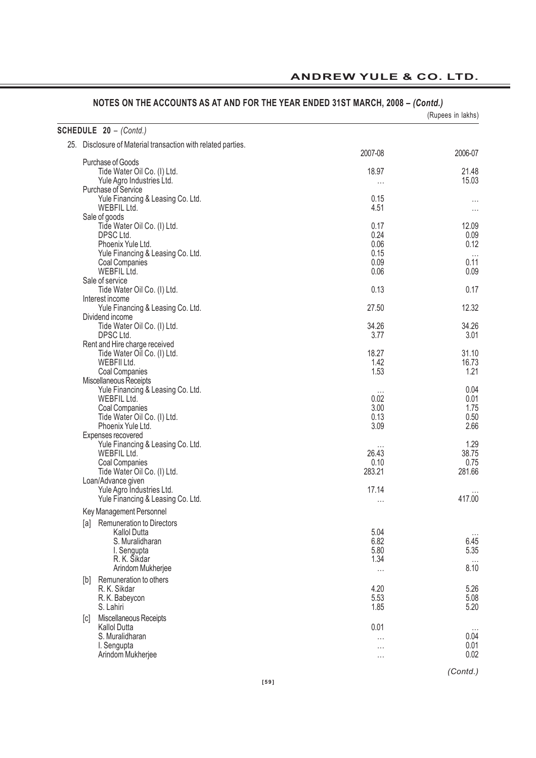| SCHEDULE 20 - (Contd.)                                       |                  |                |
|--------------------------------------------------------------|------------------|----------------|
| 25. Disclosure of Material transaction with related parties. |                  |                |
|                                                              | 2007-08          | 2006-07        |
| Purchase of Goods                                            |                  |                |
| Tide Water Oil Co. (I) Ltd.<br>Yule Agro Industries Ltd.     | 18.97            | 21.48<br>15.03 |
| Purchase of Service                                          | $\cdots$         |                |
| Yule Financing & Leasing Co. Ltd.                            | 0.15             | $\cdots$       |
| WEBFIL Ltd.                                                  | 4.51             | $\cdots$       |
| Sale of goods                                                |                  |                |
| Tide Water Oil Co. (I) Ltd.                                  | 0.17             | 12.09          |
| DPSC Ltd.                                                    | 0.24             | 0.09           |
| Phoenix Yule Ltd.                                            | 0.06             | 0.12           |
| Yule Financing & Leasing Co. Ltd.                            | 0.15             |                |
| <b>Coal Companies</b>                                        | 0.09             | 0.11           |
| WEBFIL Ltd.<br>Sale of service                               | 0.06             | 0.09           |
| Tide Water Oil Co. (I) Ltd.                                  | 0.13             | 0.17           |
| Interest income                                              |                  |                |
| Yule Financing & Leasing Co. Ltd.                            | 27.50            | 12.32          |
| Dividend income                                              |                  |                |
| Tide Water Oil Co. (I) Ltd.                                  | 34.26            | 34.26          |
| DPSC Ltd.                                                    | 3.77             | 3.01           |
| Rent and Hire charge received                                |                  |                |
| Tide Water Oil Co. (I) Ltd.                                  | 18.27            | 31.10          |
| WEBFII Ltd.                                                  | 1.42             | 16.73          |
| Coal Companies<br>Miscellaneous Receipts                     | 1.53             | 1.21           |
| Yule Financing & Leasing Co. Ltd.                            |                  | 0.04           |
| WEBFIL Ltd.                                                  | $\cdots$<br>0.02 | 0.01           |
| Coal Companies                                               | 3.00             | 1.75           |
| Tide Water Oil Co. (I) Ltd.                                  | 0.13             | 0.50           |
| Phoenix Yule Ltd.                                            | 3.09             | 2.66           |
| Expenses recovered                                           |                  |                |
| Yule Financing & Leasing Co. Ltd.                            | $\cdots$         | 1.29           |
| WEBFIL Ltd.                                                  | 26.43            | 38.75          |
| Coal Companies                                               | 0.10             | 0.75           |
| Tide Water Oil Co. (I) Ltd.<br>Loan/Advance given            | 283.21           | 281.66         |
| Yule Agro Industries Ltd.                                    | 17.14            |                |
| Yule Financing & Leasing Co. Ltd.                            |                  | 417.00         |
| Key Management Personnel                                     | $\cdots$         |                |
| Remuneration to Directors<br>[a]                             |                  |                |
| Kallol Dutta                                                 | 5.04             |                |
| S. Muralidharan                                              | 6.82             | 6.45           |
| I. Sengupta                                                  | 5.80             | 5.35           |
| R. K. Šikdar                                                 | 1.34             | $\ldots$       |
| Arindom Mukherjee                                            | $\cdots$         | 8.10           |
| Remuneration to others<br>[b]                                |                  |                |
| R. K. Sikdar                                                 | 4.20             | 5.26           |
| R. K. Babeycon                                               | 5.53             | 5.08           |
| S. Lahiri                                                    | 1.85             | 5.20           |
| Miscellaneous Receipts<br> c                                 |                  |                |
| <b>Kallol Dutta</b>                                          | 0.01             |                |
| S. Muralidharan<br>I. Sengupta                               | $\cdots$         | 0.04<br>0.01   |
| Arindom Mukherjee                                            | $\cdots$         | 0.02           |
|                                                              | $\cdots$         |                |

**ANDREW YULE & CO. LTD.**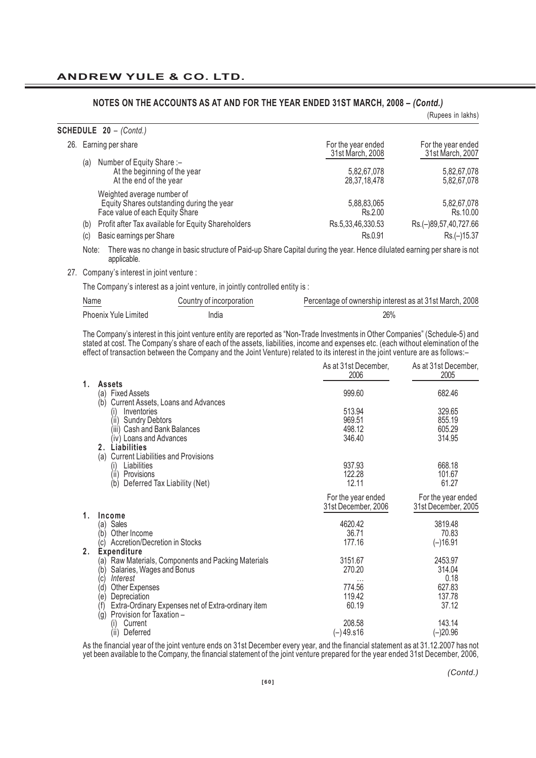|                                  |                                                                                                                                 |                                        | (Rupees in lakhs)                      |
|----------------------------------|---------------------------------------------------------------------------------------------------------------------------------|----------------------------------------|----------------------------------------|
| <b>SCHEDULE 20 - (Contd.)</b>    |                                                                                                                                 |                                        |                                        |
| Earning per share<br>26.         |                                                                                                                                 | For the year ended<br>31st March, 2008 | For the year ended<br>31st March, 2007 |
| Number of Equity Share :-<br>(a) | At the beginning of the year<br>At the end of the year                                                                          | 5,82,67,078<br>28, 37, 18, 478         | 5,82,67,078<br>5,82,67,078             |
|                                  | Weighted average number of<br>Equity Shares outstanding during the year<br>Face value of each Equity Share                      | 5,88,83,065<br>Rs.2.00                 | 5,82,67,078<br>Rs.10.00                |
| (b)                              | Profit after Tax available for Equity Shareholders                                                                              | Rs.5,33,46,330.53                      | Rs.(-)89,57,40,727.66                  |
| (c)<br>Basic earnings per Share  |                                                                                                                                 | Rs.0.91                                | Rs.(-)15.37                            |
|                                  | Note: There was no change in basic structure of Daid up Share Capital during the vear. Hence dilulated earning per share is not |                                        |                                        |

Note: There was no change in basic structure of Paid-up Share Capital during the year. Hence dilulated earning per share is not applicable.

27. Company's interest in joint venture :

The Company's interest as a joint venture, in jointly controlled entity is :

| Name<br>$\sim$ $\sim$       | Country of incorporation | Percentage of ownership interest as at 31st March, 2008 |
|-----------------------------|--------------------------|---------------------------------------------------------|
| <b>Phoenix Yule Limited</b> | India                    | 26%                                                     |

The Company's interest in this joint venture entity are reported as "Non-Trade Investments in Other Companies" (Schedule-5) and stated at cost. The Company's share of each of the assets, liabilities, income and expenses etc. (each without elemination of the effect of transaction between the Company and the Joint Venture) related to its interest in the joint venture are as follows:–

|    |                                                                                              | As at 31st December,<br>2006 | As at 31st December,<br>2005 |
|----|----------------------------------------------------------------------------------------------|------------------------------|------------------------------|
| 1. | <b>Assets</b>                                                                                |                              |                              |
|    | <b>Fixed Assets</b><br>(a)<br>Current Assets, Loans and Advances<br>(b)                      | 999.60                       | 682.46                       |
|    | Inventories<br>(۱)                                                                           | 513.94                       | 329.65                       |
|    | <b>Sundry Debtors</b><br>(ii)                                                                | 969.51                       | 855.19                       |
|    | Cash and Bank Balances<br>(iii)                                                              | 498.12                       | 605.29                       |
|    | (iv) Loans and Advances                                                                      | 346.40                       | 314.95                       |
|    | 2. Liabilities                                                                               |                              |                              |
|    | (a) Current Liabilities and Provisions                                                       |                              |                              |
|    | Liabilities<br>(i)                                                                           | 937.93                       | 668.18                       |
|    | (ii)<br>Provisions                                                                           | 122.28                       | 101.67                       |
|    | Deferred Tax Liability (Net)<br>(b)                                                          | 12.11                        | 61.27                        |
|    |                                                                                              | For the year ended           | For the year ended           |
|    |                                                                                              | 31st December, 2006          | 31st December, 2005          |
| 1. | Income                                                                                       |                              |                              |
|    | (a) Sales                                                                                    | 4620.42                      | 3819.48                      |
|    | Other Income<br>(b'                                                                          | 36.71                        | 70.83                        |
|    | Accretion/Decretion in Stocks<br>(c)                                                         | 177.16                       | $(-)16.91$                   |
| 2. | <b>Expenditure</b>                                                                           |                              |                              |
|    | (a) Raw Materials, Components and Packing Materials                                          | 3151.67                      | 2453.97                      |
|    | Salaries, Wages and Bonus<br>(b)                                                             | 270.20                       | 314.04                       |
|    | Interest<br>(c)                                                                              | $\cdots$                     | 0.18                         |
|    | Other Expenses<br>(d)                                                                        | 774.56                       | 627.83                       |
|    | Depreciation<br>(e)                                                                          | 119.42                       | 137.78                       |
|    | Extra-Ordinary Expenses net of Extra-ordinary item<br>(f)<br>Provision for Taxation -<br>(g) | 60.19                        | 37.12                        |
|    | Current<br>(۱)                                                                               | 208.58                       | 143.14                       |
|    | (ii)<br>Deferred                                                                             | $(-)49.516$                  | $(-)20.96$                   |
|    |                                                                                              |                              |                              |

As the financial year of the joint venture ends on 31st December every year, and the financial statement as at 31.12.2007 has not yet been available to the Company, the financial statement of the joint venture prepared for the year ended 31st December, 2006,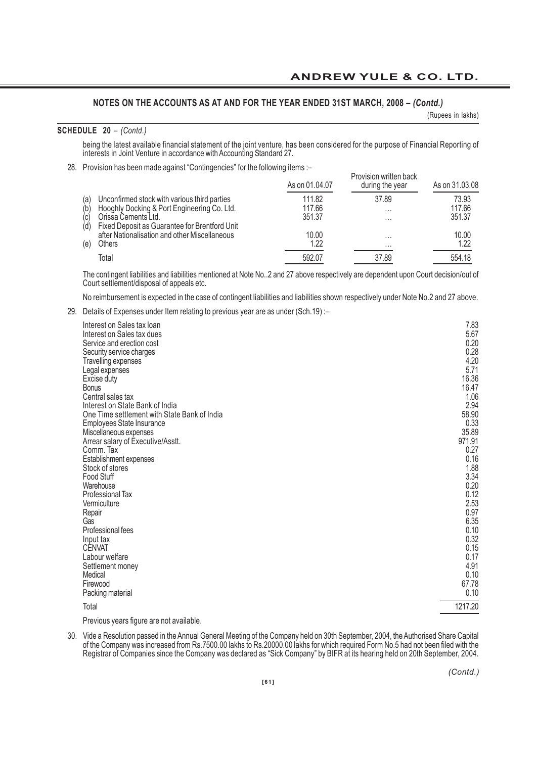(Rupees in lakhs)

#### **SCHEDULE 20** *– (Contd.)*

being the latest available financial statement of the joint venture, has been considered for the purpose of Financial Reporting of interests in Joint Venture in accordance with Accounting Standard 27.

28. Provision has been made against "Contingencies" for the following items :–

|     | The reflection made against contingencies for the rendming items. | As on 01.04.07 | Provision written back<br>during the year | As on 31,03,08 |
|-----|-------------------------------------------------------------------|----------------|-------------------------------------------|----------------|
| (a) | Unconfirmed stock with various third parties                      | 111.82         | 37.89                                     | 73.93          |
| (b) | Hooghly Docking & Port Engineering Co. Ltd.                       | 117.66         | $\cdots$                                  | 117.66         |
| (c) | Orissa Cements Ltd.                                               | 351.37         | $\cdots$                                  | 351.37         |
| (d) | Fixed Deposit as Guarantee for Brentford Unit                     |                |                                           |                |
|     | after Nationalisation and other Miscellaneous                     | 10.00          | $\cdots$                                  | 10.00          |
| (e) | Others                                                            | 1.22           | $\cdots$                                  | 1.22           |
|     | Total                                                             | 592.07         | 37.89                                     | 554.18         |

The contingent liabilities and liabilities mentioned at Note No..2 and 27 above respectively are dependent upon Court decision/out of Court settlement/disposal of appeals etc.

No reimbursement is expected in the case of contingent liabilities and liabilities shown respectively under Note No.2 and 27 above.

29. Details of Expenses under Item relating to previous year are as under (Sch.19) :–

| Interest on Sales tax loan                   | 7.83    |
|----------------------------------------------|---------|
| Interest on Sales tax dues                   | 5.67    |
| Service and erection cost                    | 0.20    |
| Security service charges                     | 0.28    |
| Travelling expenses                          | 4.20    |
| Legal expenses                               | 5.71    |
| Excise duty                                  | 16.36   |
| <b>Bonus</b>                                 | 16.47   |
| Central sales tax                            | 1.06    |
| Interest on State Bank of India              | 2.94    |
| One Time settlement with State Bank of India | 58.90   |
| Employees State Insurance                    | 0.33    |
| Miscellaneous expenses                       | 35.89   |
| Arrear salary of Executive/Asstt.            | 971.91  |
| Comm. Tax                                    | 0.27    |
| Establishment expenses                       | 0.16    |
| Stock of stores                              | 1.88    |
| <b>Food Stuff</b>                            | 3.34    |
| Warehouse                                    | 0.20    |
| Professional Tax                             | 0.12    |
| Vermiculture                                 | 2.53    |
| Repair                                       | 0.97    |
| Gas                                          | 6.35    |
| Professional fees                            | 0.10    |
| Input tax                                    | 0.32    |
| <b>CENVAT</b>                                | 0.15    |
| Labour welfare                               | 0.17    |
| Settlement money                             | 4.91    |
| Medical                                      | 0.10    |
| Firewood                                     | 67.78   |
| Packing material                             | 0.10    |
| Total                                        | 1217.20 |

Previous years figure are not available.

30. Vide a Resolution passed in the Annual General Meeting of the Company held on 30th September, 2004, the Authorised Share Capital of the Company was increased from Rs.7500.00 lakhs to Rs.20000.00 lakhs for which required Form No.5 had not been filed with the Registrar of Companies since the Company was declared as "Sick Company" by BIFR at its hearing held on 20th September, 2004.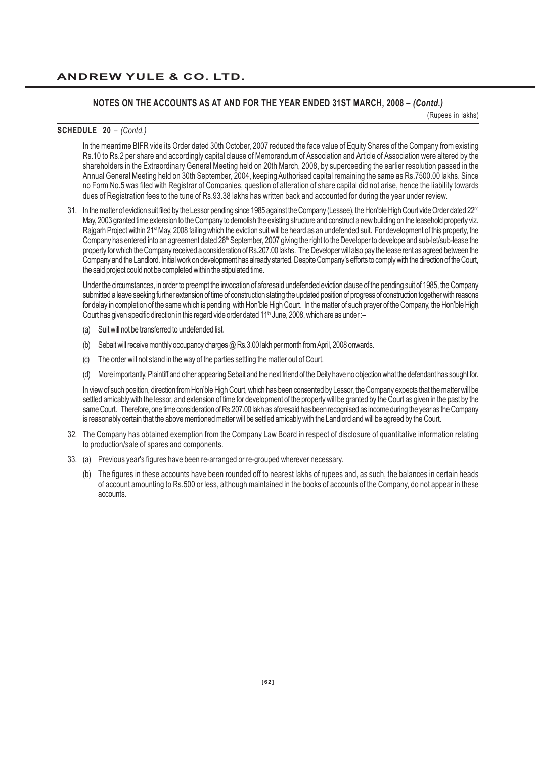(Rupees in lakhs)

#### **SCHEDULE 20** *– (Contd.)*

In the meantime BIFR vide its Order dated 30th October, 2007 reduced the face value of Equity Shares of the Company from existing Rs.10 to Rs.2 per share and accordingly capital clause of Memorandum of Association and Article of Association were altered by the shareholders in the Extraordinary General Meeting held on 20th March, 2008, by superceeding the earlier resolution passed in the Annual General Meeting held on 30th September, 2004, keeping Authorised capital remaining the same as Rs.7500.00 lakhs. Since no Form No.5 was filed with Registrar of Companies, question of alteration of share capital did not arise, hence the liability towards dues of Registration fees to the tune of Rs.93.38 lakhs has written back and accounted for during the year under review.

31. In the matter of eviction suit filed by the Lessor pending since 1985 against the Company (Lessee), the Hon'ble High Court vide Order dated 22<sup>nd</sup> May, 2003 granted time extension to the Company to demolish the existing structure and construct a new building on the leasehold property viz. Rajgarh Project within 21<sup>st</sup> May, 2008 failing which the eviction suit will be heard as an undefended suit. For development of this property, the Company has entered into an agreement dated 28<sup>th</sup> September, 2007 giving the right to the Developer to develope and sub-let/sub-lease the property for which the Company received a consideration of Rs.207.00 lakhs. The Developer will also pay the lease rent as agreed between the Company and the Landlord. Initial work on development has already started. Despite Company's efforts to comply with the direction of the Court, the said project could not be completed within the stipulated time.

Under the circumstances, in order to preempt the invocation of aforesaid undefended eviction clause of the pending suit of 1985, the Company submitted a leave seeking further extension of time of construction stating the updated position of progress of construction together with reasons for delay in completion of the same which is pending with Hon'ble High Court. In the matter of such prayer of the Company, the Hon'ble High Court has given specific direction in this regard vide order dated 11<sup>th</sup> June, 2008, which are as under :-

- (a) Suit will not be transferred to undefended list.
- (b) Sebait will receive monthly occupancy charges @ Rs.3.00 lakh per month from April, 2008 onwards.
- (c) The order will not stand in the way of the parties settling the matter out of Court.
- (d) More importantly, Plaintiff and other appearing Sebait and the next friend of the Deity have no objection what the defendant has sought for.

In view of such position, direction from Hon'ble High Court, which has been consented by Lessor, the Company expects that the matter will be settled amicably with the lessor, and extension of time for development of the property will be granted by the Court as given in the past by the same Court. Therefore, one time consideration of Rs.207.00 lakh as aforesaid has been recognised as income during the year as the Company is reasonably certain that the above mentioned matter will be settled amicably with the Landlord and will be agreed by the Court.

- 32. The Company has obtained exemption from the Company Law Board in respect of disclosure of quantitative information relating to production/sale of spares and components.
- 33. (a) Previous year's figures have been re-arranged or re-grouped wherever necessary.
	- (b) The figures in these accounts have been rounded off to nearest lakhs of rupees and, as such, the balances in certain heads of account amounting to Rs.500 or less, although maintained in the books of accounts of the Company, do not appear in these accounts.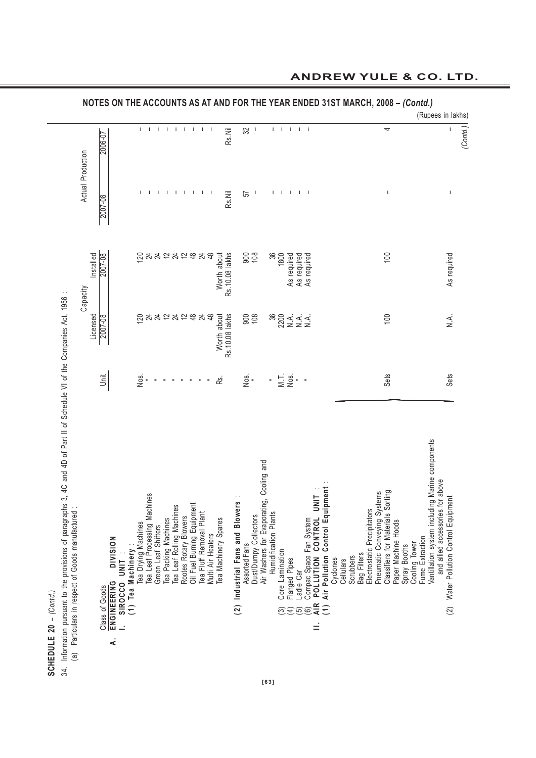| Contd.<br>ı | pursuant t |
|-------------|------------|
| ິລ<br>Ц     | nformation |
| SCHEI       | ੜ੍ਹਾਂ      |

Information pursuant to the provisions of paragraphs 3, 4C and 4D of Part II of Schedule VI of the Companies Act, 1956:<br>(a) Particulars in respect of Goods manufactured: 34. Information pursuant to the provisions of paragraphs 3, 4C and 4D of Part II of Schedule VI of the Companies Act, 1956 :

|                                                  |           |                                                             |                |                    |                                                     |                |                     |                      |    |                                                    |                     |                                                       |                   |                                |                                   |                   |                       |                                          |                          |                      |                                |                |                                              |                         |                                                   |                       |           |                                            |         |                                                              |                     |              |               |                 | (Rupees in lakhs)                                                                   |                                          |        |
|--------------------------------------------------|-----------|-------------------------------------------------------------|----------------|--------------------|-----------------------------------------------------|----------------|---------------------|----------------------|----|----------------------------------------------------|---------------------|-------------------------------------------------------|-------------------|--------------------------------|-----------------------------------|-------------------|-----------------------|------------------------------------------|--------------------------|----------------------|--------------------------------|----------------|----------------------------------------------|-------------------------|---------------------------------------------------|-----------------------|-----------|--------------------------------------------|---------|--------------------------------------------------------------|---------------------|--------------|---------------|-----------------|-------------------------------------------------------------------------------------|------------------------------------------|--------|
|                                                  | 2006-07   |                                                             |                |                    | L                                                   | $\mathbf{I}$   | $\mathbf{I}$        | $\mathbf{I}$         |    |                                                    | $1 \quad 1 \quad 1$ | $\mathbf{I}$                                          |                   | Rs.Nil                         |                                   | S2                | - 1                   |                                          | I.                       | $\mathbf{I}$         | $\mathbf{I}$                   | $\pm$ $\pm$    |                                              |                         |                                                   |                       |           |                                            |         | 4                                                            |                     |              |               |                 |                                                                                     | J.                                       | Contd. |
| Actual Production                                |           | 2007-08                                                     |                |                    | L                                                   |                | -1                  | $\mathbf{I}$         | -1 | -1                                                 | $\blacksquare$      | $\mathbf{I}$                                          | ı                 | Rs.Nil                         |                                   | 57                |                       |                                          | L                        | J.                   | $\mathbf{I}$                   | $\blacksquare$ | - 1                                          |                         |                                                   |                       |           |                                            |         | $\overline{\phantom{a}}$                                     |                     |              |               |                 |                                                                                     | $\sf I$                                  |        |
| Capacity                                         | Installed | 2007-08                                                     |                |                    |                                                     |                |                     |                      |    |                                                    |                     |                                                       | <u>のみみにみれるみは。</u> | Rs. 10.08 lakhs<br>Worth about |                                   | $\frac{800}{108}$ |                       |                                          | 36<br>36<br>36           |                      |                                |                | As required<br>As required<br>As required    |                         |                                                   |                       |           |                                            |         | 100                                                          |                     |              |               |                 |                                                                                     | As required                              |        |
|                                                  | Licensed  | 2007-08                                                     |                |                    | 120                                                 | $\frac{4}{24}$ |                     | $\tilde{c}$          | 24 | $\tilde{c}$                                        | $\frac{8}{3}$       | 24                                                    | $\frac{8}{3}$     | Worth about<br>Rs.10.08 lakhs  |                                   | $\frac{800}{108}$ |                       |                                          |                          |                      |                                |                |                                              |                         |                                                   |                       |           |                                            |         | 100                                                          |                     |              |               |                 |                                                                                     | $\frac{1}{2}$                            |        |
|                                                  |           | jait                                                        |                |                    | $\frac{1}{2}$                                       |                | $\frac{1}{2}$       |                      |    | $\equiv$                                           |                     | $\,$ $\,$                                             |                   | <u>്ട്</u>                     |                                   | $\frac{1}{2}$ =   |                       |                                          | $\frac{1}{\pi}$          |                      | $M = 5$ .                      |                |                                              |                         |                                                   |                       |           |                                            |         | Sets                                                         |                     |              |               |                 |                                                                                     | <b>Sets</b>                              |        |
| (a) Particulars in respect of Goods manufactured |           | <b>NOISINI</b><br><b>ENGINEERING</b><br>Class of Goods<br>₹ | SIROCCO UNIT : | (1) Tea Machinery: | Tea Drying Machines<br>Tea Leaf Processing Machines |                | Green Leaf Shifters | Tea Packing Machines |    | Tea Leaf Rolling Machines<br>Rootes Rotary Blowers |                     | Oil Fuel Burning Equipment<br>Tea Fluff Removal Plant | Multi Air Heaters | Tea Machinery Spares           | (2) Industrial Fans and Blowers : | Assorted Fans     | Dust/Dumpy Collectors | Air Washers for Evaporating, Cooling and | 5<br>Humidification Plan | Core Lamination<br>ම | Flanged Pipes<br>$\widehat{A}$ | Ladle Car<br>ම | Compac Space Fan System<br>POLLUTION CONTROL | UNIT<br><b>AIR</b><br>Ξ | Air Pollution Control Equipment<br>$\overline{1}$ | Cyclones<br>Cellulars | Scrubbers | Electrostatic Precipitators<br>Bag Filters | Systems | s Sorting<br>Pneumatic Conveying<br>Classifiers for Material | Paper Machine Hoods | Spray Booths | Cooling Tower | Fume Extraction | Vantillation system including Marine components<br>and allied accessories for above | Water Pollution Control Equipment<br>(2) |        |

**NOTES ON THE ACCOUNTS AS AT AND FOR THE YEAR ENDED 31ST MARCH, 2008 –** *(Contd.)*

# **ANDREW YULE & CO. LTD.**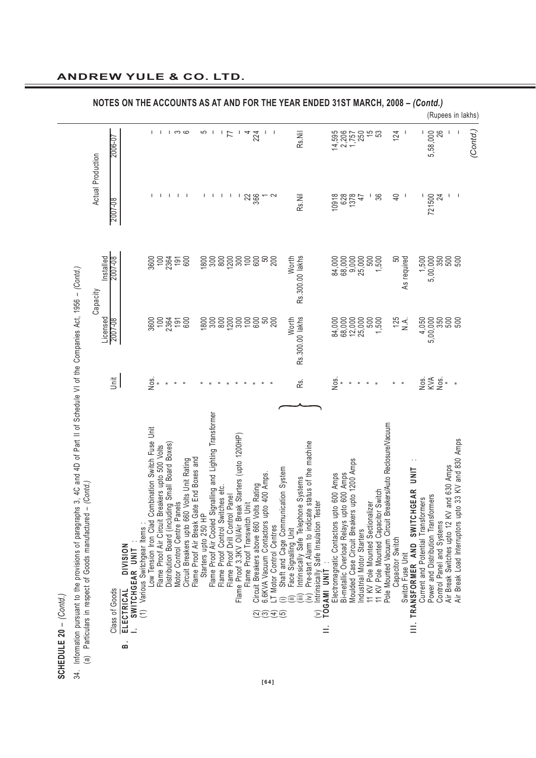| ı |
|---|
|   |
|   |
| ် |
|   |
|   |
|   |
|   |
|   |
|   |
|   |
|   |
|   |
|   |
|   |
|   |
| l |
|   |
|   |
|   |
|   |
|   |
|   |

Information pursuant to the provisions of paragraphs 3, 4C and 4D of Part II of Schedule VI of the Companies Act, 1956 - (Contd.) 34. Information pursuant to the provisions of paragraphs 3, 4C and 4D of Part II of Schedule VI of the Companies Act, 1956 – *(Contd.)*  $34.$ 

|                                                                         |                | NOTES ON THE ACCOUNTS AS AT AND FOR THE YEAR ENDED 31ST MARCH, 2008 - (Contd.)               |                                                    |                                                 |                                                  |                             |                                             |                                          |                      |                                                            |                                                                      |                                                        |                             |                                         |                                                             |                                            |                                                      |                                                                       |                                                                                                                                    |                                          |                                           |                                              |                                                               |                                     |                                                            |                  |                  |                                      |                                                                           |                           |                                               |                                                               | (Rupees in lakhs) |
|-------------------------------------------------------------------------|----------------|----------------------------------------------------------------------------------------------|----------------------------------------------------|-------------------------------------------------|--------------------------------------------------|-----------------------------|---------------------------------------------|------------------------------------------|----------------------|------------------------------------------------------------|----------------------------------------------------------------------|--------------------------------------------------------|-----------------------------|-----------------------------------------|-------------------------------------------------------------|--------------------------------------------|------------------------------------------------------|-----------------------------------------------------------------------|------------------------------------------------------------------------------------------------------------------------------------|------------------------------------------|-------------------------------------------|----------------------------------------------|---------------------------------------------------------------|-------------------------------------|------------------------------------------------------------|------------------|------------------|--------------------------------------|---------------------------------------------------------------------------|---------------------------|-----------------------------------------------|---------------------------------------------------------------|-------------------|
|                                                                         | 2006-07        |                                                                                              |                                                    |                                                 | L.                                               | က ထ                         |                                             |                                          | 5                    |                                                            | $\mathbf{I}$<br>77                                                   |                                                        | 4                           | 224                                     |                                                             |                                            |                                                      | Rs.Nil                                                                |                                                                                                                                    |                                          | 14,595<br>2,206<br>1,757<br>1,750         |                                              |                                                               | 15<br>15                            |                                                            | 124              |                  |                                      | 5,58,000                                                                  | 26                        | J.                                            |                                                               | (Contd.)          |
| Actual Production                                                       | 2007-08        |                                                                                              |                                                    |                                                 |                                                  |                             |                                             |                                          |                      |                                                            |                                                                      |                                                        | ೫                           | 366                                     |                                                             |                                            |                                                      | Rs.Nil                                                                |                                                                                                                                    | 10918                                    | 628                                       | 1378                                         | 47                                                            | 36                                  |                                                            | $\overline{4}$   |                  |                                      | 721500                                                                    | 24                        | -1                                            |                                                               |                   |
| Installed<br>Capacity                                                   | 2007-08        |                                                                                              |                                                    |                                                 |                                                  |                             |                                             |                                          |                      |                                                            | 88888888888                                                          |                                                        |                             |                                         |                                                             |                                            |                                                      | Rs.300.00 lakhs<br>Worth                                              |                                                                                                                                    |                                          | 84,000<br>68,0000<br>89,000               |                                              |                                                               | 1,500                               |                                                            | ន                | As required      |                                      | 1,500                                                                     |                           | 5,00,000<br>350<br>500<br>500                 |                                                               |                   |
| Licensed                                                                | 2007-08        |                                                                                              |                                                    | 88458<br>88788                                  |                                                  |                             |                                             |                                          |                      |                                                            |                                                                      |                                                        |                             |                                         |                                                             |                                            |                                                      | Rs.300.00 lakhs<br>Worth                                              |                                                                                                                                    |                                          | 84,000<br>68,000<br>88,25,000             |                                              |                                                               | 1,500                               |                                                            | 125              | $\frac{1}{2}$    |                                      |                                                                           |                           | $4,050$<br>5,00,000<br>5,00,000<br>500<br>500 |                                                               |                   |
|                                                                         | jnit           |                                                                                              | Nos.                                               | $\equiv$                                        |                                                  |                             |                                             |                                          |                      |                                                            |                                                                      |                                                        |                             |                                         |                                                             |                                            |                                                      | κś.                                                                   |                                                                                                                                    | Nos.                                     |                                           |                                              |                                                               |                                     |                                                            |                  |                  |                                      | SS<br>RSS<br>Nos.                                                         |                           |                                               |                                                               |                   |
| Particulars in respect of Goods manufactured - (Contd,<br>$\widehat{a}$ | Class of Goods | (1) Various Switchgear Items:<br><b>NOISINI</b><br>SWITCHGEAR UNIT<br><b>ELECTRICAL</b><br>ä | Low Tension Iron Clad Combination Switch Fuse Unit | Flame Proof Air Circuit Breakers upto 500 Volts | Distribution Board (including Small Board Boxes) | Motor Control Centre Panels | Circuit Breakers upto 660 Volts Unit Rating | Flame Proof Air Break Gate End Boxes and | Starters upto 250 HP | Flame Proof Air Cooled Signalling and Lighting Transformen | Flame Proof Control Switches etc.<br>Flame Proof Drill Control Panel | Flame Proof 3.3KV Oil/Air Break Starters (upto 1200HP) | Flame Proof Transwitch Unit | Circuit Breakers above 660 Volts Rating | 6.6KVA Vacuum Contactors upto 400 Amps.<br>$\widetilde{29}$ | LT Motor Control Centres<br>$\overline{4}$ | Shaft and Cage Communication System<br>$\widehat{5}$ | Intrinsically Safe Telephone Systems<br>Face Signalling Unit<br>(iii) | Pre-start Alarm to indicate status of the machine<br>(v) Intrinsically Safe Insulation Tester<br>TOGAMI UNIT :<br>$\sum_{i=1}^{n}$ | Electromagnatic Contactors upto 600 Amps | Bi-metallic Overload Relays upto 600 Amps | Moulded Case Circuit Breakers upto 1200 Amps | 11 KV Pole Mounted Sectionalizer<br>Industrial Motor Starters | 11 KV Pole Mounted Capacitor Switch | Pole Mounted Vacuum Circuit Breakers/Auto Reclosure/Vacuum | Capacitor Switch | Switch Fuse Unit | III. TRANSFORMER AND SWITCHGEAR UNIT | Power and Distribution Transformers<br>Current and Potential Transformers | Control Panel and Systems | 630 Amps<br>Air Break Switches upto 12 KV and | and 830 Amps<br>$\geq$<br>Air Break Load Interruptors upto 33 |                   |

## **ANDREW YULE & CO. LTD.**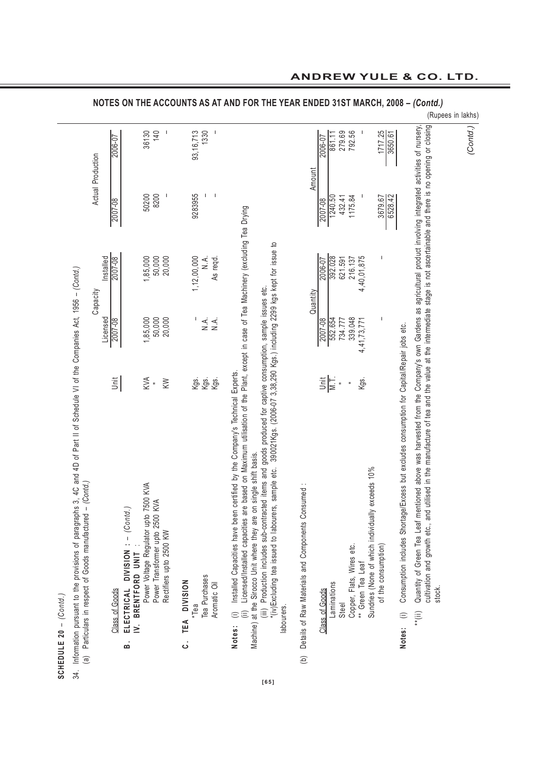| ء<br>م          |
|-----------------|
| I<br>I          |
| č<br>å          |
| U<br>J<br>ことこくく |
|                 |

34. Information pursuant to the provisions of paragraphs 3, 4C and 4D of Part II of Schedule VI of the Companies Act, 1956 - (Contd.) 34. Information pursuant to the provisions of paragraphs 3, 4C and 4D of Part II of Schedule VI of the Companies Act, 1956 – *(Contd.)*

|                                                                 |           |                |                                                                    |                                       |                                                               |                        |             |                               |                                                                                                                                                                                                                                                                                                                                                                                                                                                                                                                                                                             |                                                    |          |                                  |                      |         |                                                |                                                  |                     |                                                                                                          |                                                                                                                                                                                                                                                                                                                                                    | (Rupees in lakhs) |  |
|-----------------------------------------------------------------|-----------|----------------|--------------------------------------------------------------------|---------------------------------------|---------------------------------------------------------------|------------------------|-------------|-------------------------------|-----------------------------------------------------------------------------------------------------------------------------------------------------------------------------------------------------------------------------------------------------------------------------------------------------------------------------------------------------------------------------------------------------------------------------------------------------------------------------------------------------------------------------------------------------------------------------|----------------------------------------------------|----------|----------------------------------|----------------------|---------|------------------------------------------------|--------------------------------------------------|---------------------|----------------------------------------------------------------------------------------------------------|----------------------------------------------------------------------------------------------------------------------------------------------------------------------------------------------------------------------------------------------------------------------------------------------------------------------------------------------------|-------------------|--|
|                                                                 |           | 2006-07        |                                                                    | 36130                                 | 140                                                           |                        | 93, 16, 713 | 1330                          |                                                                                                                                                                                                                                                                                                                                                                                                                                                                                                                                                                             |                                                    |          | 2006-07                          | 279.69<br>861.1      | 792.56  |                                                |                                                  | 1717.25<br>3650.61  |                                                                                                          |                                                                                                                                                                                                                                                                                                                                                    | (Contd.)          |  |
| Actual Production                                               |           | 2007-08        |                                                                    | 50200                                 | 8200<br>$\mathsf I$                                           |                        | 9283955     | J.<br>$\mathbf{I}$            |                                                                                                                                                                                                                                                                                                                                                                                                                                                                                                                                                                             |                                                    | Amount   | 2007-08                          | 1240.50<br>432.41    | 1175.84 |                                                |                                                  | 6528.42<br>3679.67  |                                                                                                          |                                                                                                                                                                                                                                                                                                                                                    |                   |  |
|                                                                 | Installed | 2007-08        |                                                                    | 1,85,000                              | 50,000<br>20,000                                              |                        | 1,12,00,000 | As regd.<br>λ.<br>Ζ           |                                                                                                                                                                                                                                                                                                                                                                                                                                                                                                                                                                             |                                                    |          | 2006-07                          | 392.028<br>621.591   | 216.137 | 4,40,01,875                                    |                                                  |                     |                                                                                                          |                                                                                                                                                                                                                                                                                                                                                    |                   |  |
| Capacity                                                        | Licensed  | 2007-08        |                                                                    | 1,85,000                              | 20,000<br>50,000                                              |                        |             | ΧÁ.<br>$\sum_{i=1}^{n}$       |                                                                                                                                                                                                                                                                                                                                                                                                                                                                                                                                                                             |                                                    | Quantity | 2007-08                          | 552.654<br>734.777   | 339.048 | 4,41,73,771                                    |                                                  | ı                   |                                                                                                          |                                                                                                                                                                                                                                                                                                                                                    |                   |  |
|                                                                 |           | <b>Unit</b>    |                                                                    | KVA<br>"                              | KW                                                            |                        |             | Kgs.<br>Kgs.<br>Kgs.          |                                                                                                                                                                                                                                                                                                                                                                                                                                                                                                                                                                             |                                                    |          | $\frac{\mathrm{tr}}{\mathrm{N}}$ | $\overline{a}$       |         | Kgs.                                           |                                                  |                     |                                                                                                          |                                                                                                                                                                                                                                                                                                                                                    |                   |  |
| $-(Contd.)$<br>(a) Particulars in respect of Goods manufactured |           | Class of Goods | ELECTRICAL DIVISION : - (Contd.)<br>BRENTFORD UNIT<br>$\mathbf{a}$ | Power Voltage Regulator upto 7500 KVA | KVA<br>Power Transformer upto 2500<br>Rectifiers upto 2500 KW | TEA DIVISION<br>.<br>ت | *Tea        | Tea Purchases<br>Aromatic Oil | (i) Installed Capacities have been certified by the Company's Technical Experts.<br>(ii) Licensed/Installed capacities are based on Maximum utilisation of the Plant, except in case of Tea Machinery (excluding Tea Drying<br>"(v)Excluding tea issued to labourers, sample etc. 390021Kgs. (2006-07 3,38,290 Kgs.) including 2299 kgs kept for issue to<br>(iii) Production includes sub-contracted items and goods produced for captive consumption, sample issues etc.<br>on single shift basis.<br>Machine) at the Sirocco Unit where they are<br>labourers.<br>Notes: | Details of Raw Materials and Components Consumed : |          | Class of Goods                   | Laminations<br>Steel |         | Copper, Flats, Wires etc.<br>** Green Tea Leaf | Sundries (None of which individually exceeds 10% | of the consumption) | Consumption includes Shortage/Excess but excludes consumption for Capital/Repair jobs etc.<br>Notes: (i) | cultivation and growth etc., and utilised in the manufacture of tea and the value at the intermediate stage is not ascertainable and there is no opening or closing<br>"(ii) Quantity of Green Tea Leaf mentioned above was harvested from the Company's own Gardens as agricultural product involving integrated activities of nursery,<br>stock. |                   |  |
|                                                                 |           |                |                                                                    |                                       |                                                               |                        |             |                               |                                                                                                                                                                                                                                                                                                                                                                                                                                                                                                                                                                             | $\overline{e}$                                     |          |                                  |                      |         |                                                |                                                  |                     |                                                                                                          |                                                                                                                                                                                                                                                                                                                                                    |                   |  |

**NOTES ON THE ACCOUNTS AS AT AND FOR THE YEAR ENDED 31ST MARCH, 2008 –** *(Contd.)*

**[65]**

# **ANDREW YULE & CO. LTD.**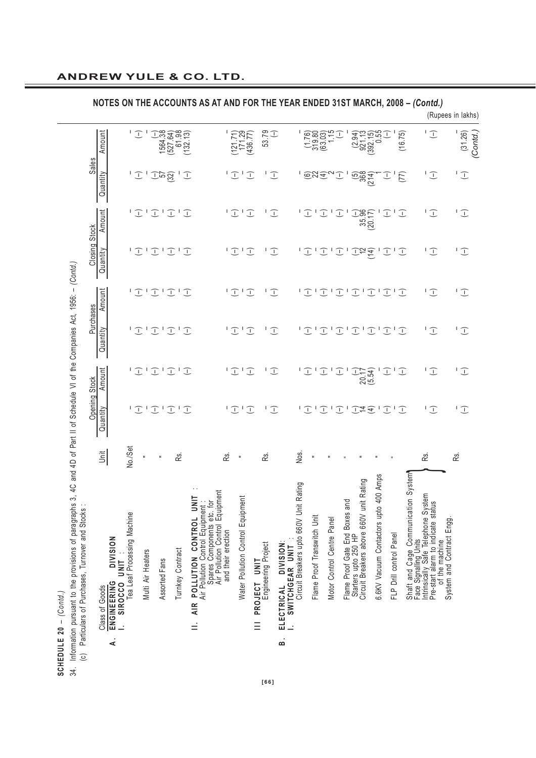|                                                                                               |                                                          |                |                                                    |                             |                   |                                                                       |                                                                                                        |                  |                                                                                                                          |                                        |                          |                         |                                                                                              |                             |                                              |               |                                                                                                                                       |                                                          |                         |            |                                                                                                                                                            | (Rupees in lakhs)        |
|-----------------------------------------------------------------------------------------------|----------------------------------------------------------|----------------|----------------------------------------------------|-----------------------------|-------------------|-----------------------------------------------------------------------|--------------------------------------------------------------------------------------------------------|------------------|--------------------------------------------------------------------------------------------------------------------------|----------------------------------------|--------------------------|-------------------------|----------------------------------------------------------------------------------------------|-----------------------------|----------------------------------------------|---------------|---------------------------------------------------------------------------------------------------------------------------------------|----------------------------------------------------------|-------------------------|------------|------------------------------------------------------------------------------------------------------------------------------------------------------------|--------------------------|
|                                                                                               |                                                          | Amount         |                                                    | $\overline{\mathbb{C}}$     |                   | $\begin{array}{c} (-) \\ 1564.38 \\ (527.64) \\ 61.98 \end{array}$    | ิ์ 61.98<br>(132.13)                                                                                   |                  |                                                                                                                          | $(121.71)$<br>$171.29$                 | (436.77)                 | 53.79<br>$\bigcirc$     |                                                                                              |                             | $(1.76)$<br>$(1.76)$<br>$(63.03)$<br>$(1.5)$ | $\mathcal{I}$ | $(2.94)$ $(392.15)$ $(392.15)$ $(-)$                                                                                                  |                                                          |                         | (16.75)    | $\sqrt{1}$                                                                                                                                                 | L<br>(31.26)<br>Contd.   |
|                                                                                               | Sales                                                    | Quantity       |                                                    |                             |                   | $\sqrt{2}$                                                            |                                                                                                        | J                |                                                                                                                          | $\begin{array}{c} \square \end{array}$ |                          | $\bigcup$               |                                                                                              |                             | 1.693597                                     |               | $\frac{(5)}{368}$<br>$(214)$                                                                                                          |                                                          | J                       | (77)       | $\bigcup$                                                                                                                                                  | $\overline{\mathbb{C}}$  |
|                                                                                               |                                                          | Amount         |                                                    |                             |                   |                                                                       | 12121212                                                                                               |                  |                                                                                                                          | $\sqrt{L}$<br>$\overline{\mathbb{C}}$  |                          | $\bigcup$               |                                                                                              | $\bigcup$                   | $\bigcirc$                                   | $\bigcirc$    | $\begin{array}{c} (-) \\ 35.96 \\ (20.17) \end{array}$                                                                                |                                                          | $\widehat{\bot}$        | $\bigcirc$ | $\sqrt{1}$                                                                                                                                                 | $\overline{L}$           |
|                                                                                               | Closing Stock                                            | Quantity       |                                                    |                             |                   | $\mathsf{I} \subset \mathsf{I} \subset \mathsf{I}$                    | $\boxed{\phantom{1}}$                                                                                  | I                |                                                                                                                          | $\sqrt{L}$<br>$\overline{\mathbb{C}}$  |                          | $\bigcup$               |                                                                                              | $\overline{L}$              | $\boxed{\top}$                               |               | $\widehat{L}_{\widehat{\sigma}}$                                                                                                      |                                                          | $\bigcirc$              | 工          | $\overline{\mathbb{C}}$                                                                                                                                    | Τ.<br>$\bigcup$          |
|                                                                                               |                                                          | Amount         |                                                    |                             |                   |                                                                       | $\begin{array}{c} \square \subset \square \subset \square \subset \square \subset \square \end{array}$ |                  |                                                                                                                          | $\overline{L}$                         |                          | $\overline{L}$          |                                                                                              |                             |                                              |               | $\mathsf{I}(\mathbb{T}_1 \mathbb{T}_2 \mathbb{T}_1 \mathbb{T}_1 \mathbb{T}_1 \mathbb{T}_1 \mathbb{T}_2)$                              |                                                          |                         |            | $\overline{\mathbb{C}}$                                                                                                                                    | $\sqrt{L}$               |
|                                                                                               | Purchases                                                | Quantity       |                                                    | $\overline{\mathbb{C}}$     |                   |                                                                       | $\mathsf{T} \subseteq \mathsf{T} \subseteq \mathsf{T} \subseteq \mathsf{T}$                            |                  |                                                                                                                          | $\overline{L}$<br>$\overline{\cdot}$   |                          | $\sqrt{1}$              |                                                                                              |                             |                                              |               | $\mathcal{I} \subset \mathcal{I} \subset \mathcal{I} \subset \mathcal{I} \subset \mathcal{I} \subset \mathcal{I} \subset \mathcal{I}$ |                                                          | $\overline{L}$          |            | $\sqrt{1}$                                                                                                                                                 | $\overline{L}$           |
|                                                                                               |                                                          | Amount         |                                                    |                             |                   | $\mathsf{I} \subset \mathsf{I} \subset \mathsf{I} \subset \mathsf{I}$ |                                                                                                        | $\mathbb{C}$     |                                                                                                                          | $\overline{L}$                         |                          | $\overline{\mathbb{C}}$ |                                                                                              | $1 \bigcirc 1 \bigcirc 1$   |                                              | $\mathbb{C}$  | $\begin{pmatrix} -1 \\ 20 \\ 17 \\ 54 \end{pmatrix}$                                                                                  |                                                          | $\widehat{\bot}$        | I          | $\sqrt{1}$                                                                                                                                                 | $\overline{\mathbb{C}}$  |
| 4C and 4D of Part II of Schedule VI of the Companies Act, 1956: - (Contd.)                    | Opening Stock                                            | Quantity       |                                                    |                             |                   | $\mathsf{I} \subset \mathsf{I} \subset \mathsf{I} \subset \mathsf{I}$ |                                                                                                        | $\mathcal{L}$    |                                                                                                                          | $\overline{L}$                         |                          | $\bigcup$<br>L          |                                                                                              |                             |                                              |               | J   J   J   J # <del>J</del>   J                                                                                                      |                                                          |                         | $\bigcup$  | $\overline{\mathbb{C}}$                                                                                                                                    | $\bigcup$<br>I.          |
|                                                                                               |                                                          | Unit           |                                                    | No./Set                     | $\equiv$          | $\equiv$                                                              | œ.                                                                                                     |                  | κś.                                                                                                                      | $\equiv$                               |                          | ιŠ.                     | Nos.                                                                                         | $\equiv$                    |                                              |               |                                                                                                                                       |                                                          |                         |            | œ.                                                                                                                                                         | ιŠ.                      |
| က်<br>Information pursuant to the provisions of paragraphs<br>SCHEDULE 20 - $(Contd.)$<br>34. | Particulars of Purchases, Turnover and Stocks<br>$\odot$ | Class of Goods | <b>NOISINI</b><br>SIROCCO UNIT<br>ENGINEERING<br>∢ | Tea Leaf Processing Machine | Multi Air Heaters | Assorted Fans                                                         | Turnkey Contract                                                                                       | <b>SINT</b><br>Ξ | Jipment<br>AIR POLLUTION CONTROL UNIT<br>Įg<br>Spares Components etc.<br>Air Pollution Control Equ<br>and their erection | Water Pollution Control Equipment      | PROJECT UNIT<br>$\equiv$ | Engineering Project     | Init Rating<br>Circuit Breakers upto 660V U<br>ELECTRICAL DIVISION:<br>SWITCHGEAR UNIT<br>a. | Flame Proof Transwitch Unit | Motor Control Centre Panel                   | and           | unit Rating<br>Flame Proof Gate End Boxes<br>Starters upto 250 HP<br>Circuit Breakers above 660V                                      | 400 Amps<br>$\overline{a}$<br>6.6KV Vacuum Contactors up | FLP Drill control Panel |            | Shaft and Cage Communication System<br>Face Signalling Units<br>Intrinsically Safe Telephone System<br>Pre-start alam to indicate status<br>of the machine | System and Contract Engg |
|                                                                                               |                                                          |                |                                                    |                             |                   |                                                                       |                                                                                                        |                  |                                                                                                                          |                                        |                          | <b>LG61</b>             |                                                                                              |                             |                                              |               |                                                                                                                                       |                                                          |                         |            |                                                                                                                                                            |                          |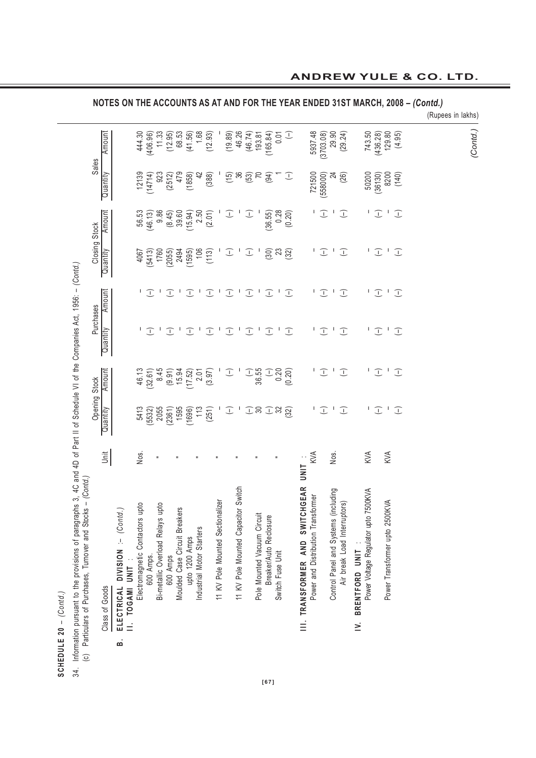# SCHEDULE 20 -  $(Contd.)$ **SCHEDULE 20** – *(Contd.)*

34. Information pursuant to the provisions of paragraphs 3, 4C and 4D of Part II of Schedule VI of the Companies Act, 1956: - (Contd.)<br>(c) Particulars of Purchases, Turnover and Stocks - (Contd.) 34. Information pursuant to the provisions of paragraphs 3, 4C and 4D of Part II of Schedule VI of the Companies Act, 1956: – *(Contd.)* (c) Particulars of Purchases, Turnover and Stocks – *(Contd.)*

| Amount                                                         |                   |                                                                                                  |                                                                                   |                                                                                         | 68.53        | (41.56)                                                                                              | 1.68                        | (12.93)                                                      |                                                                                                                                 |                                  |                                                                                       |                                                                                                       |                                                 |                                                                                                                       |                                                                                 | $\bigcup$                |                                                                                                                                                                                                                                                                                               |                                    | (3703.08) |                          | (29.24)                                                                                                |                                                                 |    |                                                         |                                                                                                       |                                                                                                                                           |                                                                                                                 |  |  | (Contd.)          |
|----------------------------------------------------------------|-------------------|--------------------------------------------------------------------------------------------------|-----------------------------------------------------------------------------------|-----------------------------------------------------------------------------------------|--------------|------------------------------------------------------------------------------------------------------|-----------------------------|--------------------------------------------------------------|---------------------------------------------------------------------------------------------------------------------------------|----------------------------------|---------------------------------------------------------------------------------------|-------------------------------------------------------------------------------------------------------|-------------------------------------------------|-----------------------------------------------------------------------------------------------------------------------|---------------------------------------------------------------------------------|--------------------------|-----------------------------------------------------------------------------------------------------------------------------------------------------------------------------------------------------------------------------------------------------------------------------------------------|------------------------------------|-----------|--------------------------|--------------------------------------------------------------------------------------------------------|-----------------------------------------------------------------|----|---------------------------------------------------------|-------------------------------------------------------------------------------------------------------|-------------------------------------------------------------------------------------------------------------------------------------------|-----------------------------------------------------------------------------------------------------------------|--|--|-------------------|
| Quantity                                                       |                   |                                                                                                  |                                                                                   |                                                                                         |              | (1858)                                                                                               | $\frac{4}{2}$               |                                                              |                                                                                                                                 |                                  |                                                                                       |                                                                                                       |                                                 |                                                                                                                       |                                                                                 | $\bigcup$                |                                                                                                                                                                                                                                                                                               |                                    | (558000)  |                          | (26)                                                                                                   |                                                                 |    |                                                         |                                                                                                       |                                                                                                                                           |                                                                                                                 |  |  |                   |
| Amount                                                         |                   |                                                                                                  |                                                                                   |                                                                                         |              | (15.94)                                                                                              |                             |                                                              |                                                                                                                                 |                                  |                                                                                       |                                                                                                       |                                                 |                                                                                                                       |                                                                                 |                          |                                                                                                                                                                                                                                                                                               |                                    |           |                          | $\widehat{\bot}$                                                                                       |                                                                 |    |                                                         |                                                                                                       |                                                                                                                                           |                                                                                                                 |  |  |                   |
| Quantity                                                       |                   |                                                                                                  |                                                                                   |                                                                                         |              |                                                                                                      |                             |                                                              |                                                                                                                                 |                                  |                                                                                       |                                                                                                       |                                                 |                                                                                                                       |                                                                                 |                          |                                                                                                                                                                                                                                                                                               | J,                                 |           |                          | $\widehat{\bot}$                                                                                       |                                                                 | L  |                                                         |                                                                                                       |                                                                                                                                           |                                                                                                                 |  |  |                   |
| Amount                                                         |                   |                                                                                                  | $\mathbf{I}$                                                                      |                                                                                         | $\mathbf{I}$ |                                                                                                      | $\mathbf{I}$                | $\widehat{\bot}$                                             |                                                                                                                                 |                                  |                                                                                       |                                                                                                       |                                                 |                                                                                                                       | $\mathbf{I}$                                                                    |                          |                                                                                                                                                                                                                                                                                               | L                                  |           |                          | $\bigcup$                                                                                              |                                                                 | L  |                                                         |                                                                                                       |                                                                                                                                           |                                                                                                                 |  |  |                   |
| Quantity                                                       |                   |                                                                                                  | J,                                                                                |                                                                                         | $\mathbf{I}$ |                                                                                                      | $\mathbf{I}$                | I                                                            | $\mathbf I$                                                                                                                     |                                  | $\mathbf{I}$                                                                          |                                                                                                       |                                                 |                                                                                                                       | $\mathbf{I}$                                                                    | $\bigcup$                |                                                                                                                                                                                                                                                                                               | J,                                 |           | $\mathbf{I}$             | $\bigcup$                                                                                              |                                                                 | L  |                                                         |                                                                                                       |                                                                                                                                           |                                                                                                                 |  |  |                   |
| Amount                                                         |                   |                                                                                                  |                                                                                   |                                                                                         |              | (17.52)                                                                                              |                             |                                                              |                                                                                                                                 |                                  |                                                                                       |                                                                                                       |                                                 |                                                                                                                       |                                                                                 |                          |                                                                                                                                                                                                                                                                                               |                                    |           |                          | $\bigcup$                                                                                              |                                                                 | I. |                                                         |                                                                                                       |                                                                                                                                           |                                                                                                                 |  |  |                   |
| Quantity                                                       |                   |                                                                                                  |                                                                                   |                                                                                         | 1595         | (1696)                                                                                               |                             |                                                              |                                                                                                                                 |                                  |                                                                                       |                                                                                                       |                                                 |                                                                                                                       |                                                                                 |                          |                                                                                                                                                                                                                                                                                               |                                    |           |                          | $\bigcup$                                                                                              |                                                                 | I. |                                                         |                                                                                                       |                                                                                                                                           |                                                                                                                 |  |  |                   |
| jait                                                           |                   |                                                                                                  |                                                                                   |                                                                                         |              |                                                                                                      |                             |                                                              |                                                                                                                                 |                                  |                                                                                       |                                                                                                       |                                                 |                                                                                                                       |                                                                                 |                          |                                                                                                                                                                                                                                                                                               |                                    |           | Nos.                     |                                                                                                        |                                                                 |    |                                                         |                                                                                                       |                                                                                                                                           |                                                                                                                 |  |  |                   |
| ELECTRICAL DIVISION :- (Contd.)<br>Class of Goods<br>$\dot{a}$ |                   |                                                                                                  |                                                                                   |                                                                                         | တ            | upto 1200 Amps                                                                                       |                             |                                                              |                                                                                                                                 |                                  |                                                                                       |                                                                                                       |                                                 |                                                                                                                       |                                                                                 |                          | III. TRANSFORMER AND SWITCHGEAR                                                                                                                                                                                                                                                               | Power and Distribution Transformer |           |                          | (2101)<br>Air break Load Interrupt                                                                     | BRENTFORD UNIT<br>$\geq$                                        |    |                                                         |                                                                                                       |                                                                                                                                           |                                                                                                                 |  |  |                   |
|                                                                | II. TOGAMI UNIT : | 444.30<br>12139<br>56.53<br>4067<br>46.13<br>5413<br>Nos.<br>pto<br>Electromagnetic Contactors u | (406.96)<br>(14714)<br>(46.13)<br>$\sqrt{1}$<br>$\bigcup$<br>(32.61)<br>600 Amps. | 11.33<br>923<br>8.45<br>$(5532)$<br>$2055$<br>Ξ<br>pto<br>Bi-metallic Overload Relays L | (12.95)      | 479<br>(2512)<br>(8.45)<br>39.60<br>$\bigcup$<br>$\bigcirc$<br>15.94<br>(9.91)<br>(2361)<br>600 Amps | Moulded Case Circuit Breake | $\bigcup$<br>$\bigcirc$<br>2.01<br>Industrial Motor Starters | (388)<br>$2.50$<br>( $2.01$ )<br>$(5413)$<br>$1760$<br>$(2055)$<br>$2494$<br>$(1595)$<br>$(1695)$<br>$(113)$<br>(3.97)<br>(251) | 11 KV Pole Mounted Sectionalizer | (19.89)<br>$\widehat{\bot}$<br>$\sqrt{1}$<br>$\bigcup$<br>$\mathcal{I}$<br>$\sqrt{-}$ | 46.26<br>(15)<br>$T$ <sup>1</sup><br>$\mathbf{I}_\parallel$<br>Switch<br>11 KV Pole Mounted Capacitor | (46.74)<br>$\bigcup$<br>$\bigcup$<br>$\bigcirc$ | 193.81<br>$(53)$<br>$70$<br>$T^{-1}$<br>$\mathbf{I}$<br>$\mathbf{I}$<br>$(-)$<br>36.55<br>Pole Mounted Vacuum Circuit | (165.84)<br>(94)<br>(36.55)<br>$\bigcup$<br>$\bigcup$<br>Breaker/Auto Reclosure | 0.01<br>Switch Fuse Unit | 0.28<br>(0.20)<br>$\overset{\frown}{\mathbf{S}}\mathbf{g}\overset{\frown}{\mathbf{S}}$<br>$\bigcup$<br>$\begin{array}{c} 1 \\ -20 \\ 0.20 \\ 0.20 \end{array}$<br>$\begin{array}{c}\n\hline\n\end{array}$ - $\begin{array}{c}\n\hline\n\end{array}$ - $\begin{array}{c}\n\hline\n\end{array}$ | UNIT                               |           | 5937.48<br>721500<br>KVA | $\widehat{\bot}$<br>$\mathcal{I}^{\perp}$<br>$T$ <sup>1</sup><br>$\bigcup$<br>$\sqrt{2}$<br>$\sqrt{2}$ | 29.90<br>$\overline{z}$<br>Control Panel and Systems (including |    | 50200<br>KVA<br>7500KVA<br>Power Voltage Regulator upto | (36130)<br>J<br>$\mathcal{I}$<br>$\bigcup$<br>$\bigcirc$<br>$\boxed{\phantom{1}}$<br>$\widehat{\bot}$ | 743.50<br>(436.28)<br>129.80<br>$\mathbf{I}$<br>$\mathbf{I}$<br>$\mathbf{I}$<br>$\mathbf{I}$<br>KVA<br>KVA<br>Power Transformer upto 2500 | (4.95)<br>8200<br>(140)<br>$\bigcup$<br>$\bigcup$<br>$\overline{L}$<br>$\bigcup$<br>$\bigcup$<br>$\overline{L}$ |  |  | (Rupees in lakhs) |

**NOTES ON THE ACCOUNTS AS AT AND FOR THE YEAR ENDED 31ST MARCH, 2008 –** *(Contd.)*

# **ANDREW YULE & CO. LTD.**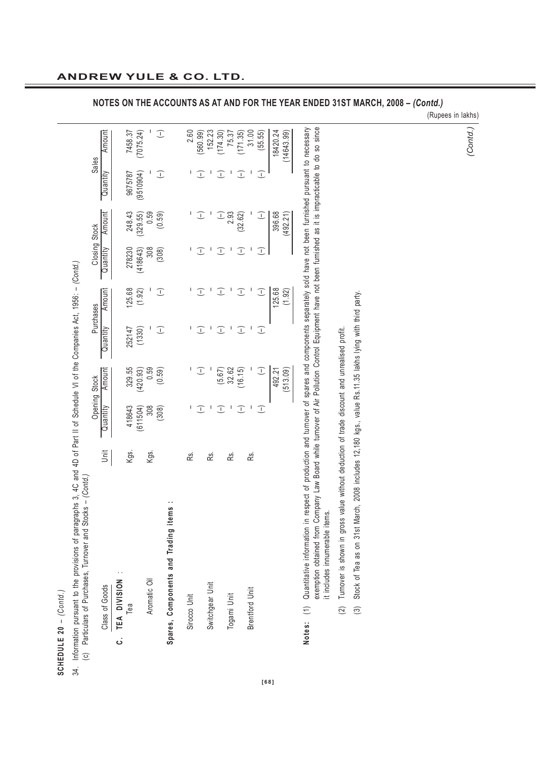| s              |
|----------------|
|                |
| └              |
|                |
|                |
|                |
| ı              |
|                |
| 0              |
| $\tilde{\sim}$ |
|                |
| ц              |
|                |
|                |
|                |
|                |
|                |
|                |
|                |
|                |
| ပ              |
|                |
| ù<br>ī         |
|                |

Information pursuant to the provisions of paragraphs 3, 4C and 4D of Part II of Schedule VI of the Companies Act, 1956: - (Contd.)<br>(c) Particulars of Purchases, Turnover and Stocks - (Contd.) 34. Information pursuant to the provisions of paragraphs 3, 4C and 4D of Part II of Schedule VI of the Companies Act, 1956: – *(Contd.)*  $34.$ 

|                                      |      |                  | Opening Stock |              | Purchases | Closing Stock          |          | Sales            |            |
|--------------------------------------|------|------------------|---------------|--------------|-----------|------------------------|----------|------------------|------------|
| Class of Goods                       | Unit | Quantity         | Amount        | Quantity     | Amount    | Quantity               | Amount   | Quantity         | Amount     |
| C. TEA DIVISION                      |      |                  |               |              |           |                        |          |                  |            |
| Гea                                  | Kgs. | 418643           | 329.55        | 252147       | 125.68    | 278230                 | 248.43   | 9675787          | 7458.37    |
|                                      |      | (611504)         | (420.93)      | (1330)       | (1.92)    | 418643)                | (329.55) | (9510904)        | 7075.24    |
| Aromatic Oil                         | Kgs. | 308              | 0.59          |              |           | 308                    | 0.59     |                  |            |
|                                      |      | (308)            | (0.59)        | J            | I         | (308)                  | (0.59)   | I                | J          |
| Spares, Components and Trading items |      |                  |               |              |           |                        |          |                  |            |
| Sirocco Unit                         | Rs.  |                  |               |              |           |                        |          |                  | 2.60       |
|                                      |      | I                | U.            | $\mathbf{I}$ | Œ.        | T                      | ⊥        | I                | (560.99)   |
| Switchgear Unit                      | ρś.  |                  |               |              |           |                        |          |                  | 152.23     |
|                                      |      | I                | (5.67)        | T            | μ.        | $\bigcap$              | Ľ        | I                | (174.30)   |
| Togami Unit                          | Rs.  | I                | 32.62         |              |           | I                      | 2.93     | I                | 75.37      |
|                                      |      | $\widehat{\bot}$ | (16.15)       | T            | L         | $\widehat{\mathbb{L}}$ | (32.62)  | I                | (171.35)   |
| <b>Brentford Unit</b>                | Rs.  | I                |               |              |           | I                      |          | I                | 31.00      |
|                                      |      | $\bigcup$        | T             | Î            | E         | I                      | I        | $\widehat{\bot}$ | (55.55)    |
|                                      |      |                  | 492.21        |              | 125.68    |                        | 396.68   |                  | 18420.24   |
|                                      |      |                  | (513.09)      |              | (1.92)    |                        | (492.21) |                  | (14643.99) |

exemption obtained from Company Law Board while turnover of Air Pollution Control Equipment have not been furnished as it is impracticable to do so since so since ..<br>8 o. α.<br>σ  $\frac{1}{2}$  $\frac{1}{2}$ È exemption obtained from Company Law Board while turnover of Air Pollution Control Equipment have not been<br>It includes innumerable items. it includes innumerable items.

**NOTES ON THE ACCOUNTS AS AT AND FOR THE YEAR ENDED 31ST MARCH, 2008 –** *(Contd.)*

Turnover is shown in gross value without deduction of trade discount and unrealised profit. (2) Turnover is shown in gross value without deduction of trade discount and unrealised profit.  $\widehat{2}$  Stock of Tea as on 31st March, 2008 includes 12,180 kgs., value Rs.11.35 lakhs lying with third party. (3) Stock of Tea as on 31st March, 2008 includes 12,180 kgs., value Rs.11.35 lakhs lying with third party.

 $\widehat{c}$ 

(Rupees in lakhs)

*(Contd.)*

**[68]**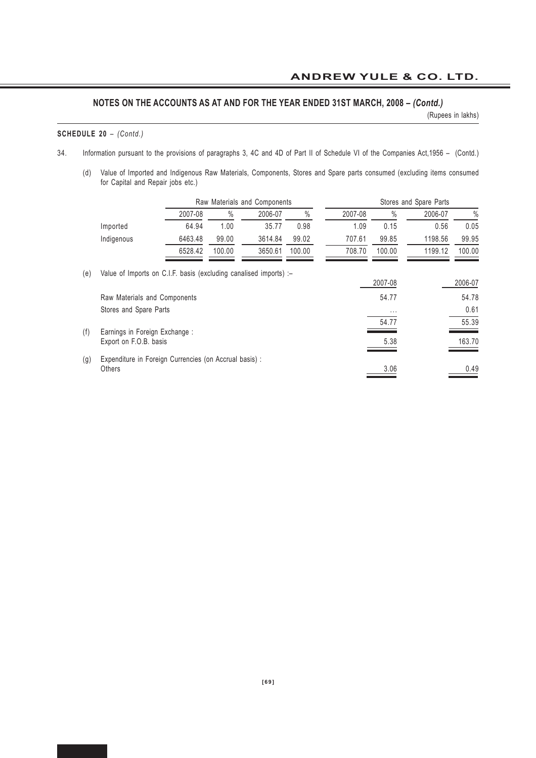(Rupees in lakhs)

#### **SCHEDULE 20** – *(Contd.)*

- 34. Information pursuant to the provisions of paragraphs 3, 4C and 4D of Part II of Schedule VI of the Companies Act,1956 (Contd.)
	- (d) Value of Imported and Indigenous Raw Materials, Components, Stores and Spare parts consumed (excluding items consumed for Capital and Repair jobs etc.)

|     |                                                                   |         |               | Raw Materials and Components |        |         |               | Stores and Spare Parts |         |
|-----|-------------------------------------------------------------------|---------|---------------|------------------------------|--------|---------|---------------|------------------------|---------|
|     |                                                                   | 2007-08 | $\frac{0}{0}$ | 2006-07                      | $\%$   | 2007-08 | $\frac{0}{0}$ | 2006-07                | $\%$    |
|     | Imported                                                          | 64.94   | 1.00          | 35.77                        | 0.98   | 1.09    | 0.15          | 0.56                   | 0.05    |
|     | Indigenous                                                        | 6463.48 | 99.00         | 3614.84                      | 99.02  | 707.61  | 99.85         | 1198.56                | 99.95   |
|     |                                                                   | 6528.42 | 100.00        | 3650.61                      | 100.00 | 708.70  | 100.00        | 1199.12                | 100.00  |
| (e) | Value of Imports on C.I.F. basis (excluding canalised imports) :- |         |               |                              |        |         | 2007-08       |                        | 2006-07 |
|     | Raw Materials and Components                                      |         |               |                              |        |         | 54.77         |                        | 54.78   |
|     | Stores and Spare Parts                                            |         |               |                              |        |         | $\cdots$      |                        | 0.61    |
|     |                                                                   |         |               |                              |        |         | 54.77         |                        | 55.39   |
| (f) | Earnings in Foreign Exchange :<br>Export on F.O.B. basis          |         |               |                              |        |         | 5.38          |                        | 163.70  |
| (g) | Expenditure in Foreign Currencies (on Accrual basis) :<br>Others  |         |               |                              |        |         | 3.06          |                        | 0.49    |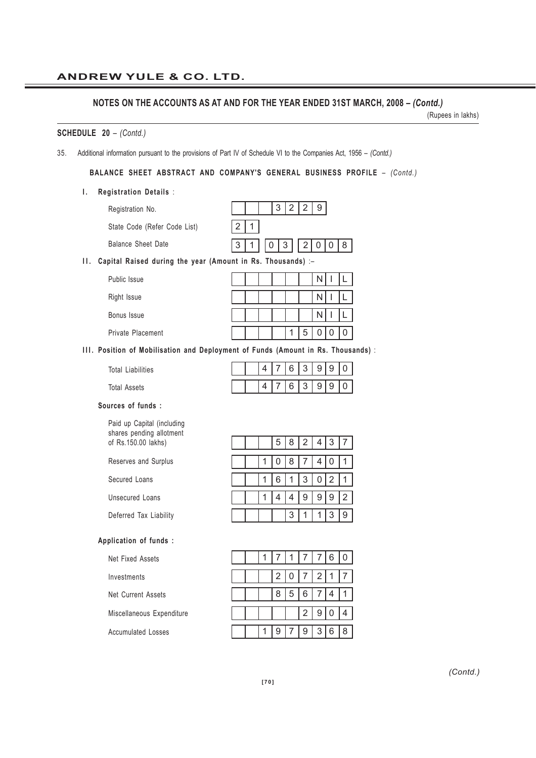#### **ANDREW YULE & CO. LTD.**

#### **NOTES ON THE ACCOUNTS AS AT AND FOR THE YEAR ENDED 31ST MARCH, 2008 –** *(Contd.)*

(Rupees in lakhs)

#### **SCHEDULE 20** – *(Contd.)*

35. Additional information pursuant to the provisions of Part IV of Schedule VI to the Companies Act, 1956 – *(Contd.)*

#### **BALANCE SHEET ABSTRACT AND COMPANY'S GENERAL BUSINESS PROFILE** – *(Contd.)*

#### **I. Registration Details** :

| Registration No. |  |
|------------------|--|
|------------------|--|

State Code (Refer Code List)  $2|1$ 

Balance Sheet Date

# **II.** Capital Raised during the year (Amount in Rs. Thousands) :-

| Public Issue      |  |  |   |  |  |
|-------------------|--|--|---|--|--|
| Right Issue       |  |  |   |  |  |
| Bonus Issue       |  |  |   |  |  |
| Private Placement |  |  | ს |  |  |

#### **III. Position of Mobilisation and Deployment of Funds (Amount in Rs. Thousands)** :

Total Liabilities Total Assets

 $4 | 7 | 6 | 3 | 9 | 9 | 0$ 4 | 7 | 6 | 3 | 9 | 9 | 0

 $3|2|2|9|$ 

 $3 | 1 | 0 | 3 | 2 | 0 | 0 | 8$ 

#### **Sources of funds :**

Paid up Capital (including shares pending allotment of Rs.150.00 lakhs)

Reserves and Surplus

Secured Loans

Unsecured Loans

Deferred Tax Liability

| Application of funds : |  |  |
|------------------------|--|--|

Net Fixed Assets

Investments

Net Current Assets

Miscellaneous Expenditure

Accumulated Losses

|  |  | 582437                  |  |  |
|--|--|-------------------------|--|--|
|  |  | 1 0 8 7 4 0 1           |  |  |
|  |  | 1  6  1   3   0   2   1 |  |  |
|  |  | 4  4  9  9  9  2        |  |  |
|  |  | 3   1   1   3   9       |  |  |

|  |                |                 |                |                | $6 \,$         |   |
|--|----------------|-----------------|----------------|----------------|----------------|---|
|  | $\overline{2}$ | $\overline{0}$  | 7 I            | $\overline{2}$ |                |   |
|  | 8              | $5\phantom{.0}$ | 6              |                |                |   |
|  |                |                 | $\overline{2}$ | -9             | $\mathbf 0$    |   |
|  |                |                 |                | 3              | $6\phantom{1}$ | 8 |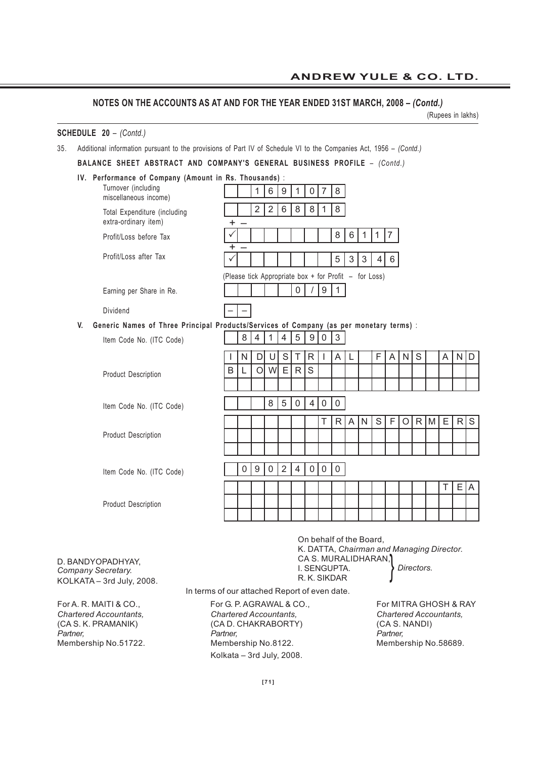(Rupees in lakhs)

#### **SCHEDULE 20** – *(Contd.)*

35. Additional information pursuant to the provisions of Part IV of Schedule VI to the Companies Act, 1956 – *(Contd.)*

**BALANCE SHEET ABSTRACT AND COMPANY'S GENERAL BUSINESS PROFILE** – *(Contd.)*

**IV. Performance of Company (Amount in Rs. Thousands)** :

|    | <b>1 CHINIMALICE OF OUTIFICATE (AMOUNT IN INS. THOUSANUS)</b>                           |                                                       |   |                |                |                |                |                  |              |              |                |              |              |             |         |   |       |   |   |               |
|----|-----------------------------------------------------------------------------------------|-------------------------------------------------------|---|----------------|----------------|----------------|----------------|------------------|--------------|--------------|----------------|--------------|--------------|-------------|---------|---|-------|---|---|---------------|
|    | Turnover (including<br>miscellaneous income)                                            |                                                       |   | 1              | 6              | 9              | 1              | 0                | 7            | 8            |                |              |              |             |         |   |       |   |   |               |
|    | Total Expenditure (including<br>extra-ordinary item)                                    | $\ddot{}$                                             |   | $\overline{2}$ | $\overline{2}$ | 6              | 8              | 8                | 1            | 8            |                |              |              |             |         |   |       |   |   |               |
|    | Profit/Loss before Tax                                                                  | ✓<br>٠                                                |   |                |                |                |                |                  |              | 8            | 6              | $\mathbf{1}$ | $\mathbf{1}$ | $ 7\rangle$ |         |   |       |   |   |               |
|    | Profit/Loss after Tax                                                                   |                                                       |   |                |                |                |                |                  |              | 5            | $\mathfrak{S}$ | $\sqrt{3}$   | 4            | 6           |         |   |       |   |   |               |
|    |                                                                                         | (Please tick Appropriate box + for Profit - for Loss) |   |                |                |                |                |                  |              |              |                |              |              |             |         |   |       |   |   |               |
|    | Earning per Share in Re.                                                                |                                                       |   |                |                |                | $\overline{0}$ | $\prime$         | 9            | $\mathbf{1}$ |                |              |              |             |         |   |       |   |   |               |
|    | Dividend                                                                                |                                                       |   |                |                |                |                |                  |              |              |                |              |              |             |         |   |       |   |   |               |
| V. | Generic Names of Three Principal Products/Services of Company (as per monetary terms) : |                                                       |   |                |                |                |                |                  |              |              |                |              |              |             |         |   |       |   |   |               |
|    | Item Code No. (ITC Code)                                                                |                                                       | 8 | 4              | 1              | 4              | 5              | $\boldsymbol{9}$ | 0            | 3            |                |              |              |             |         |   |       |   |   |               |
|    |                                                                                         |                                                       | N | D              | U              | S              | $\top$         | $\mathsf{R}$     | $\mathbf{I}$ | Α            | L              |              | F            | A           | N       | S |       | A | N | D             |
|    | <b>Product Description</b>                                                              | B                                                     | L | $\circ$        | W              | $\mathsf E$    | $\mathsf{R}$   | S                |              |              |                |              |              |             |         |   |       |   |   |               |
|    |                                                                                         |                                                       |   |                |                |                |                |                  |              |              |                |              |              |             |         |   |       |   |   |               |
|    | Item Code No. (ITC Code)                                                                |                                                       |   |                | 8              | 5              | 0              | 4                | 0            | 0            |                |              |              |             |         |   |       |   |   |               |
|    |                                                                                         |                                                       |   |                |                |                |                |                  | T            | $\mathsf{R}$ | A              | ${\sf N}$    | S            | $\mathsf F$ | $\circ$ |   | $R$ M | E | R | ${\mathsf S}$ |
|    | <b>Product Description</b>                                                              |                                                       |   |                |                |                |                |                  |              |              |                |              |              |             |         |   |       |   |   |               |
|    |                                                                                         |                                                       |   |                |                |                |                |                  |              |              |                |              |              |             |         |   |       |   |   |               |
|    | Item Code No. (ITC Code)                                                                |                                                       | 0 | 9              | 0              | $\overline{2}$ | 4              | $\pmb{0}$        | 0            | 0            |                |              |              |             |         |   |       |   |   |               |
|    |                                                                                         |                                                       |   |                |                |                |                |                  |              |              |                |              |              |             |         |   |       |   |   |               |
|    |                                                                                         |                                                       |   |                |                |                |                |                  |              |              |                |              |              |             |         |   |       | Τ | E | A             |
|    | <b>Product Description</b>                                                              |                                                       |   |                |                |                |                |                  |              |              |                |              |              |             |         |   |       |   |   |               |
|    |                                                                                         |                                                       |   |                |                |                |                |                  |              |              |                |              |              |             |         |   |       |   |   |               |

D. BANDYOPADHYAY, *Company Secretary.* KOLKATA – 3rd July, 2008.

In terms of our attached Report of even date.

On behalf of the Board,

CA S. MURALIDHARAN,

I. SENGUPTA. R. K. SIKDAR

K. DATTA, *Chairman and Managing Director.*

*Chartered Accountants, Chartered Accountants, Chartered Accountants,* (CA S. K. PRAMANIK) (CA D. CHAKRABORTY) (CA S. NANDI) *Partner, Partner, Partner,* Membership No.51722. Membership No.8122. Membership No.58689. Kolkata – 3rd July, 2008.

For A. R. MAITI & CO., For G. P. AGRAWAL & CO., For MITRA GHOSH & RAY

*Directors.* }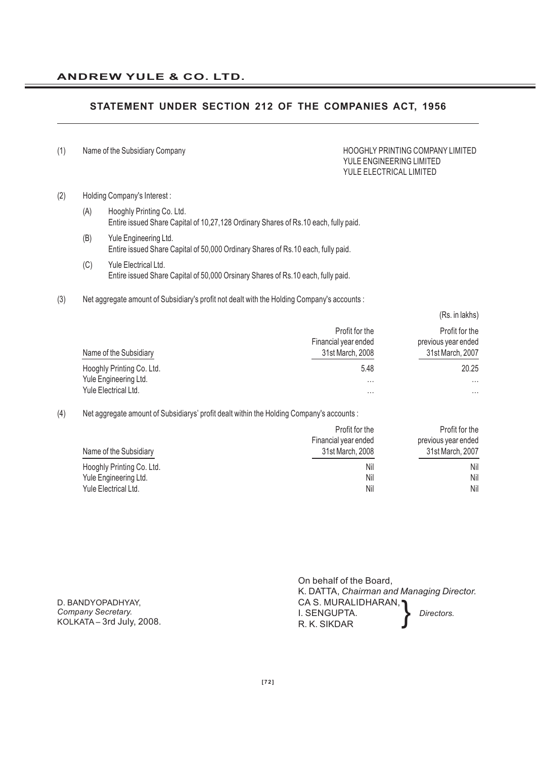### **STATEMENT UNDER SECTION 212 OF THE COMPANIES ACT, 1956**

(1) Name of the Subsidiary Company extending the Subsidiary Company HOOGHLY PRINTING COMPANY LIMITED

# YULE ENGINEERING LIMITED YULE ELECTRICAL LIMITED

(Rs. in lakhs)

#### (2) Holding Company's Interest :

- (A) Hooghly Printing Co. Ltd. Entire issued Share Capital of 10,27,128 Ordinary Shares of Rs.10 each, fully paid.
- (B) Yule Engineering Ltd. Entire issued Share Capital of 50,000 Ordinary Shares of Rs.10 each, fully paid.
- (C) Yule Electrical Ltd. Entire issued Share Capital of 50,000 Orsinary Shares of Rs.10 each, fully paid.
- (3) Net aggregate amount of Subsidiary's profit not dealt with the Holding Company's accounts :

|                           | Profit for the       | Profit for the      |
|---------------------------|----------------------|---------------------|
|                           | Financial year ended | previous year ended |
| Name of the Subsidiary    | 31st March, 2008     | 31st March, 2007    |
| Hooghly Printing Co. Ltd. | 5.48                 | 20.25               |
| Yule Engineering Ltd.     | $\cdots$             | $\cdots$            |
| Yule Electrical Ltd.      | $\cdots$             | $\cdots$            |

#### (4) Net aggregate amount of Subsidiarys' profit dealt within the Holding Company's accounts :

|                           | Profit for the       | Profit for the      |
|---------------------------|----------------------|---------------------|
|                           | Financial year ended | previous year ended |
| Name of the Subsidiary    | 31st March, 2008     | 31st March, 2007    |
| Hooghly Printing Co. Ltd. | Nil                  | Nil                 |
| Yule Engineering Ltd.     | Nil                  | Nil                 |
| Yule Electrical Ltd.      | Nil                  | Nil                 |

D. BANDYOPADHYAY, *Company Secretary.* KOLKATA – 3rd July, 2008.

| On behalf of the Board,                   |            |  |  |  |  |  |
|-------------------------------------------|------------|--|--|--|--|--|
| K. DATTA, Chairman and Managing Director. |            |  |  |  |  |  |
| CA S. MURALIDHARAN, 1                     |            |  |  |  |  |  |
| I. SENGUPTA.                              | Directors. |  |  |  |  |  |
| R. K. SIKDAR                              |            |  |  |  |  |  |
|                                           |            |  |  |  |  |  |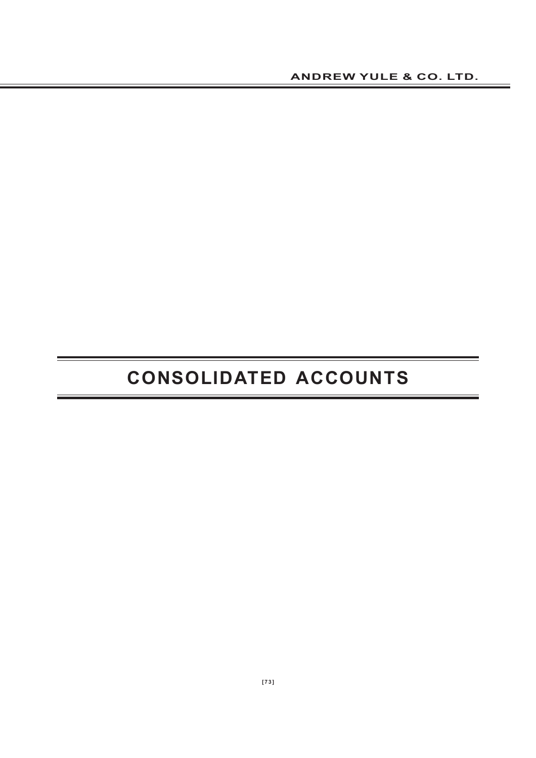# **CONSOLIDATED ACCOUNTS**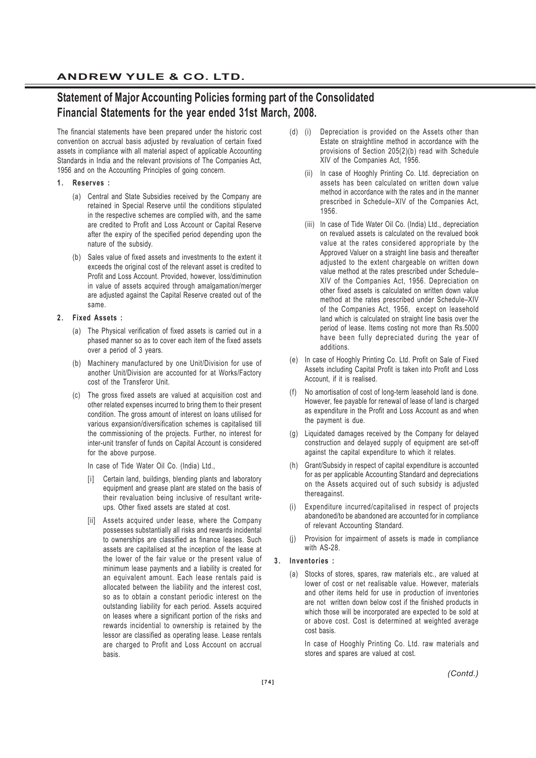# **Statement of Major Accounting Policies forming part of the Consolidated Financial Statements for the year ended 31st March, 2008.**

The financial statements have been prepared under the historic cost convention on accrual basis adjusted by revaluation of certain fixed assets in compliance with all material aspect of applicable Accounting Standards in India and the relevant provisions of The Companies Act, 1956 and on the Accounting Principles of going concern.

#### **1. Reserves :**

- (a) Central and State Subsidies received by the Company are retained in Special Reserve until the conditions stipulated in the respective schemes are complied with, and the same are credited to Profit and Loss Account or Capital Reserve after the expiry of the specified period depending upon the nature of the subsidy.
- (b) Sales value of fixed assets and investments to the extent it exceeds the original cost of the relevant asset is credited to Profit and Loss Account. Provided, however, loss/diminution in value of assets acquired through amalgamation/merger are adjusted against the Capital Reserve created out of the same.

#### **2. Fixed Assets :**

- (a) The Physical verification of fixed assets is carried out in a phased manner so as to cover each item of the fixed assets over a period of 3 years.
- (b) Machinery manufactured by one Unit/Division for use of another Unit/Division are accounted for at Works/Factory cost of the Transferor Unit.
- (c) The gross fixed assets are valued at acquisition cost and other related expenses incurred to bring them to their present condition. The gross amount of interest on loans utilised for various expansion/diversification schemes is capitalised till the commissioning of the projects. Further, no interest for inter-unit transfer of funds on Capital Account is considered for the above purpose.

In case of Tide Water Oil Co. (India) Ltd.,

- Certain land, buildings, blending plants and laboratory equipment and grease plant are stated on the basis of their revaluation being inclusive of resultant writeups. Other fixed assets are stated at cost.
- [ii] Assets acquired under lease, where the Company possesses substantially all risks and rewards incidental to ownerships are classified as finance leases. Such assets are capitalised at the inception of the lease at the lower of the fair value or the present value of minimum lease payments and a liability is created for an equivalent amount. Each lease rentals paid is allocated between the liability and the interest cost, so as to obtain a constant periodic interest on the outstanding liability for each period. Assets acquired on leases where a significant portion of the risks and rewards incidential to ownership is retained by the lessor are classified as operating lease. Lease rentals are charged to Profit and Loss Account on accrual basis.
- (d) (i) Depreciation is provided on the Assets other than Estate on straightline method in accordance with the provisions of Section 205(2)(b) read with Schedule XIV of the Companies Act, 1956.
	- (ii) In case of Hooghly Printing Co. Ltd. depreciation on assets has been calculated on written down value method in accordance with the rates and in the manner prescribed in Schedule–XIV of the Companies Act, 1956.
	- (iii) In case of Tide Water Oil Co. (India) Ltd., depreciation on revalued assets is calculated on the revalued book value at the rates considered appropriate by the Approved Valuer on a straight line basis and thereafter adjusted to the extent chargeable on written down value method at the rates prescribed under Schedule– XIV of the Companies Act, 1956. Depreciation on other fixed assets is calculated on written down value method at the rates prescribed under Schedule–XIV of the Companies Act, 1956, except on leasehold land which is calculated on straight line basis over the period of lease. Items costing not more than Rs.5000 have been fully depreciated during the year of additions.
- (e) In case of Hooghly Printing Co. Ltd. Profit on Sale of Fixed Assets including Capital Profit is taken into Profit and Loss Account, if it is realised.
- (f) No amortisation of cost of long-term leasehold land is done. However, fee payable for renewal of lease of land is charged as expenditure in the Profit and Loss Account as and when the payment is due.
- (g) Liquidated damages received by the Company for delayed construction and delayed supply of equipment are set-off against the capital expenditure to which it relates.
- (h) Grant/Subsidy in respect of capital expenditure is accounted for as per applicable Accounting Standard and depreciations on the Assets acquired out of such subsidy is adjusted thereagainst.
- (i) Expenditure incurred/capitalised in respect of projects abandoned/to be abandoned are accounted for in compliance of relevant Accounting Standard.
- (j) Provision for impairment of assets is made in compliance with AS-28.

#### **3. Inventories :**

(a) Stocks of stores, spares, raw materials etc., are valued at lower of cost or net realisable value. However, materials and other items held for use in production of inventories are not written down below cost if the finished products in which those will be incorporated are expected to be sold at or above cost. Cost is determined at weighted average cost basis.

In case of Hooghly Printing Co. Ltd. raw materials and stores and spares are valued at cost.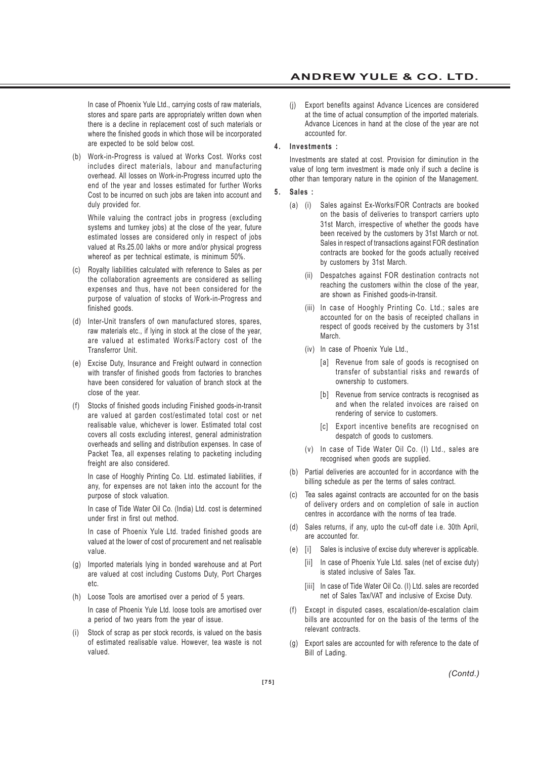In case of Phoenix Yule Ltd., carrying costs of raw materials, stores and spare parts are appropriately written down when there is a decline in replacement cost of such materials or where the finished goods in which those will be incorporated are expected to be sold below cost.

(b) Work-in-Progress is valued at Works Cost. Works cost includes direct materials, labour and manufacturing overhead. All losses on Work-in-Progress incurred upto the end of the year and losses estimated for further Works Cost to be incurred on such jobs are taken into account and duly provided for.

While valuing the contract jobs in progress (excluding systems and turnkey jobs) at the close of the year, future estimated losses are considered only in respect of jobs valued at Rs.25.00 lakhs or more and/or physical progress whereof as per technical estimate, is minimum 50%.

- (c) Royalty liabilities calculated with reference to Sales as per the collaboration agreements are considered as selling expenses and thus, have not been considered for the purpose of valuation of stocks of Work-in-Progress and finished goods.
- (d) Inter-Unit transfers of own manufactured stores, spares, raw materials etc., if lying in stock at the close of the year, are valued at estimated Works/Factory cost of the Transferror Unit.
- (e) Excise Duty, Insurance and Freight outward in connection with transfer of finished goods from factories to branches have been considered for valuation of branch stock at the close of the year.
- (f) Stocks of finished goods including Finished goods-in-transit are valued at garden cost/estimated total cost or net realisable value, whichever is lower. Estimated total cost covers all costs excluding interest, general administration overheads and selling and distribution expenses. In case of Packet Tea, all expenses relating to packeting including freight are also considered.

In case of Hooghly Printing Co. Ltd. estimated liabilities, if any, for expenses are not taken into the account for the purpose of stock valuation.

In case of Tide Water Oil Co. (India) Ltd. cost is determined under first in first out method.

In case of Phoenix Yule Ltd. traded finished goods are valued at the lower of cost of procurement and net realisable value.

- (g) Imported materials lying in bonded warehouse and at Port are valued at cost including Customs Duty, Port Charges etc.
- (h) Loose Tools are amortised over a period of 5 years.

In case of Phoenix Yule Ltd. loose tools are amortised over a period of two years from the year of issue.

(i) Stock of scrap as per stock records, is valued on the basis of estimated realisable value. However, tea waste is not valued.

(j) Export benefits against Advance Licences are considered at the time of actual consumption of the imported materials. Advance Licences in hand at the close of the year are not accounted for.

#### **4. Investments :**

Investments are stated at cost. Provision for diminution in the value of long term investment is made only if such a decline is other than temporary nature in the opinion of the Management.

#### **5. Sales :**

- (a) (i) Sales against Ex-Works/FOR Contracts are booked on the basis of deliveries to transport carriers upto 31st March, irrespective of whether the goods have been received by the customers by 31st March or not. Sales in respect of transactions against FOR destination contracts are booked for the goods actually received by customers by 31st March.
	- (ii) Despatches against FOR destination contracts not reaching the customers within the close of the year, are shown as Finished goods-in-transit.
	- (iii) In case of Hooghly Printing Co. Ltd.; sales are accounted for on the basis of receipted challans in respect of goods received by the customers by 31st **March**
	- (iv) In case of Phoenix Yule Ltd.,
		- [a] Revenue from sale of goods is recognised on transfer of substantial risks and rewards of ownership to customers.
		- [b] Revenue from service contracts is recognised as and when the related invoices are raised on rendering of service to customers.
		- [c] Export incentive benefits are recognised on despatch of goods to customers.
	- (v) In case of Tide Water Oil Co. (I) Ltd., sales are recognised when goods are supplied.
- (b) Partial deliveries are accounted for in accordance with the billing schedule as per the terms of sales contract.
- (c) Tea sales against contracts are accounted for on the basis of delivery orders and on completion of sale in auction centres in accordance with the norms of tea trade.
- (d) Sales returns, if any, upto the cut-off date i.e. 30th April, are accounted for.
- (e) [i] Sales is inclusive of excise duty wherever is applicable.
	- [ii] In case of Phoenix Yule Ltd. sales (net of excise duty) is stated inclusive of Sales Tax.
	- [iii] In case of Tide Water Oil Co. (I) Ltd. sales are recorded net of Sales Tax/VAT and inclusive of Excise Duty.
- (f) Except in disputed cases, escalation/de-escalation claim bills are accounted for on the basis of the terms of the relevant contracts.
- (g) Export sales are accounted for with reference to the date of Bill of Lading.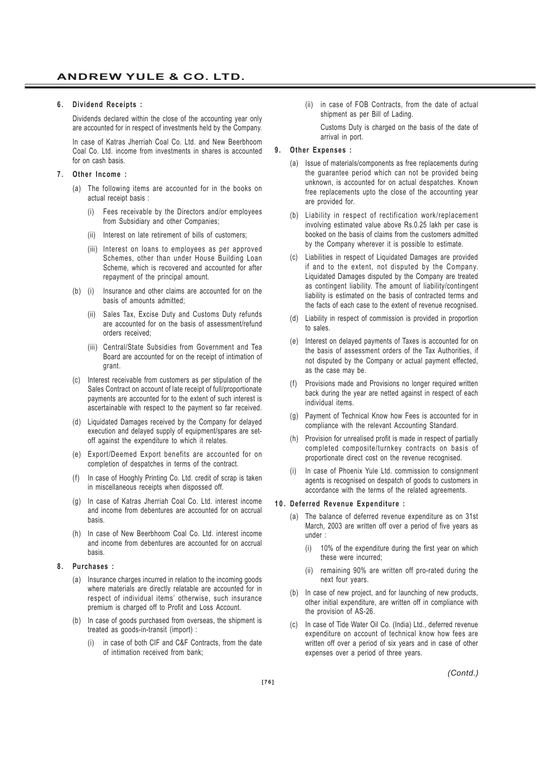#### **6. Dividend Receipts :**

Dividends declared within the close of the accounting year only are accounted for in respect of investments held by the Company.

In case of Katras Jherriah Coal Co. Ltd. and New Beerbhoom Coal Co. Ltd. income from investments in shares is accounted for on cash basis.

#### **7. Other Income :**

- (a) The following items are accounted for in the books on actual receipt basis :
	- (i) Fees receivable by the Directors and/or employees from Subsidiary and other Companies;
	- (ii) Interest on late retirement of bills of customers;
	- (iii) Interest on loans to employees as per approved Schemes, other than under House Building Loan Scheme, which is recovered and accounted for after repayment of the principal amount.
- (b) (i) Insurance and other claims are accounted for on the basis of amounts admitted;
	- (ii) Sales Tax, Excise Duty and Customs Duty refunds are accounted for on the basis of assessment/refund orders received;
	- (iii) Central/State Subsidies from Government and Tea Board are accounted for on the receipt of intimation of grant.
- (c) Interest receivable from customers as per stipulation of the Sales Contract on account of late receipt of full/proportionate payments are accounted for to the extent of such interest is ascertainable with respect to the payment so far received.
- (d) Liquidated Damages received by the Company for delayed execution and delayed supply of equipment/spares are setoff against the expenditure to which it relates.
- (e) Export/Deemed Export benefits are accounted for on completion of despatches in terms of the contract.
- (f) In case of Hooghly Printing Co. Ltd. credit of scrap is taken in miscellaneous receipts when dispossed off.
- (g) In case of Katras Jherriah Coal Co. Ltd. interest income and income from debentures are accounted for on accrual basis.
- (h) In case of New Beerbhoom Coal Co. Ltd. interest income and income from debentures are accounted for on accrual basis.

#### **8. Purchases :**

- (a) Insurance charges incurred in relation to the incoming goods where materials are directly relatable are accounted for in respect of individual items' otherwise, such insurance premium is charged off to Profit and Loss Account.
- (b) In case of goods purchased from overseas, the shipment is treated as goods-in-transit (import) :
	- (i) in case of both CIF and C&F Contracts, from the date of intimation received from bank;

(ii) in case of FOB Contracts, from the date of actual shipment as per Bill of Lading.

Customs Duty is charged on the basis of the date of arrival in port.

#### **9. Other Expenses :**

- (a) Issue of materials/components as free replacements during the guarantee period which can not be provided being unknown, is accounted for on actual despatches. Known free replacements upto the close of the accounting year are provided for.
- (b) Liability in respect of rectification work/replacement involving estimated value above Rs.0.25 lakh per case is booked on the basis of claims from the customers admitted by the Company wherever it is possible to estimate.
- (c) Liabilities in respect of Liquidated Damages are provided if and to the extent, not disputed by the Company. Liquidated Damages disputed by the Company are treated as contingent liability. The amount of liability/contingent liability is estimated on the basis of contracted terms and the facts of each case to the extent of revenue recognised.
- (d) Liability in respect of commission is provided in proportion to sales.
- (e) Interest on delayed payments of Taxes is accounted for on the basis of assessment orders of the Tax Authorities, if not disputed by the Company or actual payment effected, as the case may be.
- Provisions made and Provisions no longer required written back during the year are netted against in respect of each individual items.
- (g) Payment of Technical Know how Fees is accounted for in compliance with the relevant Accounting Standard.
- (h) Provision for unrealised profit is made in respect of partially completed composite/turnkey contracts on basis of proportionate direct cost on the revenue recognised.
- In case of Phoenix Yule Ltd. commission to consignment agents is recognised on despatch of goods to customers in accordance with the terms of the related agreements.

#### **10. Deferred Revenue Expenditure :**

- (a) The balance of deferred revenue expenditure as on 31st March, 2003 are written off over a period of five years as under :
	- (i) 10% of the expenditure during the first year on which these were incurred;
	- (ii) remaining 90% are written off pro-rated during the next four years.
- (b) In case of new project, and for launching of new products, other initial expenditure, are written off in compliance with the provision of AS-26.
- (c) In case of Tide Water Oil Co. (India) Ltd., deferred revenue expenditure on account of technical know how fees are written off over a period of six years and in case of other expenses over a period of three years.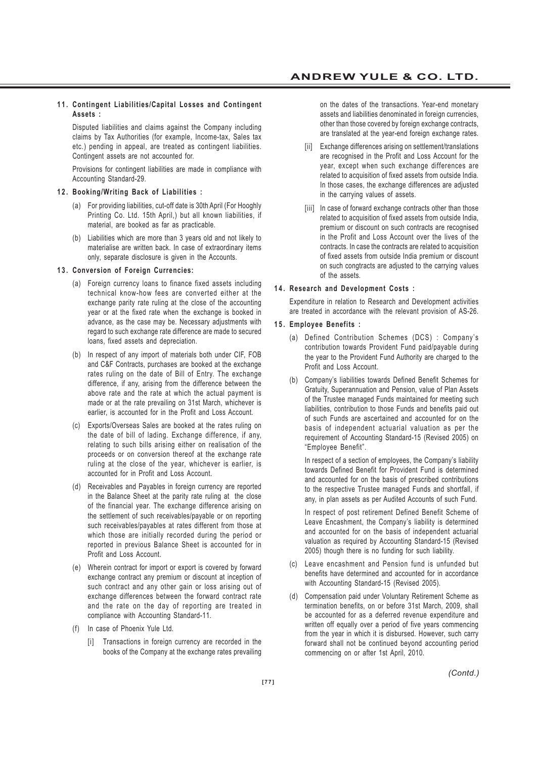#### **11. Contingent Liabilities/Capital Losses and Contingent Assets :**

Disputed liabilities and claims against the Company including claims by Tax Authorities (for example, Income-tax, Sales tax etc.) pending in appeal, are treated as contingent liabilities. Contingent assets are not accounted for.

Provisions for contingent liabilities are made in compliance with Accounting Standard-29.

#### **12. Booking/Writing Back of Liabilities :**

- (a) For providing liabilities, cut-off date is 30th April (For Hooghly Printing Co. Ltd. 15th April,) but all known liabilities, if material, are booked as far as practicable.
- (b) Liabilities which are more than 3 years old and not likely to materialise are written back. In case of extraordinary items only, separate disclosure is given in the Accounts.

#### **13. Conversion of Foreign Currencies:**

- (a) Foreign currency loans to finance fixed assets including technical know-how fees are converted either at the exchange parity rate ruling at the close of the accounting year or at the fixed rate when the exchange is booked in advance, as the case may be. Necessary adjustments with regard to such exchange rate difference are made to secured loans, fixed assets and depreciation.
- (b) In respect of any import of materials both under CIF, FOB and C&F Contracts, purchases are booked at the exchange rates ruling on the date of Bill of Entry. The exchange difference, if any, arising from the difference between the above rate and the rate at which the actual payment is made or at the rate prevailing on 31st March, whichever is earlier, is accounted for in the Profit and Loss Account.
- (c) Exports/Overseas Sales are booked at the rates ruling on the date of bill of lading. Exchange difference, if any, relating to such bills arising either on realisation of the proceeds or on conversion thereof at the exchange rate ruling at the close of the year, whichever is earlier, is accounted for in Profit and Loss Account.
- (d) Receivables and Payables in foreign currency are reported in the Balance Sheet at the parity rate ruling at the close of the financial year. The exchange difference arising on the settlement of such receivables/payable or on reporting such receivables/payables at rates different from those at which those are initially recorded during the period or reported in previous Balance Sheet is accounted for in Profit and Loss Account.
- (e) Wherein contract for import or export is covered by forward exchange contract any premium or discount at inception of such contract and any other gain or loss arising out of exchange differences between the forward contract rate and the rate on the day of reporting are treated in compliance with Accounting Standard-11.
- (f) In case of Phoenix Yule Ltd.
	- [i] Transactions in foreign currency are recorded in the books of the Company at the exchange rates prevailing

on the dates of the transactions. Year-end monetary assets and liabilities denominated in foreign currencies, other than those covered by foreign exchange contracts, are translated at the year-end foreign exchange rates.

- [ii] Exchange differences arising on settlement/translations are recognised in the Profit and Loss Account for the year, except when such exchange differences are related to acquisition of fixed assets from outside India. In those cases, the exchange differences are adjusted in the carrying values of assets.
- [iii] In case of forward exchange contracts other than those related to acquisition of fixed assets from outside India, premium or discount on such contracts are recognised in the Profit and Loss Account over the lives of the contracts. In case the contracts are related to acquisition of fixed assets from outside India premium or discount on such congtracts are adjusted to the carrying values of the assets.

#### **14. Research and Development Costs :**

Expenditure in relation to Research and Development activities are treated in accordance with the relevant provision of AS-26.

#### **15. Employee Benefits :**

- (a) Defined Contribution Schemes (DCS) : Company's contribution towards Provident Fund paid/payable during the year to the Provident Fund Authority are charged to the Profit and Loss Account.
- (b) Company's liabilities towards Defined Benefit Schemes for Gratuity, Superannuation and Pension, value of Plan Assets of the Trustee managed Funds maintained for meeting such liabilities, contribution to those Funds and benefits paid out of such Funds are ascertained and accounted for on the basis of independent actuarial valuation as per the requirement of Accounting Standard-15 (Revised 2005) on "Employee Benefit".

In respect of a section of employees, the Company's liability towards Defined Benefit for Provident Fund is determined and accounted for on the basis of prescribed contributions to the respective Trustee managed Funds and shortfall, if any, in plan assets as per Audited Accounts of such Fund.

In respect of post retirement Defined Benefit Scheme of Leave Encashment, the Company's liability is determined and accounted for on the basis of independent actuarial valuation as required by Accounting Standard-15 (Revised 2005) though there is no funding for such liability.

- (c) Leave encashment and Pension fund is unfunded but benefits have determined and accounted for in accordance with Accounting Standard-15 (Revised 2005).
- (d) Compensation paid under Voluntary Retirement Scheme as termination benefits, on or before 31st March, 2009, shall be accounted for as a deferred revenue expenditure and written off equally over a period of five years commencing from the year in which it is disbursed. However, such carry forward shall not be continued beyond accounting period commencing on or after 1st April, 2010.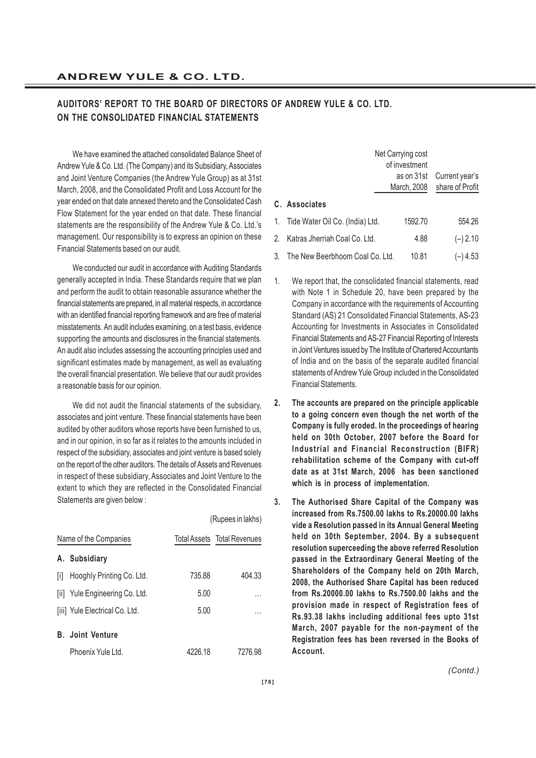## **AUDITORS' REPORT TO THE BOARD OF DIRECTORS OF ANDREW YULE & CO. LTD. ON THE CONSOLIDATED FINANCIAL STATEMENTS**

We have examined the attached consolidated Balance Sheet of Andrew Yule & Co. Ltd. (The Company) and its Subsidiary, Associates and Joint Venture Companies (the Andrew Yule Group) as at 31st March, 2008, and the Consolidated Profit and Loss Account for the year ended on that date annexed thereto and the Consolidated Cash Flow Statement for the year ended on that date. These financial statements are the responsibility of the Andrew Yule & Co. Ltd.'s management. Our responsibility is to express an opinion on these Financial Statements based on our audit.

We conducted our audit in accordance with Auditing Standards generally accepted in India. These Standards require that we plan and perform the audit to obtain reasonable assurance whether the financial statements are prepared, in all material respects, in accordance with an identified financial reporting framework and are free of material misstatements. An audit includes examining, on a test basis, evidence supporting the amounts and disclosures in the financial statements. An audit also includes assessing the accounting principles used and significant estimates made by management, as well as evaluating the overall financial presentation. We believe that our audit provides a reasonable basis for our opinion.

We did not audit the financial statements of the subsidiary, associates and joint venture. These financial statements have been audited by other auditors whose reports have been furnished to us, and in our opinion, in so far as it relates to the amounts included in respect of the subsidiary, associates and joint venture is based solely on the report of the other auditors. The details of Assets and Revenues in respect of these subsidiary, Associates and Joint Venture to the extent to which they are reflected in the Consolidated Financial Statements are given below :

|     |                                |         | (Rupees in lakhs)                  |
|-----|--------------------------------|---------|------------------------------------|
|     | Name of the Companies          |         | <b>Total Assets Total Revenues</b> |
|     | A. Subsidiary                  |         |                                    |
| ΙiΙ | Hooghly Printing Co. Ltd.      | 735.88  | 404.33                             |
|     | [ii] Yule Engineering Co. Ltd. | 5.00    | .                                  |
|     | [iii] Yule Electrical Co. Ltd. | 5.00    | .                                  |
|     | <b>B.</b> Joint Venture        |         |                                    |
|     | Phoenix Yule Ltd.              | 4226.18 | 7276.98                            |

|    |                                 | Net Carrying cost<br>of investment |                                   |
|----|---------------------------------|------------------------------------|-----------------------------------|
|    |                                 | as on 31st<br>March, 2008          | Current year's<br>share of Profit |
|    | C. Associates                   |                                    |                                   |
|    | Tide Water Oil Co. (India) Ltd. | 1592.70                            | 554.26                            |
|    | Katras Jherriah Coal Co. Ltd.   | 4.88                               | $(-) 2.10$                        |
| 3. | The New Beerbhoom Coal Co. Ltd. | 10.81                              | (–) 4.53                          |

- 1. We report that, the consolidated financial statements, read with Note 1 in Schedule 20, have been prepared by the Company in accordance with the requirements of Accounting Standard (AS) 21 Consolidated Financial Statements, AS-23 Accounting for Investments in Associates in Consolidated Financial Statements and AS-27 Financial Reporting of Interests in Joint Ventures issued by The Institute of Chartered Accountants of India and on the basis of the separate audited financial statements of Andrew Yule Group included in the Consolidated Financial Statements.
- **2. The accounts are prepared on the principle applicable to a going concern even though the net worth of the Company is fully eroded. In the proceedings of hearing held on 30th October, 2007 before the Board for Industrial and Financial Reconstruction (BIFR) rehabilitation scheme of the Company with cut-off date as at 31st March, 2006 has been sanctioned which is in process of implementation.**
- **3. The Authorised Share Capital of the Company was increased from Rs.7500.00 lakhs to Rs.20000.00 lakhs vide a Resolution passed in its Annual General Meeting held on 30th September, 2004. By a subsequent resolution superceeding the above referred Resolution passed in the Extraordinary General Meeting of the Shareholders of the Company held on 20th March, 2008, the Authorised Share Capital has been reduced from Rs.20000.00 lakhs to Rs.7500.00 lakhs and the provision made in respect of Registration fees of Rs.93.38 lakhs including additional fees upto 31st March, 2007 payable for the non-payment of the Registration fees has been reversed in the Books of Account.**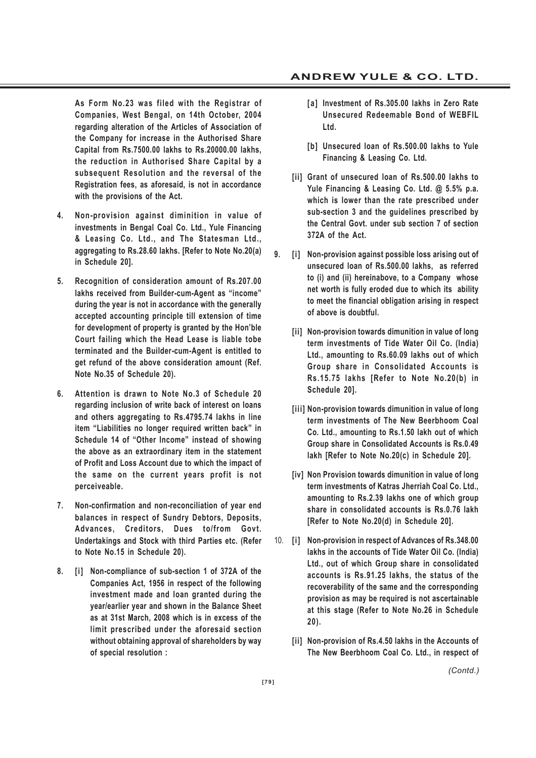**As Form No.23 was filed with the Registrar of Companies, West Bengal, on 14th October, 2004 regarding alteration of the Articles of Association of the Company for increase in the Authorised Share Capital from Rs.7500.00 lakhs to Rs.20000.00 lakhs, the reduction in Authorised Share Capital by a subsequent Resolution and the reversal of the Registration fees, as aforesaid, is not in accordance with the provisions of the Act.**

- **4. Non-provision against diminition in value of investments in Bengal Coal Co. Ltd., Yule Financing & Leasing Co. Ltd., and The Statesman Ltd., aggregating to Rs.28.60 lakhs. [Refer to Note No.20(a) in Schedule 20].**
- **5. Recognition of consideration amount of Rs.207.00 lakhs received from Builder-cum-Agent as "income" during the year is not in accordance with the generally accepted accounting principle till extension of time for development of property is granted by the Hon'ble Court failing which the Head Lease is liable tobe terminated and the Builder-cum-Agent is entitled to get refund of the above consideration amount (Ref. Note No.35 of Schedule 20).**
- **6. Attention is drawn to Note No.3 of Schedule 20 regarding inclusion of write back of interest on loans and others aggregating to Rs.4795.74 lakhs in line item "Liabilities no longer required written back" in Schedule 14 of "Other Income" instead of showing the above as an extraordinary item in the statement of Profit and Loss Account due to which the impact of the same on the current years profit is not perceiveable.**
- **7. Non-confirmation and non-reconciliation of year end balances in respect of Sundry Debtors, Deposits, Advances, Creditors, Dues to/from Govt. Undertakings and Stock with third Parties etc. (Refer to Note No.15 in Schedule 20).**
- **8. [i] Non-compliance of sub-section 1 of 372A of the Companies Act, 1956 in respect of the following investment made and loan granted during the year/earlier year and shown in the Balance Sheet as at 31st March, 2008 which is in excess of the limit prescribed under the aforesaid section without obtaining approval of shareholders by way of special resolution :**
- **[a] Investment of Rs.305.00 lakhs in Zero Rate Unsecured Redeemable Bond of WEBFIL Ltd.**
- **[b] Unsecured loan of Rs.500.00 lakhs to Yule Financing & Leasing Co. Ltd.**
- **[ii] Grant of unsecured loan of Rs.500.00 lakhs to Yule Financing & Leasing Co. Ltd. @ 5.5% p.a. which is lower than the rate prescribed under sub-section 3 and the guidelines prescribed by the Central Govt. under sub section 7 of section 372A of the Act.**
- **9. [i] Non-provision against possible loss arising out of unsecured loan of Rs.500.00 lakhs, as referred to (i) and (ii) hereinabove, to a Company whose net worth is fully eroded due to which its ability to meet the financial obligation arising in respect of above is doubtful.**
	- **[ii] Non-provision towards dimunition in value of long term investments of Tide Water Oil Co. (India) Ltd., amounting to Rs.60.09 lakhs out of which Group share in Consolidated Accounts is Rs.15.75 lakhs [Refer to Note No.20(b) in Schedule 20].**
	- **[iii] Non-provision towards dimunition in value of long term investments of The New Beerbhoom Coal Co. Ltd., amounting to Rs.1.50 lakh out of which Group share in Consolidated Accounts is Rs.0.49 lakh [Refer to Note No.20(c) in Schedule 20].**
	- **[iv] Non Provision towards dimunition in value of long term investments of Katras Jherriah Coal Co. Ltd., amounting to Rs.2.39 lakhs one of which group share in consolidated accounts is Rs.0.76 lakh [Refer to Note No.20(d) in Schedule 20].**
- 10. **[i] Non-provision in respect of Advances of Rs.348.00 lakhs in the accounts of Tide Water Oil Co. (India) Ltd., out of which Group share in consolidated accounts is Rs.91.25 lakhs, the status of the recoverability of the same and the corresponding provision as may be required is not ascertainable at this stage (Refer to Note No.26 in Schedule 20).**
	- **[ii] Non-provision of Rs.4.50 lakhs in the Accounts of The New Beerbhoom Coal Co. Ltd., in respect of**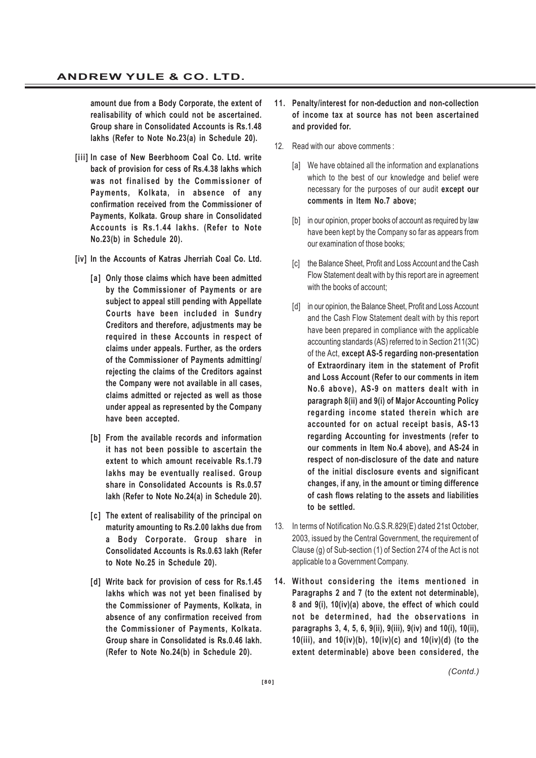**amount due from a Body Corporate, the extent of realisability of which could not be ascertained. Group share in Consolidated Accounts is Rs.1.48 lakhs (Refer to Note No.23(a) in Schedule 20).**

**[iii] In case of New Beerbhoom Coal Co. Ltd. write back of provision for cess of Rs.4.38 lakhs which was not finalised by the Commissioner of Payments, Kolkata, in absence of any confirmation received from the Commissioner of Payments, Kolkata. Group share in Consolidated Accounts is Rs.1.44 lakhs. (Refer to Note No.23(b) in Schedule 20).**

**[iv] In the Accounts of Katras Jherriah Coal Co. Ltd.**

- **[a] Only those claims which have been admitted by the Commissioner of Payments or are subject to appeal still pending with Appellate Courts have been included in Sundry Creditors and therefore, adjustments may be required in these Accounts in respect of claims under appeals. Further, as the orders of the Commissioner of Payments admitting/ rejecting the claims of the Creditors against the Company were not available in all cases, claims admitted or rejected as well as those under appeal as represented by the Company have been accepted.**
- **[b] From the available records and information it has not been possible to ascertain the extent to which amount receivable Rs.1.79 lakhs may be eventually realised. Group share in Consolidated Accounts is Rs.0.57 lakh (Refer to Note No.24(a) in Schedule 20).**
- **[c] The extent of realisability of the principal on maturity amounting to Rs.2.00 lakhs due from a Body Corporate. Group share in Consolidated Accounts is Rs.0.63 lakh (Refer to Note No.25 in Schedule 20).**
- **[d] Write back for provision of cess for Rs.1.45 lakhs which was not yet been finalised by the Commissioner of Payments, Kolkata, in absence of any confirmation received from the Commissioner of Payments, Kolkata. Group share in Consolidated is Rs.0.46 lakh. (Refer to Note No.24(b) in Schedule 20).**
- **11. Penalty/interest for non-deduction and non-collection of income tax at source has not been ascertained and provided for.**
- 12. Read with our above comments :
	- [a] We have obtained all the information and explanations which to the best of our knowledge and belief were necessary for the purposes of our audit **except our comments in Item No.7 above;**
	- [b] in our opinion, proper books of account as required by law have been kept by the Company so far as appears from our examination of those books;
	- [c] the Balance Sheet, Profit and Loss Account and the Cash Flow Statement dealt with by this report are in agreement with the books of account;
	- [d] in our opinion, the Balance Sheet, Profit and Loss Account and the Cash Flow Statement dealt with by this report have been prepared in compliance with the applicable accounting standards (AS) referred to in Section 211(3C) of the Act, **except AS-5 regarding non-presentation of Extraordinary item in the statement of Profit and Loss Account (Refer to our comments in item No.6 above), AS-9 on matters dealt with in paragraph 8(ii) and 9(i) of Major Accounting Policy regarding income stated therein which are accounted for on actual receipt basis, AS-13 regarding Accounting for investments (refer to our comments in Item No.4 above), and AS-24 in respect of non-disclosure of the date and nature of the initial disclosure events and significant changes, if any, in the amount or timing difference of cash flows relating to the assets and liabilities to be settled.**
- 13. In terms of Notification No.G.S.R.829(E) dated 21st October, 2003, issued by the Central Government, the requirement of Clause (g) of Sub-section (1) of Section 274 of the Act is not applicable to a Government Company.
- **14. Without considering the items mentioned in Paragraphs 2 and 7 (to the extent not determinable), 8 and 9(i), 10(iv)(a) above, the effect of which could not be determined, had the observations in paragraphs 3, 4, 5, 6, 9(ii), 9(iii), 9(iv) and 10(i), 10(ii), 10(iii), and 10(iv)(b), 10(iv)(c) and 10(iv)(d) (to the extent determinable) above been considered, the**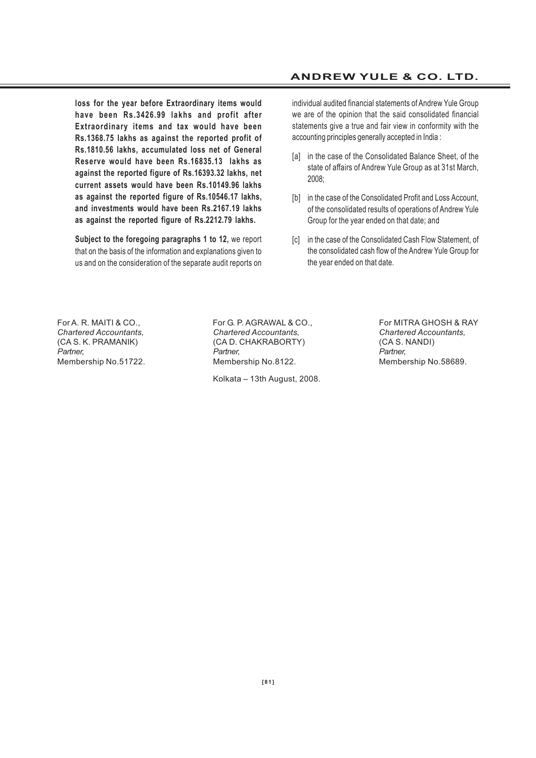**loss for the year before Extraordinary items would have been Rs.3426.99 lakhs and profit after Extraordinary items and tax would have been Rs.1368.75 lakhs as against the reported profit of Rs.1810.56 lakhs, accumulated loss net of General Reserve would have been Rs.16835.13 lakhs as against the reported figure of Rs.16393.32 lakhs, net current assets would have been Rs.10149.96 lakhs as against the reported figure of Rs.10546.17 lakhs, and investments would have been Rs.2167.19 lakhs as against the reported figure of Rs.2212.79 lakhs.**

**Subject to the foregoing paragraphs 1 to 12,** we report that on the basis of the information and explanations given to us and on the consideration of the separate audit reports on

#### **ANDREW YULE & CO. LTD.**

individual audited financial statements of Andrew Yule Group we are of the opinion that the said consolidated financial statements give a true and fair view in conformity with the accounting principles generally accepted in India :

- [a] in the case of the Consolidated Balance Sheet, of the state of affairs of Andrew Yule Group as at 31st March, 2008;
- [b] in the case of the Consolidated Profit and Loss Account, of the consolidated results of operations of Andrew Yule Group for the year ended on that date; and
- [c] in the case of the Consolidated Cash Flow Statement, of the consolidated cash flow of the Andrew Yule Group for the year ended on that date.

For A. R. MAITI & CO., For G. P. AGRAWAL & CO., For MITRA GHOSH & RAY *Chartered Accountants, Chartered Accountants, Chartered Accountants,* (CA S. K. PRAMANIK) (CA D. CHAKRABORTY) (CA S. NANDI) *Partner, Partner, Partner,* Membership No.51722. Membership No.8122. Membership No.58689.

Kolkata – 13th August, 2008.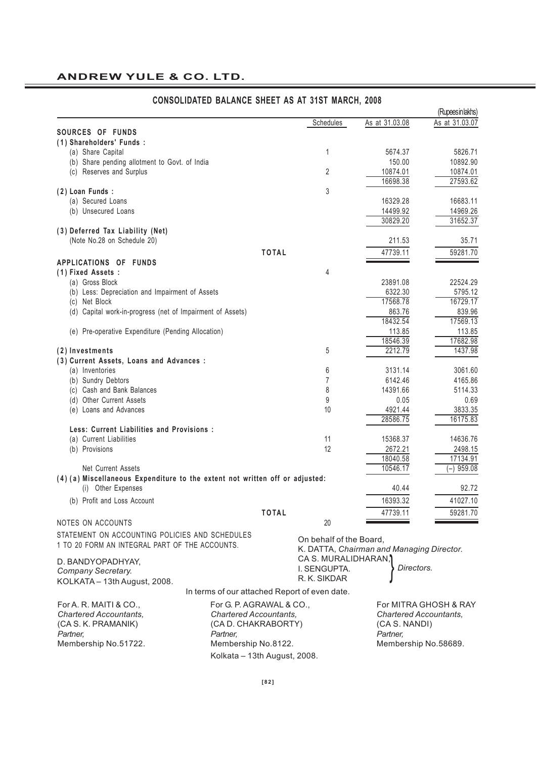|                                                                              |                                               |                         |                                           | (Rupees in lakhs)     |
|------------------------------------------------------------------------------|-----------------------------------------------|-------------------------|-------------------------------------------|-----------------------|
|                                                                              |                                               | Schedules               | As at 31.03.08                            | As at 31.03.07        |
| SOURCES OF FUNDS                                                             |                                               |                         |                                           |                       |
| (1) Shareholders' Funds:                                                     |                                               |                         |                                           |                       |
| (a) Share Capital                                                            |                                               | 1                       | 5674.37                                   | 5826.71               |
| (b) Share pending allotment to Govt. of India                                |                                               |                         | 150.00                                    | 10892.90              |
| (c) Reserves and Surplus                                                     |                                               | $\overline{2}$          | 10874.01                                  | 10874.01              |
|                                                                              |                                               |                         | 16698.38                                  | 27593.62              |
| (2) Loan Funds :                                                             |                                               | 3                       |                                           |                       |
| (a) Secured Loans                                                            |                                               |                         | 16329.28                                  | 16683.11              |
| (b) Unsecured Loans                                                          |                                               |                         | 14499.92                                  | 14969.26              |
|                                                                              |                                               |                         | 30829.20                                  | 31652.37              |
| (3) Deferred Tax Liability (Net)                                             |                                               |                         |                                           |                       |
| (Note No.28 on Schedule 20)                                                  |                                               |                         | 211.53                                    | 35.71                 |
|                                                                              | <b>TOTAL</b>                                  |                         | 47739.11                                  | 59281.70              |
| APPLICATIONS OF FUNDS                                                        |                                               |                         |                                           |                       |
| (1) Fixed Assets :                                                           |                                               | 4                       |                                           |                       |
| (a) Gross Block                                                              |                                               |                         | 23891.08                                  | 22524.29              |
| (b) Less: Depreciation and Impairment of Assets                              |                                               |                         | 6322.30                                   | 5795.12               |
| (c) Net Block                                                                |                                               |                         | 17568.78                                  | 16729.17              |
|                                                                              |                                               |                         |                                           |                       |
| (d) Capital work-in-progress (net of Impairment of Assets)                   |                                               |                         | 863.76                                    | 839.96                |
|                                                                              |                                               |                         | 18432.54                                  | 17569.13              |
| (e) Pre-operative Expenditure (Pending Allocation)                           |                                               |                         | 113.85                                    | 113.85                |
|                                                                              |                                               |                         | 18546.39                                  | 17682.98              |
| (2) Investments                                                              |                                               | 5                       | 2212.79                                   | 1437.98               |
| (3) Current Assets, Loans and Advances :                                     |                                               |                         |                                           |                       |
| (a) Inventories                                                              |                                               | 6                       | 3131.14                                   | 3061.60               |
| (b) Sundry Debtors                                                           |                                               | $\overline{7}$          | 6142.46                                   | 4165.86               |
| (c) Cash and Bank Balances                                                   |                                               | 8                       | 14391.66                                  | 5114.33               |
| (d) Other Current Assets                                                     |                                               | 9                       | 0.05                                      | 0.69                  |
| (e) Loans and Advances                                                       |                                               | 10                      | 4921.44                                   | 3833.35               |
|                                                                              |                                               |                         | 28586.75                                  | 16175.83              |
| Less: Current Liabilities and Provisions :                                   |                                               |                         |                                           |                       |
| (a) Current Liabilities                                                      |                                               | 11                      | 15368.37                                  | 14636.76              |
| (b) Provisions                                                               |                                               | 12                      | 2672.21                                   | 2498.15               |
|                                                                              |                                               |                         | 18040.58                                  | 17134.91              |
| Net Current Assets                                                           |                                               |                         | 10546.17                                  | $(-)$ 959.08          |
| (4) (a) Miscellaneous Expenditure to the extent not written off or adjusted: |                                               |                         |                                           |                       |
| (i) Other Expenses                                                           |                                               |                         | 40.44                                     | 92.72                 |
| (b) Profit and Loss Account                                                  |                                               |                         | 16393.32                                  | 41027.10              |
|                                                                              |                                               |                         |                                           |                       |
|                                                                              | <b>TOTAL</b>                                  |                         | 47739.11                                  | 59281.70              |
| NOTES ON ACCOUNTS                                                            |                                               | 20                      |                                           |                       |
| STATEMENT ON ACCOUNTING POLICIES AND SCHEDULES                               |                                               | On behalf of the Board, |                                           |                       |
| 1 TO 20 FORM AN INTEGRAL PART OF THE ACCOUNTS.                               |                                               |                         | K. DATTA, Chairman and Managing Director. |                       |
|                                                                              |                                               |                         |                                           |                       |
| D. BANDYOPADHYAY,                                                            |                                               | CA S. MURALIDHARAN,     | Directors.                                |                       |
| Company Secretary.                                                           |                                               | I. SENGUPTA.            |                                           |                       |
| KOLKATA - 13th August, 2008.                                                 |                                               | R. K. SIKDAR            |                                           |                       |
|                                                                              | In terms of our attached Report of even date. |                         |                                           |                       |
| For A. R. MAITI & CO.,                                                       | For G. P. AGRAWAL & CO.,                      |                         |                                           | For MITRA GHOSH & RAY |
| Chartered Accountants,                                                       | <b>Chartered Accountants,</b>                 |                         | <b>Chartered Accountants.</b>             |                       |
| (CA S. K. PRAMANIK)                                                          | (CA D. CHAKRABORTY)                           |                         | (CA S. NANDI)                             |                       |
| Partner,                                                                     | Partner,                                      |                         | Partner,                                  |                       |
|                                                                              | Membership No.8122.                           |                         |                                           |                       |
| Membership No.51722.                                                         |                                               |                         | Membership No.58689.                      |                       |
|                                                                              | Kolkata - 13th August, 2008.                  |                         |                                           |                       |

#### **CONSOLIDATED BALANCE SHEET AS AT 31ST MARCH, 2008**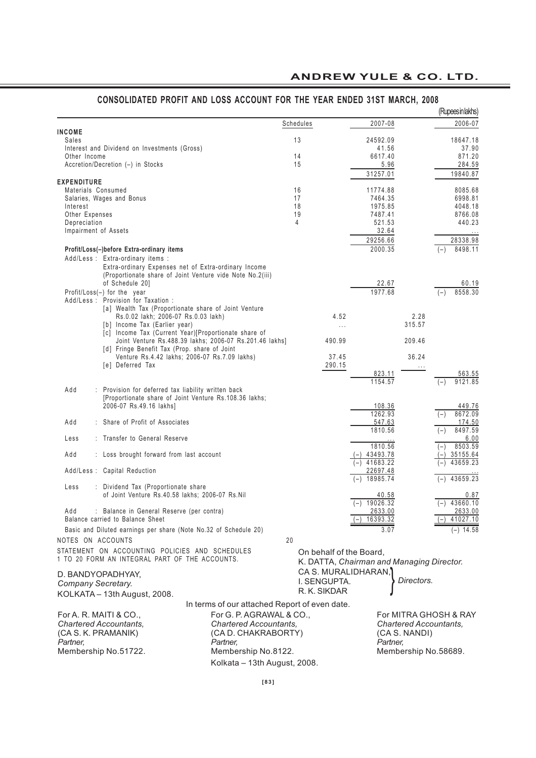| Schedules<br>2007-08<br><b>INCOME</b><br>13<br>Sales<br>24592.09<br>41.56<br>Interest and Dividend on Investments (Gross)<br>14<br>Other Income<br>6617.40<br>Accretion/Decretion (-) in Stocks<br>15<br>5.96<br>31257.01<br><b>EXPENDITURE</b><br>Materials Consumed<br>16<br>11774.88<br>17<br>Salaries, Wages and Bonus<br>7464.35<br>18<br>1975.85<br>Interest<br>Other Expenses<br>19<br>7487.41<br>Depreciation<br>4<br>521.53<br>32.64<br>Impairment of Assets<br>28338.98<br>29256.66<br>2000.35<br>8498.11<br>Profit/Loss(-)before Extra-ordinary items<br>$(-)$<br>Add/Less : Extra-ordinary items :<br>Extra-ordinary Expenses net of Extra-ordinary Income<br>(Proportionate share of Joint Venture vide Note No.2(iii)<br>of Schedule 201<br>22.67<br>1977.68<br>Profit/Loss(-) for the year<br>$(-)$<br>Add/Less: Provision for Taxation:<br>[a] Wealth Tax (Proportionate share of Joint Venture<br>Rs.0.02 lakh; 2006-07 Rs.0.03 lakh)<br>4.52<br>2.28<br>[b] Income Tax (Earlier year)<br>315.57<br>$\ldots$<br>[c] Income Tax (Current Year)[Proportionate share of<br>Joint Venture Rs.488.39 lakhs; 2006-07 Rs.201.46 lakhs]<br>209.46<br>490.99<br>[d] Fringe Benefit Tax (Prop. share of Joint<br>Venture Rs.4.42 lakhs; 2006-07 Rs.7.09 lakhs)<br>37.45<br>36.24<br>[e] Deferred Tax<br>290.15<br>$\ldots$<br>823.11<br>9121.85<br>1154.57<br>$(-)$<br>Add<br>: Provision for deferred tax liability written back<br>[Proportionate share of Joint Venture Rs.108.36 lakhs;<br>2006-07 Rs.49.16 lakhs]<br>108.36<br>1262.93<br>$(-)$<br>Add<br>: Share of Profit of Associates<br>547.63<br>1810.56<br>$(-)$<br>: Transfer to General Reserve<br>6.00<br>Less<br>1810.56<br>$(-)$<br>Add<br>$(-)$ 43493.78<br>35155.64<br>: Loss brought forward from last account<br>$(-)$ 41683.22<br>Add/Less : Capital Reduction<br>22697.48<br>43659.23<br>$(-)$ 18985.74<br>: Dividend Tax (Proportionate share<br>Less<br>of Joint Venture Rs.40.58 lakhs; 2006-07 Rs.Nil<br>40.58<br>0.87<br>$(-)$ 19026.32<br>$(-)$ 43660.10<br>: Balance in General Reserve (per contra)<br>2633.00<br>Add<br>16393.32<br>41027.10<br>Balance carried to Balance Sheet<br>$(-)$<br>Basic and Diluted earnings per share (Note No.32 of Schedule 20)<br>3.07<br>$(-)$ 14.58<br>NOTES ON ACCOUNTS<br>20<br>STATEMENT ON ACCOUNTING POLICIES AND SCHEDULES<br>On behalf of the Board,<br>1 TO 20 FORM AN INTEGRAL PART OF THE ACCOUNTS.<br>K. DATTA, Chairman and Managing Director.<br>CA S. MURALIDHARAN,<br>D. BANDYOPADHYAY,<br>Directors.<br>I. SENGUPTA.<br>Company Secretary.<br>R. K. SIKDAR<br>KOLKATA - 13th August, 2008.<br>In terms of our attached Report of even date.<br>For MITRA GHOSH & RAY<br>For A. R. MAITI & CO.,<br>For G. P. AGRAWAL & CO<br><b>Chartered Accountants.</b><br><b>Chartered Accountants.</b><br><b>Chartered Accountants,</b><br>(CA S. K. PRAMANIK)<br>(CA D. CHAKRABORTY)<br>(CA S. NANDI)<br>Partner,<br>Partner,<br>Partner,<br>Membership No.51722.<br>Membership No.8122.<br>Membership No.58689.<br>Kolkata - 13th August, 2008. |  |  |  | (Rupeesinlakhs) |
|-------------------------------------------------------------------------------------------------------------------------------------------------------------------------------------------------------------------------------------------------------------------------------------------------------------------------------------------------------------------------------------------------------------------------------------------------------------------------------------------------------------------------------------------------------------------------------------------------------------------------------------------------------------------------------------------------------------------------------------------------------------------------------------------------------------------------------------------------------------------------------------------------------------------------------------------------------------------------------------------------------------------------------------------------------------------------------------------------------------------------------------------------------------------------------------------------------------------------------------------------------------------------------------------------------------------------------------------------------------------------------------------------------------------------------------------------------------------------------------------------------------------------------------------------------------------------------------------------------------------------------------------------------------------------------------------------------------------------------------------------------------------------------------------------------------------------------------------------------------------------------------------------------------------------------------------------------------------------------------------------------------------------------------------------------------------------------------------------------------------------------------------------------------------------------------------------------------------------------------------------------------------------------------------------------------------------------------------------------------------------------------------------------------------------------------------------------------------------------------------------------------------------------------------------------------------------------------------------------------------------------------------------------------------------------------------------------------------------------------------------------------------------------------------------------------------------------------------------------------------------------------------------------------------------------------------------------------------------------------------------------------------------------------------------------------------------------|--|--|--|-----------------|
| 18647.18<br>37.90<br>871.20<br>284.59<br>19840.87<br>8085.68<br>6998.81<br>4048.18<br>8766.08<br>440.23<br>60.19<br>8558.30                                                                                                                                                                                                                                                                                                                                                                                                                                                                                                                                                                                                                                                                                                                                                                                                                                                                                                                                                                                                                                                                                                                                                                                                                                                                                                                                                                                                                                                                                                                                                                                                                                                                                                                                                                                                                                                                                                                                                                                                                                                                                                                                                                                                                                                                                                                                                                                                                                                                                                                                                                                                                                                                                                                                                                                                                                                                                                                                                   |  |  |  | 2006-07         |
|                                                                                                                                                                                                                                                                                                                                                                                                                                                                                                                                                                                                                                                                                                                                                                                                                                                                                                                                                                                                                                                                                                                                                                                                                                                                                                                                                                                                                                                                                                                                                                                                                                                                                                                                                                                                                                                                                                                                                                                                                                                                                                                                                                                                                                                                                                                                                                                                                                                                                                                                                                                                                                                                                                                                                                                                                                                                                                                                                                                                                                                                               |  |  |  |                 |
|                                                                                                                                                                                                                                                                                                                                                                                                                                                                                                                                                                                                                                                                                                                                                                                                                                                                                                                                                                                                                                                                                                                                                                                                                                                                                                                                                                                                                                                                                                                                                                                                                                                                                                                                                                                                                                                                                                                                                                                                                                                                                                                                                                                                                                                                                                                                                                                                                                                                                                                                                                                                                                                                                                                                                                                                                                                                                                                                                                                                                                                                               |  |  |  |                 |
|                                                                                                                                                                                                                                                                                                                                                                                                                                                                                                                                                                                                                                                                                                                                                                                                                                                                                                                                                                                                                                                                                                                                                                                                                                                                                                                                                                                                                                                                                                                                                                                                                                                                                                                                                                                                                                                                                                                                                                                                                                                                                                                                                                                                                                                                                                                                                                                                                                                                                                                                                                                                                                                                                                                                                                                                                                                                                                                                                                                                                                                                               |  |  |  |                 |
|                                                                                                                                                                                                                                                                                                                                                                                                                                                                                                                                                                                                                                                                                                                                                                                                                                                                                                                                                                                                                                                                                                                                                                                                                                                                                                                                                                                                                                                                                                                                                                                                                                                                                                                                                                                                                                                                                                                                                                                                                                                                                                                                                                                                                                                                                                                                                                                                                                                                                                                                                                                                                                                                                                                                                                                                                                                                                                                                                                                                                                                                               |  |  |  |                 |
|                                                                                                                                                                                                                                                                                                                                                                                                                                                                                                                                                                                                                                                                                                                                                                                                                                                                                                                                                                                                                                                                                                                                                                                                                                                                                                                                                                                                                                                                                                                                                                                                                                                                                                                                                                                                                                                                                                                                                                                                                                                                                                                                                                                                                                                                                                                                                                                                                                                                                                                                                                                                                                                                                                                                                                                                                                                                                                                                                                                                                                                                               |  |  |  |                 |
|                                                                                                                                                                                                                                                                                                                                                                                                                                                                                                                                                                                                                                                                                                                                                                                                                                                                                                                                                                                                                                                                                                                                                                                                                                                                                                                                                                                                                                                                                                                                                                                                                                                                                                                                                                                                                                                                                                                                                                                                                                                                                                                                                                                                                                                                                                                                                                                                                                                                                                                                                                                                                                                                                                                                                                                                                                                                                                                                                                                                                                                                               |  |  |  |                 |
|                                                                                                                                                                                                                                                                                                                                                                                                                                                                                                                                                                                                                                                                                                                                                                                                                                                                                                                                                                                                                                                                                                                                                                                                                                                                                                                                                                                                                                                                                                                                                                                                                                                                                                                                                                                                                                                                                                                                                                                                                                                                                                                                                                                                                                                                                                                                                                                                                                                                                                                                                                                                                                                                                                                                                                                                                                                                                                                                                                                                                                                                               |  |  |  |                 |
|                                                                                                                                                                                                                                                                                                                                                                                                                                                                                                                                                                                                                                                                                                                                                                                                                                                                                                                                                                                                                                                                                                                                                                                                                                                                                                                                                                                                                                                                                                                                                                                                                                                                                                                                                                                                                                                                                                                                                                                                                                                                                                                                                                                                                                                                                                                                                                                                                                                                                                                                                                                                                                                                                                                                                                                                                                                                                                                                                                                                                                                                               |  |  |  |                 |
|                                                                                                                                                                                                                                                                                                                                                                                                                                                                                                                                                                                                                                                                                                                                                                                                                                                                                                                                                                                                                                                                                                                                                                                                                                                                                                                                                                                                                                                                                                                                                                                                                                                                                                                                                                                                                                                                                                                                                                                                                                                                                                                                                                                                                                                                                                                                                                                                                                                                                                                                                                                                                                                                                                                                                                                                                                                                                                                                                                                                                                                                               |  |  |  |                 |
|                                                                                                                                                                                                                                                                                                                                                                                                                                                                                                                                                                                                                                                                                                                                                                                                                                                                                                                                                                                                                                                                                                                                                                                                                                                                                                                                                                                                                                                                                                                                                                                                                                                                                                                                                                                                                                                                                                                                                                                                                                                                                                                                                                                                                                                                                                                                                                                                                                                                                                                                                                                                                                                                                                                                                                                                                                                                                                                                                                                                                                                                               |  |  |  |                 |
|                                                                                                                                                                                                                                                                                                                                                                                                                                                                                                                                                                                                                                                                                                                                                                                                                                                                                                                                                                                                                                                                                                                                                                                                                                                                                                                                                                                                                                                                                                                                                                                                                                                                                                                                                                                                                                                                                                                                                                                                                                                                                                                                                                                                                                                                                                                                                                                                                                                                                                                                                                                                                                                                                                                                                                                                                                                                                                                                                                                                                                                                               |  |  |  |                 |
|                                                                                                                                                                                                                                                                                                                                                                                                                                                                                                                                                                                                                                                                                                                                                                                                                                                                                                                                                                                                                                                                                                                                                                                                                                                                                                                                                                                                                                                                                                                                                                                                                                                                                                                                                                                                                                                                                                                                                                                                                                                                                                                                                                                                                                                                                                                                                                                                                                                                                                                                                                                                                                                                                                                                                                                                                                                                                                                                                                                                                                                                               |  |  |  |                 |
|                                                                                                                                                                                                                                                                                                                                                                                                                                                                                                                                                                                                                                                                                                                                                                                                                                                                                                                                                                                                                                                                                                                                                                                                                                                                                                                                                                                                                                                                                                                                                                                                                                                                                                                                                                                                                                                                                                                                                                                                                                                                                                                                                                                                                                                                                                                                                                                                                                                                                                                                                                                                                                                                                                                                                                                                                                                                                                                                                                                                                                                                               |  |  |  |                 |
|                                                                                                                                                                                                                                                                                                                                                                                                                                                                                                                                                                                                                                                                                                                                                                                                                                                                                                                                                                                                                                                                                                                                                                                                                                                                                                                                                                                                                                                                                                                                                                                                                                                                                                                                                                                                                                                                                                                                                                                                                                                                                                                                                                                                                                                                                                                                                                                                                                                                                                                                                                                                                                                                                                                                                                                                                                                                                                                                                                                                                                                                               |  |  |  |                 |
|                                                                                                                                                                                                                                                                                                                                                                                                                                                                                                                                                                                                                                                                                                                                                                                                                                                                                                                                                                                                                                                                                                                                                                                                                                                                                                                                                                                                                                                                                                                                                                                                                                                                                                                                                                                                                                                                                                                                                                                                                                                                                                                                                                                                                                                                                                                                                                                                                                                                                                                                                                                                                                                                                                                                                                                                                                                                                                                                                                                                                                                                               |  |  |  |                 |
|                                                                                                                                                                                                                                                                                                                                                                                                                                                                                                                                                                                                                                                                                                                                                                                                                                                                                                                                                                                                                                                                                                                                                                                                                                                                                                                                                                                                                                                                                                                                                                                                                                                                                                                                                                                                                                                                                                                                                                                                                                                                                                                                                                                                                                                                                                                                                                                                                                                                                                                                                                                                                                                                                                                                                                                                                                                                                                                                                                                                                                                                               |  |  |  |                 |
|                                                                                                                                                                                                                                                                                                                                                                                                                                                                                                                                                                                                                                                                                                                                                                                                                                                                                                                                                                                                                                                                                                                                                                                                                                                                                                                                                                                                                                                                                                                                                                                                                                                                                                                                                                                                                                                                                                                                                                                                                                                                                                                                                                                                                                                                                                                                                                                                                                                                                                                                                                                                                                                                                                                                                                                                                                                                                                                                                                                                                                                                               |  |  |  |                 |
|                                                                                                                                                                                                                                                                                                                                                                                                                                                                                                                                                                                                                                                                                                                                                                                                                                                                                                                                                                                                                                                                                                                                                                                                                                                                                                                                                                                                                                                                                                                                                                                                                                                                                                                                                                                                                                                                                                                                                                                                                                                                                                                                                                                                                                                                                                                                                                                                                                                                                                                                                                                                                                                                                                                                                                                                                                                                                                                                                                                                                                                                               |  |  |  |                 |
|                                                                                                                                                                                                                                                                                                                                                                                                                                                                                                                                                                                                                                                                                                                                                                                                                                                                                                                                                                                                                                                                                                                                                                                                                                                                                                                                                                                                                                                                                                                                                                                                                                                                                                                                                                                                                                                                                                                                                                                                                                                                                                                                                                                                                                                                                                                                                                                                                                                                                                                                                                                                                                                                                                                                                                                                                                                                                                                                                                                                                                                                               |  |  |  |                 |
|                                                                                                                                                                                                                                                                                                                                                                                                                                                                                                                                                                                                                                                                                                                                                                                                                                                                                                                                                                                                                                                                                                                                                                                                                                                                                                                                                                                                                                                                                                                                                                                                                                                                                                                                                                                                                                                                                                                                                                                                                                                                                                                                                                                                                                                                                                                                                                                                                                                                                                                                                                                                                                                                                                                                                                                                                                                                                                                                                                                                                                                                               |  |  |  |                 |
| 563.55<br>174.50<br>8497.59<br>8503.59<br>43659.23                                                                                                                                                                                                                                                                                                                                                                                                                                                                                                                                                                                                                                                                                                                                                                                                                                                                                                                                                                                                                                                                                                                                                                                                                                                                                                                                                                                                                                                                                                                                                                                                                                                                                                                                                                                                                                                                                                                                                                                                                                                                                                                                                                                                                                                                                                                                                                                                                                                                                                                                                                                                                                                                                                                                                                                                                                                                                                                                                                                                                            |  |  |  |                 |
|                                                                                                                                                                                                                                                                                                                                                                                                                                                                                                                                                                                                                                                                                                                                                                                                                                                                                                                                                                                                                                                                                                                                                                                                                                                                                                                                                                                                                                                                                                                                                                                                                                                                                                                                                                                                                                                                                                                                                                                                                                                                                                                                                                                                                                                                                                                                                                                                                                                                                                                                                                                                                                                                                                                                                                                                                                                                                                                                                                                                                                                                               |  |  |  |                 |
|                                                                                                                                                                                                                                                                                                                                                                                                                                                                                                                                                                                                                                                                                                                                                                                                                                                                                                                                                                                                                                                                                                                                                                                                                                                                                                                                                                                                                                                                                                                                                                                                                                                                                                                                                                                                                                                                                                                                                                                                                                                                                                                                                                                                                                                                                                                                                                                                                                                                                                                                                                                                                                                                                                                                                                                                                                                                                                                                                                                                                                                                               |  |  |  |                 |
|                                                                                                                                                                                                                                                                                                                                                                                                                                                                                                                                                                                                                                                                                                                                                                                                                                                                                                                                                                                                                                                                                                                                                                                                                                                                                                                                                                                                                                                                                                                                                                                                                                                                                                                                                                                                                                                                                                                                                                                                                                                                                                                                                                                                                                                                                                                                                                                                                                                                                                                                                                                                                                                                                                                                                                                                                                                                                                                                                                                                                                                                               |  |  |  |                 |
| 449.76<br>8672.09                                                                                                                                                                                                                                                                                                                                                                                                                                                                                                                                                                                                                                                                                                                                                                                                                                                                                                                                                                                                                                                                                                                                                                                                                                                                                                                                                                                                                                                                                                                                                                                                                                                                                                                                                                                                                                                                                                                                                                                                                                                                                                                                                                                                                                                                                                                                                                                                                                                                                                                                                                                                                                                                                                                                                                                                                                                                                                                                                                                                                                                             |  |  |  |                 |
|                                                                                                                                                                                                                                                                                                                                                                                                                                                                                                                                                                                                                                                                                                                                                                                                                                                                                                                                                                                                                                                                                                                                                                                                                                                                                                                                                                                                                                                                                                                                                                                                                                                                                                                                                                                                                                                                                                                                                                                                                                                                                                                                                                                                                                                                                                                                                                                                                                                                                                                                                                                                                                                                                                                                                                                                                                                                                                                                                                                                                                                                               |  |  |  |                 |
|                                                                                                                                                                                                                                                                                                                                                                                                                                                                                                                                                                                                                                                                                                                                                                                                                                                                                                                                                                                                                                                                                                                                                                                                                                                                                                                                                                                                                                                                                                                                                                                                                                                                                                                                                                                                                                                                                                                                                                                                                                                                                                                                                                                                                                                                                                                                                                                                                                                                                                                                                                                                                                                                                                                                                                                                                                                                                                                                                                                                                                                                               |  |  |  |                 |
|                                                                                                                                                                                                                                                                                                                                                                                                                                                                                                                                                                                                                                                                                                                                                                                                                                                                                                                                                                                                                                                                                                                                                                                                                                                                                                                                                                                                                                                                                                                                                                                                                                                                                                                                                                                                                                                                                                                                                                                                                                                                                                                                                                                                                                                                                                                                                                                                                                                                                                                                                                                                                                                                                                                                                                                                                                                                                                                                                                                                                                                                               |  |  |  |                 |
|                                                                                                                                                                                                                                                                                                                                                                                                                                                                                                                                                                                                                                                                                                                                                                                                                                                                                                                                                                                                                                                                                                                                                                                                                                                                                                                                                                                                                                                                                                                                                                                                                                                                                                                                                                                                                                                                                                                                                                                                                                                                                                                                                                                                                                                                                                                                                                                                                                                                                                                                                                                                                                                                                                                                                                                                                                                                                                                                                                                                                                                                               |  |  |  |                 |
|                                                                                                                                                                                                                                                                                                                                                                                                                                                                                                                                                                                                                                                                                                                                                                                                                                                                                                                                                                                                                                                                                                                                                                                                                                                                                                                                                                                                                                                                                                                                                                                                                                                                                                                                                                                                                                                                                                                                                                                                                                                                                                                                                                                                                                                                                                                                                                                                                                                                                                                                                                                                                                                                                                                                                                                                                                                                                                                                                                                                                                                                               |  |  |  |                 |
|                                                                                                                                                                                                                                                                                                                                                                                                                                                                                                                                                                                                                                                                                                                                                                                                                                                                                                                                                                                                                                                                                                                                                                                                                                                                                                                                                                                                                                                                                                                                                                                                                                                                                                                                                                                                                                                                                                                                                                                                                                                                                                                                                                                                                                                                                                                                                                                                                                                                                                                                                                                                                                                                                                                                                                                                                                                                                                                                                                                                                                                                               |  |  |  |                 |
|                                                                                                                                                                                                                                                                                                                                                                                                                                                                                                                                                                                                                                                                                                                                                                                                                                                                                                                                                                                                                                                                                                                                                                                                                                                                                                                                                                                                                                                                                                                                                                                                                                                                                                                                                                                                                                                                                                                                                                                                                                                                                                                                                                                                                                                                                                                                                                                                                                                                                                                                                                                                                                                                                                                                                                                                                                                                                                                                                                                                                                                                               |  |  |  |                 |
|                                                                                                                                                                                                                                                                                                                                                                                                                                                                                                                                                                                                                                                                                                                                                                                                                                                                                                                                                                                                                                                                                                                                                                                                                                                                                                                                                                                                                                                                                                                                                                                                                                                                                                                                                                                                                                                                                                                                                                                                                                                                                                                                                                                                                                                                                                                                                                                                                                                                                                                                                                                                                                                                                                                                                                                                                                                                                                                                                                                                                                                                               |  |  |  |                 |
|                                                                                                                                                                                                                                                                                                                                                                                                                                                                                                                                                                                                                                                                                                                                                                                                                                                                                                                                                                                                                                                                                                                                                                                                                                                                                                                                                                                                                                                                                                                                                                                                                                                                                                                                                                                                                                                                                                                                                                                                                                                                                                                                                                                                                                                                                                                                                                                                                                                                                                                                                                                                                                                                                                                                                                                                                                                                                                                                                                                                                                                                               |  |  |  |                 |
| 2633.00                                                                                                                                                                                                                                                                                                                                                                                                                                                                                                                                                                                                                                                                                                                                                                                                                                                                                                                                                                                                                                                                                                                                                                                                                                                                                                                                                                                                                                                                                                                                                                                                                                                                                                                                                                                                                                                                                                                                                                                                                                                                                                                                                                                                                                                                                                                                                                                                                                                                                                                                                                                                                                                                                                                                                                                                                                                                                                                                                                                                                                                                       |  |  |  |                 |
|                                                                                                                                                                                                                                                                                                                                                                                                                                                                                                                                                                                                                                                                                                                                                                                                                                                                                                                                                                                                                                                                                                                                                                                                                                                                                                                                                                                                                                                                                                                                                                                                                                                                                                                                                                                                                                                                                                                                                                                                                                                                                                                                                                                                                                                                                                                                                                                                                                                                                                                                                                                                                                                                                                                                                                                                                                                                                                                                                                                                                                                                               |  |  |  |                 |
|                                                                                                                                                                                                                                                                                                                                                                                                                                                                                                                                                                                                                                                                                                                                                                                                                                                                                                                                                                                                                                                                                                                                                                                                                                                                                                                                                                                                                                                                                                                                                                                                                                                                                                                                                                                                                                                                                                                                                                                                                                                                                                                                                                                                                                                                                                                                                                                                                                                                                                                                                                                                                                                                                                                                                                                                                                                                                                                                                                                                                                                                               |  |  |  |                 |
|                                                                                                                                                                                                                                                                                                                                                                                                                                                                                                                                                                                                                                                                                                                                                                                                                                                                                                                                                                                                                                                                                                                                                                                                                                                                                                                                                                                                                                                                                                                                                                                                                                                                                                                                                                                                                                                                                                                                                                                                                                                                                                                                                                                                                                                                                                                                                                                                                                                                                                                                                                                                                                                                                                                                                                                                                                                                                                                                                                                                                                                                               |  |  |  |                 |
|                                                                                                                                                                                                                                                                                                                                                                                                                                                                                                                                                                                                                                                                                                                                                                                                                                                                                                                                                                                                                                                                                                                                                                                                                                                                                                                                                                                                                                                                                                                                                                                                                                                                                                                                                                                                                                                                                                                                                                                                                                                                                                                                                                                                                                                                                                                                                                                                                                                                                                                                                                                                                                                                                                                                                                                                                                                                                                                                                                                                                                                                               |  |  |  |                 |
|                                                                                                                                                                                                                                                                                                                                                                                                                                                                                                                                                                                                                                                                                                                                                                                                                                                                                                                                                                                                                                                                                                                                                                                                                                                                                                                                                                                                                                                                                                                                                                                                                                                                                                                                                                                                                                                                                                                                                                                                                                                                                                                                                                                                                                                                                                                                                                                                                                                                                                                                                                                                                                                                                                                                                                                                                                                                                                                                                                                                                                                                               |  |  |  |                 |
|                                                                                                                                                                                                                                                                                                                                                                                                                                                                                                                                                                                                                                                                                                                                                                                                                                                                                                                                                                                                                                                                                                                                                                                                                                                                                                                                                                                                                                                                                                                                                                                                                                                                                                                                                                                                                                                                                                                                                                                                                                                                                                                                                                                                                                                                                                                                                                                                                                                                                                                                                                                                                                                                                                                                                                                                                                                                                                                                                                                                                                                                               |  |  |  |                 |
|                                                                                                                                                                                                                                                                                                                                                                                                                                                                                                                                                                                                                                                                                                                                                                                                                                                                                                                                                                                                                                                                                                                                                                                                                                                                                                                                                                                                                                                                                                                                                                                                                                                                                                                                                                                                                                                                                                                                                                                                                                                                                                                                                                                                                                                                                                                                                                                                                                                                                                                                                                                                                                                                                                                                                                                                                                                                                                                                                                                                                                                                               |  |  |  |                 |
|                                                                                                                                                                                                                                                                                                                                                                                                                                                                                                                                                                                                                                                                                                                                                                                                                                                                                                                                                                                                                                                                                                                                                                                                                                                                                                                                                                                                                                                                                                                                                                                                                                                                                                                                                                                                                                                                                                                                                                                                                                                                                                                                                                                                                                                                                                                                                                                                                                                                                                                                                                                                                                                                                                                                                                                                                                                                                                                                                                                                                                                                               |  |  |  |                 |
|                                                                                                                                                                                                                                                                                                                                                                                                                                                                                                                                                                                                                                                                                                                                                                                                                                                                                                                                                                                                                                                                                                                                                                                                                                                                                                                                                                                                                                                                                                                                                                                                                                                                                                                                                                                                                                                                                                                                                                                                                                                                                                                                                                                                                                                                                                                                                                                                                                                                                                                                                                                                                                                                                                                                                                                                                                                                                                                                                                                                                                                                               |  |  |  |                 |
|                                                                                                                                                                                                                                                                                                                                                                                                                                                                                                                                                                                                                                                                                                                                                                                                                                                                                                                                                                                                                                                                                                                                                                                                                                                                                                                                                                                                                                                                                                                                                                                                                                                                                                                                                                                                                                                                                                                                                                                                                                                                                                                                                                                                                                                                                                                                                                                                                                                                                                                                                                                                                                                                                                                                                                                                                                                                                                                                                                                                                                                                               |  |  |  |                 |
|                                                                                                                                                                                                                                                                                                                                                                                                                                                                                                                                                                                                                                                                                                                                                                                                                                                                                                                                                                                                                                                                                                                                                                                                                                                                                                                                                                                                                                                                                                                                                                                                                                                                                                                                                                                                                                                                                                                                                                                                                                                                                                                                                                                                                                                                                                                                                                                                                                                                                                                                                                                                                                                                                                                                                                                                                                                                                                                                                                                                                                                                               |  |  |  |                 |
|                                                                                                                                                                                                                                                                                                                                                                                                                                                                                                                                                                                                                                                                                                                                                                                                                                                                                                                                                                                                                                                                                                                                                                                                                                                                                                                                                                                                                                                                                                                                                                                                                                                                                                                                                                                                                                                                                                                                                                                                                                                                                                                                                                                                                                                                                                                                                                                                                                                                                                                                                                                                                                                                                                                                                                                                                                                                                                                                                                                                                                                                               |  |  |  |                 |
|                                                                                                                                                                                                                                                                                                                                                                                                                                                                                                                                                                                                                                                                                                                                                                                                                                                                                                                                                                                                                                                                                                                                                                                                                                                                                                                                                                                                                                                                                                                                                                                                                                                                                                                                                                                                                                                                                                                                                                                                                                                                                                                                                                                                                                                                                                                                                                                                                                                                                                                                                                                                                                                                                                                                                                                                                                                                                                                                                                                                                                                                               |  |  |  |                 |
|                                                                                                                                                                                                                                                                                                                                                                                                                                                                                                                                                                                                                                                                                                                                                                                                                                                                                                                                                                                                                                                                                                                                                                                                                                                                                                                                                                                                                                                                                                                                                                                                                                                                                                                                                                                                                                                                                                                                                                                                                                                                                                                                                                                                                                                                                                                                                                                                                                                                                                                                                                                                                                                                                                                                                                                                                                                                                                                                                                                                                                                                               |  |  |  |                 |
|                                                                                                                                                                                                                                                                                                                                                                                                                                                                                                                                                                                                                                                                                                                                                                                                                                                                                                                                                                                                                                                                                                                                                                                                                                                                                                                                                                                                                                                                                                                                                                                                                                                                                                                                                                                                                                                                                                                                                                                                                                                                                                                                                                                                                                                                                                                                                                                                                                                                                                                                                                                                                                                                                                                                                                                                                                                                                                                                                                                                                                                                               |  |  |  |                 |
|                                                                                                                                                                                                                                                                                                                                                                                                                                                                                                                                                                                                                                                                                                                                                                                                                                                                                                                                                                                                                                                                                                                                                                                                                                                                                                                                                                                                                                                                                                                                                                                                                                                                                                                                                                                                                                                                                                                                                                                                                                                                                                                                                                                                                                                                                                                                                                                                                                                                                                                                                                                                                                                                                                                                                                                                                                                                                                                                                                                                                                                                               |  |  |  |                 |
|                                                                                                                                                                                                                                                                                                                                                                                                                                                                                                                                                                                                                                                                                                                                                                                                                                                                                                                                                                                                                                                                                                                                                                                                                                                                                                                                                                                                                                                                                                                                                                                                                                                                                                                                                                                                                                                                                                                                                                                                                                                                                                                                                                                                                                                                                                                                                                                                                                                                                                                                                                                                                                                                                                                                                                                                                                                                                                                                                                                                                                                                               |  |  |  |                 |

# **CONSOLIDATED PROFIT AND LOSS ACCOUNT FOR THE YEAR ENDED 31ST MARCH, 2008**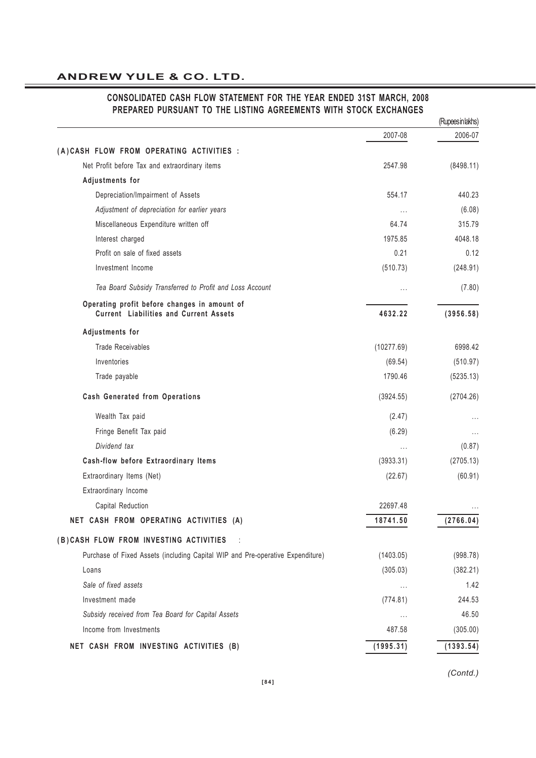# 2007-08 2006-07 **( A ) CASH FLOW FROM OPERATING ACTIVITIES :** Net Profit before Tax and extraordinary items 2547.98 (8498.11) **Adjustments for** Depreciation/Impairment of Assets 554.17 440.23 *Adjustment of depreciation for earlier years* ... (6.08) Miscellaneous Expenditure written off 64.74 64.74 315.79 Interest charged 1975.85 4048.18 Profit on sale of fixed assets 0.21 0.12 Investment Income (510.73) (248.91) *Tea Board Subsidy Transferred to Profit and Loss Account* ... (7.80) **Operating profit before changes in amount of Current Liabilities and Current Assets 4632.22 (3956.58) Adjustments for** Trade Receivables 6998.42 Inventories (69.54) (510.97) Trade payable (5235.13) **Cash Generated from Operations** (3924.55) (2704.26) Wealth Tax paid  $(2.47)$  ...  $(2.47)$ Fringe Benefit Tax paid **Fringe Benefit Tax paid**  $\ldots$  ... *Dividend tax* ... (0.87) **Cash-flow before Extraordinary Items** (3933.31) (2705.13) Extraordinary Items (Net) (22.67) (60.91) Extraordinary Income Capital Reduction 22697.48 ... **NET CASH FROM OPERATING ACTIVITIES (A) 18741.50 (2766.04) ( B ) CASH FLOW FROM INVESTING ACTIVITIES** : Purchase of Fixed Assets (including Capital WIP and Pre-operative Expenditure) (1403.05) (998.78) Loans (305.03) (382.21) *Sale of fixed assets* ... 1.42 Investment made (774.81) 244.53 *Subsidy received from Tea Board for Capital Assets* ... 46.50 Income from Investments 487.58 (305.00) **NET CASH FROM INVESTING ACTIVITIES (B) (1995.31) (1393.54)** (Rupees in lakhs)

#### **CONSOLIDATED CASH FLOW STATEMENT FOR THE YEAR ENDED 31ST MARCH, 2008 PREPARED PURSUANT TO THE LISTING AGREEMENTS WITH STOCK EXCHANGES**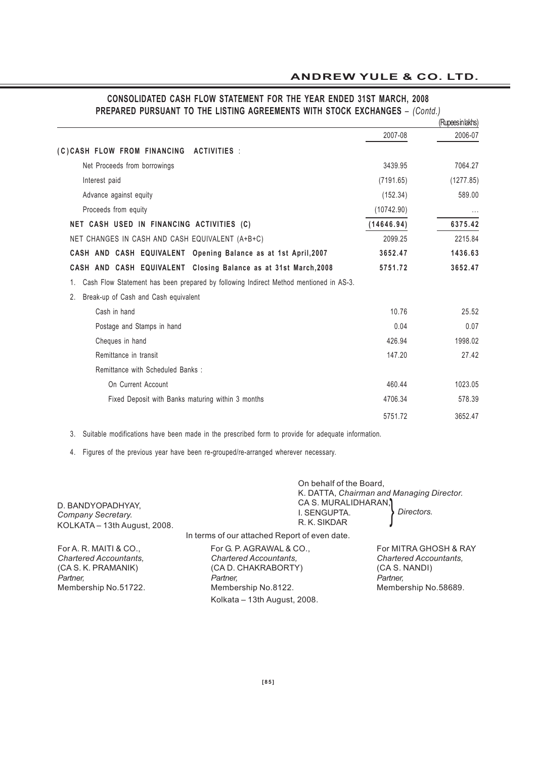# **CONSOLIDATED CASH FLOW STATEMENT FOR THE YEAR ENDED 31ST MARCH, 2008 PREPARED PURSUANT TO THE LISTING AGREEMENTS WITH STOCK EXCHANGES** – *(Contd.)*

|                                                                                             |            | (Rupeesin lakhs) |
|---------------------------------------------------------------------------------------------|------------|------------------|
|                                                                                             | 2007-08    | 2006-07          |
| (C)CASH FLOW FROM FINANCING ACTIVITIES :                                                    |            |                  |
| Net Proceeds from borrowings                                                                | 3439.95    | 7064.27          |
| Interest paid                                                                               | (7191.65)  | (1277.85)        |
| Advance against equity                                                                      | (152.34)   | 589.00           |
| Proceeds from equity                                                                        | (10742.90) |                  |
| NET CASH USED IN FINANCING ACTIVITIES (C)                                                   | (14646.94) | 6375.42          |
| NET CHANGES IN CASH AND CASH EQUIVALENT (A+B+C)                                             | 2099.25    | 2215.84          |
| CASH AND CASH EQUIVALENT Opening Balance as at 1st April, 2007                              | 3652.47    | 1436.63          |
| CASH AND CASH EQUIVALENT Closing Balance as at 31st March, 2008                             | 5751.72    | 3652.47          |
| Cash Flow Statement has been prepared by following Indirect Method mentioned in AS-3.<br>1. |            |                  |
| Break-up of Cash and Cash equivalent<br>2.                                                  |            |                  |
| Cash in hand                                                                                | 10.76      | 25.52            |
| Postage and Stamps in hand                                                                  | 0.04       | 0.07             |
| Cheques in hand                                                                             | 426.94     | 1998.02          |
| Remittance in transit                                                                       | 147.20     | 27.42            |
| Remittance with Scheduled Banks :                                                           |            |                  |
| On Current Account                                                                          | 460.44     | 1023.05          |
| Fixed Deposit with Banks maturing within 3 months                                           | 4706.34    | 578.39           |
|                                                                                             | 5751.72    | 3652.47          |
|                                                                                             |            |                  |

3. Suitable modifications have been made in the prescribed form to provide for adequate information.

4. Figures of the previous year have been re-grouped/re-arranged wherever necessary.

| D. BANDYOPADHYAY,<br>Company Secretary.<br>KOLKATA - 13th August, 2008. | On behalf of the Board,<br>K. DATTA, Chairman and Managing Director.<br>CA S. MURALIDHARAN,<br>I. SENGUPTA.<br>R. K. SIKDAR | Directors.            |
|-------------------------------------------------------------------------|-----------------------------------------------------------------------------------------------------------------------------|-----------------------|
| In terms of our attached Report of even date.                           |                                                                                                                             |                       |
| For A. R. MAITI & CO.,<br>For G. P. AGRAWAL & CO.,                      |                                                                                                                             | For MITRA GHOSH & RAY |

*Chartered Accountants, Chartered Accountants, Chartered Accountants,* (CA S. K. PRAMANIK) (CA D. CHAKRABORTY) (CA S. NANDI)<br>Partner. Partner. Partner. Partner. Partner. Partner. *Partner, Partner, Partner,* Membership No.51722. Membership No.8122. Membership No.58689. Kolkata – 13th August, 2008.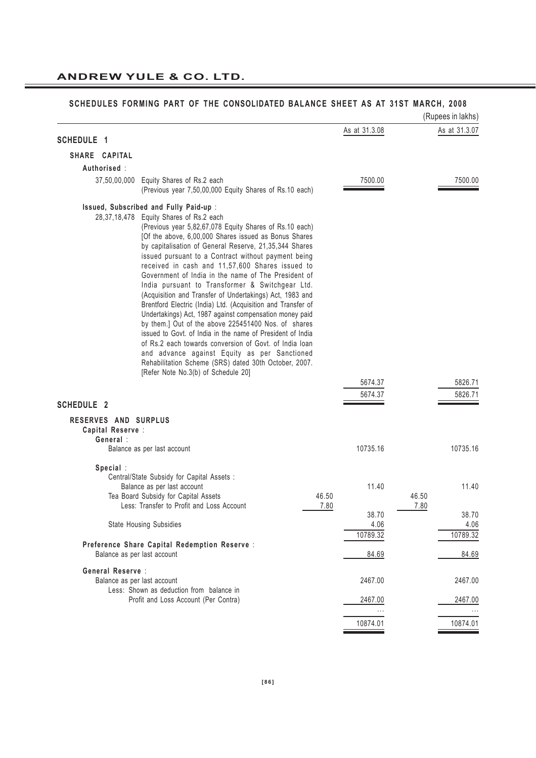|                      |                                                                                                                                                                                                                                                                                                                                                                                                                                                                                                                                                                                                                                                                                                                                                                                                                                                                                                                                                                    |               | (Rupees in lakhs) |
|----------------------|--------------------------------------------------------------------------------------------------------------------------------------------------------------------------------------------------------------------------------------------------------------------------------------------------------------------------------------------------------------------------------------------------------------------------------------------------------------------------------------------------------------------------------------------------------------------------------------------------------------------------------------------------------------------------------------------------------------------------------------------------------------------------------------------------------------------------------------------------------------------------------------------------------------------------------------------------------------------|---------------|-------------------|
| <b>SCHEDULE 1</b>    |                                                                                                                                                                                                                                                                                                                                                                                                                                                                                                                                                                                                                                                                                                                                                                                                                                                                                                                                                                    | As at 31.3.08 | As at 31.3.07     |
| SHARE CAPITAL        |                                                                                                                                                                                                                                                                                                                                                                                                                                                                                                                                                                                                                                                                                                                                                                                                                                                                                                                                                                    |               |                   |
| Authorised:          |                                                                                                                                                                                                                                                                                                                                                                                                                                                                                                                                                                                                                                                                                                                                                                                                                                                                                                                                                                    |               |                   |
| 37,50,00,000         | Equity Shares of Rs.2 each                                                                                                                                                                                                                                                                                                                                                                                                                                                                                                                                                                                                                                                                                                                                                                                                                                                                                                                                         | 7500.00       | 7500.00           |
|                      | (Previous year 7,50,00,000 Equity Shares of Rs.10 each)                                                                                                                                                                                                                                                                                                                                                                                                                                                                                                                                                                                                                                                                                                                                                                                                                                                                                                            |               |                   |
|                      | Issued, Subscribed and Fully Paid-up :<br>28,37,18,478 Equity Shares of Rs.2 each<br>(Previous year 5,82,67,078 Equity Shares of Rs.10 each)<br>[Of the above, 6,00,000 Shares issued as Bonus Shares<br>by capitalisation of General Reserve, 21,35,344 Shares<br>issued pursuant to a Contract without payment being<br>received in cash and 11,57,600 Shares issued to<br>Government of India in the name of The President of<br>India pursuant to Transformer & Switchgear Ltd.<br>(Acquisition and Transfer of Undertakings) Act, 1983 and<br>Brentford Electric (India) Ltd. (Acquisition and Transfer of<br>Undertakings) Act, 1987 against compensation money paid<br>by them.] Out of the above 225451400 Nos. of shares<br>issued to Govt. of India in the name of President of India<br>of Rs.2 each towards conversion of Govt. of India loan<br>and advance against Equity as per Sanctioned<br>Rehabilitation Scheme (SRS) dated 30th October, 2007. |               |                   |
|                      | [Refer Note No.3(b) of Schedule 20]                                                                                                                                                                                                                                                                                                                                                                                                                                                                                                                                                                                                                                                                                                                                                                                                                                                                                                                                |               |                   |
|                      |                                                                                                                                                                                                                                                                                                                                                                                                                                                                                                                                                                                                                                                                                                                                                                                                                                                                                                                                                                    | 5674.37       | 5826.71           |
| <b>SCHEDULE 2</b>    |                                                                                                                                                                                                                                                                                                                                                                                                                                                                                                                                                                                                                                                                                                                                                                                                                                                                                                                                                                    | 5674.37       | 5826.71           |
| RESERVES AND SURPLUS |                                                                                                                                                                                                                                                                                                                                                                                                                                                                                                                                                                                                                                                                                                                                                                                                                                                                                                                                                                    |               |                   |
| Capital Reserve :    |                                                                                                                                                                                                                                                                                                                                                                                                                                                                                                                                                                                                                                                                                                                                                                                                                                                                                                                                                                    |               |                   |
| General:             | Balance as per last account                                                                                                                                                                                                                                                                                                                                                                                                                                                                                                                                                                                                                                                                                                                                                                                                                                                                                                                                        | 10735.16      | 10735.16          |
|                      |                                                                                                                                                                                                                                                                                                                                                                                                                                                                                                                                                                                                                                                                                                                                                                                                                                                                                                                                                                    |               |                   |
| Special:             | Central/State Subsidy for Capital Assets :<br>Balance as per last account                                                                                                                                                                                                                                                                                                                                                                                                                                                                                                                                                                                                                                                                                                                                                                                                                                                                                          | 11.40         | 11.40             |
|                      | Tea Board Subsidy for Capital Assets<br>46.50<br>Less: Transfer to Profit and Loss Account<br>7.80                                                                                                                                                                                                                                                                                                                                                                                                                                                                                                                                                                                                                                                                                                                                                                                                                                                                 |               | 46.50<br>7.80     |
|                      |                                                                                                                                                                                                                                                                                                                                                                                                                                                                                                                                                                                                                                                                                                                                                                                                                                                                                                                                                                    | 38.70         | 38.70             |
|                      | State Housing Subsidies                                                                                                                                                                                                                                                                                                                                                                                                                                                                                                                                                                                                                                                                                                                                                                                                                                                                                                                                            | 4.06          | 4.06              |
|                      |                                                                                                                                                                                                                                                                                                                                                                                                                                                                                                                                                                                                                                                                                                                                                                                                                                                                                                                                                                    | 10789.32      | 10789.32          |
|                      | Preference Share Capital Redemption Reserve :<br>Balance as per last account                                                                                                                                                                                                                                                                                                                                                                                                                                                                                                                                                                                                                                                                                                                                                                                                                                                                                       | 84.69         | 84.69             |
| General Reserve :    |                                                                                                                                                                                                                                                                                                                                                                                                                                                                                                                                                                                                                                                                                                                                                                                                                                                                                                                                                                    |               |                   |
|                      | Balance as per last account<br>Less: Shown as deduction from balance in                                                                                                                                                                                                                                                                                                                                                                                                                                                                                                                                                                                                                                                                                                                                                                                                                                                                                            | 2467.00       | 2467.00           |
|                      | Profit and Loss Account (Per Contra)                                                                                                                                                                                                                                                                                                                                                                                                                                                                                                                                                                                                                                                                                                                                                                                                                                                                                                                               | 2467.00       | 2467.00           |
|                      |                                                                                                                                                                                                                                                                                                                                                                                                                                                                                                                                                                                                                                                                                                                                                                                                                                                                                                                                                                    |               |                   |
|                      |                                                                                                                                                                                                                                                                                                                                                                                                                                                                                                                                                                                                                                                                                                                                                                                                                                                                                                                                                                    | 10874.01      | 10874.01          |
|                      |                                                                                                                                                                                                                                                                                                                                                                                                                                                                                                                                                                                                                                                                                                                                                                                                                                                                                                                                                                    |               |                   |

#### **SCHEDULES FORMING PART OF THE CONSOLIDATED BALANCE SHEET AS AT 31ST MARCH, 2008**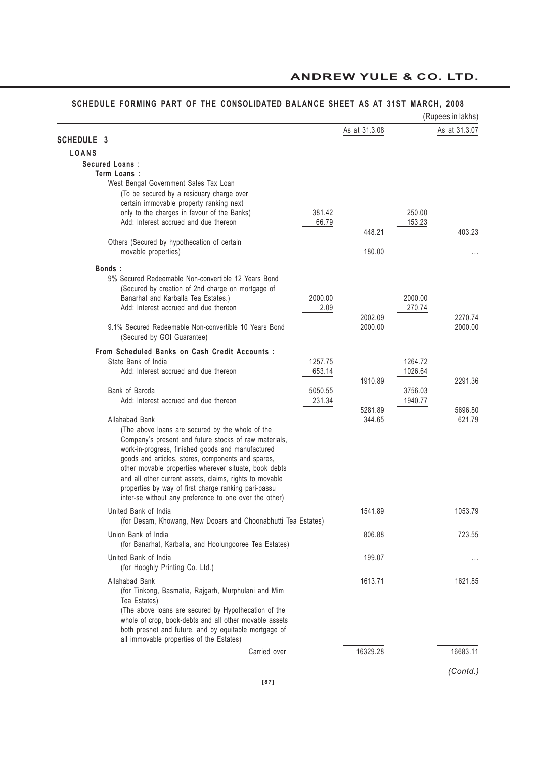#### **SCHEDULE FORMING PART OF THE CONSOLIDATED BALANCE SHEET AS AT 31ST MARCH, 2008**

|                                                                                                             |         |               |                                                              | (Rupees in lakhs) |
|-------------------------------------------------------------------------------------------------------------|---------|---------------|--------------------------------------------------------------|-------------------|
|                                                                                                             |         | As at 31.3.08 |                                                              | As at 31.3.07     |
| <b>SCHEDULE 3</b>                                                                                           |         |               |                                                              |                   |
| <b>LOANS</b>                                                                                                |         |               |                                                              |                   |
| Secured Loans:                                                                                              |         |               |                                                              |                   |
| Term Loans :                                                                                                |         |               |                                                              |                   |
| West Bengal Government Sales Tax Loan<br>(To be secured by a residuary charge over                          |         |               |                                                              |                   |
| certain immovable property ranking next                                                                     |         |               |                                                              |                   |
| only to the charges in favour of the Banks)                                                                 | 381.42  |               |                                                              |                   |
| Add: Interest accrued and due thereon                                                                       | 66.79   |               |                                                              |                   |
|                                                                                                             |         | 448.21        |                                                              | 403.23            |
| Others (Secured by hypothecation of certain                                                                 |         |               |                                                              |                   |
| movable properties)                                                                                         |         | 180.00        |                                                              | $\cdots$          |
| Bonds:                                                                                                      |         |               |                                                              |                   |
| 9% Secured Redeemable Non-convertible 12 Years Bond                                                         |         |               |                                                              |                   |
| (Secured by creation of 2nd charge on mortgage of                                                           |         |               |                                                              |                   |
| Banarhat and Karballa Tea Estates.)                                                                         | 2000.00 |               | 2000.00                                                      |                   |
| Add: Interest accrued and due thereon                                                                       | 2.09    |               | 270.74                                                       |                   |
|                                                                                                             |         | 2002.09       |                                                              | 2270.74           |
| 9.1% Secured Redeemable Non-convertible 10 Years Bond                                                       |         | 2000.00       |                                                              | 2000.00           |
| (Secured by GOI Guarantee)                                                                                  |         |               |                                                              |                   |
| From Scheduled Banks on Cash Credit Accounts :                                                              |         |               |                                                              |                   |
| State Bank of India                                                                                         | 1257.75 |               |                                                              |                   |
| Add: Interest accrued and due thereon                                                                       | 653.14  | 1910.89       | 250.00<br>153.23<br>1264.72<br>1026.64<br>3756.03<br>1940.77 | 2291.36           |
| Bank of Baroda                                                                                              | 5050.55 |               |                                                              |                   |
| Add: Interest accrued and due thereon                                                                       | 231.34  |               |                                                              |                   |
|                                                                                                             |         | 5281.89       |                                                              | 5696.80           |
| Allahabad Bank                                                                                              |         | 344.65        |                                                              | 621.79            |
| (The above loans are secured by the whole of the                                                            |         |               |                                                              |                   |
| Company's present and future stocks of raw materials,                                                       |         |               |                                                              |                   |
| work-in-progress, finished goods and manufactured                                                           |         |               |                                                              |                   |
| goods and articles, stores, components and spares,<br>other movable properties wherever situate, book debts |         |               |                                                              |                   |
| and all other current assets, claims, rights to movable                                                     |         |               |                                                              |                   |
| properties by way of first charge ranking pari-passu                                                        |         |               |                                                              |                   |
| inter-se without any preference to one over the other)                                                      |         |               |                                                              |                   |
| United Bank of India                                                                                        |         | 1541.89       |                                                              | 1053.79           |
| (for Desam, Khowang, New Dooars and Choonabhutti Tea Estates)                                               |         |               |                                                              |                   |
| Union Bank of India                                                                                         |         | 806.88        |                                                              | 723.55            |
| (for Banarhat, Karballa, and Hoolungooree Tea Estates)                                                      |         |               |                                                              |                   |
| United Bank of India                                                                                        |         | 199.07        |                                                              |                   |
| (for Hooghly Printing Co. Ltd.)                                                                             |         |               |                                                              | $\cdots$          |
| Allahabad Bank                                                                                              |         | 1613.71       |                                                              | 1621.85           |
| (for Tinkong, Basmatia, Rajgarh, Murphulani and Mim                                                         |         |               |                                                              |                   |
| Tea Estates)                                                                                                |         |               |                                                              |                   |
| (The above loans are secured by Hypothecation of the                                                        |         |               |                                                              |                   |
| whole of crop, book-debts and all other movable assets                                                      |         |               |                                                              |                   |
| both presnet and future, and by equitable mortgage of                                                       |         |               |                                                              |                   |
| all immovable properties of the Estates)                                                                    |         |               |                                                              |                   |
| Carried over                                                                                                |         | 16329.28      |                                                              | 16683.11          |
|                                                                                                             |         |               |                                                              |                   |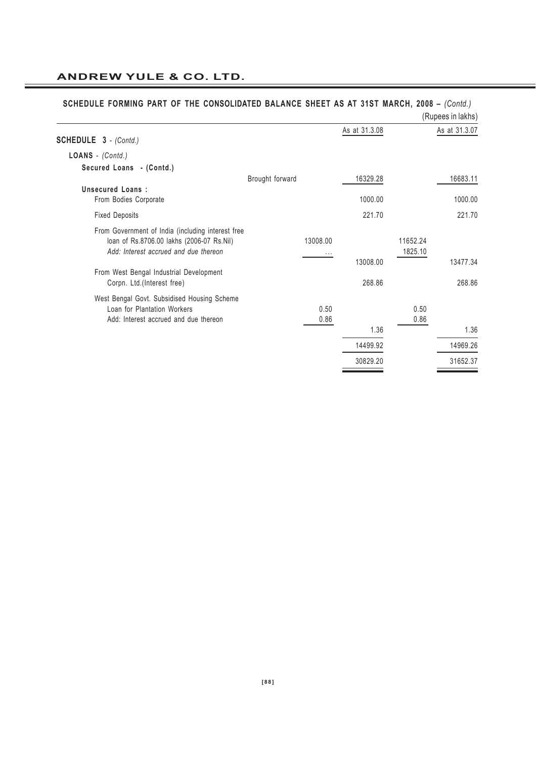|                                                                                                                                                                                    |                 |                      |               |                     | (Rupees in lakhs) |
|------------------------------------------------------------------------------------------------------------------------------------------------------------------------------------|-----------------|----------------------|---------------|---------------------|-------------------|
| <b>SCHEDULE 3</b> - (Contd.)                                                                                                                                                       |                 |                      | As at 31.3.08 |                     | As at 31.3.07     |
| LOANS - (Contd.)                                                                                                                                                                   |                 |                      |               |                     |                   |
| Secured Loans - (Contd.)                                                                                                                                                           |                 |                      |               |                     |                   |
|                                                                                                                                                                                    | Brought forward |                      | 16329.28      |                     | 16683.11          |
| <b>Unsecured Loans:</b><br>From Bodies Corporate                                                                                                                                   |                 |                      | 1000.00       |                     | 1000.00           |
| <b>Fixed Deposits</b>                                                                                                                                                              |                 |                      | 221.70        |                     | 221.70            |
| From Government of India (including interest free<br>loan of Rs.8706.00 lakhs (2006-07 Rs.Nil)<br>Add: Interest accrued and due thereon<br>From West Bengal Industrial Development |                 | 13008.00<br>$\cdots$ | 13008.00      | 11652.24<br>1825.10 | 13477.34          |
| Corpn. Ltd.(Interest free)                                                                                                                                                         |                 |                      | 268.86        |                     | 268.86            |
| West Bengal Govt. Subsidised Housing Scheme<br>Loan for Plantation Workers<br>Add: Interest accrued and due thereon                                                                |                 | 0.50<br>0.86         |               | 0.50<br>0.86        |                   |
|                                                                                                                                                                                    |                 |                      | 1.36          |                     | 1.36              |
|                                                                                                                                                                                    |                 |                      | 14499.92      |                     | 14969.26          |
|                                                                                                                                                                                    |                 |                      | 30829.20      |                     | 31652.37          |

# **SCHEDULE FORMING PART OF THE CONSOLIDATED BALANCE SHEET AS AT 31ST MARCH, 2008 –** *(Contd.)*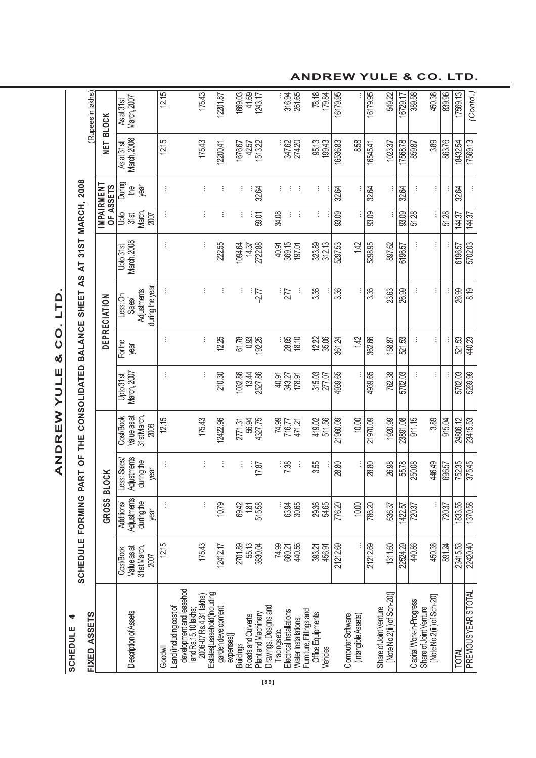SCHEDULE<sub>4</sub> **SCHEDULE 4**

ANDREW YULE & CO. LTD. **ANDREW YULE & CO. LTD.**

| FIXED ASSETS                                                                                           | <b>SCHEDULE FORMING</b>                          |                                                 | PART                                             | OF THE                                         | CONSOLIDATED BALANCE              |                         | $\overline{5}$<br>SHEET                              | $\overline{A}$                  | 31ST MARCH, 2008                    |                      |                             | (Rupees in lakhs)           |
|--------------------------------------------------------------------------------------------------------|--------------------------------------------------|-------------------------------------------------|--------------------------------------------------|------------------------------------------------|-----------------------------------|-------------------------|------------------------------------------------------|---------------------------------|-------------------------------------|----------------------|-----------------------------|-----------------------------|
|                                                                                                        |                                                  | <b>GROSS</b>                                    | <b>BLOCK</b>                                     |                                                |                                   |                         | DEPRECIATION                                         |                                 | IMPAIRMENT<br>OF ASSETS             |                      | <b>TEL</b>                  | <b>BLOCK</b>                |
| Description of Assets                                                                                  | 31 st March,<br>Value as at<br>Cost/Book<br>2007 | Adjustments<br>during the<br>Additions/<br>year | Adjustments<br>Less: Sales<br>during the<br>year | 31st March,<br>Value as at<br>CostBook<br>2008 | March, 2007<br>Upto 31st          | For the<br>year         | during the year<br>Adjustments<br>Less: On<br>Sales/ | <b>March, 2008</b><br>Upto 31st | March,<br><b>Jak</b><br>378<br>2007 | During<br>year<br>₽₩ | Asat 31st<br>March, 2008    | As at 31st<br>March, 2007   |
| Goodwill                                                                                               | 12.15                                            | ÷                                               | ÷                                                | 12.15                                          | ÷                                 | ÷                       | ŧ                                                    |                                 | ÷                                   | ÷                    | 12.15                       | 12.15                       |
| development and leasehod<br>2006-07 Rs.4.31 lakhs)<br>Land (including cost of<br>land Rs. 15.10 lakhs; | 175.43                                           | ŧ                                               |                                                  | 175.43                                         | ÷                                 | ÷                       | ŧ                                                    | ÷                               | ÷                                   |                      | 175.43                      | 175.43                      |
| Estates[Leasehold(including<br>garden development                                                      | 12412.17                                         | 10.79                                           | ÷                                                | 12422.96                                       | 210.30                            | 12.25                   | ÷                                                    | 22.55                           | ÷                                   | ÷                    | 12200.41                    | 12201.87                    |
| Plant and Machinery<br>Roads and Culverts<br>expenses)<br><b>Buildings</b>                             | 55.13<br>2701.89<br>3830.04                      | 515.58<br>69.42<br>1.81                         | ÷<br>17.87                                       | 4327.75<br>56.94<br>2771.31                    | 032.86<br>2527.86<br>13.44        | 0.93<br>61.78<br>192.25 | ÷<br>$-2.77$                                         | 2722.88<br>1094.64<br>14.37     | ÷<br>59.01                          | 32.64<br>÷           | 42.57<br>1513.22<br>1676.67 | 1669.03<br>41.69<br>1243.17 |
| Drawings, Designs and<br>Electrical Installations<br><b>Nater Installations</b><br>Tracings etc.       | 78<br>882<br>78<br>88                            | : ತ<br>ದಿತಿ<br>30.65                            | $-38$<br>÷                                       | 74.99<br>716.77<br>471.21                      | 40.97<br>343.27<br>43.27<br>40.97 | : 85<br>28.50           | $\frac{1}{27}$<br>÷                                  | 369.15<br>40.91<br>197.01       | ÷<br>34.08<br>÷                     | ÷<br>÷               | 347.62<br>274.20            | 316.94                      |
| Furniture, Fittings and<br>Office Equipments<br>Vehicles                                               | 393.21<br>456.91                                 | 29.36<br>54.65                                  | 3.55                                             | 419.02<br>511.56                               | 315.03<br>277.07                  | 22<br>28<br>38          | 3.36                                                 | 323.89<br>312.13                | ÷                                   | ÷                    | 95.13<br>199.43             | 78.18<br>179.84             |
| Computer Software                                                                                      | 21212.69                                         | 776.20                                          | 28.80                                            | 21960.09                                       | 4939.65                           | 361.24                  | 3.36                                                 | 5297.53                         | 93.09                               | 32.64                | 16536.83                    | 16179.95                    |
| (intangible Assets)                                                                                    |                                                  | 10.00                                           |                                                  | 10.00                                          |                                   | 142                     |                                                      | 142                             |                                     |                      | 8.58                        |                             |
| Share of Joint Venture                                                                                 | 21212.69                                         | 786.20                                          | 28.80                                            | 21970.09                                       | 4939.65                           | 362.66                  | 3.36                                                 | 5298.95                         | 93.09                               | 32.64                | 16545.41                    | 16179.95                    |
| [Note No.2(iii) of Sch-20)]                                                                            | 1311.60                                          | 636.37                                          | 26.98                                            | 1920.99                                        | 762.38                            | 158.87                  | 23.63                                                | 897.62                          |                                     | ÷                    | 1023.37                     | 549.22                      |
|                                                                                                        | 22524.29                                         | 1422.57                                         | 55.78                                            | 23891.08                                       | 5702.03                           | 521.53                  | 26.99                                                | 6196.57                         | 93.09                               | 32.64                | 17568.78                    | 16729.17                    |
| Capital Work-in-Progress<br>Share of Joint Venture                                                     | 440.86                                           | 720.37                                          | 250.08                                           | 911.15                                         | ŧ                                 |                         |                                                      |                                 | 51.28                               | ÷                    | 859.87                      | 389.58                      |
| [Note No.2(iii) of Sch-20]                                                                             | 450.38                                           | ŧ                                               | 446.49                                           | 3.89                                           | ŧ.                                | ŧ                       | ŧ                                                    |                                 |                                     | ÷                    | 3.89                        | 450.38                      |
|                                                                                                        | 891.24                                           | 720.37                                          | 696.57                                           | 915.04                                         |                                   |                         |                                                      |                                 | 51.28                               |                      | 863.76                      | 839.96                      |
| TOTAL                                                                                                  | 23415.53                                         | 1833.55                                         | 752.35                                           | 24806.12                                       | 5702.03                           | 521.53                  | 26.99                                                | 6196.57                         | 144.37                              | 32.64                | 18432.54                    | 17569.13                    |
| PREVIOUS YEAR'S TOTAL                                                                                  | 22420.40                                         | 1370.58                                         | 375.45                                           | 23415.53                                       | 5269.99                           | 440.23                  | 8.19                                                 | 5702.03                         | 144.37                              |                      | 17569.13                    | (Contd.)                    |

**ANDREW YULE & CO. LTD.**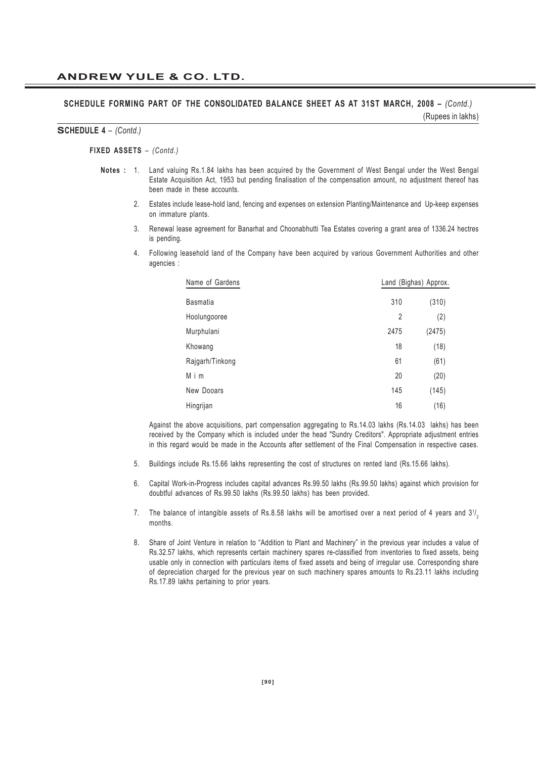#### **SCHEDULE FORMING PART OF THE CONSOLIDATED BALANCE SHEET AS AT 31ST MARCH, 2008 –** *(Contd.)* (Rupees in lakhs)

#### **SCHEDULE 4** *– (Contd.)*

#### **FIXED ASSETS** *– (Contd.)*

- **Notes :** 1. Land valuing Rs.1.84 lakhs has been acquired by the Government of West Bengal under the West Bengal Estate Acquisition Act, 1953 but pending finalisation of the compensation amount, no adjustment thereof has been made in these accounts.
	- 2. Estates include lease-hold land, fencing and expenses on extension Planting/Maintenance and Up-keep expenses on immature plants.
	- 3. Renewal lease agreement for Banarhat and Choonabhutti Tea Estates covering a grant area of 1336.24 hectres is pending.
	- 4. Following leasehold land of the Company have been acquired by various Government Authorities and other agencies :

| Name of Gardens |                | Land (Bighas) Approx. |
|-----------------|----------------|-----------------------|
| <b>Basmatia</b> | 310            | (310)                 |
| Hoolungooree    | $\overline{2}$ | (2)                   |
| Murphulani      | 2475           | (2475)                |
| Khowang         | 18             | (18)                  |
| Rajgarh/Tinkong | 61             | (61)                  |
| Mim             | 20             | (20)                  |
| New Dooars      | 145            | (145)                 |
| Hingrijan       | 16             | (16)                  |

Against the above acquisitions, part compensation aggregating to Rs.14.03 lakhs (Rs.14.03 lakhs) has been received by the Company which is included under the head "Sundry Creditors". Appropriate adjustment entries in this regard would be made in the Accounts after settlement of the Final Compensation in respective cases.

- 5. Buildings include Rs.15.66 lakhs representing the cost of structures on rented land (Rs.15.66 lakhs).
- 6. Capital Work-in-Progress includes capital advances Rs.99.50 lakhs (Rs.99.50 lakhs) against which provision for doubtful advances of Rs.99.50 lakhs (Rs.99.50 lakhs) has been provided.
- 7. The balance of intangible assets of Rs.8.58 lakhs will be amortised over a next period of 4 years and  $3^{1/2}$ months.
- 8. Share of Joint Venture in relation to "Addition to Plant and Machinery" in the previous year includes a value of Rs.32.57 lakhs, which represents certain machinery spares re-classified from inventories to fixed assets, being usable only in connection with particulars items of fixed assets and being of irregular use. Corresponding share of depreciation charged for the previous year on such machinery spares amounts to Rs.23.11 lakhs including Rs.17.89 lakhs pertaining to prior years.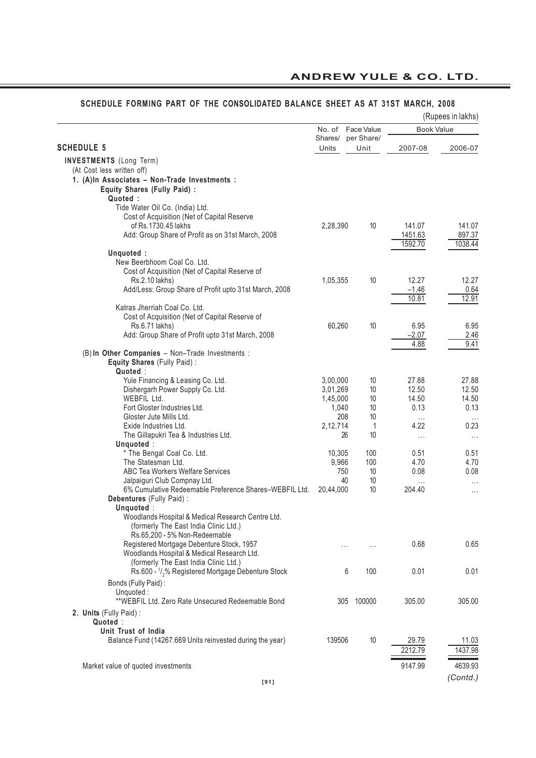|                                                                                  |                  |                    |                    | (Rupees in lakhs)    |
|----------------------------------------------------------------------------------|------------------|--------------------|--------------------|----------------------|
|                                                                                  | No. of           | Face Value         |                    | <b>Book Value</b>    |
| <b>SCHEDULE 5</b>                                                                | Shares/<br>Units | per Share/<br>Unit | 2007-08            | 2006-07              |
|                                                                                  |                  |                    |                    |                      |
| <b>INVESTMENTS</b> (Long Term)<br>(At Cost less written off)                     |                  |                    |                    |                      |
| 1. (A)In Associates - Non-Trade Investments :                                    |                  |                    |                    |                      |
| Equity Shares (Fully Paid) :                                                     |                  |                    |                    |                      |
| Quoted:                                                                          |                  |                    |                    |                      |
| Tide Water Oil Co. (India) Ltd.                                                  |                  |                    |                    |                      |
| Cost of Acquisition (Net of Capital Reserve                                      |                  |                    |                    |                      |
| of Rs.1730.45 lakhs                                                              | 2,28,390         | 10                 | 141.07             | 141.07               |
| Add: Group Share of Profit as on 31st March, 2008                                |                  |                    | 1451.63            | 897.37               |
|                                                                                  |                  |                    | 1592.70            | 1038.44              |
| Unquoted:<br>New Beerbhoom Coal Co. Ltd.                                         |                  |                    |                    |                      |
| Cost of Acquisition (Net of Capital Reserve of                                   |                  |                    |                    |                      |
| Rs.2.10 lakhs)                                                                   | 1,05,355         | 10                 | 12.27              | 12.27                |
| Add/Less: Group Share of Profit upto 31st March, 2008                            |                  |                    | $-1.46$            | 0.64                 |
|                                                                                  |                  |                    | 10.81              | 12.91                |
| Katras Jherriah Coal Co. Ltd.                                                    |                  |                    |                    |                      |
| Cost of Acquisition (Net of Capital Reserve of                                   |                  |                    |                    |                      |
| Rs.6.71 lakhs)                                                                   | 60,260           | 10                 | 6.95               | 6.95                 |
| Add: Group Share of Profit upto 31st March, 2008                                 |                  |                    | $-2.07$            | 2.46                 |
| (B) In Other Companies - Non-Trade Investments :                                 |                  |                    | 4.88               | 9.41                 |
| Equity Shares (Fully Paid):                                                      |                  |                    |                    |                      |
| Quoted:                                                                          |                  |                    |                    |                      |
| Yule Financing & Leasing Co. Ltd.                                                | 3,00,000         | 10                 | 27.88              | 27.88                |
| Dishergarh Power Supply Co. Ltd.                                                 | 3,01,269         | 10                 | 12.50              | 12.50                |
| WEBFIL Ltd.                                                                      | 1,45,000         | 10                 | 14.50              | 14.50                |
| Fort Gloster Industries Ltd.                                                     | 1,040            | 10                 | 0.13               | 0.13                 |
| Gloster Jute Mills Ltd.                                                          | 208              | 10                 | $\cdots$           | $\cdots$             |
| Exide Industries Ltd.                                                            | 2,12,714         | 1                  | 4.22               | 0.23                 |
| The Gillapukri Tea & Industries Ltd.                                             |                  | 10<br>26           | $\cdots$           | $\cdots$             |
| Unquoted:                                                                        |                  |                    |                    |                      |
| * The Bengal Coal Co. Ltd.                                                       | 10,305           | 100                | 0.51               | 0.51                 |
| The Statesman Ltd.<br>ABC Tea Workers Welfare Services                           | 9,966<br>750     | 100<br>10          | 4.70<br>0.08       | 4.70<br>0.08         |
| Jalpaiguri Club Compnay Ltd.                                                     |                  | 40<br>10           |                    |                      |
| 6% Cumulative Redeemable Preference Shares-WEBFIL Ltd.                           | 20,44,000        | 10                 | $\cdots$<br>204.40 | $\cdots$<br>$\cdots$ |
| Debentures (Fully Paid) :                                                        |                  |                    |                    |                      |
| Unquoted:                                                                        |                  |                    |                    |                      |
| Woodlands Hospital & Medical Research Centre Ltd.                                |                  |                    |                    |                      |
| (formerly The East India Clinic Ltd.)                                            |                  |                    |                    |                      |
| Rs.65,200 - 5% Non-Redeemable                                                    |                  |                    |                    |                      |
| Registered Mortgage Debenture Stock, 1957                                        |                  | .<br>.             | 0.68               | 0.65                 |
| Woodlands Hospital & Medical Research Ltd.                                       |                  |                    |                    |                      |
| (formerly The East India Clinic Ltd.)                                            |                  |                    |                    |                      |
| Rs.600 - 1/ <sub>2</sub> % Registered Mortgage Debenture Stock                   |                  | 6<br>100           | 0.01               | 0.01                 |
| Bonds (Fully Paid):                                                              |                  |                    |                    |                      |
| Unquoted:                                                                        |                  |                    |                    |                      |
| **WEBFIL Ltd. Zero Rate Unsecured Redeemable Bond                                | 305              | 100000             | 305.00             | 305.00               |
| 2. Units (Fully Paid):                                                           |                  |                    |                    |                      |
| Quoted:                                                                          |                  |                    |                    |                      |
| Unit Trust of India<br>Balance Fund (14267.669 Units reinvested during the year) | 139506           | 10                 | 29.79              | 11.03                |
|                                                                                  |                  |                    | 2212.79            | 1437.98              |
|                                                                                  |                  |                    |                    |                      |
| Market value of quoted investments                                               |                  |                    | 9147.99            | 4639.93              |
|                                                                                  |                  |                    |                    | (Contd.)             |
| <b>I911</b>                                                                      |                  |                    |                    |                      |

#### **SCHEDULE FORMING PART OF THE CONSOLIDATED BALANCE SHEET AS AT 31ST MARCH, 2008**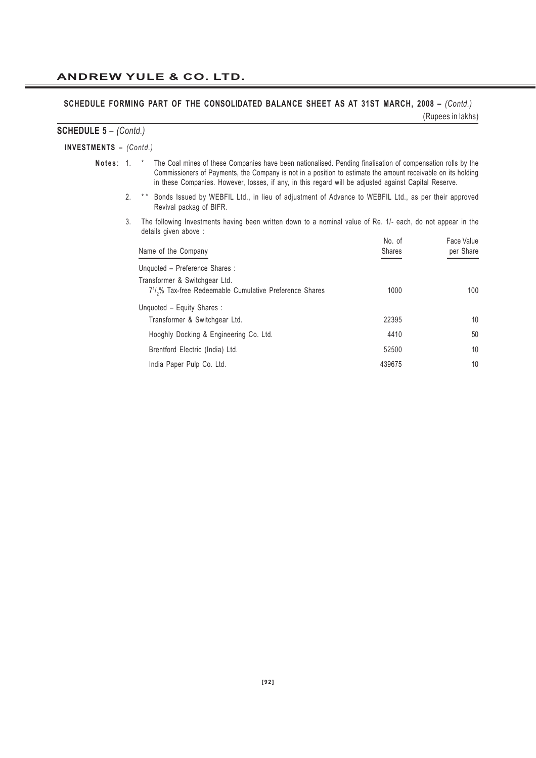#### SCHEDULE FORMING PART OF THE CONSOLIDATED BALANCE SHEET AS AT 31ST MARCH, 2008 - *(Contd.)* (Rupees in lakhs)

#### **SCHEDULE 5** – *(Contd.)*

#### **INVESTMENTS –** *(Contd.)*

- **Notes** : 1. \* The Coal mines of these Companies have been nationalised. Pending finalisation of compensation rolls by the Commissioners of Payments, the Company is not in a position to estimate the amount receivable on its holding in these Companies. However, losses, if any, in this regard will be adjusted against Capital Reserve.
	- 2. \*\* Bonds Issued by WEBFIL Ltd., in lieu of adjustment of Advance to WEBFIL Ltd., as per their approved Revival packag of BIFR.
	- 3. The following Investments having been written down to a nominal value of Re. 1/- each, do not appear in the details given above :

| Name of the Company                                                                                               | No. of<br><b>Shares</b> | Face Value<br>per Share |
|-------------------------------------------------------------------------------------------------------------------|-------------------------|-------------------------|
| Unquoted - Preference Shares :                                                                                    |                         |                         |
| Transformer & Switchgear Ltd.<br>7 <sup>1</sup> / <sub>2</sub> % Tax-free Redeemable Cumulative Preference Shares | 1000                    | 100                     |
| Unquoted - Equity Shares:<br>Transformer & Switchgear Ltd.                                                        | 22395                   | 10                      |
| Hooghly Docking & Engineering Co. Ltd.                                                                            | 4410                    | 50                      |
| Brentford Electric (India) Ltd.                                                                                   | 52500                   | 10                      |
| India Paper Pulp Co. Ltd.                                                                                         | 439675                  | 10                      |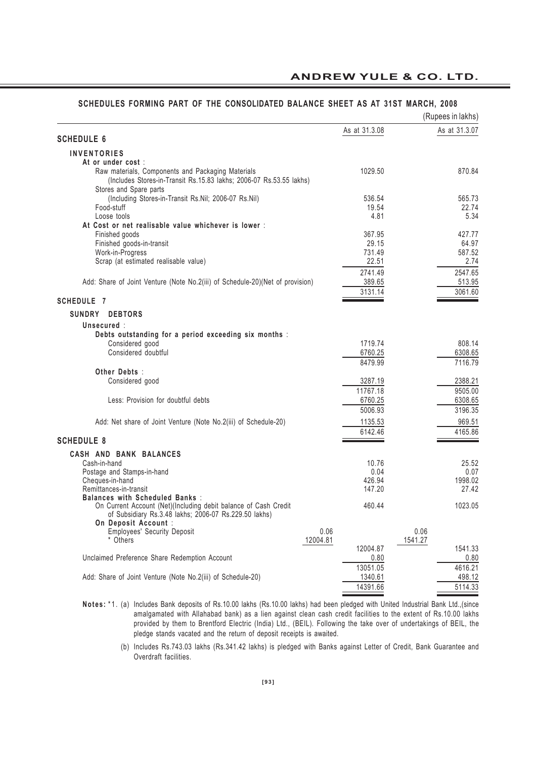|                                                                               |          |               |         | (Rupees in lakhs) |
|-------------------------------------------------------------------------------|----------|---------------|---------|-------------------|
| <b>SCHEDULE 6</b>                                                             |          | As at 31.3.08 |         | As at 31.3.07     |
|                                                                               |          |               |         |                   |
| <b>INVENTORIES</b>                                                            |          |               |         |                   |
| At or under cost:                                                             |          |               |         |                   |
| Raw materials, Components and Packaging Materials                             |          | 1029.50       |         | 870.84            |
| (Includes Stores-in-Transit Rs.15.83 lakhs; 2006-07 Rs.53.55 lakhs)           |          |               |         |                   |
| Stores and Spare parts                                                        |          |               |         |                   |
| (Including Stores-in-Transit Rs.Nil; 2006-07 Rs.Nil)                          |          | 536.54        |         | 565.73            |
| Food-stuff                                                                    |          | 19.54         |         | 22.74             |
| Loose tools                                                                   |          | 4.81          |         | 5.34              |
| At Cost or net realisable value whichever is lower :                          |          |               |         |                   |
| Finished goods                                                                |          | 367.95        |         | 427.77            |
| Finished goods-in-transit                                                     |          | 29.15         |         | 64.97             |
| Work-in-Progress                                                              |          | 731.49        |         | 587.52            |
| Scrap (at estimated realisable value)                                         |          | 22.51         |         | 2.74              |
|                                                                               |          | 2741.49       |         | 2547.65           |
| Add: Share of Joint Venture (Note No.2(iii) of Schedule-20)(Net of provision) |          | 389.65        |         | 513.95            |
|                                                                               |          | 3131.14       |         | 3061.60           |
| <b>SCHEDULE 7</b>                                                             |          |               |         |                   |
| SUNDRY<br><b>DEBTORS</b>                                                      |          |               |         |                   |
|                                                                               |          |               |         |                   |
| Unsecured :                                                                   |          |               |         |                   |
| Debts outstanding for a period exceeding six months :                         |          |               |         |                   |
| Considered good                                                               |          | 1719.74       |         | 808.14            |
| Considered doubtful                                                           |          | 6760.25       |         | 6308.65           |
|                                                                               |          | 8479.99       |         | 7116.79           |
| Other Debts:                                                                  |          |               |         |                   |
| Considered good                                                               |          | 3287.19       |         | 2388.21           |
|                                                                               |          | 11767.18      |         | 9505.00           |
| Less: Provision for doubtful debts                                            |          | 6760.25       |         | 6308.65           |
|                                                                               |          | 5006.93       |         | 3196.35           |
| Add: Net share of Joint Venture (Note No.2(iii) of Schedule-20)               |          | 1135.53       |         | 969.51            |
|                                                                               |          | 6142.46       |         | 4165.86           |
| <b>SCHEDULE 8</b>                                                             |          |               |         |                   |
| CASH AND BANK BALANCES                                                        |          |               |         |                   |
| Cash-in-hand                                                                  |          | 10.76         |         | 25.52             |
| Postage and Stamps-in-hand                                                    |          | 0.04          |         | 0.07              |
| Cheques-in-hand                                                               |          | 426.94        |         | 1998.02           |
| Remittances-in-transit                                                        |          | 147.20        |         | 27.42             |
| <b>Balances with Scheduled Banks:</b>                                         |          |               |         |                   |
| On Current Account (Net)(Including debit balance of Cash Credit               |          | 460.44        |         | 1023.05           |
| of Subsidiary Rs.3.48 lakhs; 2006-07 Rs.229.50 lakhs)                         |          |               |         |                   |
| On Deposit Account :                                                          |          |               |         |                   |
| <b>Employees' Security Deposit</b>                                            | 0.06     |               | 0.06    |                   |
| * Others                                                                      | 12004.81 |               | 1541.27 |                   |
|                                                                               |          | 12004.87      |         | 1541.33           |
| Unclaimed Preference Share Redemption Account                                 |          | 0.80          |         | 0.80              |
|                                                                               |          | 13051.05      |         | 4616.21           |
| Add: Share of Joint Venture (Note No.2(iii) of Schedule-20)                   |          | 1340.61       |         | 498.12            |
|                                                                               |          | 14391.66      |         | 5114.33           |
|                                                                               |          |               |         |                   |

#### **SCHEDULES FORMING PART OF THE CONSOLIDATED BALANCE SHEET AS AT 31ST MARCH, 2008**

**Notes:** \*1. (a) Includes Bank deposits of Rs.10.00 lakhs (Rs.10.00 lakhs) had been pledged with United Industrial Bank Ltd.,(since amalgamated with Allahabad bank) as a lien against clean cash credit facilities to the extent of Rs.10.00 lakhs provided by them to Brentford Electric (India) Ltd., (BEIL). Following the take over of undertakings of BEIL, the pledge stands vacated and the return of deposit receipts is awaited.

<sup>(</sup>b) Includes Rs.743.03 lakhs (Rs.341.42 lakhs) is pledged with Banks against Letter of Credit, Bank Guarantee and Overdraft facilities.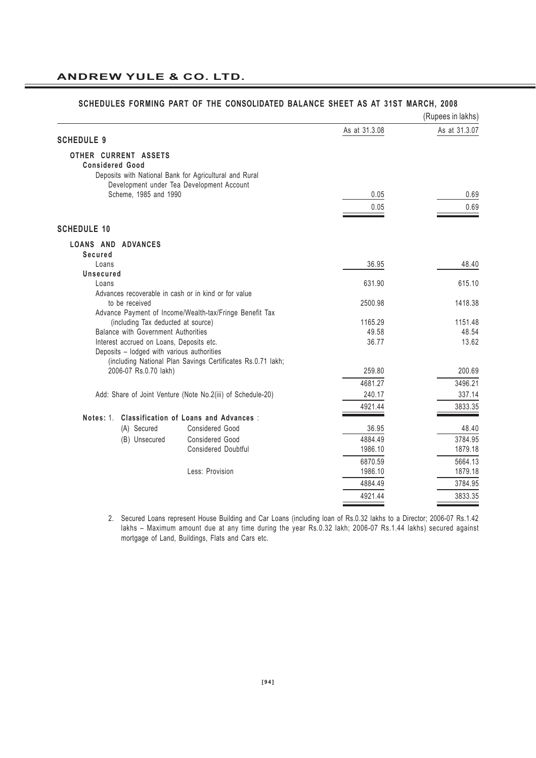|                                                                                        |                                                             |               | (Rupees in lakhs) |
|----------------------------------------------------------------------------------------|-------------------------------------------------------------|---------------|-------------------|
|                                                                                        |                                                             | As at 31.3.08 | As at 31.3.07     |
| <b>SCHEDULE 9</b>                                                                      |                                                             |               |                   |
| OTHER CURRENT ASSETS<br><b>Considered Good</b>                                         |                                                             |               |                   |
|                                                                                        | Deposits with National Bank for Agricultural and Rural      |               |                   |
|                                                                                        | Development under Tea Development Account                   |               |                   |
| Scheme, 1985 and 1990                                                                  |                                                             | 0.05          | 0.69              |
|                                                                                        |                                                             | 0.05          | 0.69              |
| <b>SCHEDULE 10</b>                                                                     |                                                             |               |                   |
| <b>LOANS AND ADVANCES</b>                                                              |                                                             |               |                   |
| Secured                                                                                |                                                             |               |                   |
| Loans<br>Unsecured                                                                     |                                                             | 36.95         | 48.40             |
| Loans                                                                                  |                                                             | 631.90        | 615.10            |
|                                                                                        | Advances recoverable in cash or in kind or for value        |               |                   |
| to be received                                                                         |                                                             | 2500.98       | 1418.38           |
|                                                                                        | Advance Payment of Income/Wealth-tax/Fringe Benefit Tax     |               |                   |
|                                                                                        | (including Tax deducted at source)                          | 1165.29       | 1151.48           |
| Balance with Government Authorities                                                    |                                                             | 49.58         | 48.54             |
| Interest accrued on Loans, Deposits etc.<br>Deposits - lodged with various authorities |                                                             | 36.77         | 13.62             |
|                                                                                        | (including National Plan Savings Certificates Rs.0.71 lakh; |               |                   |
| 2006-07 Rs.0.70 lakh)                                                                  |                                                             | 259.80        | 200.69            |
|                                                                                        |                                                             | 4681.27       | 3496.21           |
|                                                                                        | Add: Share of Joint Venture (Note No.2(iii) of Schedule-20) | 240.17        | 337.14            |
|                                                                                        |                                                             | 4921.44       | 3833.35           |
| Notes: 1.                                                                              | <b>Classification of Loans and Advances:</b>                |               |                   |
| (A) Secured                                                                            | Considered Good                                             | 36.95         | 48.40             |
| (B) Unsecured                                                                          | <b>Considered Good</b>                                      | 4884.49       | 3784.95           |
|                                                                                        | <b>Considered Doubtful</b>                                  | 1986.10       | 1879.18           |
|                                                                                        |                                                             | 6870.59       | 5664.13           |
|                                                                                        | Less: Provision                                             | 1986.10       | 1879.18           |
|                                                                                        |                                                             | 4884.49       | 3784.95           |
|                                                                                        |                                                             | 4921.44       | 3833.35           |
|                                                                                        |                                                             |               |                   |

#### **SCHEDULES FORMING PART OF THE CONSOLIDATED BALANCE SHEET AS AT 31ST MARCH, 2008**

2. Secured Loans represent House Building and Car Loans (including loan of Rs.0.32 lakhs to a Director; 2006-07 Rs.1.42 lakhs – Maximum amount due at any time during the year Rs.0.32 lakh; 2006-07 Rs.1.44 lakhs) secured against mortgage of Land, Buildings, Flats and Cars etc.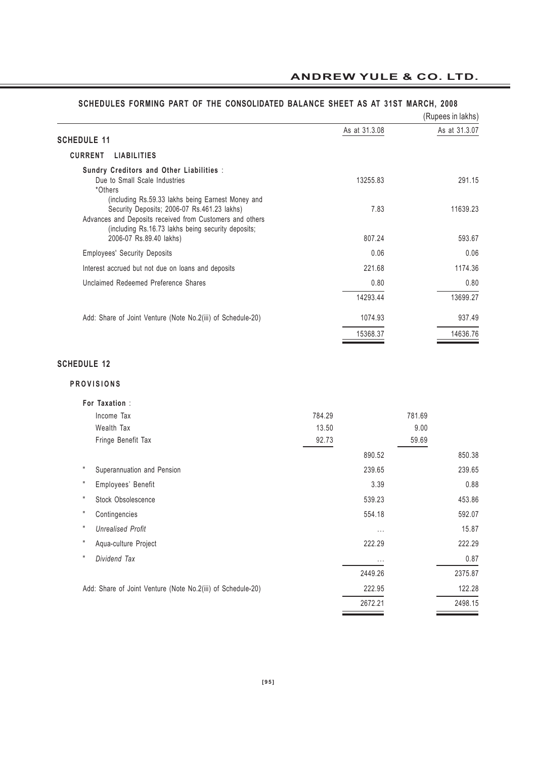|                                                                                                                                                                                                                    |               | (Rupees in lakhs) |
|--------------------------------------------------------------------------------------------------------------------------------------------------------------------------------------------------------------------|---------------|-------------------|
| <b>SCHEDULE 11</b>                                                                                                                                                                                                 | As at 31.3.08 | As at 31.3.07     |
| <b>CURRENT</b><br><b>LIABILITIES</b>                                                                                                                                                                               |               |                   |
| Sundry Creditors and Other Liabilities :<br>Due to Small Scale Industries<br>*Others                                                                                                                               | 13255.83      | 291.15            |
| (including Rs.59.33 lakhs being Earnest Money and<br>Security Deposits; 2006-07 Rs.461.23 lakhs)<br>Advances and Deposits received from Customers and others<br>(including Rs.16.73 lakhs being security deposits; | 7.83          | 11639.23          |
| 2006-07 Rs.89.40 lakhs)                                                                                                                                                                                            | 807.24        | 593.67            |
| <b>Employees' Security Deposits</b>                                                                                                                                                                                | 0.06          | 0.06              |
| Interest accrued but not due on loans and deposits                                                                                                                                                                 | 221.68        | 1174.36           |
| Unclaimed Redeemed Preference Shares                                                                                                                                                                               | 0.80          | 0.80              |
|                                                                                                                                                                                                                    | 14293.44      | 13699.27          |
| Add: Share of Joint Venture (Note No.2(iii) of Schedule-20)                                                                                                                                                        | 1074.93       | 937.49            |
|                                                                                                                                                                                                                    | 15368.37      | 14636.76          |
| <b>SCHEDULE 12</b>                                                                                                                                                                                                 |               |                   |
| <b>PROVISIONS</b>                                                                                                                                                                                                  |               |                   |
| For Taxation:                                                                                                                                                                                                      |               |                   |

#### **SCHEDULES FORMING PART OF THE CONSOLIDATED BALANCE SHEET AS AT 31ST MARCH, 2008**

# Income Tax 781.69 Wealth Tax 13.50 9.00 Fringe Benefit Tax 59.69 890.52 850.38 " Superannuation and Pension 239.65 239.65 " Employees' Benefit 3.39 0.88 " Stock Obsolescence 539.23 453.86 " Contingencies 554.18 592.07 " *Unrealised Profit* ... 15.87 " Aqua-culture Project 222.29 222.29 " *Dividend Tax* ... 0.87 2449.26 2375.87 Add: Share of Joint Venture (Note No.2(iii) of Schedule-20) 222.95 222.95 122.28 2672.21 2498.15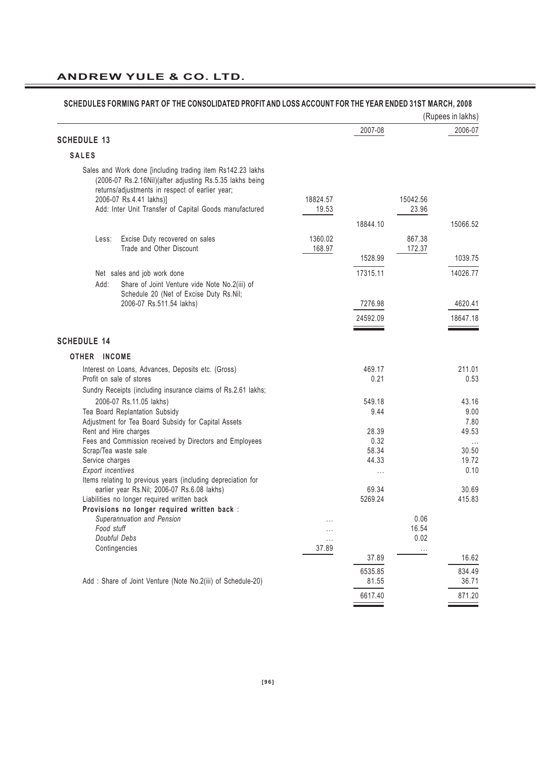|                                                                                                                                                                                                                                                                |                   |                |                   | (Rupees in lakhs) |
|----------------------------------------------------------------------------------------------------------------------------------------------------------------------------------------------------------------------------------------------------------------|-------------------|----------------|-------------------|-------------------|
|                                                                                                                                                                                                                                                                |                   | 2007-08        |                   | 2006-07           |
| <b>SCHEDULE 13</b>                                                                                                                                                                                                                                             |                   |                |                   |                   |
| <b>SALES</b>                                                                                                                                                                                                                                                   |                   |                |                   |                   |
| Sales and Work done [including trading item Rs142.23 lakhs<br>(2006-07 Rs.2.16Nil)(after adjusting Rs.5.35 lakhs being<br>returns/adjustments in respect of earlier year;<br>2006-07 Rs.4.41 lakhs)]<br>Add: Inter Unit Transfer of Capital Goods manufactured | 18824.57<br>19.53 |                | 15042.56<br>23.96 |                   |
|                                                                                                                                                                                                                                                                |                   | 18844.10       |                   | 15066.52          |
| Excise Duty recovered on sales<br>Less:<br>Trade and Other Discount                                                                                                                                                                                            | 1360.02<br>168.97 |                | 867.38<br>172.37  |                   |
|                                                                                                                                                                                                                                                                |                   | 1528.99        |                   | 1039.75           |
| Net sales and job work done<br>Add:<br>Share of Joint Venture vide Note No.2(iii) of<br>Schedule 20 (Net of Excise Duty Rs.Nil;                                                                                                                                |                   | 17315.11       |                   | 14026.77          |
| 2006-07 Rs.511.54 lakhs)                                                                                                                                                                                                                                       |                   | 7276.98        |                   | 4620.41           |
|                                                                                                                                                                                                                                                                |                   | 24592.09       |                   | 18647.18          |
| <b>SCHEDULE 14</b>                                                                                                                                                                                                                                             |                   |                |                   |                   |
| OTHER INCOME                                                                                                                                                                                                                                                   |                   |                |                   |                   |
| Interest on Loans, Advances, Deposits etc. (Gross)<br>Profit on sale of stores<br>Sundry Receipts (including insurance claims of Rs.2.61 lakhs;                                                                                                                |                   | 469.17<br>0.21 |                   | 211.01<br>0.53    |
| 2006-07 Rs.11.05 lakhs)                                                                                                                                                                                                                                        |                   | 549.18         |                   | 43.16             |
| Tea Board Replantation Subsidy                                                                                                                                                                                                                                 |                   | 9.44           |                   | 9.00              |
| Adjustment for Tea Board Subsidy for Capital Assets                                                                                                                                                                                                            |                   |                |                   | 7.80              |
| Rent and Hire charges<br>Fees and Commission received by Directors and Employees                                                                                                                                                                               |                   | 28.39<br>0.32  |                   | 49.53<br>$\cdots$ |
| Scrap/Tea waste sale                                                                                                                                                                                                                                           |                   | 58.34          |                   | 30.50             |
| Service charges                                                                                                                                                                                                                                                |                   | 44.33          |                   | 19.72             |
| <b>Export incentives</b><br>Items relating to previous years (including depreciation for                                                                                                                                                                       |                   | $\cdots$       |                   | 0.10              |
| earlier year Rs.Nil; 2006-07 Rs.6.08 lakhs)                                                                                                                                                                                                                    |                   | 69.34          |                   | 30.69             |
| Liabilities no longer required written back                                                                                                                                                                                                                    |                   | 5269.24        |                   | 415.83            |
| Provisions no longer required written back :                                                                                                                                                                                                                   |                   |                |                   |                   |
| Superannuation and Pension<br>Food stuff                                                                                                                                                                                                                       |                   |                | 0.06<br>16.54     |                   |
| Doubful Debs                                                                                                                                                                                                                                                   | $\cdots$          |                | 0.02              |                   |
| Contingencies                                                                                                                                                                                                                                                  | 37.89             |                | $\cdots$          |                   |
|                                                                                                                                                                                                                                                                |                   | 37.89          |                   | 16.62             |
|                                                                                                                                                                                                                                                                |                   | 6535.85        |                   | 834.49            |
| Add: Share of Joint Venture (Note No.2(iii) of Schedule-20)                                                                                                                                                                                                    |                   | 81.55          |                   | 36.71             |
|                                                                                                                                                                                                                                                                |                   | 6617.40        |                   | 871.20            |

#### **SCHEDULES FORMING PART OF THE CONSOLIDATED PROFIT AND LOSS ACCOUNT FOR THE YEAR ENDED 31ST MARCH, 2008**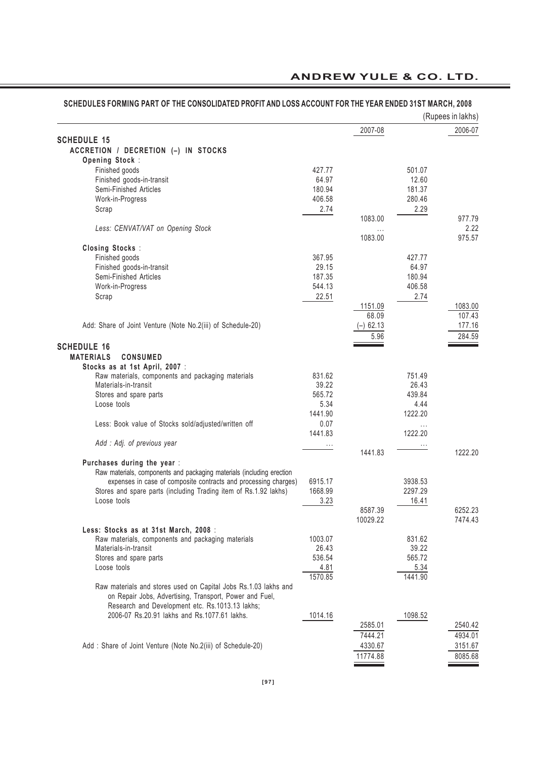|                                                                       |          |             |          | (Rupees in lakhs) |
|-----------------------------------------------------------------------|----------|-------------|----------|-------------------|
|                                                                       |          | 2007-08     |          | 2006-07           |
| <b>SCHEDULE 15</b>                                                    |          |             |          |                   |
| ACCRETION / DECRETION (-) IN STOCKS                                   |          |             |          |                   |
| Opening Stock:                                                        |          |             |          |                   |
| Finished goods                                                        | 427.77   |             | 501.07   |                   |
| Finished goods-in-transit                                             | 64.97    |             | 12.60    |                   |
| Semi-Finished Articles                                                | 180.94   |             | 181.37   |                   |
| Work-in-Progress                                                      | 406.58   |             | 280.46   |                   |
| Scrap                                                                 | 2.74     |             | 2.29     |                   |
|                                                                       |          | 1083.00     |          | 977.79            |
| Less: CENVAT/VAT on Opening Stock                                     |          | $\cdots$    |          | 2.22              |
|                                                                       |          | 1083.00     |          | 975.57            |
| <b>Closing Stocks:</b>                                                |          |             |          |                   |
| Finished goods                                                        | 367.95   |             | 427.77   |                   |
| Finished goods-in-transit                                             | 29.15    |             | 64.97    |                   |
| Semi-Finished Articles                                                | 187.35   |             | 180.94   |                   |
| Work-in-Progress                                                      | 544.13   |             | 406.58   |                   |
| Scrap                                                                 | 22.51    |             | 2.74     |                   |
|                                                                       |          | 1151.09     |          | 1083.00           |
|                                                                       |          | 68.09       |          | 107.43            |
| Add: Share of Joint Venture (Note No.2(iii) of Schedule-20)           |          | $(-)$ 62.13 |          | 177.16            |
|                                                                       |          | 5.96        |          | 284.59            |
| <b>SCHEDULE 16</b>                                                    |          |             |          |                   |
|                                                                       |          |             |          |                   |
| <b>MATERIALS</b><br><b>CONSUMED</b>                                   |          |             |          |                   |
| Stocks as at 1st April, 2007 :                                        |          |             |          |                   |
| Raw materials, components and packaging materials                     | 831.62   |             | 751.49   |                   |
| Materials-in-transit                                                  | 39.22    |             | 26.43    |                   |
| Stores and spare parts                                                | 565.72   |             | 439.84   |                   |
| Loose tools                                                           | 5.34     |             | 4.44     |                   |
|                                                                       | 1441.90  |             | 1222.20  |                   |
| Less: Book value of Stocks sold/adjusted/written off                  | 0.07     |             | $\cdots$ |                   |
|                                                                       | 1441.83  |             | 1222.20  |                   |
| Add : Adj. of previous year                                           | $\cdots$ |             |          |                   |
|                                                                       |          | 1441.83     |          | 1222.20           |
| Purchases during the year :                                           |          |             |          |                   |
| Raw materials, components and packaging materials (including erection |          |             |          |                   |
| expenses in case of composite contracts and processing charges)       | 6915.17  |             | 3938.53  |                   |
| Stores and spare parts (including Trading item of Rs.1.92 lakhs)      | 1668.99  |             | 2297.29  |                   |
| Loose tools                                                           | 3.23     |             | 16.41    |                   |
|                                                                       |          | 8587.39     |          | 6252.23           |
|                                                                       |          | 10029.22    |          | 7474.43           |
| Less: Stocks as at 31st March, 2008 :                                 |          |             |          |                   |
| Raw materials, components and packaging materials                     | 1003.07  |             | 831.62   |                   |
| Materials-in-transit                                                  | 26.43    |             | 39.22    |                   |
| Stores and spare parts                                                | 536.54   |             | 565.72   |                   |
| Loose tools                                                           | 4.81     |             | 5.34     |                   |
|                                                                       | 1570.85  |             | 1441.90  |                   |
| Raw materials and stores used on Capital Jobs Rs.1.03 lakhs and       |          |             |          |                   |
| on Repair Jobs, Advertising, Transport, Power and Fuel,               |          |             |          |                   |
| Research and Development etc. Rs.1013.13 lakhs;                       |          |             |          |                   |
| 2006-07 Rs.20.91 lakhs and Rs.1077.61 lakhs.                          | 1014.16  |             | 1098.52  |                   |
|                                                                       |          | 2585.01     |          | 2540.42           |
|                                                                       |          | 7444.21     |          | 4934.01           |
| Add: Share of Joint Venture (Note No.2(iii) of Schedule-20)           |          | 4330.67     |          | 3151.67           |
|                                                                       |          |             |          |                   |
|                                                                       |          | 11774.88    |          | 8085.68           |

# **SCHEDULES FORMING PART OF THE CONSOLIDATED PROFIT AND LOSS ACCOUNT FOR THE YEAR ENDED 31ST MARCH, 2008**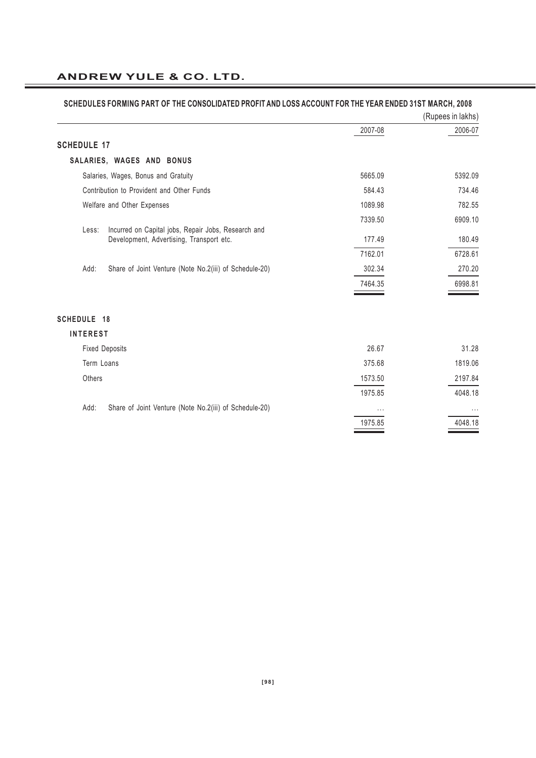|                                                                                                          |          | (Rupees in lakhs) |
|----------------------------------------------------------------------------------------------------------|----------|-------------------|
|                                                                                                          | 2007-08  | 2006-07           |
| <b>SCHEDULE 17</b>                                                                                       |          |                   |
| SALARIES, WAGES AND BONUS                                                                                |          |                   |
| Salaries, Wages, Bonus and Gratuity                                                                      | 5665.09  | 5392.09           |
| Contribution to Provident and Other Funds                                                                | 584.43   | 734.46            |
| Welfare and Other Expenses                                                                               | 1089.98  | 782.55            |
|                                                                                                          | 7339.50  | 6909.10           |
| Incurred on Capital jobs, Repair Jobs, Research and<br>Less:<br>Development, Advertising, Transport etc. | 177.49   | 180.49            |
|                                                                                                          | 7162.01  | 6728.61           |
| Add:<br>Share of Joint Venture (Note No.2(iii) of Schedule-20)                                           | 302.34   | 270.20            |
|                                                                                                          | 7464.35  | 6998.81           |
| <b>SCHEDULE 18</b>                                                                                       |          |                   |
| <b>INTEREST</b>                                                                                          |          |                   |
| <b>Fixed Deposits</b>                                                                                    | 26.67    | 31.28             |
| Term Loans                                                                                               | 375.68   | 1819.06           |
| Others                                                                                                   | 1573.50  | 2197.84           |
|                                                                                                          | 1975.85  | 4048.18           |
| Add:<br>Share of Joint Venture (Note No.2(iii) of Schedule-20)                                           | $\cdots$ | $\cdots$          |
|                                                                                                          | 1975.85  | 4048.18           |

# **SCHEDULES FORMING PART OF THE CONSOLIDATED PROFIT AND LOSS ACCOUNT FOR THE YEAR ENDED 31ST MARCH, 2008**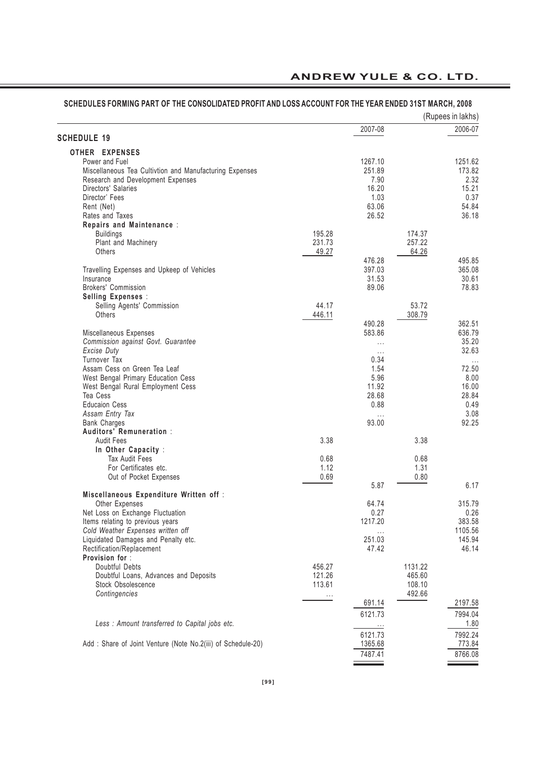|                                                                           |        |                   |         | (Rupees in lakhs) |
|---------------------------------------------------------------------------|--------|-------------------|---------|-------------------|
|                                                                           |        | 2007-08           |         | 2006-07           |
| <b>SCHEDULE 19</b>                                                        |        |                   |         |                   |
| OTHER EXPENSES                                                            |        |                   |         |                   |
| Power and Fuel<br>Miscellaneous Tea Cultivtion and Manufacturing Expenses |        | 1267.10<br>251.89 |         | 1251.62<br>173.82 |
| Research and Development Expenses                                         |        | 7.90              |         | 2.32              |
| Directors' Salaries                                                       |        | 16.20             |         | 15.21             |
| Director' Fees                                                            |        | 1.03              |         | 0.37              |
| Rent (Net)                                                                |        | 63.06             |         | 54.84             |
| Rates and Taxes                                                           |        | 26.52             |         | 36.18             |
| Repairs and Maintenance:                                                  |        |                   |         |                   |
| <b>Buildings</b>                                                          | 195.28 |                   | 174.37  |                   |
| Plant and Machinery                                                       | 231.73 |                   | 257.22  |                   |
| Others                                                                    | 49.27  |                   | 64.26   |                   |
|                                                                           |        | 476.28            |         | 495.85            |
| Travelling Expenses and Upkeep of Vehicles                                |        | 397.03            |         | 365.08            |
| Insurance                                                                 |        | 31.53             |         | 30.61<br>78.83    |
| Brokers' Commission                                                       |        | 89.06             |         |                   |
| Selling Expenses :<br>Selling Agents' Commission                          | 44.17  |                   | 53.72   |                   |
| Others                                                                    | 446.11 |                   | 308.79  |                   |
|                                                                           |        | 490.28            |         | 362.51            |
| Miscellaneous Expenses                                                    |        | 583.86            |         | 636.79            |
| Commission against Govt. Guarantee                                        |        | $\cdots$          |         | 35.20             |
| Excise Duty                                                               |        | $\cdots$          |         | 32.63             |
| Turnover Tax                                                              |        | 0.34              |         | $\cdots$          |
| Assam Cess on Green Tea Leaf                                              |        | 1.54              |         | 72.50             |
| West Bengal Primary Education Cess                                        |        | 5.96              |         | 8.00              |
| West Bengal Rural Employment Cess                                         |        | 11.92             |         | 16.00             |
| Tea Cess                                                                  |        | 28.68             |         | 28.84             |
| <b>Educaion Cess</b>                                                      |        | 0.88              |         | 0.49              |
| Assam Entry Tax                                                           |        | $\cdots$<br>93.00 |         | 3.08<br>92.25     |
| <b>Bank Charges</b><br>Auditors' Remuneration :                           |        |                   |         |                   |
| <b>Audit Fees</b>                                                         | 3.38   |                   | 3.38    |                   |
| In Other Capacity :                                                       |        |                   |         |                   |
| <b>Tax Audit Fees</b>                                                     | 0.68   |                   | 0.68    |                   |
| For Certificates etc.                                                     | 1.12   |                   | 1.31    |                   |
| Out of Pocket Expenses                                                    | 0.69   |                   | 0.80    |                   |
|                                                                           |        | 5.87              |         | 6.17              |
| Miscellaneous Expenditure Written off:                                    |        |                   |         |                   |
| Other Expenses                                                            |        | 64.74             |         | 315.79            |
| Net Loss on Exchange Fluctuation                                          |        | 0.27              |         | 0.26              |
| Items relating to previous years                                          |        | 1217.20           |         | 383.58            |
| Cold Weather Expenses written off                                         |        | $\ldots$          |         | 1105.56           |
| Liquidated Damages and Penalty etc.                                       |        | 251.03<br>47.42   |         | 145.94<br>46.14   |
| Rectification/Replacement<br>Provision for:                               |        |                   |         |                   |
| Doubtful Debts                                                            | 456.27 |                   | 1131.22 |                   |
| Doubtful Loans, Advances and Deposits                                     | 121.26 |                   | 465.60  |                   |
| Stock Obsolescence                                                        | 113.61 |                   | 108.10  |                   |
| Contingencies                                                             |        |                   | 492.66  |                   |
|                                                                           |        | 691.14            |         | 2197.58           |
|                                                                           |        | 6121.73           |         | 7994.04           |
| Less : Amount transferred to Capital jobs etc.                            |        | $\cdots$          |         | 1.80              |
|                                                                           |        | 6121.73           |         | 7992.24           |
| Add: Share of Joint Venture (Note No.2(iii) of Schedule-20)               |        | 1365.68           |         | 773.84            |
|                                                                           |        | 7487.41           |         | 8766.08           |

#### **SCHEDULES FORMING PART OF THE CONSOLIDATED PROFIT AND LOSS ACCOUNT FOR THE YEAR ENDED 31ST MARCH, 2008**

 $\hspace{0.05cm}$   $\hspace{0.05cm}$   $\hspace{0.05cm}$   $\hspace{0.05cm}$   $\hspace{0.05cm}$   $\hspace{0.05cm}$   $\hspace{0.05cm}$   $\hspace{0.05cm}$   $\hspace{0.05cm}$   $\hspace{0.05cm}$   $\hspace{0.05cm}$   $\hspace{0.05cm}$   $\hspace{0.05cm}$   $\hspace{0.05cm}$   $\hspace{0.05cm}$   $\hspace{0.05cm}$   $\hspace{0.05cm}$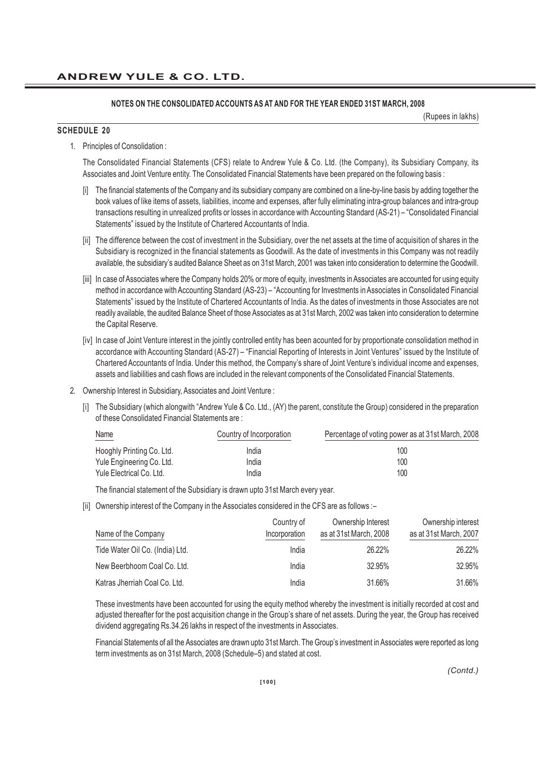(Rupees in lakhs)

#### **SCHEDULE 20**

1. Principles of Consolidation :

The Consolidated Financial Statements (CFS) relate to Andrew Yule & Co. Ltd. (the Company), its Subsidiary Company, its Associates and Joint Venture entity. The Consolidated Financial Statements have been prepared on the following basis :

- [i] The financial statements of the Company and its subsidiary company are combined on a line-by-line basis by adding together the book values of like items of assets, liabilities, income and expenses, after fully eliminating intra-group balances and intra-group transactions resulting in unrealized profits or losses in accordance with Accounting Standard (AS-21) – "Consolidated Financial Statements" issued by the Institute of Chartered Accountants of India.
- [ii] The difference between the cost of investment in the Subsidiary, over the net assets at the time of acquisition of shares in the Subsidiary is recognized in the financial statements as Goodwill. As the date of investments in this Company was not readily available, the subsidiary's audited Balance Sheet as on 31st March, 2001 was taken into consideration to determine the Goodwill.
- [iii] In case of Associates where the Company holds 20% or more of equity, investments in Associates are accounted for using equity method in accordance with Accounting Standard (AS-23) – "Accounting for Investments in Associates in Consolidated Financial Statements" issued by the Institute of Chartered Accountants of India. As the dates of investments in those Associates are not readily available, the audited Balance Sheet of those Associates as at 31st March, 2002 was taken into consideration to determine the Capital Reserve.
- [iv] In case of Joint Venture interest in the jointly controlled entity has been acounted for by proportionate consolidation method in accordance with Accounting Standard (AS-27) – "Financial Reporting of Interests in Joint Ventures" issued by the Institute of Chartered Accountants of India. Under this method, the Company's share of Joint Venture's individual income and expenses, assets and liabilities and cash flows are included in the relevant components of the Consolidated Financial Statements.
- 2. Ownership Interest in Subsidiary, Associates and Joint Venture :
	- [i] The Subsidiary (which alongwith "Andrew Yule & Co. Ltd., (AY) the parent, constitute the Group) considered in the preparation of these Consolidated Financial Statements are :

| Name<br>__                | Country of Incorporation | Percentage of voting power as at 31st March, 2008 |
|---------------------------|--------------------------|---------------------------------------------------|
| Hooghly Printing Co. Ltd. | India                    | 100                                               |
| Yule Engineering Co. Ltd. | India                    | 100                                               |
| Yule Electrical Co. Ltd.  | India                    | 100                                               |

The financial statement of the Subsidiary is drawn upto 31st March every year.

[ii] Ownership interest of the Company in the Associates considered in the CFS are as follows :-

| Name of the Company             | Country of<br>Incorporation | Ownership Interest<br>as at 31st March, 2008 | Ownership interest<br>as at 31st March, 2007 |
|---------------------------------|-----------------------------|----------------------------------------------|----------------------------------------------|
| Tide Water Oil Co. (India) Ltd. | India                       | 26.22%                                       | 26.22%                                       |
| New Beerbhoom Coal Co. Ltd.     | India                       | 32.95%                                       | 32.95%                                       |
| Katras Jherriah Coal Co. Ltd.   | India                       | 31.66%                                       | 31.66%                                       |

These investments have been accounted for using the equity method whereby the investment is initially recorded at cost and adjusted thereafter for the post acquisition change in the Group's share of net assets. During the year, the Group has received dividend aggregating Rs.34.26 lakhs in respect of the investments in Associates.

Financial Statements of all the Associates are drawn upto 31st March. The Group's investment in Associates were reported as long term investments as on 31st March, 2008 (Schedule–5) and stated at cost.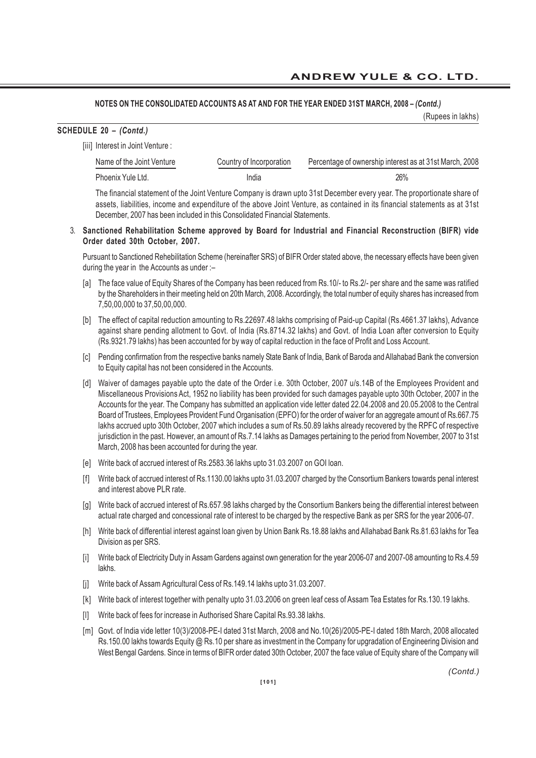#### **NOTES ON THE CONSOLIDATED ACCOUNTS AS AT AND FOR THE YEAR ENDED 31ST MARCH, 2008 –** *(Contd.)*

(Rupees in lakhs)

| SCHEDULE 20 - (Contd.) |  |  |  |
|------------------------|--|--|--|
|------------------------|--|--|--|

| [iii] Interest in Joint Venture : |                          |                                                                                                                       |
|-----------------------------------|--------------------------|-----------------------------------------------------------------------------------------------------------------------|
| Name of the Joint Venture         | Country of Incorporation | Percentage of ownership interest as at 31st March, 2008                                                               |
| Phoenix Yule Ltd.                 | India                    | 26%                                                                                                                   |
|                                   |                          | The financial statement of the Isint Venture Componicia drovin unto 94st Desember overwear The preparticuate chara of |

The financial statement of the Joint Venture Company is drawn upto 31st December every year. The proportionate share of assets, liabilities, income and expenditure of the above Joint Venture, as contained in its financial statements as at 31st December, 2007 has been included in this Consolidated Financial Statements.

#### 3. **Sanctioned Rehabilitation Scheme approved by Board for Industrial and Financial Reconstruction (BIFR) vide Order dated 30th October, 2007.**

Pursuant to Sanctioned Rehebilitation Scheme (hereinafter SRS) of BIFR Order stated above, the necessary effects have been given during the year in the Accounts as under :–

- [a] The face value of Equity Shares of the Company has been reduced from Rs.10/- to Rs.2/- per share and the same was ratified by the Shareholders in their meeting held on 20th March, 2008. Accordingly, the total number of equity shares has increased from 7,50,00,000 to 37,50,00,000.
- [b] The effect of capital reduction amounting to Rs.22697.48 lakhs comprising of Paid-up Capital (Rs.4661.37 lakhs), Advance against share pending allotment to Govt. of India (Rs.8714.32 lakhs) and Govt. of India Loan after conversion to Equity (Rs.9321.79 lakhs) has been accounted for by way of capital reduction in the face of Profit and Loss Account.
- [c] Pending confirmation from the respective banks namely State Bank of India, Bank of Baroda and Allahabad Bank the conversion to Equity capital has not been considered in the Accounts.
- [d] Waiver of damages payable upto the date of the Order i.e. 30th October, 2007 u/s.14B of the Employees Provident and Miscellaneous Provisions Act, 1952 no liability has been provided for such damages payable upto 30th October, 2007 in the Accounts for the year. The Company has submitted an application vide letter dated 22.04.2008 and 20.05.2008 to the Central Board of Trustees, Employees Provident Fund Organisation (EPFO) for the order of waiver for an aggregate amount of Rs.667.75 lakhs accrued upto 30th October, 2007 which includes a sum of Rs.50.89 lakhs already recovered by the RPFC of respective jurisdiction in the past. However, an amount of Rs.7.14 lakhs as Damages pertaining to the period from November, 2007 to 31st March, 2008 has been accounted for during the year.
- [e] Write back of accrued interest of Rs.2583.36 lakhs upto 31.03.2007 on GOI loan.
- [f] Write back of accrued interest of Rs.1130.00 lakhs upto 31.03.2007 charged by the Consortium Bankers towards penal interest and interest above PLR rate.
- [g] Write back of accrued interest of Rs.657.98 lakhs charged by the Consortium Bankers being the differential interest between actual rate charged and concessional rate of interest to be charged by the respective Bank as per SRS for the year 2006-07.
- [h] Write back of differential interest against loan given by Union Bank Rs.18.88 lakhs and Allahabad Bank Rs.81.63 lakhs for Tea Division as per SRS.
- [i] Write back of Electricity Duty in Assam Gardens against own generation for the year 2006-07 and 2007-08 amounting to Rs.4.59 lakhs.
- [j] Write back of Assam Agricultural Cess of Rs.149.14 lakhs upto 31.03.2007.
- [k] Write back of interest together with penalty upto 31.03.2006 on green leaf cess of Assam Tea Estates for Rs.130.19 lakhs.
- [I] Write back of fees for increase in Authorised Share Capital Rs.93.38 lakhs.
- [m] Govt. of India vide letter 10(3)/2008-PE-I dated 31st March, 2008 and No.10(26)/2005-PE-I dated 18th March, 2008 allocated Rs.150.00 lakhs towards Equity @ Rs.10 per share as investment in the Company for upgradation of Engineering Division and West Bengal Gardens. Since in terms of BIFR order dated 30th October, 2007 the face value of Equity share of the Company will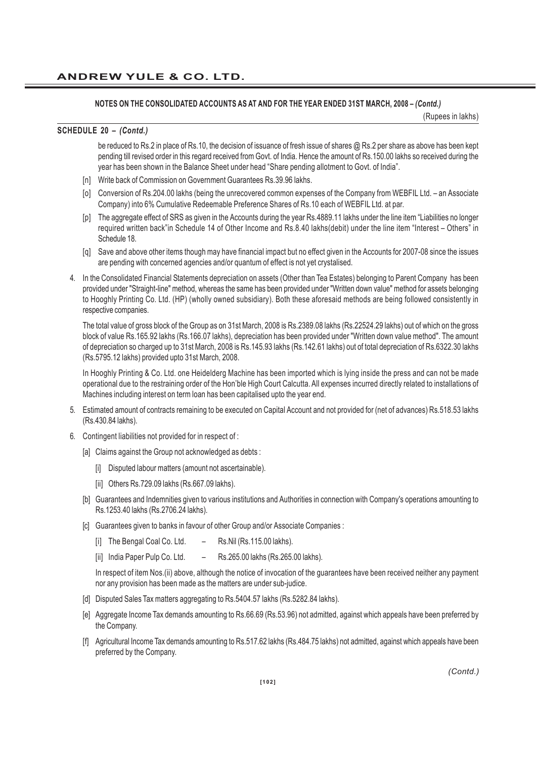(Rupees in lakhs)

#### **SCHEDULE 20 –** *(Contd.)*

be reduced to Rs.2 in place of Rs.10, the decision of issuance of fresh issue of shares @ Rs.2 per share as above has been kept pending till revised order in this regard received from Govt. of India. Hence the amount of Rs.150.00 lakhs so received during the year has been shown in the Balance Sheet under head "Share pending allotment to Govt. of India".

- [n] Write back of Commission on Government Guarantees Rs.39.96 lakhs.
- [o] Conversion of Rs.204.00 lakhs (being the unrecovered common expenses of the Company from WEBFIL Ltd. an Associate Company) into 6% Cumulative Redeemable Preference Shares of Rs.10 each of WEBFIL Ltd. at par.
- [p] The aggregate effect of SRS as given in the Accounts during the year Rs.4889.11 lakhs under the line item "Liabilities no longer required written back"in Schedule 14 of Other Income and Rs.8.40 lakhs(debit) under the line item "Interest – Others" in Schedule 18.
- [q] Save and above other items though may have financial impact but no effect given in the Accounts for 2007-08 since the issues are pending with concerned agencies and/or quantum of effect is not yet crystalised.
- 4. In the Consolidated Financial Statements depreciation on assets (Other than Tea Estates) belonging to Parent Company has been provided under "Straight-line" method, whereas the same has been provided under "Written down value" method for assets belonging to Hooghly Printing Co. Ltd. (HP) (wholly owned subsidiary). Both these aforesaid methods are being followed consistently in respective companies.

The total value of gross block of the Group as on 31st March, 2008 is Rs.2389.08 lakhs (Rs.22524.29 lakhs) out of which on the gross block of value Rs.165.92 lakhs (Rs.166.07 lakhs), depreciation has been provided under "Written down value method". The amount of depreciation so charged up to 31st March, 2008 is Rs.145.93 lakhs (Rs.142.61 lakhs) out of total depreciation of Rs.6322.30 lakhs (Rs.5795.12 lakhs) provided upto 31st March, 2008.

In Hooghly Printing & Co. Ltd. one Heidelderg Machine has been imported which is lying inside the press and can not be made operational due to the restraining order of the Hon'ble High Court Calcutta. All expenses incurred directly related to installations of Machines including interest on term loan has been capitalised upto the year end.

- 5. Estimated amount of contracts remaining to be executed on Capital Account and not provided for (net of advances) Rs.518.53 lakhs (Rs.430.84 lakhs).
- 6. Contingent liabilities not provided for in respect of :
	- [a] Claims against the Group not acknowledged as debts :
		- [i] Disputed labour matters (amount not ascertainable).
		- [ii] Others Rs.729.09 lakhs (Rs.667.09 lakhs).
	- [b] Guarantees and Indemnities given to various institutions and Authorities in connection with Company's operations amounting to Rs.1253.40 lakhs (Rs.2706.24 lakhs).
	- [c] Guarantees given to banks in favour of other Group and/or Associate Companies :
		- [i] The Bengal Coal Co. Ltd. Rs.Nil (Rs.115.00 lakhs).
		- [ii] India Paper Pulp Co. Ltd. Rs.265.00 lakhs (Rs.265.00 lakhs).

In respect of item Nos.(ii) above, although the notice of invocation of the guarantees have been received neither any payment nor any provision has been made as the matters are under sub-judice.

- [d] Disputed Sales Tax matters aggregating to Rs.5404.57 lakhs (Rs.5282.84 lakhs).
- [e] Aggregate Income Tax demands amounting to Rs.66.69 (Rs.53.96) not admitted, against which appeals have been preferred by the Company.
- [f] Agricultural Income Tax demands amounting to Rs.517.62 lakhs (Rs.484.75 lakhs) not admitted, against which appeals have been preferred by the Company.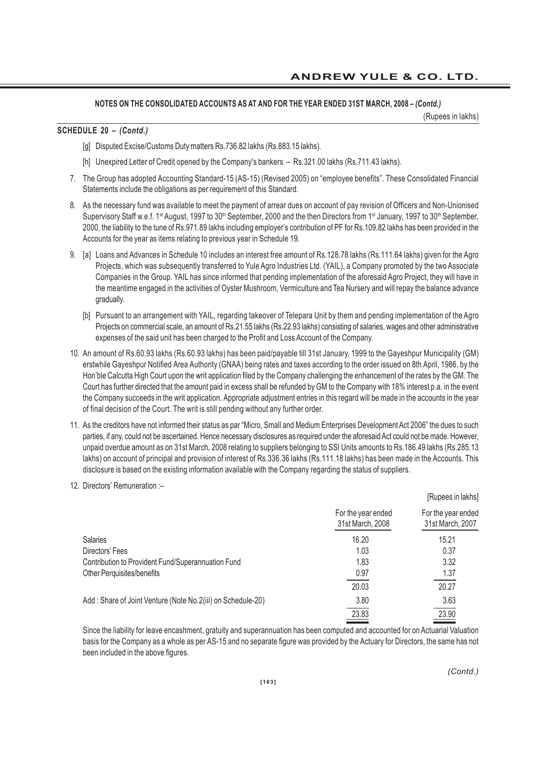(Rupees in lakhs)

#### **SCHEDULE 20 –** *(Contd.)*

[g] Disputed Excise/Customs Duty matters Rs.736.82 lakhs (Rs.883.15 lakhs).

[h] Unexpired Letter of Credit opened by the Company's bankers - Rs.321.00 lakhs (Rs.711.43 lakhs).

- 7. The Group has adopted Accounting Standard-15 (AS-15) (Revised 2005) on "employee benefits". These Consolidated Financial Statements include the obligations as per requirement of this Standard.
- 8. As the necessary fund was available to meet the payment of arrear dues on account of pay revision of Officers and Non-Unionised Supervisory Staff w.e.f. 1<sup>st</sup> August, 1997 to 30<sup>th</sup> September, 2000 and the then Directors from 1<sup>st</sup> January, 1997 to 30<sup>th</sup> September, 2000, the liability to the tune of Rs.971.89 lakhs including employer's contribution of PF for Rs.109.82 lakhs has been provided in the Accounts for the year as items relating to previous year in Schedule 19.
- 9. [a] Loans and Advances in Schedule 10 includes an interest free amount of Rs.128.78 lakhs (Rs.111.64 lakhs) given for the Agro Projects, which was subsequently transferred to Yule Agro Industries Ltd. (YAIL), a Company promoted by the two Associate Companies in the Group. YAIL has since informed that pending implementation of the aforesaid Agro Project, they will have in the meantime engaged in the activities of Oyster Mushroom, Vermiculture and Tea Nursery and will repay the balance advance gradually.
	- [b] Pursuant to an arrangement with YAIL, regarding takeover of Telepara Unit by them and pending implementation of the Agro Projects on commercial scale, an amount of Rs.21.55 lakhs (Rs.22.93 lakhs) consisting of salaries, wages and other administrative expenses of the said unit has been charged to the Profit and Loss Account of the Company.
- 10. An amount of Rs.60.93 lakhs (Rs.60.93 lakhs) has been paid/payable till 31st January, 1999 to the Gayeshpur Municipality (GM) erstwhile Gayeshpur Notified Area Authority (GNAA) being rates and taxes according to the order issued on 8th April, 1986, by the Hon'ble Calcutta High Court upon the writ application filed by the Company challenging the enhancement of the rates by the GM. The Court has further directed that the amount paid in excess shall be refunded by GM to the Company with 18% interest p.a. in the event the Company succeeds in the writ application. Appropriate adjustment entries in this regard will be made in the accounts in the year of final decision of the Court. The writ is still pending without any further order.
- 11. As the creditors have not informed their status as par "Micro, Small and Medium Enterprises Development Act 2006" the dues to such parties, if any, could not be ascertained. Hence necessary disclosures as required under the aforesaid Act could not be made. However, unpaid overdue amount as on 31st March, 2008 relating to suppliers belonging to SSI Units amounts to Rs.186.49 lakhs (Rs.285.13 lakhs) on account of principal and provision of interest of Rs.336.36 lakhs (Rs.111.18 lakhs) has been made in the Accounts. This disclosure is based on the existing information available with the Company regarding the status of suppliers.
- 12. Directors' Remuneration :–

|                                                             |                                        | [Rupees in lakhs]                      |
|-------------------------------------------------------------|----------------------------------------|----------------------------------------|
|                                                             | For the year ended<br>31st March, 2008 | For the year ended<br>31st March, 2007 |
| Salaries                                                    | 16.20                                  | 15.21                                  |
| Directors' Fees                                             | 1.03                                   | 0.37                                   |
| Contribution to Provident Fund/Superannuation Fund          | 1.83                                   | 3.32                                   |
| Other Perquisites/benefits                                  | 0.97                                   | 1.37                                   |
|                                                             | 20.03                                  | 20.27                                  |
| Add: Share of Joint Venture (Note No.2(iii) on Schedule-20) | 3.80                                   | 3.63                                   |
|                                                             | 23.83                                  | 23.90                                  |
|                                                             |                                        |                                        |

Since the liability for leave encashment, gratuity and superannuation has been computed and accounted for on Actuarial Valuation basis for the Company as a whole as per AS-15 and no separate figure was provided by the Actuary for Directors, the same has not been included in the above figures.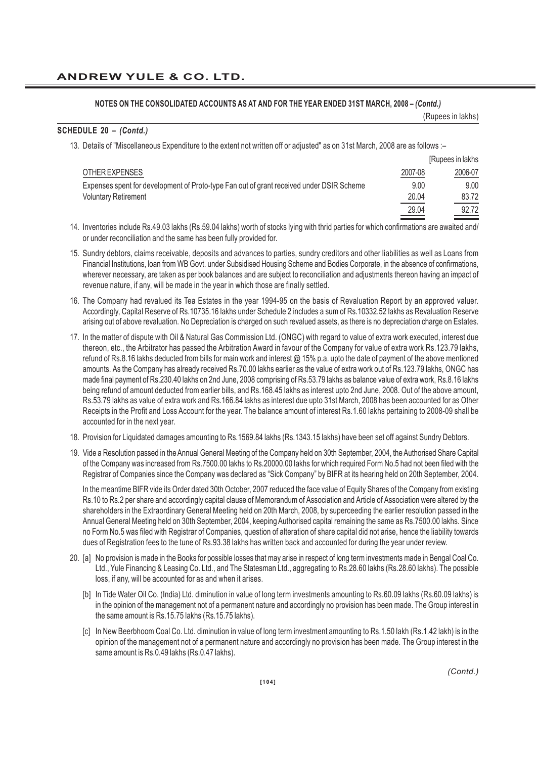#### (Rupees in lakhs)

#### **SCHEDULE 20 –** *(Contd.)*

13. Details of "Miscellaneous Expenditure to the extent not written off or adjusted" as on 31st March, 2008 are as follows :–

|                                                                                          |         | [Rupees in lakhs] |
|------------------------------------------------------------------------------------------|---------|-------------------|
| OTHER EXPENSES                                                                           | 2007-08 | 2006-07           |
| Expenses spent for development of Proto-type Fan out of grant received under DSIR Scheme | 9.00    | 9.00              |
| <b>Voluntary Retirement</b>                                                              | 20.04   | 83.72             |
|                                                                                          | 29.04   | 92.72             |

- 14. Inventories include Rs.49.03 lakhs (Rs.59.04 lakhs) worth of stocks lying with thrid parties for which confirmations are awaited and/ or under reconciliation and the same has been fully provided for.
- 15. Sundry debtors, claims receivable, deposits and advances to parties, sundry creditors and other liabilities as well as Loans from Financial Institutions, loan from WB Govt. under Subsidised Housing Scheme and Bodies Corporate, in the absence of confirmations, wherever necessary, are taken as per book balances and are subject to reconciliation and adjustments thereon having an impact of revenue nature, if any, will be made in the year in which those are finally settled.
- 16. The Company had revalued its Tea Estates in the year 1994-95 on the basis of Revaluation Report by an approved valuer. Accordingly, Capital Reserve of Rs.10735.16 lakhs under Schedule 2 includes a sum of Rs.10332.52 lakhs as Revaluation Reserve arising out of above revaluation. No Depreciation is charged on such revalued assets, as there is no depreciation charge on Estates.
- 17. In the matter of dispute with Oil & Natural Gas Commission Ltd. (ONGC) with regard to value of extra work executed, interest due thereon, etc., the Arbitrator has passed the Arbitration Award in favour of the Company for value of extra work Rs.123.79 lakhs, refund of Rs.8.16 lakhs deducted from bills for main work and interest @ 15% p.a. upto the date of payment of the above mentioned amounts. As the Company has already received Rs.70.00 lakhs earlier as the value of extra work out of Rs.123.79 lakhs, ONGC has made final payment of Rs.230.40 lakhs on 2nd June, 2008 comprising of Rs.53.79 lakhs as balance value of extra work, Rs.8.16 lakhs being refund of amount deducted from earlier bills, and Rs.168.45 lakhs as interest upto 2nd June, 2008. Out of the above amount, Rs.53.79 lakhs as value of extra work and Rs.166.84 lakhs as interest due upto 31st March, 2008 has been accounted for as Other Receipts in the Profit and Loss Account for the year. The balance amount of interest Rs.1.60 lakhs pertaining to 2008-09 shall be accounted for in the next year.
- 18. Provision for Liquidated damages amounting to Rs.1569.84 lakhs (Rs.1343.15 lakhs) have been set off against Sundry Debtors.
- 19. Vide a Resolution passed in the Annual General Meeting of the Company held on 30th September, 2004, the Authorised Share Capital of the Company was increased from Rs.7500.00 lakhs to Rs.20000.00 lakhs for which required Form No.5 had not been filed with the Registrar of Companies since the Company was declared as "Sick Company" by BIFR at its hearing held on 20th September, 2004.

In the meantime BIFR vide its Order dated 30th October, 2007 reduced the face value of Equity Shares of the Company from existing Rs.10 to Rs.2 per share and accordingly capital clause of Memorandum of Association and Article of Association were altered by the shareholders in the Extraordinary General Meeting held on 20th March, 2008, by superceeding the earlier resolution passed in the Annual General Meeting held on 30th September, 2004, keeping Authorised capital remaining the same as Rs.7500.00 lakhs. Since no Form No.5 was filed with Registrar of Companies, question of alteration of share capital did not arise, hence the liability towards dues of Registration fees to the tune of Rs.93.38 lakhs has written back and accounted for during the year under review.

- 20. [a] No provision is made in the Books for possible losses that may arise in respect of long term investments made in Bengal Coal Co. Ltd., Yule Financing & Leasing Co. Ltd., and The Statesman Ltd., aggregating to Rs.28.60 lakhs (Rs.28.60 lakhs). The possible loss, if any, will be accounted for as and when it arises.
	- [b] In Tide Water Oil Co. (India) Ltd. diminution in value of long term investments amounting to Rs.60.09 lakhs (Rs.60.09 lakhs) is in the opinion of the management not of a permanent nature and accordingly no provision has been made. The Group interest in the same amount is Rs.15.75 lakhs (Rs.15.75 lakhs).
	- [c] In New Beerbhoom Coal Co. Ltd. diminution in value of long term investment amounting to Rs.1.50 lakh (Rs.1.42 lakh) is in the opinion of the management not of a permanent nature and accordingly no provision has been made. The Group interest in the same amount is Rs.0.49 lakhs (Rs.0.47 lakhs).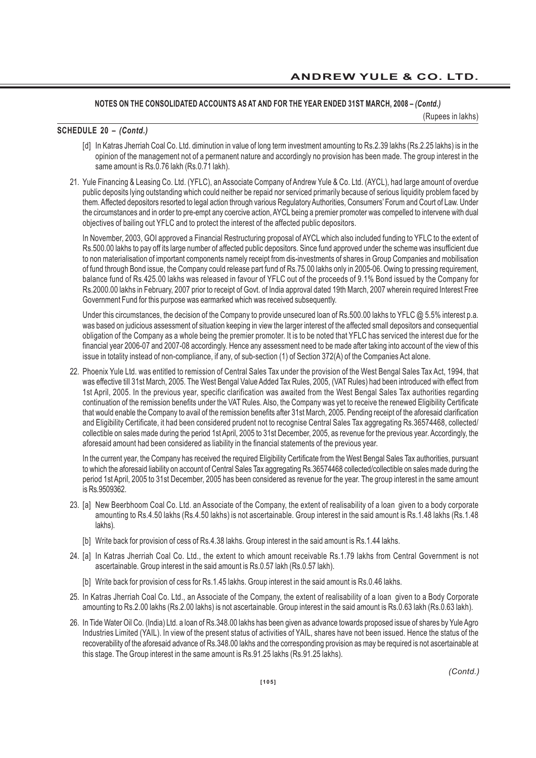(Rupees in lakhs)

#### **SCHEDULE 20 –** *(Contd.)*

- [d] In Katras Jherriah Coal Co. Ltd. diminution in value of long term investment amounting to Rs.2.39 lakhs (Rs.2.25 lakhs) is in the opinion of the management not of a permanent nature and accordingly no provision has been made. The group interest in the same amount is Rs.0.76 lakh (Rs.0.71 lakh).
- 21. Yule Financing & Leasing Co. Ltd. (YFLC), an Associate Company of Andrew Yule & Co. Ltd. (AYCL), had large amount of overdue public deposits lying outstanding which could neither be repaid nor serviced primarily because of serious liquidity problem faced by them. Affected depositors resorted to legal action through various Regulatory Authorities, Consumers' Forum and Court of Law. Under the circumstances and in order to pre-empt any coercive action, AYCL being a premier promoter was compelled to intervene with dual objectives of bailing out YFLC and to protect the interest of the affected public depositors.

In November, 2003, GOI approved a Financial Restructuring proposal of AYCL which also included funding to YFLC to the extent of Rs.500.00 lakhs to pay off its large number of affected public depositors. Since fund approved under the scheme was insufficient due to non materialisation of important components namely receipt from dis-investments of shares in Group Companies and mobilisation of fund through Bond issue, the Company could release part fund of Rs.75.00 lakhs only in 2005-06. Owing to pressing requirement, balance fund of Rs.425.00 lakhs was released in favour of YFLC out of the proceeds of 9.1% Bond issued by the Company for Rs.2000.00 lakhs in February, 2007 prior to receipt of Govt. of India approval dated 19th March, 2007 wherein required Interest Free Government Fund for this purpose was earmarked which was received subsequently.

Under this circumstances, the decision of the Company to provide unsecured loan of Rs.500.00 lakhs to YFLC @ 5.5% interest p.a. was based on judicious assessment of situation keeping in view the larger interest of the affected small depositors and consequential obligation of the Company as a whole being the premier promoter. It is to be noted that YFLC has serviced the interest due for the financial year 2006-07 and 2007-08 accordingly. Hence any assessment need to be made after taking into account of the view of this issue in totality instead of non-compliance, if any, of sub-section (1) of Section 372(A) of the Companies Act alone.

22. Phoenix Yule Ltd. was entitled to remission of Central Sales Tax under the provision of the West Bengal Sales Tax Act, 1994, that was effective till 31st March, 2005. The West Bengal Value Added Tax Rules, 2005, (VAT Rules) had been introduced with effect from 1st April, 2005. In the previous year, specific clarification was awaited from the West Bengal Sales Tax authorities regarding continuation of the remission benefits under the VAT Rules. Also, the Company was yet to receive the renewed Eligibility Certificate that would enable the Company to avail of the remission benefits after 31st March, 2005. Pending receipt of the aforesaid clarification and Eligibility Certificate, it had been considered prudent not to recognise Central Sales Tax aggregating Rs.36574468, collected/ collectible on sales made during the period 1st April, 2005 to 31st December, 2005, as revenue for the previous year. Accordingly, the aforesaid amount had been considered as liability in the financial statements of the previous year.

In the current year, the Company has received the required Eligibility Certificate from the West Bengal Sales Tax authorities, pursuant to which the aforesaid liability on account of Central Sales Tax aggregating Rs.36574468 collected/collectible on sales made during the period 1st April, 2005 to 31st December, 2005 has been considered as revenue for the year. The group interest in the same amount is Rs.9509362.

- 23. [a] New Beerbhoom Coal Co. Ltd. an Associate of the Company, the extent of realisability of a loan given to a body corporate amounting to Rs.4.50 lakhs (Rs.4.50 lakhs) is not ascertainable. Group interest in the said amount is Rs.1.48 lakhs (Rs.1.48 lakhs).
	- [b] Write back for provision of cess of Rs.4.38 lakhs. Group interest in the said amount is Rs.1.44 lakhs.
- 24. [a] In Katras Jherriah Coal Co. Ltd., the extent to which amount receivable Rs.1.79 lakhs from Central Government is not ascertainable. Group interest in the said amount is Rs.0.57 lakh (Rs.0.57 lakh).
	- [b] Write back for provision of cess for Rs.1.45 lakhs. Group interest in the said amount is Rs.0.46 lakhs.
- 25. In Katras Jherriah Coal Co. Ltd., an Associate of the Company, the extent of realisability of a loan given to a Body Corporate amounting to Rs.2.00 lakhs (Rs.2.00 lakhs) is not ascertainable. Group interest in the said amount is Rs.0.63 lakh (Rs.0.63 lakh).
- 26. In Tide Water Oil Co. (India) Ltd. a loan of Rs.348.00 lakhs has been given as advance towards proposed issue of shares by Yule Agro Industries Limited (YAIL). In view of the present status of activities of YAIL, shares have not been issued. Hence the status of the recoverability of the aforesaid advance of Rs.348.00 lakhs and the corresponding provision as may be required is not ascertainable at this stage. The Group interest in the same amount is Rs.91.25 lakhs (Rs.91.25 lakhs).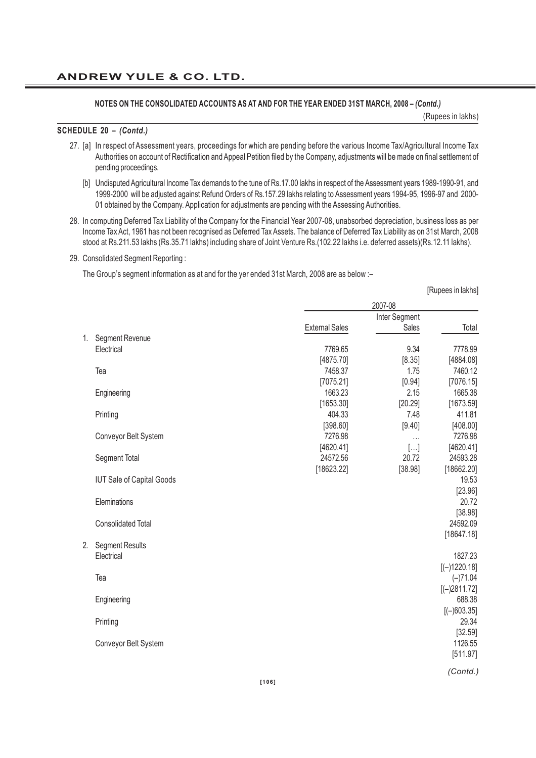(Rupees in lakhs)

[Rupees in lakhs]

#### **SCHEDULE 20 –** *(Contd.)*

- 27. [a] In respect of Assessment years, proceedings for which are pending before the various Income Tax/Agricultural Income Tax Authorities on account of Rectification and Appeal Petition filed by the Company, adjustments will be made on final settlement of pending proceedings.
	- [b] Undisputed Agricultural Income Tax demands to the tune of Rs.17.00 lakhs in respect of the Assessment years 1989-1990-91, and 1999-2000 will be adjusted against Refund Orders of Rs.157.29 lakhs relating to Assessment years 1994-95, 1996-97 and 2000- 01 obtained by the Company. Application for adjustments are pending with the Assessing Authorities.
- 28. In computing Deferred Tax Liability of the Company for the Financial Year 2007-08, unabsorbed depreciation, business loss as per Income Tax Act, 1961 has not been recognised as Deferred Tax Assets. The balance of Deferred Tax Liability as on 31st March, 2008 stood at Rs.211.53 lakhs (Rs.35.71 lakhs) including share of Joint Venture Rs.(102.22 lakhs i.e. deferred assets)(Rs.12.11 lakhs).
- 29. Consolidated Segment Reporting :

The Group's segment information as at and for the yer ended 31st March, 2008 are as below :–

|    |                                  | 2007-08               |               |                  |
|----|----------------------------------|-----------------------|---------------|------------------|
|    |                                  |                       | Inter Segment |                  |
|    |                                  | <b>External Sales</b> | Sales         | Total            |
| 1. | Segment Revenue                  |                       |               |                  |
|    | Electrical                       | 7769.65               | 9.34          | 7778.99          |
|    |                                  | [4875.70]             | [8.35]        | [4884.08]        |
|    | Tea                              | 7458.37               | 1.75          | 7460.12          |
|    |                                  | [7075.21]             | $[0.94]$      | [7076.15]        |
|    | Engineering                      | 1663.23               | 2.15          | 1665.38          |
|    |                                  | [1653.30]             | [20.29]       | [1673.59]        |
|    | Printing                         | 404.33                | 7.48          | 411.81           |
|    |                                  | [398.60]              | [9.40]        | [408.00]         |
|    | Conveyor Belt System             | 7276.98               | .             | 7276.98          |
|    |                                  | [4620.41]             | $[]$          | [4620.41]        |
|    | Segment Total                    | 24572.56              | 20.72         | 24593.28         |
|    |                                  | [18623.22]            | [38.98]       | [18662.20]       |
|    | <b>IUT Sale of Capital Goods</b> |                       |               | 19.53            |
|    | Eleminations                     |                       |               | [23.96]<br>20.72 |
|    |                                  |                       |               | [38.98]          |
|    | <b>Consolidated Total</b>        |                       |               | 24592.09         |
|    |                                  |                       |               | [18647.18]       |
| 2. | <b>Segment Results</b>           |                       |               |                  |
|    | Electrical                       |                       |               | 1827.23          |
|    |                                  |                       |               | $[(-)1220.18]$   |
|    | Tea                              |                       |               | $(-)71.04$       |
|    |                                  |                       |               | $[(-)2811.72]$   |
|    | Engineering                      |                       |               | 688.38           |
|    |                                  |                       |               | $[(-)603.35]$    |
|    | Printing                         |                       |               | 29.34            |
|    |                                  |                       |               | [32.59]          |
|    | Conveyor Belt System             |                       |               | 1126.55          |
|    |                                  |                       |               | [511.97]         |
|    |                                  |                       |               |                  |
|    |                                  |                       |               | (Contd.)         |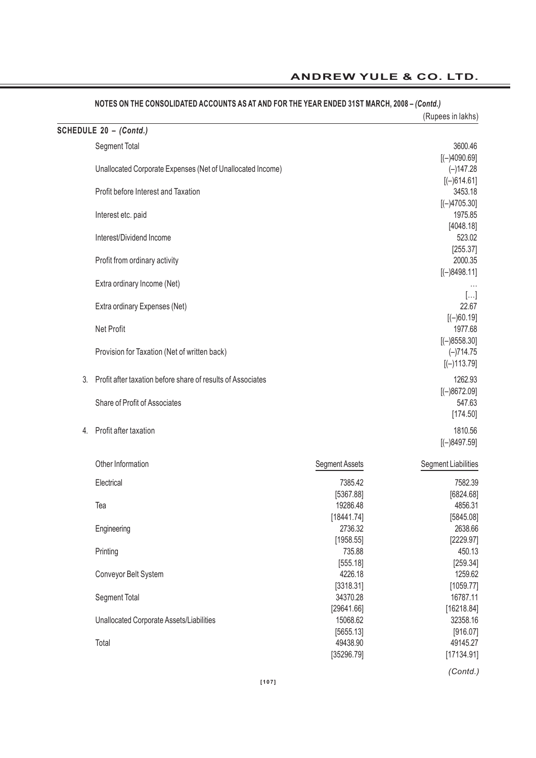|    |                                                             |                       | (Rupees in lakhs)             |
|----|-------------------------------------------------------------|-----------------------|-------------------------------|
|    | SCHEDULE 20 - (Contd.)                                      |                       |                               |
|    | Segment Total                                               |                       | 3600.46                       |
|    | Unallocated Corporate Expenses (Net of Unallocated Income)  |                       | $[(-)4090.69]$<br>$(-)147.28$ |
|    |                                                             |                       | $[(-)614.61]$                 |
|    | Profit before Interest and Taxation                         |                       | 3453.18                       |
|    |                                                             |                       | $[(-)4705.30]$                |
|    | Interest etc. paid                                          |                       | 1975.85                       |
|    |                                                             |                       | [4048.18]                     |
|    | Interest/Dividend Income                                    |                       | 523.02<br>[255.37]            |
|    | Profit from ordinary activity                               |                       | 2000.35                       |
|    |                                                             |                       | $[(-)8498.11]$                |
|    | Extra ordinary Income (Net)                                 |                       |                               |
|    | Extra ordinary Expenses (Net)                               |                       | $[]$<br>22.67                 |
|    |                                                             |                       | $[(-)60.19]$                  |
|    | Net Profit                                                  |                       | 1977.68                       |
|    |                                                             |                       | $[(-)8558.30]$                |
|    | Provision for Taxation (Net of written back)                |                       | $(-)714.75$                   |
|    |                                                             |                       | $[(-)113.79]$                 |
| 3. | Profit after taxation before share of results of Associates |                       | 1262.93                       |
|    | Share of Profit of Associates                               |                       | $[(-)8672.09]$<br>547.63      |
|    |                                                             |                       | [174.50]                      |
| 4. | Profit after taxation                                       |                       | 1810.56                       |
|    |                                                             |                       | $[(-)8497.59]$                |
|    | Other Information                                           | <b>Segment Assets</b> | <b>Segment Liabilities</b>    |
|    |                                                             |                       |                               |
|    | Electrical                                                  | 7385.42<br>[5367.88]  | 7582.39<br>[6824.68]          |
|    | Tea                                                         | 19286.48              | 4856.31                       |
|    |                                                             | [18441.74]            | [5845.08]                     |
|    | Engineering                                                 | 2736.32               | 2638.66                       |
|    |                                                             | [1958.55]             | [2229.97]                     |
|    | Printing                                                    | 735.88                | 450.13                        |
|    | Conveyor Belt System                                        | [555.18]<br>4226.18   | [259.34]<br>1259.62           |
|    |                                                             | [3318.31]             | [1059.77]                     |
|    | Segment Total                                               | 34370.28              | 16787.11                      |
|    |                                                             | [29641.66]            | [16218.84]                    |
|    | Unallocated Corporate Assets/Liabilities                    | 15068.62              | 32358.16                      |
|    | Total                                                       | [5655.13]<br>49438.90 | [916.07]<br>49145.27          |
|    |                                                             | [35296.79]            | [17134.91]                    |
|    |                                                             |                       |                               |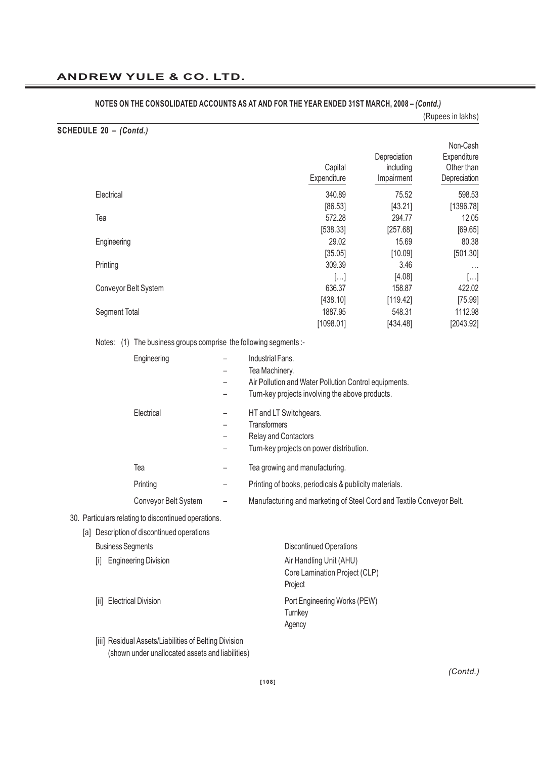|                                                                                                           |                                                                                                                                                                                                                                    |                                         | (Rupees in lakhs)                                     |
|-----------------------------------------------------------------------------------------------------------|------------------------------------------------------------------------------------------------------------------------------------------------------------------------------------------------------------------------------------|-----------------------------------------|-------------------------------------------------------|
| SCHEDULE 20 - (Contd.)                                                                                    |                                                                                                                                                                                                                                    |                                         |                                                       |
|                                                                                                           | Capital<br>Expenditure                                                                                                                                                                                                             | Depreciation<br>including<br>Impairment | Non-Cash<br>Expenditure<br>Other than<br>Depreciation |
| Electrical                                                                                                | 340.89                                                                                                                                                                                                                             | 75.52                                   | 598.53                                                |
| Tea                                                                                                       | [86.53]<br>572.28                                                                                                                                                                                                                  | [43.21]<br>294.77                       | [1396.78]<br>12.05                                    |
| Engineering                                                                                               | [538.33]<br>29.02<br>[35.05]                                                                                                                                                                                                       | [257.68]<br>15.69<br>[10.09]            | [69.65]<br>80.38<br>[501.30]                          |
| Printing                                                                                                  | 309.39                                                                                                                                                                                                                             | 3.46                                    | $\cdots$                                              |
| Conveyor Belt System                                                                                      | []<br>636.37<br>[438.10]                                                                                                                                                                                                           | [4.08]<br>158.87<br>[119.42]            | $[]$<br>422.02<br>[75.99]                             |
| Segment Total                                                                                             | 1887.95<br>[1098.01]                                                                                                                                                                                                               | 548.31<br>[434.48]                      | 1112.98<br>[2043.92]                                  |
| Notes: (1) The business groups comprise the following segments :-                                         |                                                                                                                                                                                                                                    |                                         |                                                       |
| Engineering                                                                                               | Industrial Fans.<br>$\overline{\phantom{0}}$<br>Tea Machinery.<br>$\overline{\phantom{0}}$<br>Air Pollution and Water Pollution Control equipments.<br>$\overline{\phantom{0}}$<br>Turn-key projects involving the above products. |                                         |                                                       |
| Electrical                                                                                                | HT and LT Switchgears.<br>Transformers<br>$\overline{\phantom{0}}$<br>Relay and Contactors<br>Turn-key projects on power distribution.                                                                                             |                                         |                                                       |
| Tea                                                                                                       | Tea growing and manufacturing.<br>—                                                                                                                                                                                                |                                         |                                                       |
| Printing                                                                                                  | Printing of books, periodicals & publicity materials.<br>—                                                                                                                                                                         |                                         |                                                       |
| Conveyor Belt System                                                                                      | Manufacturing and marketing of Steel Cord and Textile Conveyor Belt.                                                                                                                                                               |                                         |                                                       |
| 30. Particulars relating to discontinued operations.<br>[a] Description of discontinued operations        |                                                                                                                                                                                                                                    |                                         |                                                       |
| <b>Business Segments</b>                                                                                  | <b>Discontinued Operations</b>                                                                                                                                                                                                     |                                         |                                                       |
| <b>Engineering Division</b><br>[i]                                                                        | Air Handling Unit (AHU)<br>Core Lamination Project (CLP)<br>Project                                                                                                                                                                |                                         |                                                       |
| <b>Electrical Division</b><br>ШL                                                                          | Port Engineering Works (PEW)<br>Turnkey<br>Agency                                                                                                                                                                                  |                                         |                                                       |
| [iii] Residual Assets/Liabilities of Belting Division<br>(shown under unallocated assets and liabilities) |                                                                                                                                                                                                                                    |                                         |                                                       |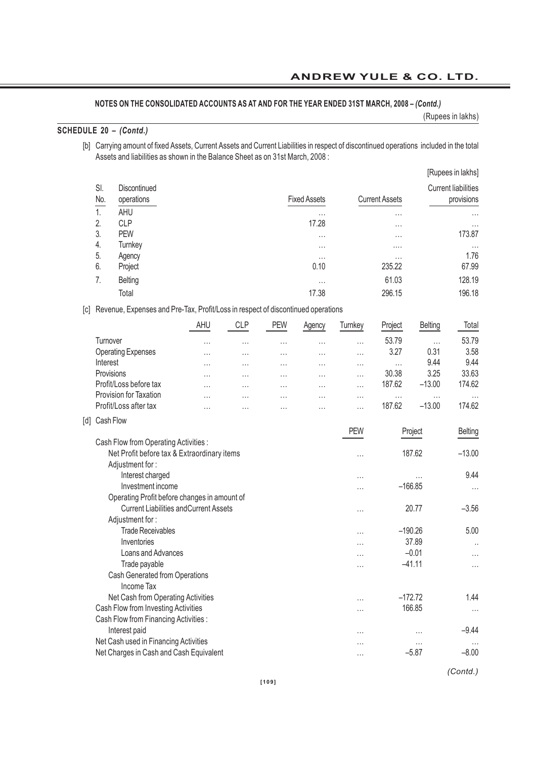## **NOTES ON THE CONSOLIDATED ACCOUNTS AS AT AND FOR THE YEAR ENDED 31ST MARCH, 2008 –** *(Contd.)*

(Rupees in lakhs)

## **SCHEDULE 20 –** *(Contd.)*

[b] Carrying amount of fixed Assets, Current Assets and Current Liabilities in respect of discontinued operations included in the total Assets and liabilities as shown in the Balance Sheet as on 31st March, 2008 :

|            |                                   |                     |                       | [Rupees in lakhs]                        |
|------------|-----------------------------------|---------------------|-----------------------|------------------------------------------|
| SI.<br>No. | <b>Discontinued</b><br>operations | <b>Fixed Assets</b> | <b>Current Assets</b> | <b>Current liabilities</b><br>provisions |
| 1.         | AHU                               | $\cdots$            | $\cdots$              | $\cdots$                                 |
| 2.         | <b>CLP</b>                        | 17.28               | $\cdots$              | $\cdots$                                 |
| 3.         | <b>PEW</b>                        | $\cdots$            | $\cdots$              | 173.87                                   |
| 4.         | Turnkey                           | $\cdots$            | .                     | $\cdots$                                 |
| 5.         | Agency                            | $\cdots$            | $\cdots$              | 1.76                                     |
| 6.         | Project                           | 0.10                | 235.22                | 67.99                                    |
| 7.         | <b>Belting</b>                    | $\cdots$            | 61.03                 | 128.19                                   |
|            | Total                             | 17.38               | 296.15                | 196.18                                   |

## [c] Revenue, Expenses and Pre-Tax, Profit/Loss in respect of discontinued operations

|                     |                                               | AHU       | <b>CLP</b> | <b>PEW</b> | Agency   | Turnkey    | Project   | <b>Belting</b> | Total    |
|---------------------|-----------------------------------------------|-----------|------------|------------|----------|------------|-----------|----------------|----------|
|                     | Turnover                                      | .         | $\cdots$   | .          | $\cdots$ | .          | 53.79     | $\cdots$       | 53.79    |
|                     | <b>Operating Expenses</b>                     | .         | .          | $\cdots$   | $\cdots$ | .          | 3.27      | 0.31           | 3.58     |
|                     | Interest                                      | $\ddotsc$ | $\cdots$   | $\cdots$   | $\cdots$ | .          | $\cdots$  | 9.44           | 9.44     |
|                     | Provisions                                    | .         | $\ddotsc$  | $\cdots$   | $\cdots$ | .          | 30.38     | 3.25           | 33.63    |
|                     | Profit/Loss before tax                        | .         | $\ddotsc$  | $\cdots$   |          | .          | 187.62    | $-13.00$       | 174.62   |
|                     | <b>Provision for Taxation</b>                 | $\cdots$  | .          | .          | $\cdots$ | $\cdots$   | $\cdots$  | $\cdots$       |          |
|                     | Profit/Loss after tax                         | .         | .          | .          |          | .          | 187.62    | $-13.00$       | 174.62   |
| $\lbrack d \rbrack$ | Cash Flow                                     |           |            |            |          |            |           |                |          |
|                     |                                               |           |            |            |          | <b>PEW</b> |           | Project        | Belting  |
|                     | Cash Flow from Operating Activities :         |           |            |            |          |            |           |                |          |
|                     | Net Profit before tax & Extraordinary items   |           |            |            |          | .          |           | 187.62         | $-13.00$ |
|                     | Adjustment for:                               |           |            |            |          |            |           |                |          |
|                     | Interest charged                              |           |            |            |          | .          |           | .              | 9.44     |
|                     | Investment income                             |           |            |            |          | .          | $-166.85$ |                | $\cdots$ |
|                     | Operating Profit before changes in amount of  |           |            |            |          |            |           |                |          |
|                     | <b>Current Liabilities and Current Assets</b> |           |            |            |          | .          |           | 20.77          | $-3.56$  |
|                     | Adjustment for:                               |           |            |            |          |            |           |                |          |
|                     | <b>Trade Receivables</b>                      |           |            |            |          | .          | $-190.26$ |                | 5.00     |
|                     | Inventories                                   |           |            |            |          | .          |           | 37.89          |          |
|                     | Loans and Advances                            |           |            |            |          | .          |           | $-0.01$        | $\cdots$ |
|                     | Trade payable                                 |           |            |            |          | .          |           | $-41.11$       | $\cdots$ |
|                     | Cash Generated from Operations                |           |            |            |          |            |           |                |          |
|                     | <b>Income Tax</b>                             |           |            |            |          |            |           |                |          |
|                     | Net Cash from Operating Activities            |           |            |            |          | $\ddotsc$  | $-172.72$ |                | 1.44     |
|                     | Cash Flow from Investing Activities           |           |            |            |          | .          |           | 166.85         | $\cdots$ |
|                     | Cash Flow from Financing Activities :         |           |            |            |          |            |           |                |          |
|                     | Interest paid                                 |           |            |            |          | .          |           | .              | $-9.44$  |
|                     | Net Cash used in Financing Activities         |           |            |            |          | .          |           | .              | $\cdots$ |
|                     | Net Charges in Cash and Cash Equivalent       |           |            |            |          | .          |           | $-5.87$        | $-8.00$  |

*(Contd.)*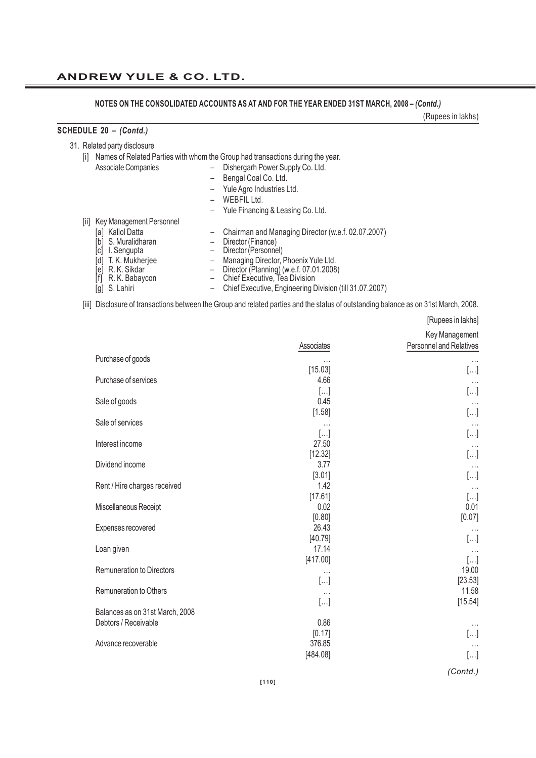## **ANDREW YULE & CO. LTD.**

**NOTES ON THE CONSOLIDATED ACCOUNTS AS AT AND FOR THE YEAR ENDED 31ST MARCH, 2008 –** *(Contd.)*

(Rupees in lakhs)

## **SCHEDULE 20 –** *(Contd.)*

31. Related party disclosure

[i] Names of Related Parties with whom the Group had transactions during the year.

- Associate Companies Dishergarh Power Supply Co. Ltd.
	- Bengal Coal Co. Ltd.
	- Yule Agro Industries Ltd.
	- WEBFIL Ltd.
	- Yule Financing & Leasing Co. Ltd.
- [ii] Key Management Personnel
	-
	- [b] S. Muralidharan Director (Finance)
	- [a] Kallol Datta – Chairman and Managing Director (w.e.f. 02.07.2007)<br>
	[b] S. Muralidharan – Director (Finance)<br>
	[c] I. Sengupta – Director (Personnel) [c] I. Sengupta – Director (Personnel)
		-
	-
	- [e] R. K. Sikdar Director (Planning) (w.e.f. 07.01.2008)
	- [d] T. K. Mukherjee  $\begin{array}{rcl} \text{[d]} & \text{T. K. Mukherjee} \\ \text{[e]} & \text{R. K. Sikdar} \\ \text{[f]} & \text{R. K. Babaycon} \end{array}$  Director (Planning) (w.e.f. 07.01.2008 [f] R. K. Babaycon – Chief Executive, Tea Division
	-
	- [g] S. Lahiri Chief Executive, Engineering Division (till 31.07.2007)

[iii] Disclosure of transactions between the Group and related parties and the status of outstanding balance as on 31st March, 2008.

|                                  |                  | [Rupees in lakhs]       |
|----------------------------------|------------------|-------------------------|
|                                  |                  | Key Management          |
|                                  | Associates       | Personnel and Relatives |
| Purchase of goods                | .                |                         |
|                                  | [15.03]          | $[\ldots]$              |
| Purchase of services             | 4.66             | $\cdots$                |
|                                  | []               | $[]$                    |
| Sale of goods                    | 0.45             |                         |
|                                  | [1.58]           | []                      |
| Sale of services                 | .                |                         |
|                                  | $[]$             | $[]$                    |
| Interest income                  | 27.50            |                         |
|                                  | [12.32]          | []                      |
| Dividend income                  | 3.77             |                         |
|                                  | [3.01]           | $[]$                    |
| Rent / Hire charges received     | 1.42             |                         |
|                                  | [17.61]          | $[]$                    |
| Miscellaneous Receipt            | 0.02             | 0.01                    |
|                                  | [0.80]           | [0.07]                  |
| Expenses recovered               | 26.43            | $\cdots$                |
|                                  | [40.79]          | $[]$                    |
| Loan given                       | 17.14            |                         |
|                                  | [417.00]         | $[]$                    |
| <b>Remuneration to Directors</b> | $\cdots$         | 19.00                   |
|                                  | $[]$             | [23.53]                 |
| Remuneration to Others           | $\cdots$         | 11.58                   |
|                                  | []               | [15.54]                 |
| Balances as on 31st March, 2008  |                  |                         |
| Debtors / Receivable             | 0.86             | $\cdots$                |
|                                  | [0.17]<br>376.85 | []                      |
| Advance recoverable              |                  |                         |
|                                  | [484.08]         | $[\ldots]$              |

*(Contd.)*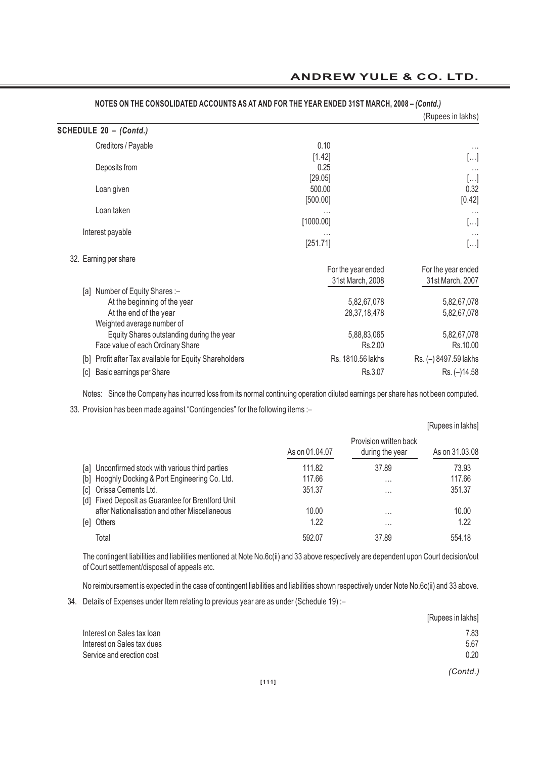|                                                                                                                        |                                        | (Rupees in lakhs)                      |
|------------------------------------------------------------------------------------------------------------------------|----------------------------------------|----------------------------------------|
| SCHEDULE 20 - (Contd.)                                                                                                 |                                        |                                        |
| Creditors / Payable                                                                                                    | 0.10<br>[1.42]                         | $\cdots$<br>[]                         |
| Deposits from                                                                                                          | 0.25<br>[29.05]                        | $\cdots$                               |
| Loan given                                                                                                             | 500.00<br>[500.00]                     | []<br>0.32<br>[0.42]                   |
| Loan taken                                                                                                             |                                        | $\cdots$                               |
| Interest payable                                                                                                       | [1000.00]<br>$\cdots$<br>[251.71]      | []<br>$\cdots$<br>[]                   |
| 32. Earning per share                                                                                                  | For the year ended<br>31st March, 2008 | For the year ended<br>31st March, 2007 |
| [a] Number of Equity Shares :-<br>At the beginning of the year<br>At the end of the year<br>Weighted average number of | 5,82,67,078<br>28, 37, 18, 478         | 5,82,67,078<br>5,82,67,078             |
| Equity Shares outstanding during the year<br>Face value of each Ordinary Share                                         | 5,88,83,065<br>Rs.2.00                 | 5,82,67,078<br>Rs.10.00                |
| Profit after Tax available for Equity Shareholders<br>[b]                                                              | Rs. 1810.56 lakhs                      | Rs. (-) 8497.59 lakhs                  |
| Basic earnings per Share<br> c                                                                                         | Rs.3.07                                | Rs. (-)14.58                           |

## **ANDREW YULE & CO. LTD.**

**NOTES ON THE CONSOLIDATED ACCOUNTS AS AT AND FOR THE YEAR ENDED 31ST MARCH, 2008 –** *(Contd.)*

Notes: Since the Company has incurred loss from its normal continuing operation diluted earnings per share has not been computed.

33. Provision has been made against "Contingencies" for the following items :–

|     |                                                                              |                |                                           | [Rupees in lakhs] |
|-----|------------------------------------------------------------------------------|----------------|-------------------------------------------|-------------------|
|     |                                                                              | As on 01.04.07 | Provision written back<br>during the year | As on 31,03,08    |
|     | [a] Unconfirmed stock with various third parties                             | 111.82         | 37.89                                     | 73.93             |
|     | [b] Hooghly Docking & Port Engineering Co. Ltd.                              | 117.66         | $\cdots$                                  | 117.66            |
|     | [c] Orissa Cements Ltd.<br>[d] Fixed Deposit as Guarantee for Brentford Unit | 351.37         | $\cdots$                                  | 351.37            |
|     | after Nationalisation and other Miscellaneous                                | 10.00          | $\cdots$                                  | 10.00             |
| [e] | Others                                                                       | 1.22           | $\cdots$                                  | 1.22              |
|     | Total                                                                        | 592.07         | 37.89                                     | 554.18            |

The contingent liabilities and liabilities mentioned at Note No.6c(ii) and 33 above respectively are dependent upon Court decision/out of Court settlement/disposal of appeals etc.

No reimbursement is expected in the case of contingent liabilities and liabilities shown respectively under Note No.6c(ii) and 33 above.

34. Details of Expenses under Item relating to previous year are as under (Schedule 19) :–

|                            | [Rupees in lakhs] |
|----------------------------|-------------------|
| Interest on Sales tax loan | 7.83              |
| Interest on Sales tax dues | 5.67              |
| Service and erection cost  | 0.20              |
|                            | (Contd.)          |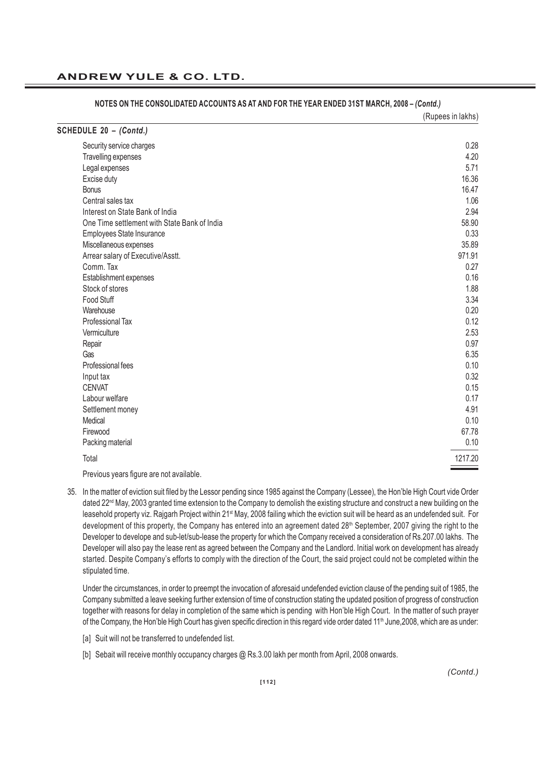|                                              | (Rupees in lakhs) |
|----------------------------------------------|-------------------|
| SCHEDULE 20 - (Contd.)                       |                   |
| Security service charges                     | 0.28              |
| Travelling expenses                          | 4.20              |
| Legal expenses                               | 5.71              |
| Excise duty                                  | 16.36             |
| <b>Bonus</b>                                 | 16.47             |
| Central sales tax                            | 1.06              |
| Interest on State Bank of India              | 2.94              |
| One Time settlement with State Bank of India | 58.90             |
| Employees State Insurance                    | 0.33              |
| Miscellaneous expenses                       | 35.89             |
| Arrear salary of Executive/Asstt.            | 971.91            |
| Comm. Tax                                    | 0.27              |
| Establishment expenses                       | 0.16              |
| Stock of stores                              | 1.88              |
| Food Stuff                                   | 3.34              |
| Warehouse                                    | 0.20              |
| Professional Tax                             | 0.12              |
| Vermiculture                                 | 2.53              |
| Repair                                       | 0.97              |
| Gas                                          | 6.35              |
| Professional fees                            | 0.10              |
| Input tax                                    | 0.32              |
| <b>CENVAT</b>                                | 0.15              |
| Labour welfare                               | 0.17              |
| Settlement money                             | 4.91              |
| Medical                                      | 0.10              |
| Firewood                                     | 67.78             |
| Packing material                             | 0.10              |
| Total                                        | 1217.20           |
|                                              |                   |

#### **NOTES ON THE CONSOLIDATED ACCOUNTS AS AT AND FOR THE YEAR ENDED 31ST MARCH, 2008 –** *(Contd.)*

Previous years figure are not available.

35. In the matter of eviction suit filed by the Lessor pending since 1985 against the Company (Lessee), the Hon'ble High Court vide Order dated 22<sup>nd</sup> May, 2003 granted time extension to the Company to demolish the existing structure and construct a new building on the leasehold property viz. Rajgarh Project within 21<sup>st</sup> May, 2008 failing which the eviction suit will be heard as an undefended suit. For development of this property, the Company has entered into an agreement dated 28<sup>th</sup> September, 2007 giving the right to the Developer to develope and sub-let/sub-lease the property for which the Company received a consideration of Rs.207.00 lakhs. The Developer will also pay the lease rent as agreed between the Company and the Landlord. Initial work on development has already started. Despite Company's efforts to comply with the direction of the Court, the said project could not be completed within the stipulated time.

Under the circumstances, in order to preempt the invocation of aforesaid undefended eviction clause of the pending suit of 1985, the Company submitted a leave seeking further extension of time of construction stating the updated position of progress of construction together with reasons for delay in completion of the same which is pending with Hon'ble High Court. In the matter of such prayer of the Company, the Hon'ble High Court has given specific direction in this regard vide order dated 11<sup>th</sup> June, 2008, which are as under:

- [a] Suit will not be transferred to undefended list.
- [b] Sebait will receive monthly occupancy charges @ Rs.3.00 lakh per month from April, 2008 onwards.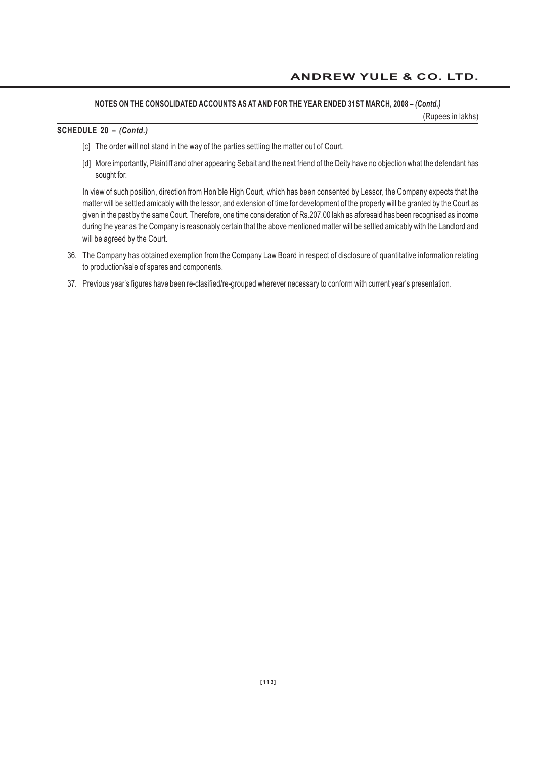## **NOTES ON THE CONSOLIDATED ACCOUNTS AS AT AND FOR THE YEAR ENDED 31ST MARCH, 2008 –** *(Contd.)*

(Rupees in lakhs)

#### **SCHEDULE 20 –** *(Contd.)*

- [c] The order will not stand in the way of the parties settling the matter out of Court.
- [d] More importantly, Plaintiff and other appearing Sebait and the next friend of the Deity have no objection what the defendant has sought for.

In view of such position, direction from Hon'ble High Court, which has been consented by Lessor, the Company expects that the matter will be settled amicably with the lessor, and extension of time for development of the property will be granted by the Court as given in the past by the same Court. Therefore, one time consideration of Rs.207.00 lakh as aforesaid has been recognised as income during the year as the Company is reasonably certain that the above mentioned matter will be settled amicably with the Landlord and will be agreed by the Court.

- 36. The Company has obtained exemption from the Company Law Board in respect of disclosure of quantitative information relating to production/sale of spares and components.
- 37. Previous year's figures have been re-clasified/re-grouped wherever necessary to conform with current year's presentation.